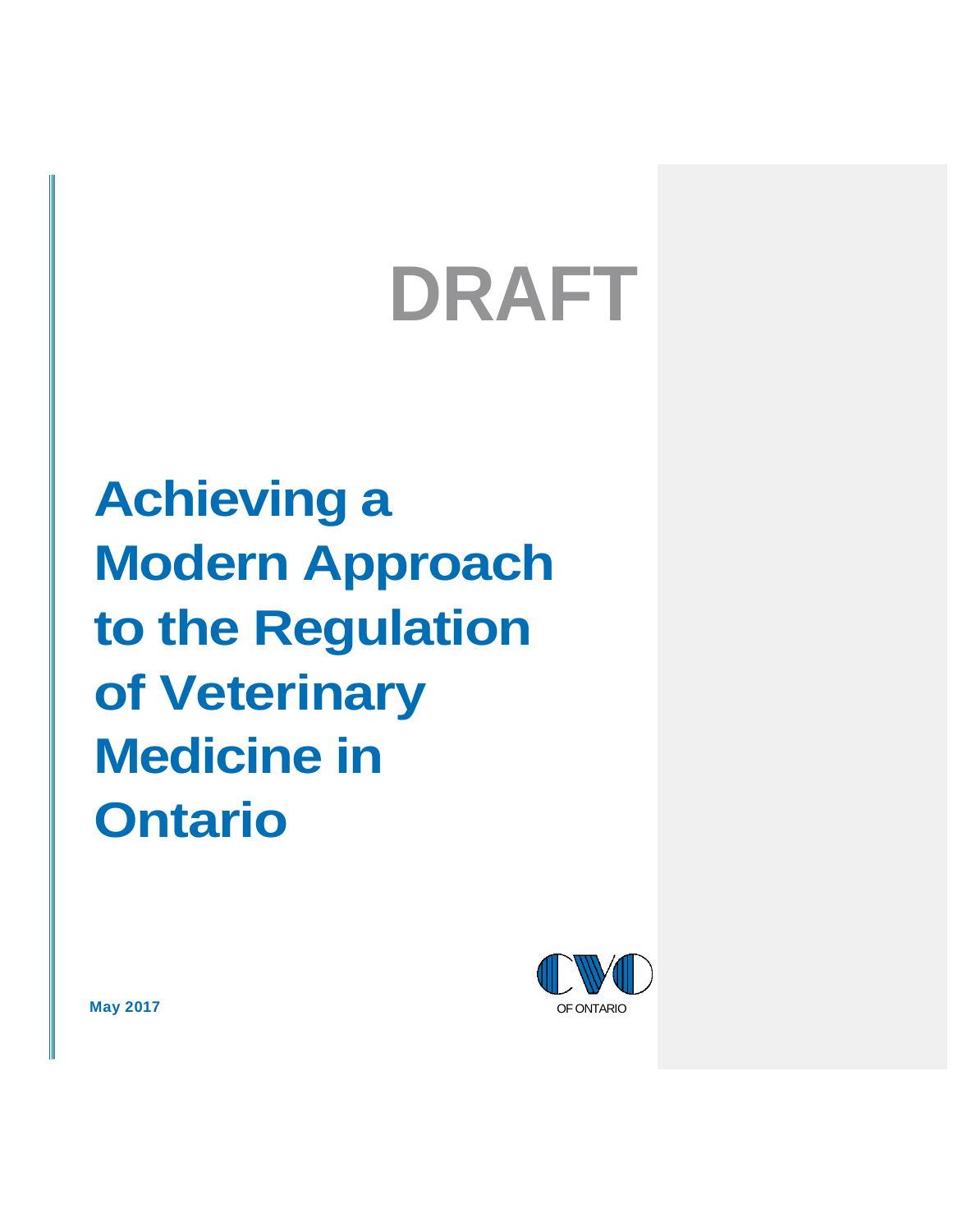# **DRAFT**

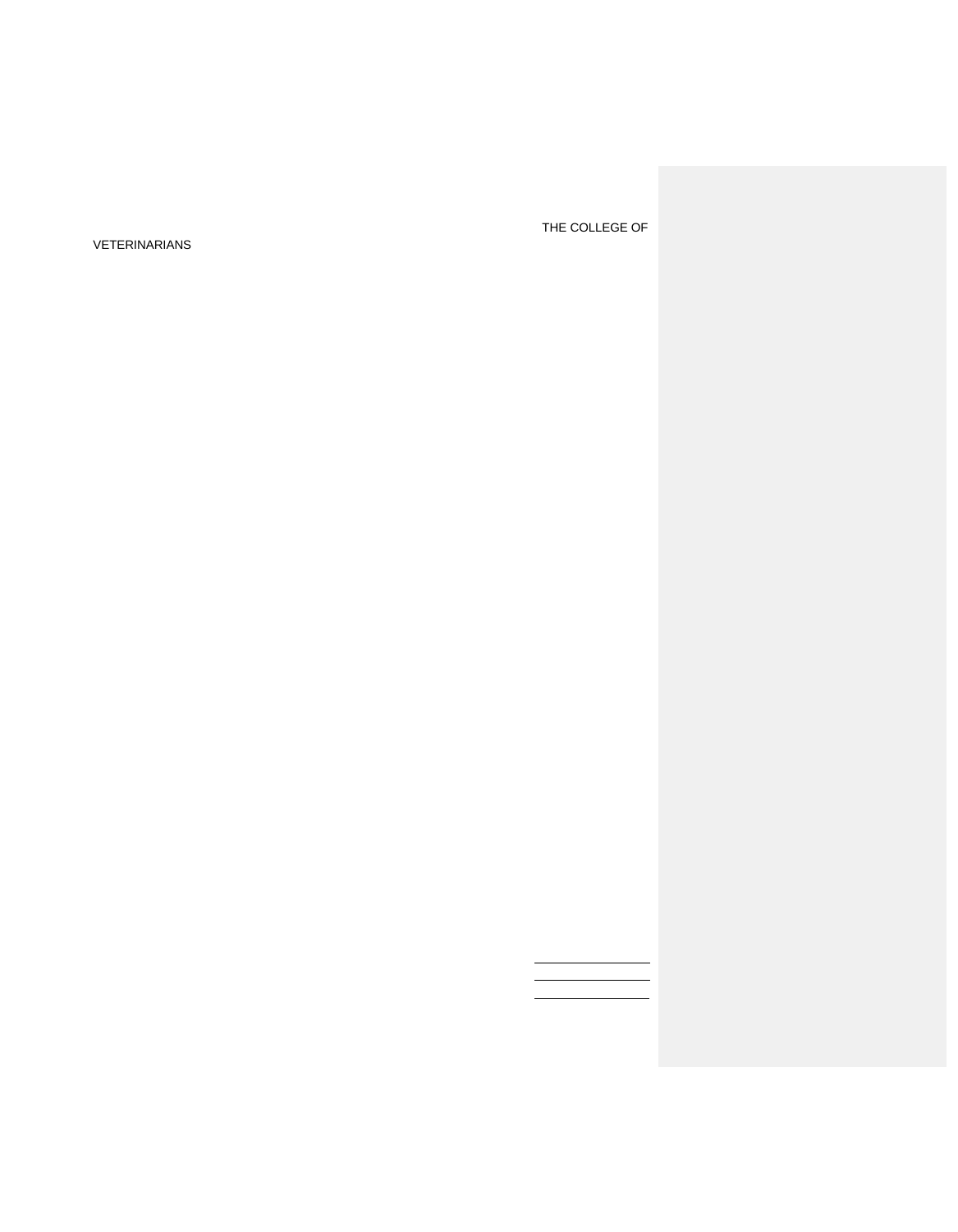VETERINARIANS

THE COLLEGE OF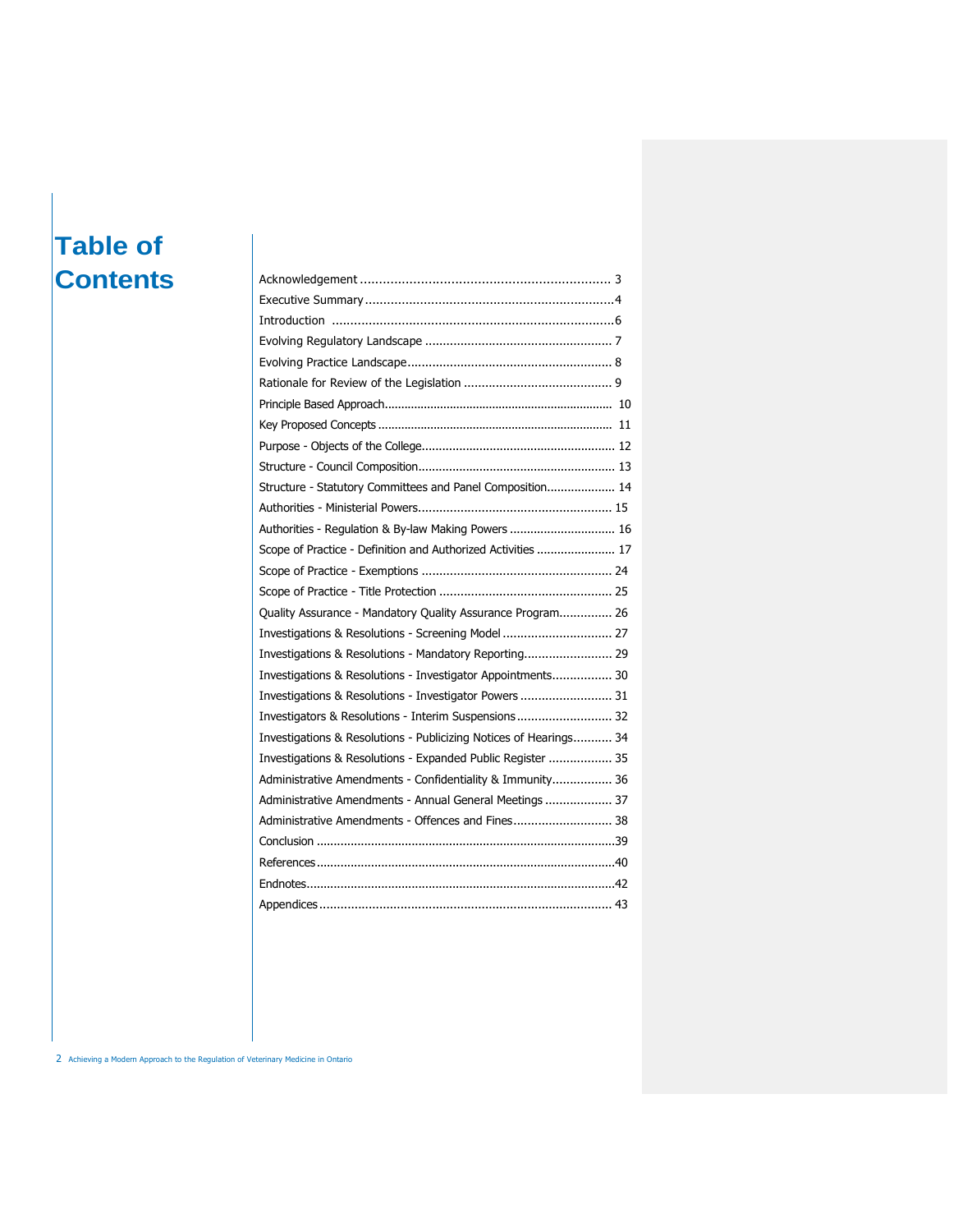# **Table of Contents**

| Structure - Statutory Committees and Panel Composition 14         |
|-------------------------------------------------------------------|
|                                                                   |
| Authorities - Regulation & By-law Making Powers  16               |
| Scope of Practice - Definition and Authorized Activities  17      |
|                                                                   |
|                                                                   |
| Quality Assurance - Mandatory Quality Assurance Program 26        |
| Investigations & Resolutions - Screening Model  27                |
|                                                                   |
| Investigations & Resolutions - Investigator Appointments 30       |
| Investigations & Resolutions - Investigator Powers  31            |
| Investigators & Resolutions - Interim Suspensions 32              |
| Investigations & Resolutions - Publicizing Notices of Hearings 34 |
| Investigations & Resolutions - Expanded Public Register  35       |
| Administrative Amendments - Confidentiality & Immunity 36         |
| Administrative Amendments - Annual General Meetings  37           |
| Administrative Amendments - Offences and Fines 38                 |
|                                                                   |
|                                                                   |
|                                                                   |
|                                                                   |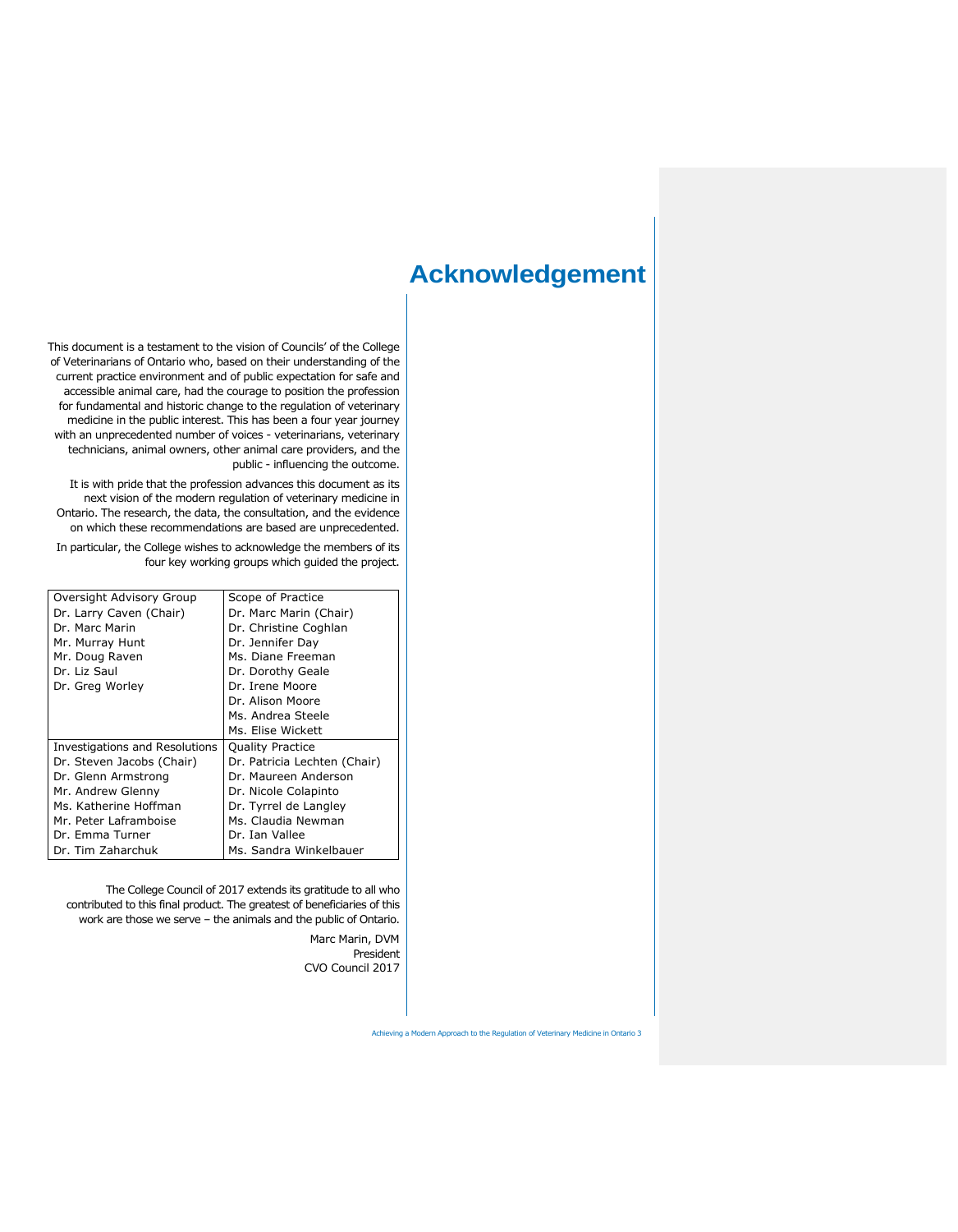# **Acknowledgement**

This document is a testament to the vision of Councils' of the College of Veterinarians of Ontario who, based on their understanding of the current practice environment and of public expectation for safe and accessible animal care, had the courage to position the profession for fundamental and historic change to the regulation of veterinary medicine in the public interest. This has been a four year journey with an unprecedented number of voices - veterinarians, veterinary technicians, animal owners, other animal care providers, and the public - influencing the outcome.

It is with pride that the profession advances this document as its next vision of the modern regulation of veterinary medicine in Ontario. The research, the data, the consultation, and the evidence on which these recommendations are based are unprecedented.

In particular, the College wishes to acknowledge the members of its four key working groups which guided the project.

| Oversight Advisory Group       | Scope of Practice            |
|--------------------------------|------------------------------|
| Dr. Larry Caven (Chair)        | Dr. Marc Marin (Chair)       |
| Dr. Marc Marin                 | Dr. Christine Coghlan        |
| Mr. Murray Hunt                | Dr. Jennifer Day             |
| Mr. Doug Raven                 | Ms. Diane Freeman            |
| Dr. Liz Saul                   | Dr. Dorothy Geale            |
| Dr. Greg Worley                | Dr. Irene Moore              |
|                                | Dr. Alison Moore             |
|                                | Ms. Andrea Steele            |
|                                | Ms. Elise Wickett            |
| Investigations and Resolutions | <b>Quality Practice</b>      |
| Dr. Steven Jacobs (Chair)      | Dr. Patricia Lechten (Chair) |
| Dr. Glenn Armstrong            | Dr. Maureen Anderson         |
| Mr. Andrew Glenny              | Dr. Nicole Colapinto         |
| Ms. Katherine Hoffman          | Dr. Tyrrel de Langley        |
| Mr. Peter Laframboise          | Ms. Claudia Newman           |
| Dr. Emma Turner                | Dr. Ian Vallee               |
| Dr. Tim Zaharchuk              | Ms. Sandra Winkelbauer       |

The College Council of 2017 extends its gratitude to all who contributed to this final product. The greatest of beneficiaries of this work are those we serve – the animals and the public of Ontario.

> Marc Marin, DVM President CVO Council 2017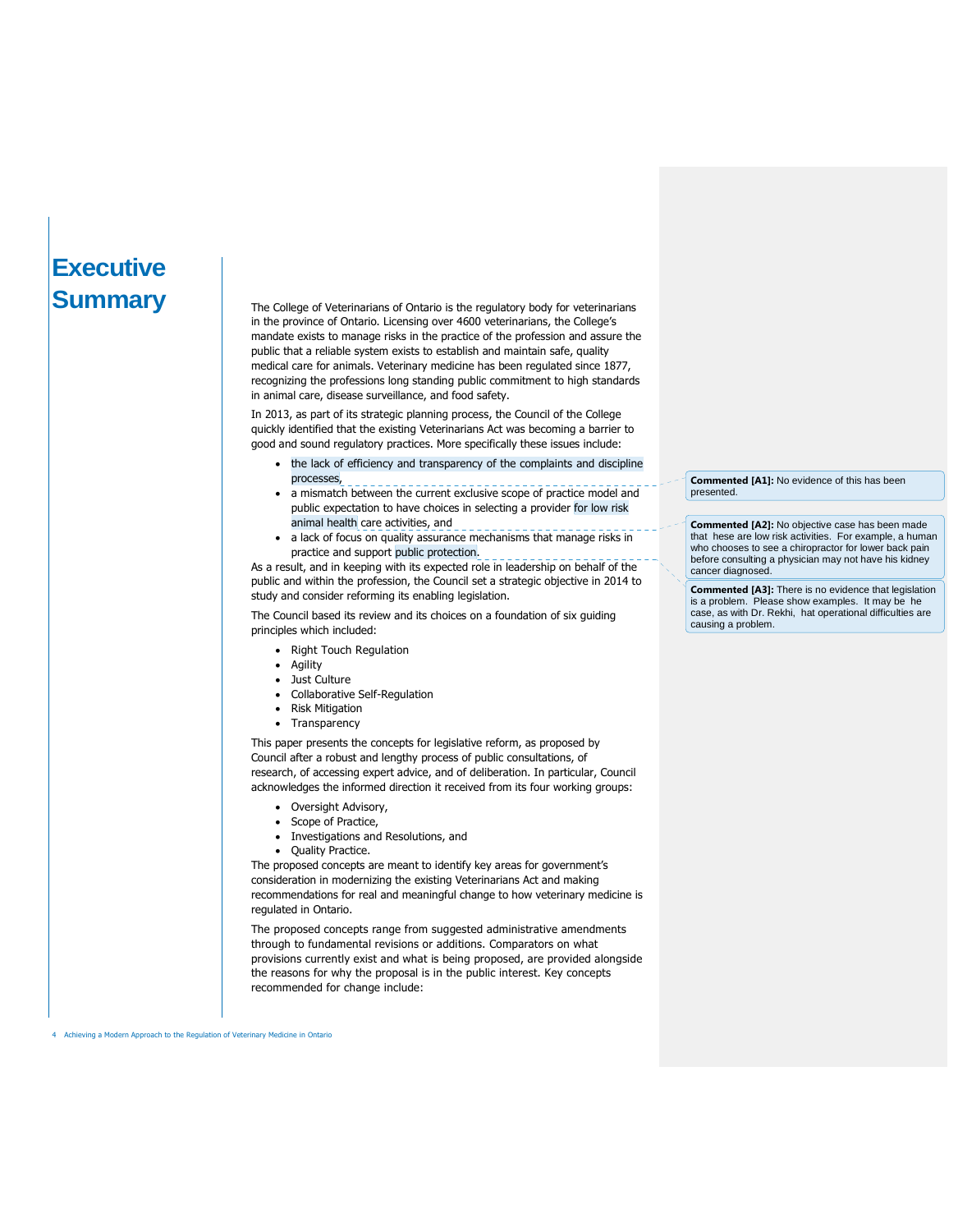# **Executive Summary**

The College of Veterinarians of Ontario is the regulatory body for veterinarians in the province of Ontario. Licensing over 4600 veterinarians, the College's mandate exists to manage risks in the practice of the profession and assure the public that a reliable system exists to establish and maintain safe, quality medical care for animals. Veterinary medicine has been regulated since 1877, recognizing the professions long standing public commitment to high standards in animal care, disease surveillance, and food safety.

In 2013, as part of its strategic planning process, the Council of the College quickly identified that the existing Veterinarians Act was becoming a barrier to good and sound regulatory practices. More specifically these issues include:

- the lack of efficiency and transparency of the complaints and discipline processes,
- a mismatch between the current exclusive scope of practice model and public expectation to have choices in selecting a provider for low risk animal health care activities, and
- a lack of focus on quality assurance mechanisms that manage risks in practice and support public protection.

As a result, and in keeping with its expected role in leadership on behalf of the public and within the profession, the Council set a strategic objective in 2014 to study and consider reforming its enabling legislation.

The Council based its review and its choices on a foundation of six guiding principles which included:

- Right Touch Regulation
- Agility
- Just Culture
- Collaborative Self-Regulation
- Risk Mitigation
- Transparency

This paper presents the concepts for legislative reform, as proposed by Council after a robust and lengthy process of public consultations, of research, of accessing expert advice, and of deliberation. In particular, Council acknowledges the informed direction it received from its four working groups:

- Oversight Advisory,
- Scope of Practice,
- Investigations and Resolutions, and
- Quality Practice.

The proposed concepts are meant to identify key areas for government's consideration in modernizing the existing Veterinarians Act and making recommendations for real and meaningful change to how veterinary medicine is regulated in Ontario.

The proposed concepts range from suggested administrative amendments through to fundamental revisions or additions. Comparators on what provisions currently exist and what is being proposed, are provided alongside the reasons for why the proposal is in the public interest. Key concepts recommended for change include:

**Commented [A1]:** No evidence of this has been presented.

**Commented [A2]:** No objective case has been made that hese are low risk activities. For example, a human who chooses to see a chiropractor for lower back pain before consulting a physician may not have his kidney cancer diagnosed.

**Commented [A3]:** There is no evidence that legislation is a problem. Please show examples. It may be he case, as with Dr. Rekhi, hat operational difficulties are causing a problem.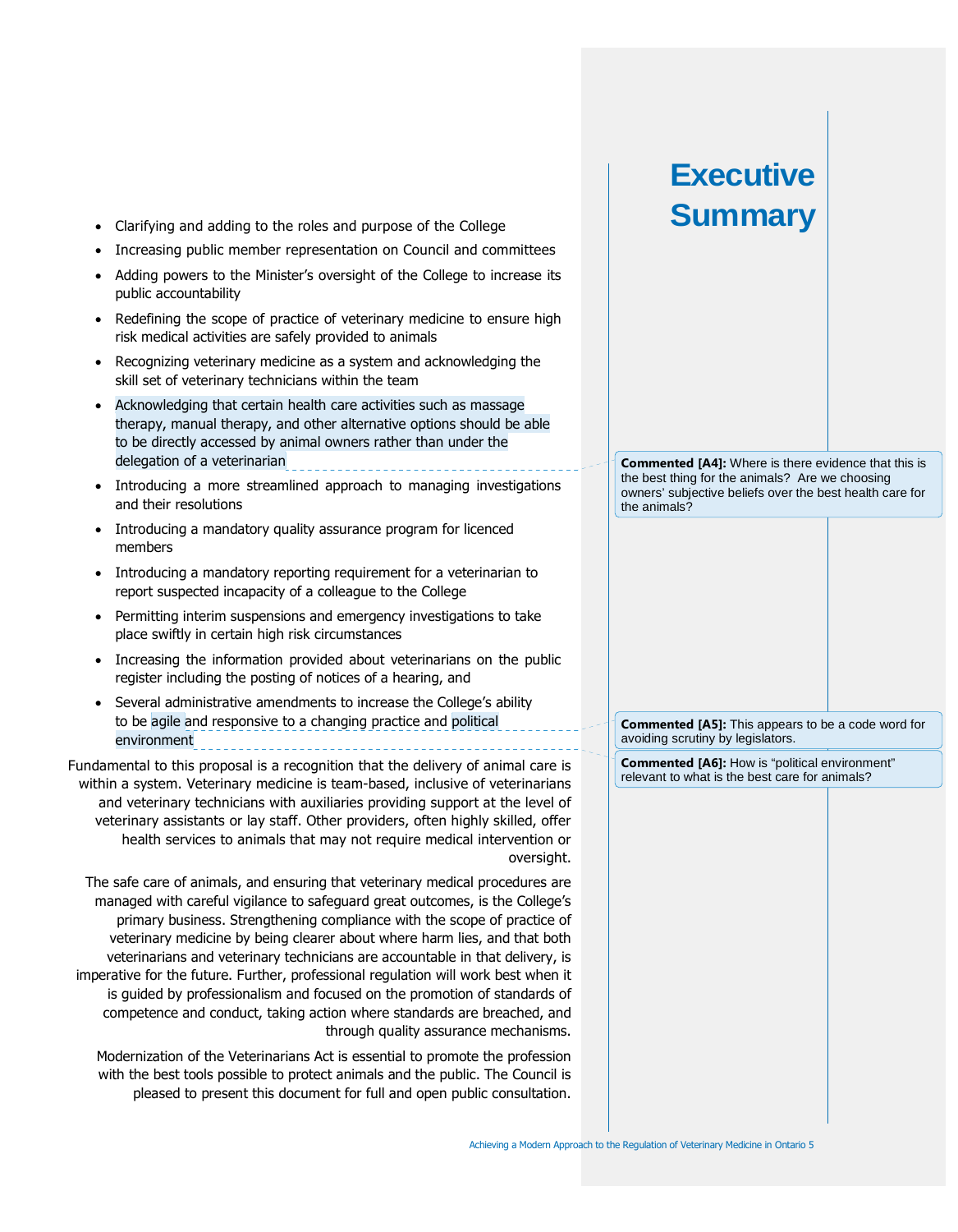- Clarifying and adding to the roles and purpose of the College
- Increasing public member representation on Council and committees
- Adding powers to the Minister's oversight of the College to increase its public accountability
- Redefining the scope of practice of veterinary medicine to ensure high risk medical activities are safely provided to animals
- Recognizing veterinary medicine as a system and acknowledging the skill set of veterinary technicians within the team
- Acknowledging that certain health care activities such as massage therapy, manual therapy, and other alternative options should be able to be directly accessed by animal owners rather than under the delegation of a veterinarian
- Introducing a more streamlined approach to managing investigations and their resolutions
- Introducing a mandatory quality assurance program for licenced members
- Introducing a mandatory reporting requirement for a veterinarian to report suspected incapacity of a colleague to the College
- Permitting interim suspensions and emergency investigations to take place swiftly in certain high risk circumstances
- Increasing the information provided about veterinarians on the public register including the posting of notices of a hearing, and
- Several administrative amendments to increase the College's ability to be agile and responsive to a changing practice and political environment

Fundamental to this proposal is a recognition that the delivery of animal care is within a system. Veterinary medicine is team-based, inclusive of veterinarians and veterinary technicians with auxiliaries providing support at the level of veterinary assistants or lay staff. Other providers, often highly skilled, offer health services to animals that may not require medical intervention or oversight.

The safe care of animals, and ensuring that veterinary medical procedures are managed with careful vigilance to safeguard great outcomes, is the College's primary business. Strengthening compliance with the scope of practice of veterinary medicine by being clearer about where harm lies, and that both veterinarians and veterinary technicians are accountable in that delivery, is imperative for the future. Further, professional regulation will work best when it is guided by professionalism and focused on the promotion of standards of competence and conduct, taking action where standards are breached, and through quality assurance mechanisms.

Modernization of the Veterinarians Act is essential to promote the profession with the best tools possible to protect animals and the public. The Council is pleased to present this document for full and open public consultation. **Commented [A4]:** Where is there evidence that this is the best thing for the animals? Are we choosing owners' subjective beliefs over the best health care for the animals?

**Executive**

**Summary**

**Commented [A5]:** This appears to be a code word for avoiding scrutiny by legislators.

**Commented [A6]:** How is "political environment" relevant to what is the best care for animals?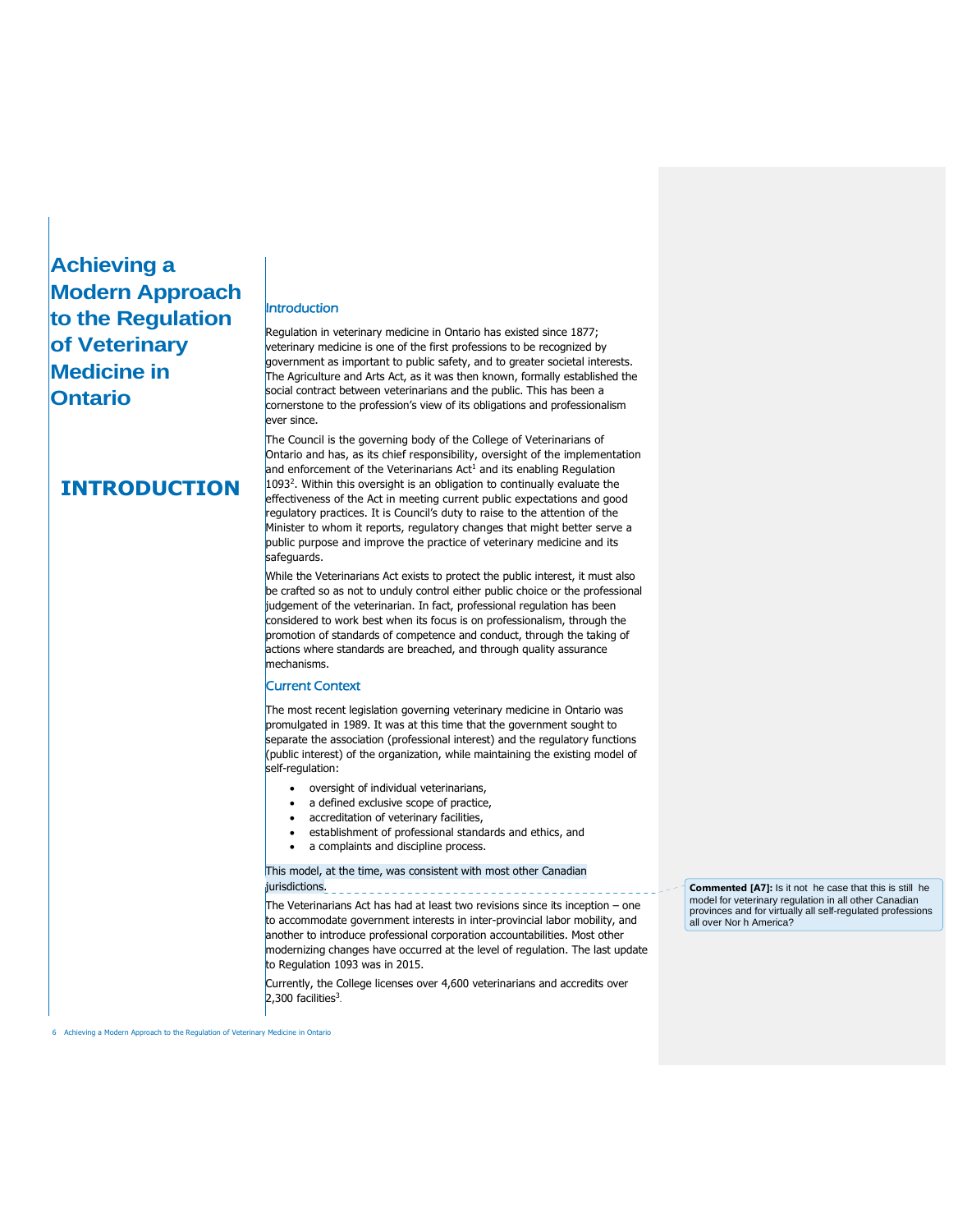# **Achieving a Modern Approach to the Regulation of Veterinary Medicine in Ontario**

### **INTRODUCTION**

### Introduction

Regulation in veterinary medicine in Ontario has existed since 1877; veterinary medicine is one of the first professions to be recognized by government as important to public safety, and to greater societal interests. The Agriculture and Arts Act, as it was then known, formally established the social contract between veterinarians and the public. This has been a cornerstone to the profession's view of its obligations and professionalism ever since.

The Council is the governing body of the College of Veterinarians of Ontario and has, as its chief responsibility, oversight of the implementation and enforcement of the Veterinarians  $Act<sup>1</sup>$  and its enabling Regulation 1093<sup>2</sup> . Within this oversight is an obligation to continually evaluate the effectiveness of the Act in meeting current public expectations and good regulatory practices. It is Council's duty to raise to the attention of the Minister to whom it reports, regulatory changes that might better serve a public purpose and improve the practice of veterinary medicine and its safeguards.

While the Veterinarians Act exists to protect the public interest, it must also be crafted so as not to unduly control either public choice or the professional judgement of the veterinarian. In fact, professional regulation has been considered to work best when its focus is on professionalism, through the promotion of standards of competence and conduct, through the taking of actions where standards are breached, and through quality assurance mechanisms.

#### Current Context

The most recent legislation governing veterinary medicine in Ontario was promulgated in 1989. It was at this time that the government sought to separate the association (professional interest) and the regulatory functions (public interest) of the organization, while maintaining the existing model of self-regulation:

- oversight of individual veterinarians,
- a defined exclusive scope of practice,
- accreditation of veterinary facilities,
- establishment of professional standards and ethics, and
- a complaints and discipline process.

#### This model, at the time, was consistent with most other Canadian jurisdictions.

The Veterinarians Act has had at least two revisions since its inception – one to accommodate government interests in inter-provincial labor mobility, and another to introduce professional corporation accountabilities. Most other modernizing changes have occurred at the level of regulation. The last update to Regulation 1093 was in 2015.

Currently, the College licenses over 4,600 veterinarians and accredits over  $2,300$  facilities<sup>3</sup>.

**Commented [A7]:** Is it not he case that this is still he model for veterinary regulation in all other Canadian provinces and for virtually all self-regulated professions all over Nor h America?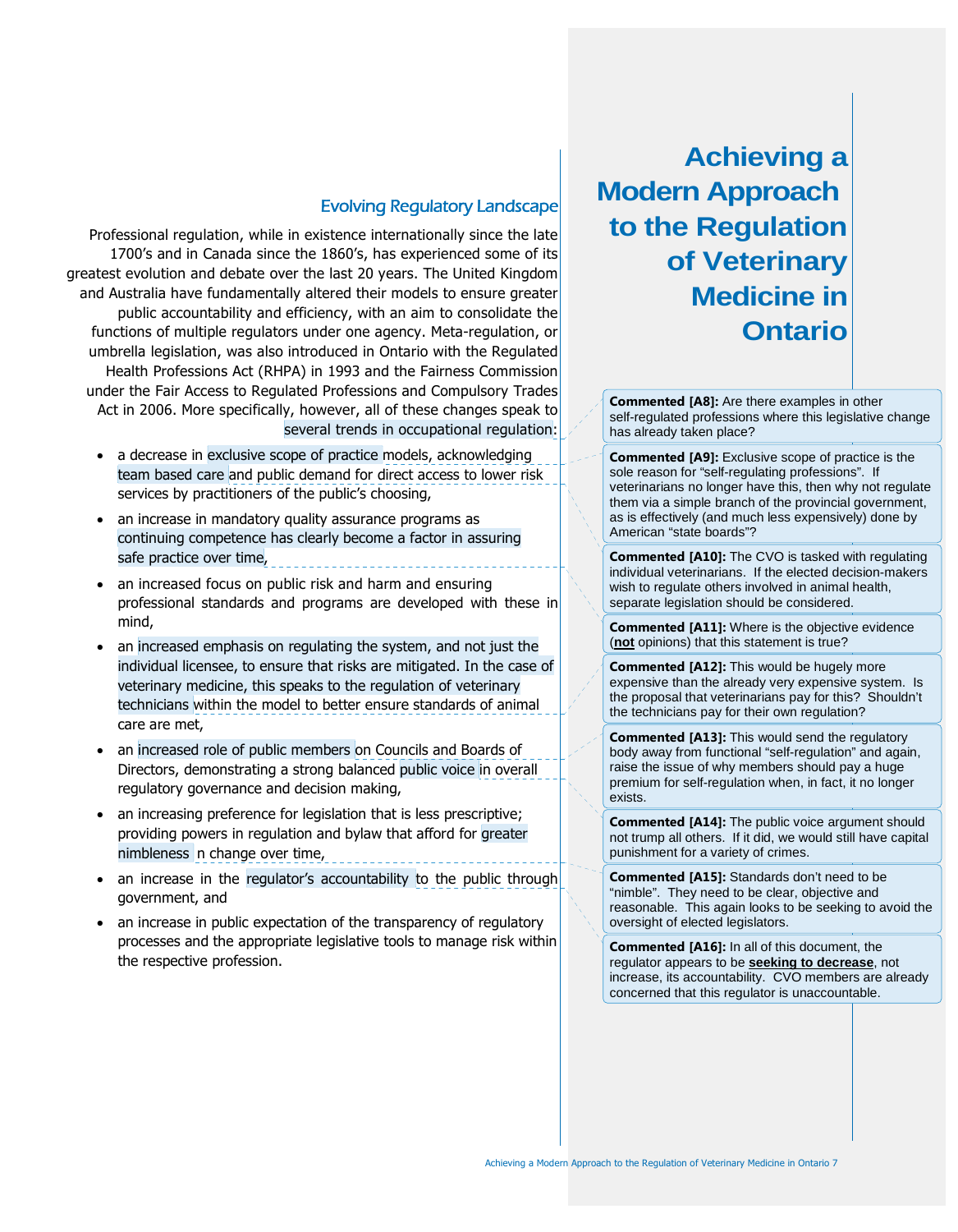### Evolving Regulatory Landscape

Professional regulation, while in existence internationally since the late 1700's and in Canada since the 1860's, has experienced some of its greatest evolution and debate over the last 20 years. The United Kingdom and Australia have fundamentally altered their models to ensure greater public accountability and efficiency, with an aim to consolidate the functions of multiple regulators under one agency. Meta-regulation, or umbrella legislation, was also introduced in Ontario with the Regulated Health Professions Act (RHPA) in 1993 and the Fairness Commission under the Fair Access to Regulated Professions and Compulsory Trades Act in 2006. More specifically, however, all of these changes speak to several trends in occupational regulation:

- a decrease in exclusive scope of practice models, acknowledging team based care and public demand for direct access to lower risk services by practitioners of the public's choosing,
- an increase in mandatory quality assurance programs as continuing competence has clearly become a factor in assuring safe practice over time,
- an increased focus on public risk and harm and ensuring professional standards and programs are developed with these in mind,
- an increased emphasis on regulating the system, and not just the individual licensee, to ensure that risks are mitigated. In the case of veterinary medicine, this speaks to the regulation of veterinary technicians within the model to better ensure standards of animal care are met,
- an increased role of public members on Councils and Boards of Directors, demonstrating a strong balanced public voice in overall regulatory governance and decision making,
- an increasing preference for legislation that is less prescriptive; providing powers in regulation and bylaw that afford for greater nimbleness n change over time,
- an increase in the regulator's accountability to the public through government, and
- an increase in public expectation of the transparency of regulatory processes and the appropriate legislative tools to manage risk within the respective profession.

# **Achieving a Modern Approach to the Regulation of Veterinary Medicine in Ontario**

**Commented [A8]:** Are there examples in other self-regulated professions where this legislative change has already taken place?

**Commented [A9]:** Exclusive scope of practice is the sole reason for "self-regulating professions". If veterinarians no longer have this, then why not regulate them via a simple branch of the provincial government, as is effectively (and much less expensively) done by American "state boards"?

**Commented [A10]:** The CVO is tasked with regulating individual veterinarians. If the elected decision-makers wish to regulate others involved in animal health, separate legislation should be considered.

**Commented [A11]:** Where is the objective evidence (**not** opinions) that this statement is true?

**Commented [A12]:** This would be hugely more expensive than the already very expensive system. Is the proposal that veterinarians pay for this? Shouldn't the technicians pay for their own regulation?

**Commented [A13]:** This would send the regulatory body away from functional "self-regulation" and again, raise the issue of why members should pay a huge premium for self-regulation when, in fact, it no longer exists.

**Commented [A14]:** The public voice argument should not trump all others. If it did, we would still have capital punishment for a variety of crimes.

**Commented [A15]:** Standards don't need to be "nimble". They need to be clear, objective and reasonable. This again looks to be seeking to avoid the oversight of elected legislators.

**Commented [A16]:** In all of this document, the regulator appears to be **seeking to decrease**, not increase, its accountability. CVO members are already concerned that this regulator is unaccountable.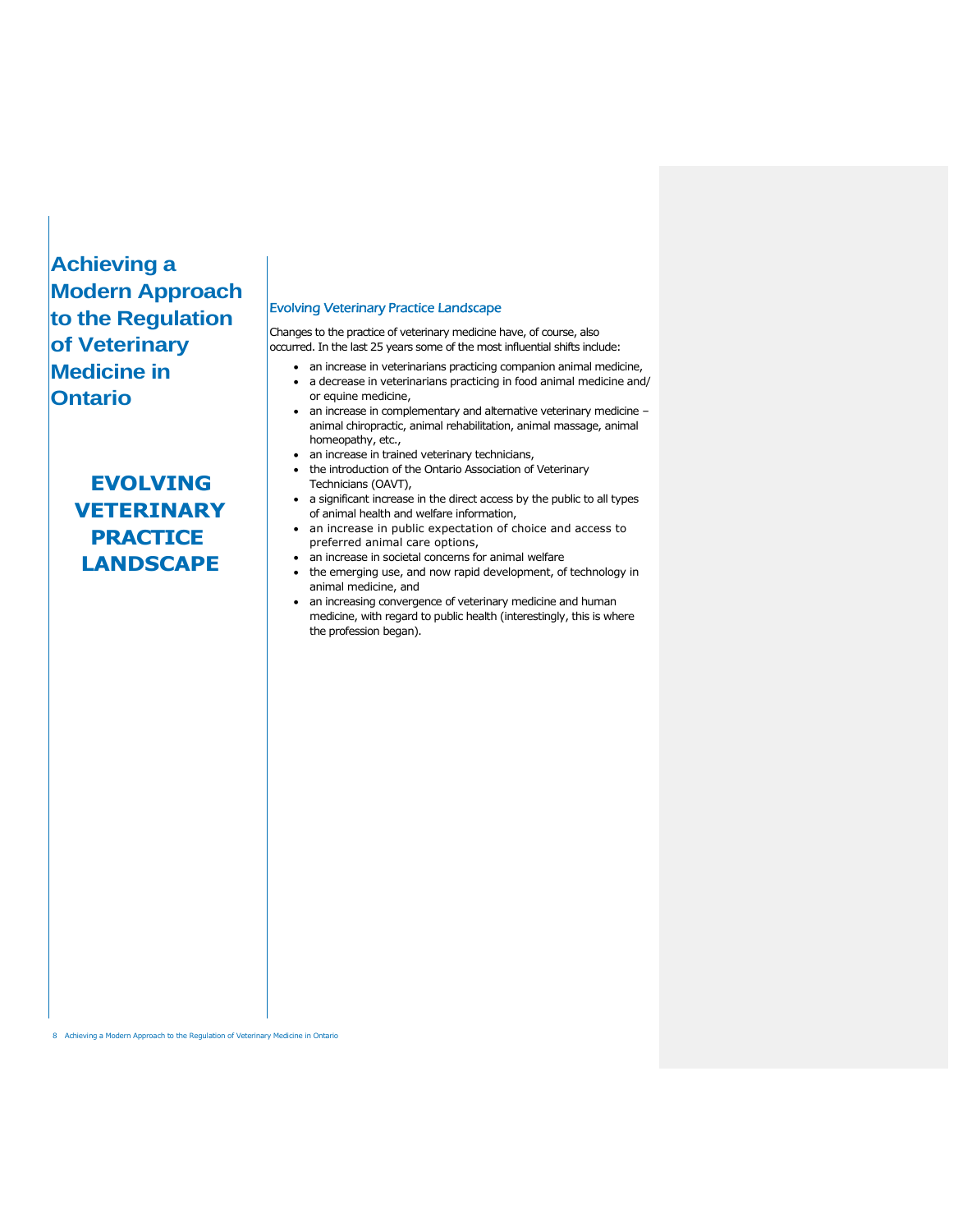# **Achieving a Modern Approach to the Regulation of Veterinary Medicine in Ontario**

# **EVOLVING VETERINARY PRACTICE LANDSCAPE**

#### Evolving Veterinary Practice Landscape

Changes to the practice of veterinary medicine have, of course, also occurred. In the last 25 years some of the most influential shifts include:

- an increase in veterinarians practicing companion animal medicine,
- a decrease in veterinarians practicing in food animal medicine and/ or equine medicine,
- an increase in complementary and alternative veterinary medicine animal chiropractic, animal rehabilitation, animal massage, animal homeopathy, etc.,
- an increase in trained veterinary technicians,
- the introduction of the Ontario Association of Veterinary
- Technicians (OAVT), • a significant increase in the direct access by the public to all types of animal health and welfare information,
- an increase in public expectation of choice and access to preferred animal care options,
	- an increase in societal concerns for animal welfare
- the emerging use, and now rapid development, of technology in animal medicine, and
- an increasing convergence of veterinary medicine and human medicine, with regard to public health (interestingly, this is where the profession began).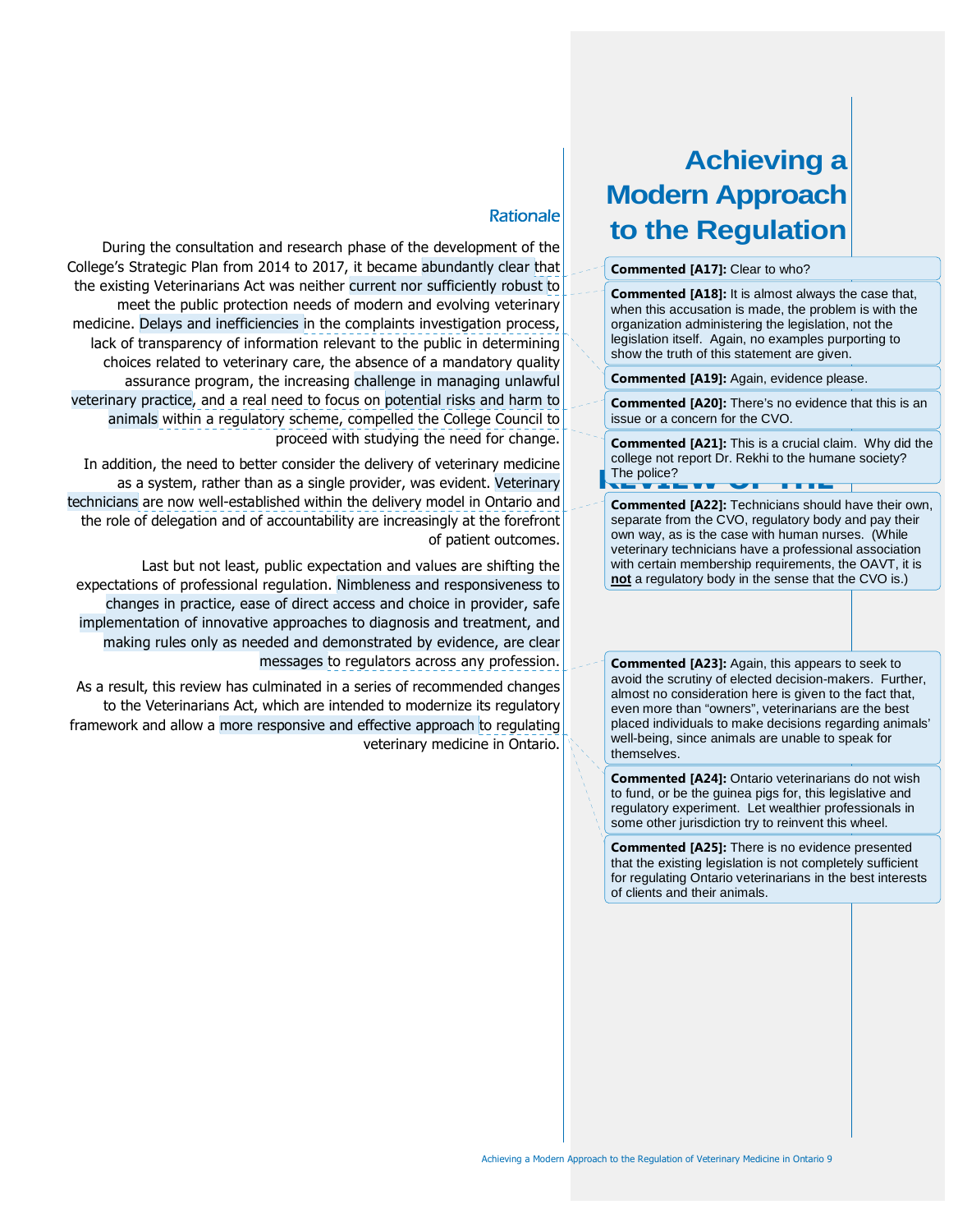# **Achieving a Modern Approach to the Regulation**

#### **Commented [A17]:** Clear to who?

**Commented [A18]:** It is almost always the case that, when this accusation is made, the problem is with the organization administering the legislation, not the legislation itself. Again, no examples purporting to show the truth of this statement are given.

**Commented [A19]:** Again, evidence please.

**Commented [A20]:** There's no evidence that this is an issue or a concern for the CVO.

The police?<br> **REVIEW OF THE Commented [A21]:** This is a crucial claim. Why did the college not report Dr. Rekhi to the humane society?

**Commented [A22]:** Technicians should have their own, separate from the CVO, regulatory body and pay their own way, as is the case with human nurses. (While veterinary technicians have a professional association with certain membership requirements, the OAVT, it is **not** a regulatory body in the sense that the CVO is.)

**Commented [A23]:** Again, this appears to seek to avoid the scrutiny of elected decision-makers. Further, almost no consideration here is given to the fact that, even more than "owners", veterinarians are the best placed individuals to make decisions regarding animals' well-being, since animals are unable to speak for themselves.

**Commented [A24]:** Ontario veterinarians do not wish to fund, or be the guinea pigs for, this legislative and regulatory experiment. Let wealthier professionals in some other jurisdiction try to reinvent this wheel.

**Commented [A25]:** There is no evidence presented that the existing legislation is not completely sufficient for regulating Ontario veterinarians in the best interests of clients and their animals.

### **Rationale**

During the consultation and research phase of the development of the College's Strategic Plan from 2014 to 2017, it became abundantly clear that the existing Veterinarians Act was neither current nor sufficiently robust to meet the public protection needs of modern and evolving veterinary medicine. Delays and inefficiencies in the complaints investigation process, lack of transparency of information relevant to the public in determining choices related to veterinary care, the absence of a mandatory quality assurance program, the increasing challenge in managing unlawful veterinary practice, and a real need to focus on potential risks and harm to animals within a regulatory scheme, compelled the College Council to proceed with studying the need for change.

In addition, the need to better consider the delivery of veterinary medicine as a system, rather than as a single provider, was evident. Veterinary technicians are now well-established within the delivery model in Ontario and the role of delegation and of accountability are increasingly at the forefront of patient outcomes.

Last but not least, public expectation and values are shifting the expectations of professional regulation. Nimbleness and responsiveness to changes in practice, ease of direct access and choice in provider, safe implementation of innovative approaches to diagnosis and treatment, and making rules only as needed and demonstrated by evidence, are clear messages to regulators across any profession.

As a result, this review has culminated in a series of recommended changes to the Veterinarians Act, which are intended to modernize its regulatory framework and allow a more responsive and effective approach to regulating veterinary medicine in Ontario.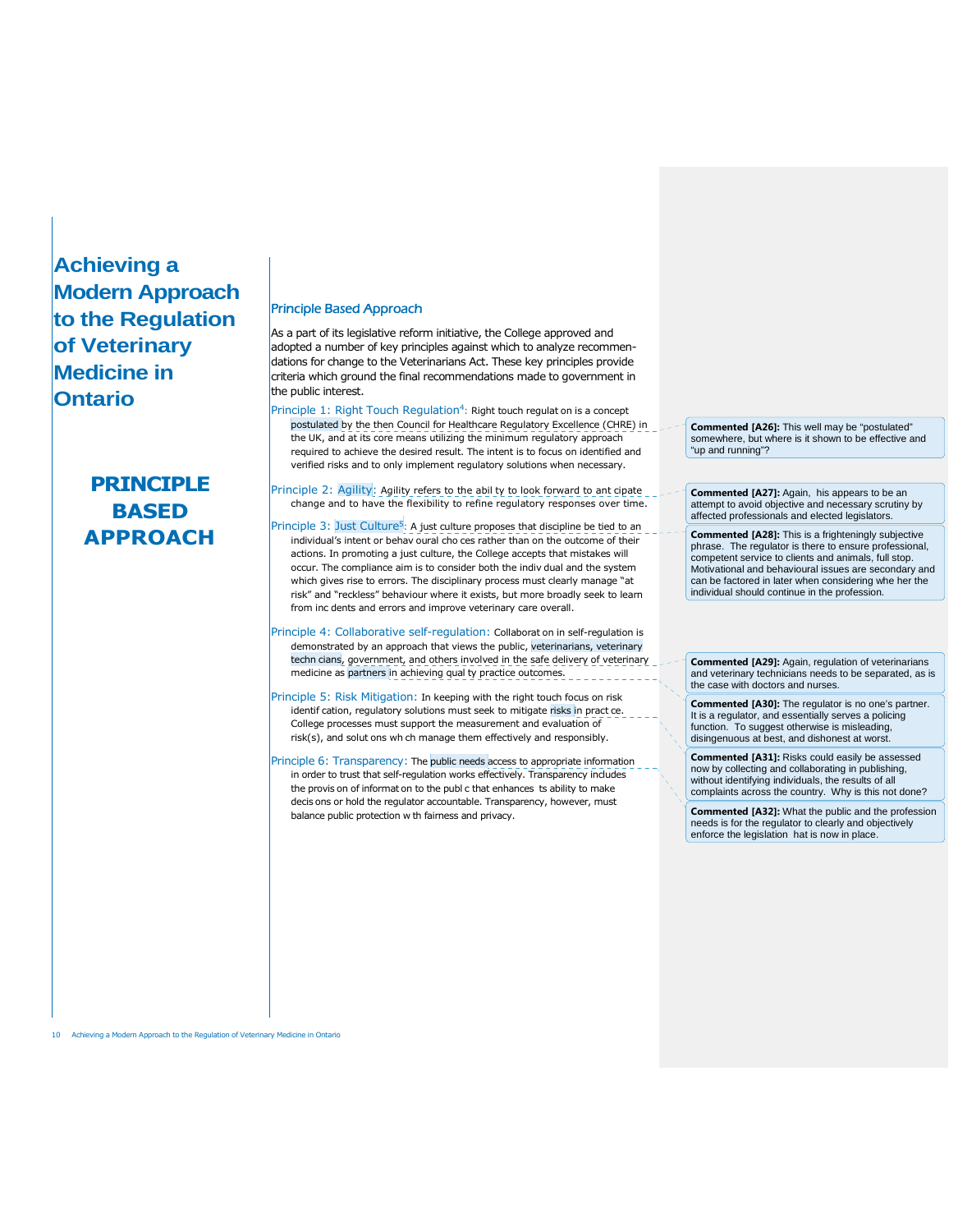# **Achieving a Modern Approach to the Regulation of Veterinary Medicine in Ontario**

# **PRINCIPLE BASED APPROACH**

#### Principle Based Approach

As a part of its legislative reform initiative, the College approved and adopted a number of key principles against which to analyze recommendations for change to the Veterinarians Act. These key principles provide criteria which ground the final recommendations made to government in the public interest.

- Principle 1: Right Touch Regulation<sup>4</sup>: Right touch regulat on is a concept postulated by the then Council for Healthcare Regulatory Excellence (CHRE) in the UK, and at its core means utilizing the minimum regulatory approach required to achieve the desired result. The intent is to focus on identified and verified risks and to only implement regulatory solutions when necessary.
- Principle 2: Agility: Agility refers to the abil ty to look forward to ant cipate change and to have the flexibility to refine regulatory responses over time.
- Principle 3: Just Culture<sup>5</sup>: A just culture proposes that discipline be tied to an individual's intent or behav oural cho ces rather than on the outcome of their actions. In promoting a just culture, the College accepts that mistakes will occur. The compliance aim is to consider both the indiv dual and the system which gives rise to errors. The disciplinary process must clearly manage "at risk" and "reckless" behaviour where it exists, but more broadly seek to learn from inc dents and errors and improve veterinary care overall.
- Principle 4: Collaborative self-regulation: Collaborat on in self-regulation is demonstrated by an approach that views the public, veterinarians, veterinary techn cians, government, and others involved in the safe delivery of veterinary medicine as partners in achieving qual ty practice outcomes.
- Principle 5: Risk Mitigation: In keeping with the right touch focus on risk identif cation, regulatory solutions must seek to mitigate risks in pract ce. College processes must support the measurement and evaluation of risk(s), and solut ons wh ch manage them effectively and responsibly.
- Principle 6: Transparency: The public needs access to appropriate information in order to trust that self-regulation works effectively. Transparency includes the provis on of informat on to the publ c that enhances ts ability to make decis ons or hold the regulator accountable. Transparency, however, must balance public protection w th fairness and privacy.

**Commented [A26]:** This well may be "postulated" somewhere, but where is it shown to be effective and "up and running"?

**Commented [A27]:** Again, his appears to be an attempt to avoid objective and necessary scrutiny by affected professionals and elected legislators.

**Commented [A28]:** This is a frighteningly subjective phrase. The regulator is there to ensure professional, competent service to clients and animals, full stop. Motivational and behavioural issues are secondary and can be factored in later when considering whe her the individual should continue in the profession.

**Commented [A29]:** Again, regulation of veterinarians and veterinary technicians needs to be separated, as is the case with doctors and nurses.

**Commented [A30]:** The regulator is no one's partner. It is a regulator, and essentially serves a policing function. To suggest otherwise is misleading, disingenuous at best, and dishonest at worst.

**Commented [A31]:** Risks could easily be assessed now by collecting and collaborating in publishing, without identifying individuals, the results of all complaints across the country. Why is this not done?

**Commented [A32]:** What the public and the profession needs is for the regulator to clearly and objectively enforce the legislation hat is now in place.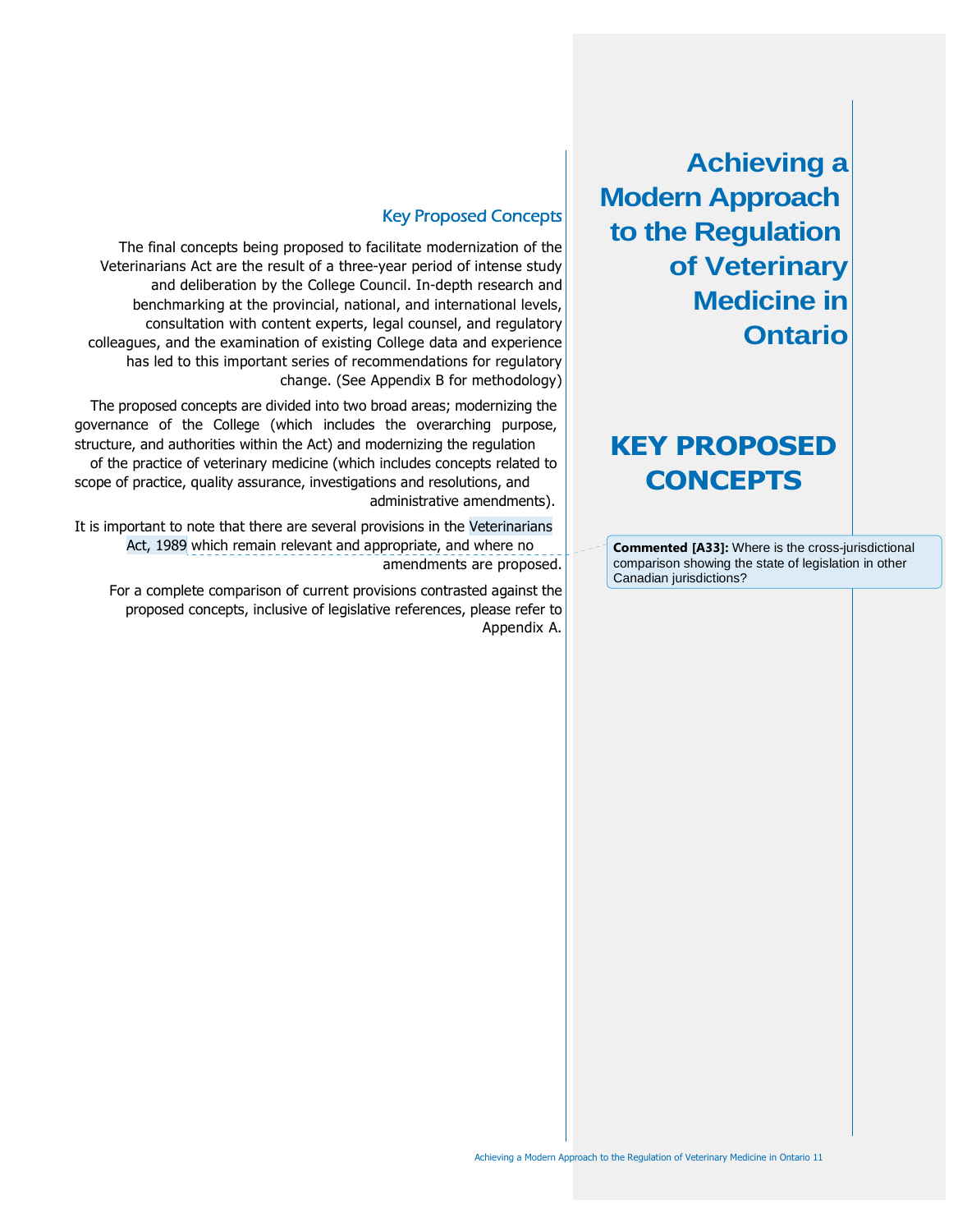**Achieving a Modern Approach to the Regulation of Veterinary Medicine in Ontario**

# **KEY PROPOSED CONCEPTS**

**Commented [A33]:** Where is the cross-jurisdictional comparison showing the state of legislation in other Canadian jurisdictions?

### Key Proposed Concepts

The final concepts being proposed to facilitate modernization of the Veterinarians Act are the result of a three-year period of intense study and deliberation by the College Council. In-depth research and benchmarking at the provincial, national, and international levels, consultation with content experts, legal counsel, and regulatory colleagues, and the examination of existing College data and experience has led to this important series of recommendations for regulatory change. (See Appendix B for methodology)

The proposed concepts are divided into two broad areas; modernizing the governance of the College (which includes the overarching purpose, structure, and authorities within the Act) and modernizing the regulation

of the practice of veterinary medicine (which includes concepts related to scope of practice, quality assurance, investigations and resolutions, and administrative amendments).

It is important to note that there are several provisions in the Veterinarians Act, 1989 which remain relevant and appropriate, and where no amendments are proposed.

For a complete comparison of current provisions contrasted against the proposed concepts, inclusive of legislative references, please refer to Appendix A.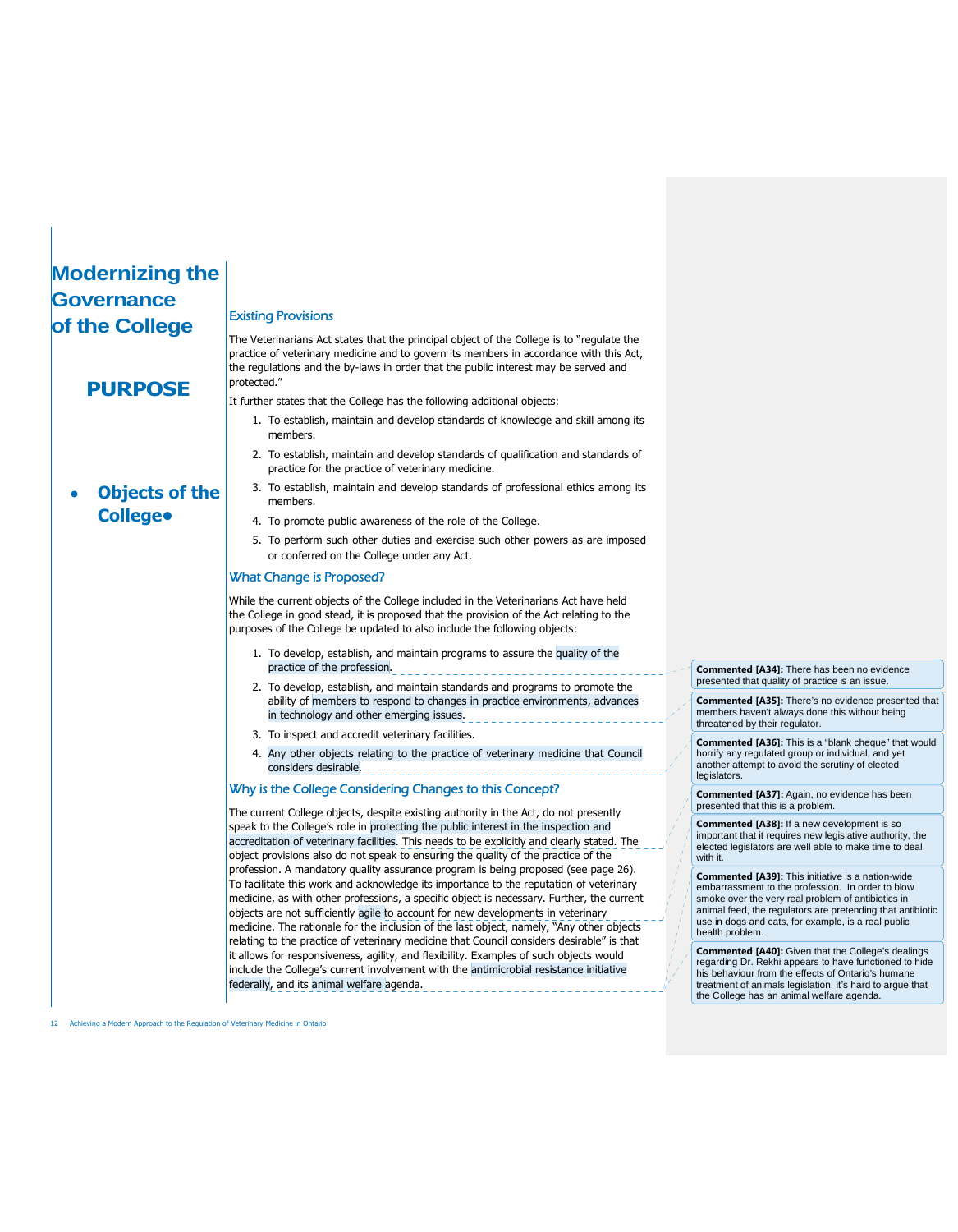# **Modernizing the Governance of the College**

**PURPOSE**

#### Existing Provisions

The Veterinarians Act states that the principal object of the College is to "regulate the practice of veterinary medicine and to govern its members in accordance with this Act, the regulations and the by-laws in order that the public interest may be served and protected."

It further states that the College has the following additional objects:

- 1. To establish, maintain and develop standards of knowledge and skill among its members.
- 2. To establish, maintain and develop standards of qualification and standards of practice for the practice of veterinary medicine.
- **Objects of the College•**
- 3. To establish, maintain and develop standards of professional ethics among its members.
	- 4. To promote public awareness of the role of the College.
	- 5. To perform such other duties and exercise such other powers as are imposed or conferred on the College under any Act.

#### What Change is Proposed?

While the current objects of the College included in the Veterinarians Act have held the College in good stead, it is proposed that the provision of the Act relating to the purposes of the College be updated to also include the following objects:

- 1. To develop, establish, and maintain programs to assure the quality of the practice of the profession.
- 2. To develop, establish, and maintain standards and programs to promote the ability of members to respond to changes in practice environments, advances in technology and other emerging issues.
- 3. To inspect and accredit veterinary facilities.
- 4. Any other objects relating to the practice of veterinary medicine that Council considers desirable.

#### Why is the College Considering Changes to this Concept?

The current College objects, despite existing authority in the Act, do not presently speak to the College's role in protecting the public interest in the inspection and accreditation of veterinary facilities. This needs to be explicitly and clearly stated. The object provisions also do not speak to ensuring the quality of the practice of the profession. A mandatory quality assurance program is being proposed (see page 26). To facilitate this work and acknowledge its importance to the reputation of veterinary medicine, as with other professions, a specific object is necessary. Further, the current objects are not sufficiently agile to account for new developments in veterinary medicine. The rationale for the inclusion of the last object, namely, "Any other objects relating to the practice of veterinary medicine that Council considers desirable" is that it allows for responsiveness, agility, and flexibility. Examples of such objects would include the College's current involvement with the antimicrobial resistance initiative federally, and its animal welfare agenda.

**Commented [A34]:** There has been no evidence presented that quality of practice is an issue.

**Commented [A35]:** There's no evidence presented that members haven't always done this without being threatened by their regulator.

**Commented [A36]:** This is a "blank cheque" that would horrify any regulated group or individual, and yet another attempt to avoid the scrutiny of elected legislators.

**Commented [A37]:** Again, no evidence has been presented that this is a problem.

**Commented [A38]:** If a new development is so important that it requires new legislative authority, the elected legislators are well able to make time to deal with it.

**Commented [A39]:** This initiative is a nation-wide embarrassment to the profession. In order to blow smoke over the very real problem of antibiotics in animal feed, the regulators are pretending that antibiotic use in dogs and cats, for example, is a real public health problem.

**Commented [A40]:** Given that the College's dealings regarding Dr. Rekhi appears to have functioned to hide his behaviour from the effects of Ontario's humane treatment of animals legislation, it's hard to argue that the College has an animal welfare agenda.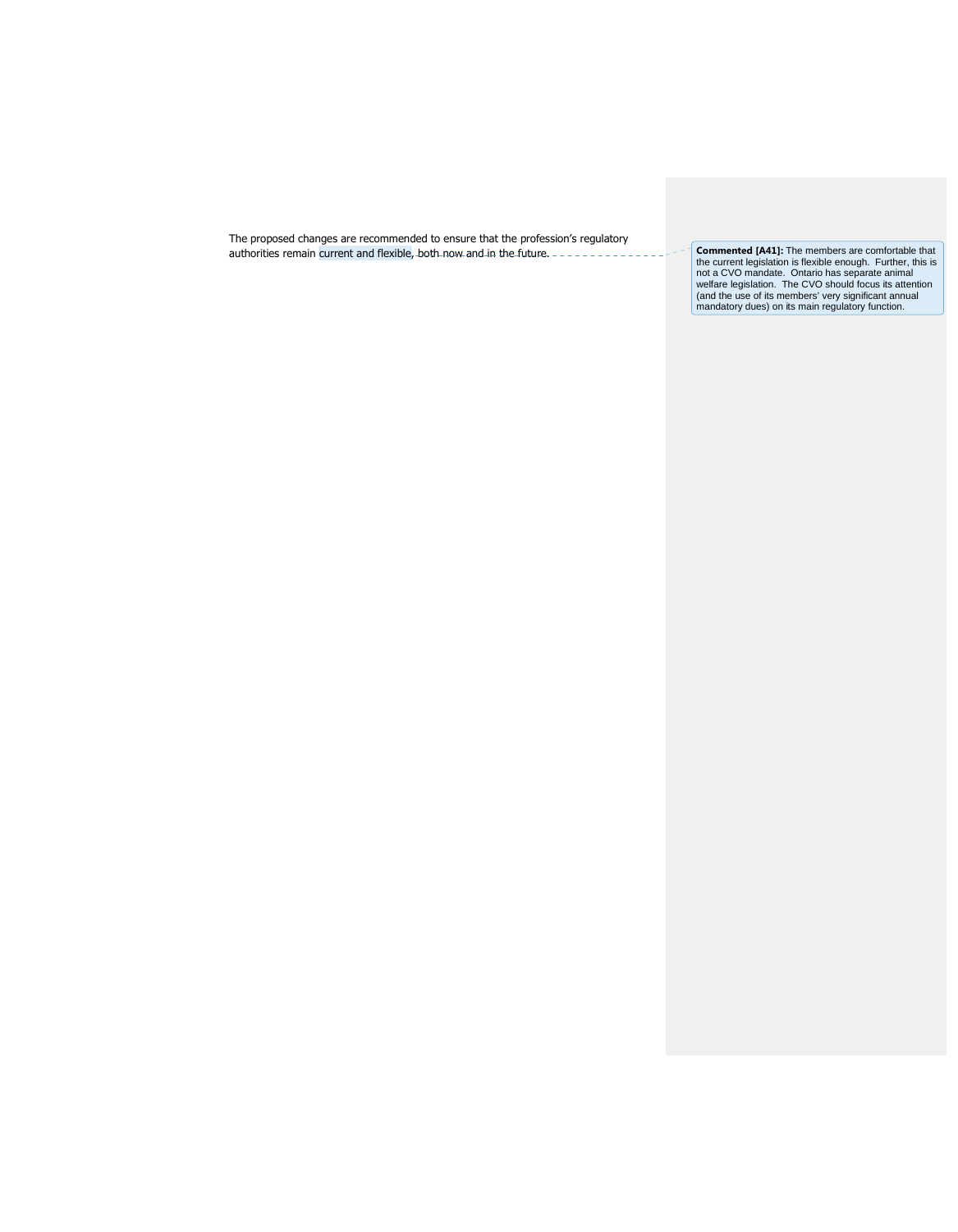The proposed changes are recommended to ensure that the profession's regulatory authorities remain current and flexible, both now and in the future. **Commented [A41]:** The members are comfortable that

the current legislation is flexible enough. Further, this is<br>not a CVO mandate. Ontario has separate animal<br>welfare legislation. The CVO should focus its attention<br>(and the use of its members' very significant annual<br>manda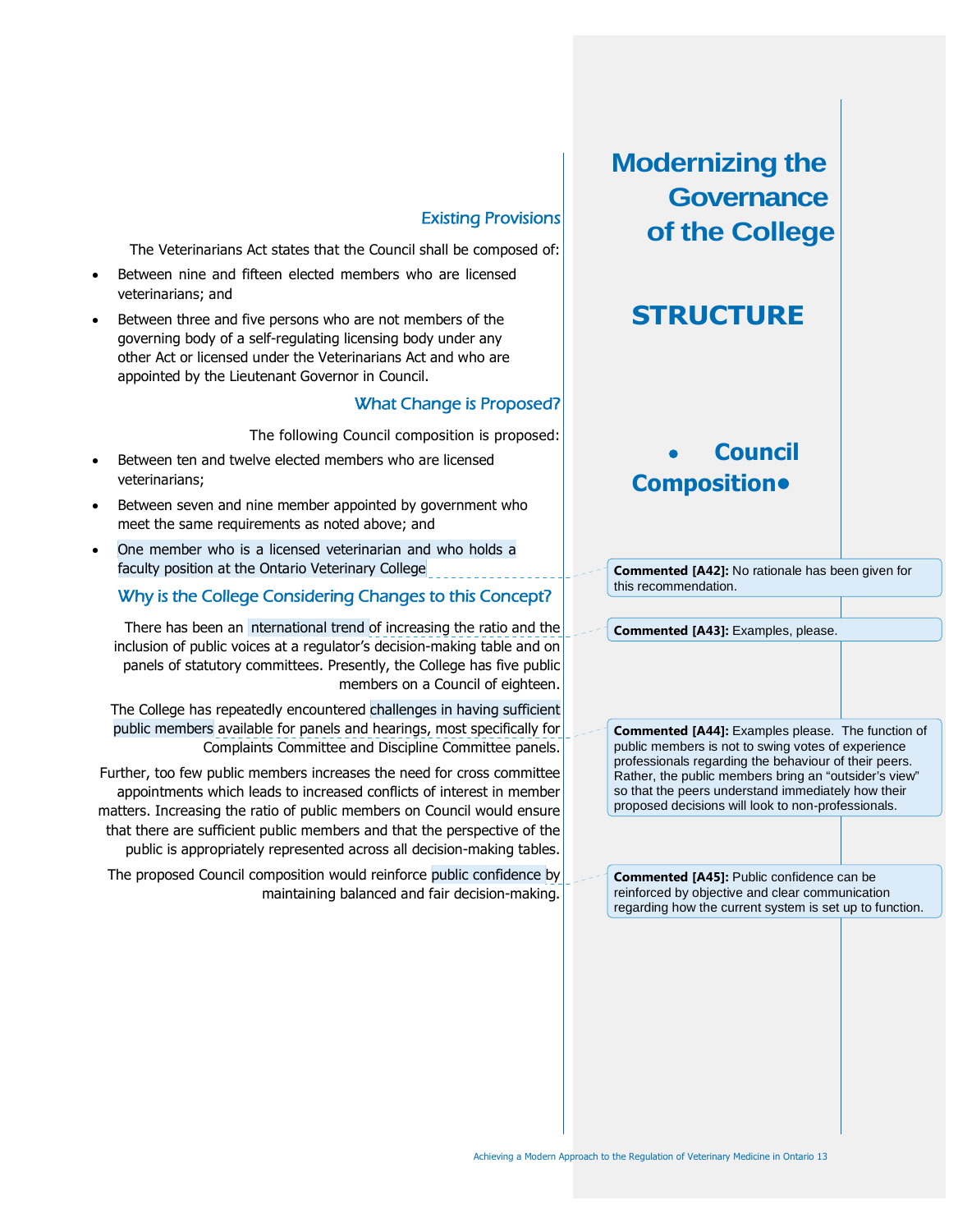### Existing Provisions

The Veterinarians Act states that the Council shall be composed of:

- Between nine and fifteen elected members who are licensed veterinarians; and
- Between three and five persons who are not members of the governing body of a self-regulating licensing body under any other Act or licensed under the Veterinarians Act and who are appointed by the Lieutenant Governor in Council.

### What Change is Proposed?

The following Council composition is proposed:

- Between ten and twelve elected members who are licensed veterinarians;
- Between seven and nine member appointed by government who meet the same requirements as noted above; and
- One member who is a licensed veterinarian and who holds a faculty position at the Ontario Veterinary College

### Why is the College Considering Changes to this Concept?

There has been an nternational trend of increasing the ratio and the inclusion of public voices at a regulator's decision-making table and on panels of statutory committees. Presently, the College has five public members on a Council of eighteen.

The College has repeatedly encountered challenges in having sufficient public members available for panels and hearings, most specifically for Complaints Committee and Discipline Committee panels.

Further, too few public members increases the need for cross committee appointments which leads to increased conflicts of interest in member matters. Increasing the ratio of public members on Council would ensure that there are sufficient public members and that the perspective of the public is appropriately represented across all decision-making tables.

The proposed Council composition would reinforce public confidence by maintaining balanced and fair decision-making. **Modernizing the Governance of the College**

# **STRUCTURE**

# **Council Composition•**

**Commented [A42]:** No rationale has been given for this recommendation.

**Commented [A43]:** Examples, please.

**Commented [A44]:** Examples please. The function of public members is not to swing votes of experience professionals regarding the behaviour of their peers. Rather, the public members bring an "outsider's view" so that the peers understand immediately how their proposed decisions will look to non-professionals.

**Commented [A45]:** Public confidence can be reinforced by objective and clear communication regarding how the current system is set up to function.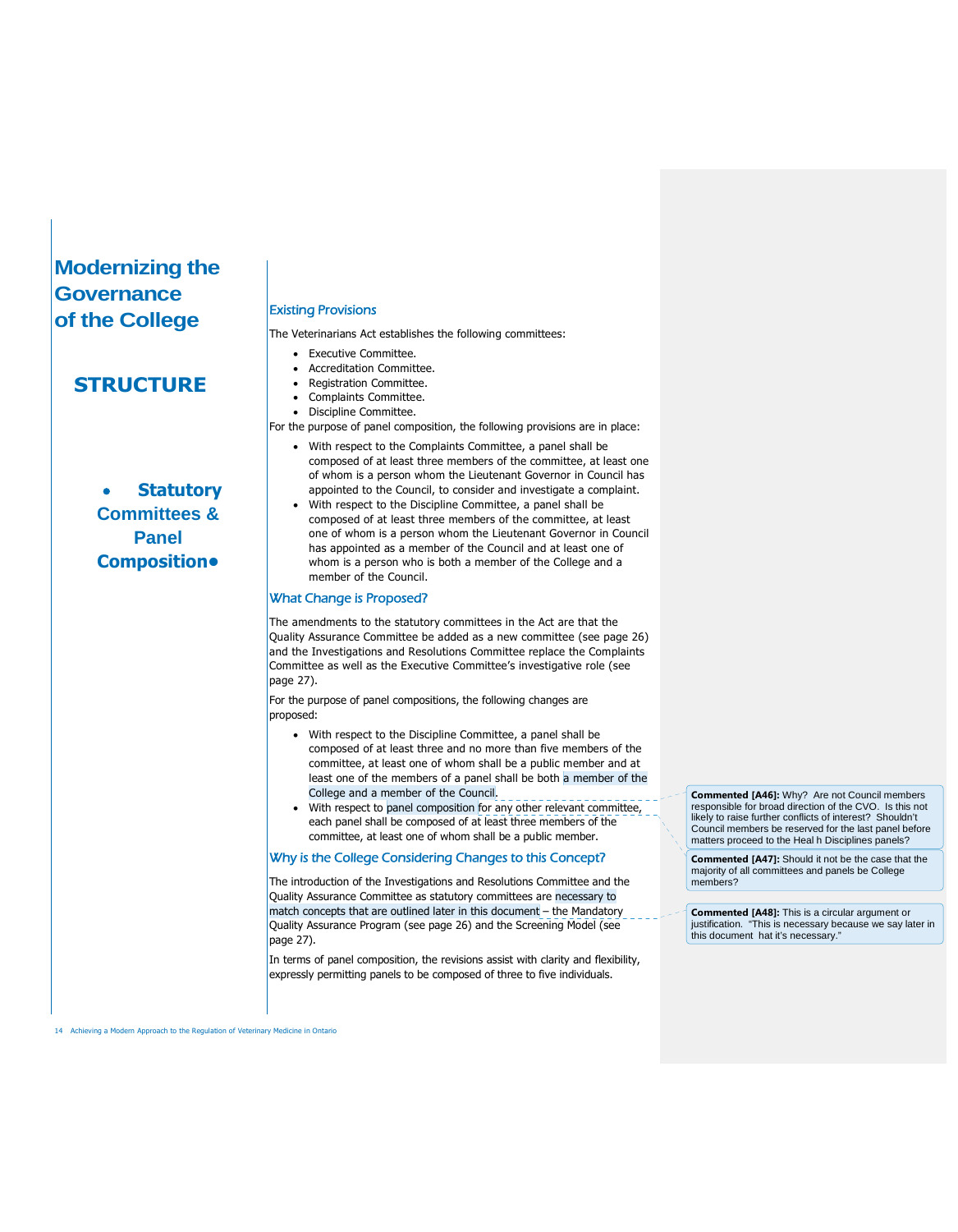# **Modernizing the Governance of the College**

### **STRUCTURE**

 **Statutory Committees & Panel Composition•**

#### Existing Provisions

The Veterinarians Act establishes the following committees:

- **•** Executive Committee.
- Accreditation Committee.
- Registration Committee.
- Complaints Committee.
- Discipline Committee.
- For the purpose of panel composition, the following provisions are in place:
	- With respect to the Complaints Committee, a panel shall be composed of at least three members of the committee, at least one of whom is a person whom the Lieutenant Governor in Council has appointed to the Council, to consider and investigate a complaint.
	- With respect to the Discipline Committee, a panel shall be composed of at least three members of the committee, at least one of whom is a person whom the Lieutenant Governor in Council has appointed as a member of the Council and at least one of whom is a person who is both a member of the College and a member of the Council.

#### What Change is Proposed?

The amendments to the statutory committees in the Act are that the Quality Assurance Committee be added as a new committee (see page 26) and the Investigations and Resolutions Committee replace the Complaints Committee as well as the Executive Committee's investigative role (see page 27).

For the purpose of panel compositions, the following changes are proposed:

- With respect to the Discipline Committee, a panel shall be composed of at least three and no more than five members of the committee, at least one of whom shall be a public member and at least one of the members of a panel shall be both a member of the College and a member of the Council.
- With respect to panel composition for any other relevant committee, each panel shall be composed of at least three members of the committee, at least one of whom shall be a public member.

#### Why is the College Considering Changes to this Concept?

The introduction of the Investigations and Resolutions Committee and the Quality Assurance Committee as statutory committees are necessary to match concepts that are outlined later in this document – the Mandatory Quality Assurance Program (see page 26) and the Screening Model (see page 27).

In terms of panel composition, the revisions assist with clarity and flexibility, expressly permitting panels to be composed of three to five individuals.

**Commented [A46]:** Why? Are not Council members responsible for broad direction of the CVO. Is this not likely to raise further conflicts of interest? Shouldn't Council members be reserved for the last panel before matters proceed to the Heal h Disciplines panels?

**Commented [A47]:** Should it not be the case that the majority of all committees and panels be College members?

**Commented [A48]:** This is a circular argument or justification. "This is necessary because we say later in this document hat it's necessary."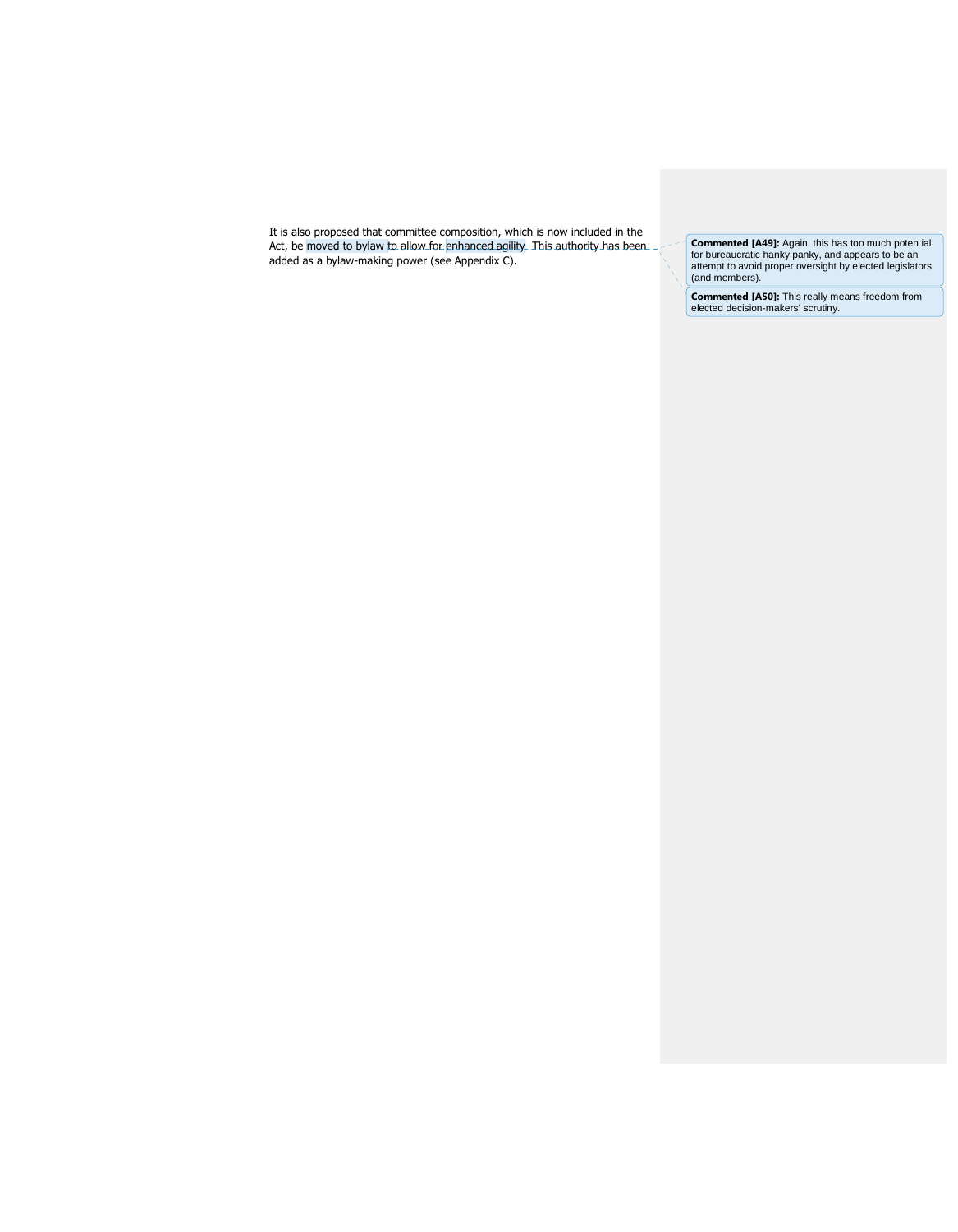It is also proposed that committee composition, which is now included in the Act, be moved to bylaw to allow for enhanced agility. This authority has been added as a bylaw-making power (see Appendix C).

**Commented [A49]:** Again, this has too much poten ial for bureaucratic hanky panky, and appears to be an attempt to avoid proper oversight by elected legislators (and members).

**Commented [A50]:** This really means freedom from elected decision-makers' scrutiny.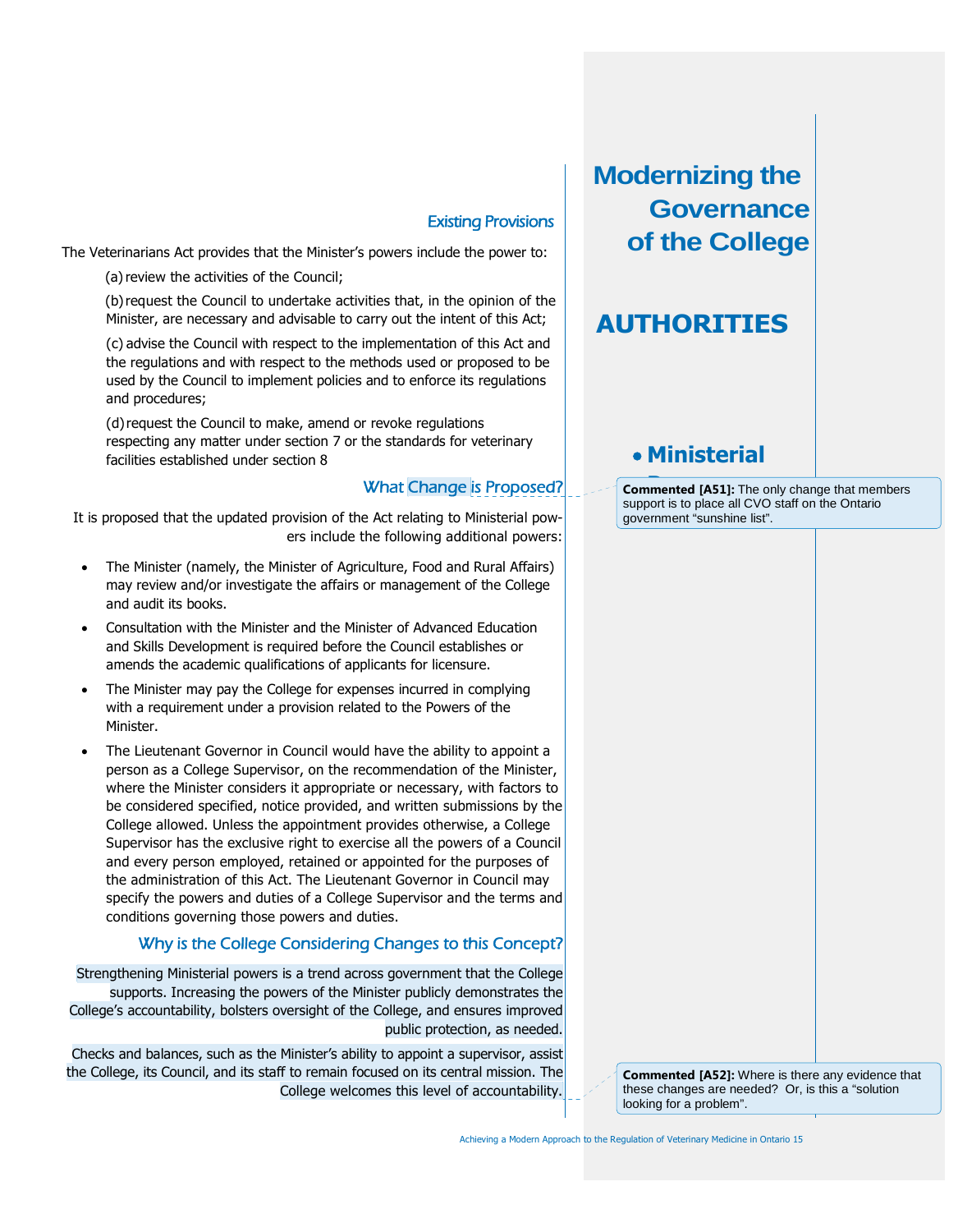### Existing Provisions

The Veterinarians Act provides that the Minister's powers include the power to:

(a) review the activities of the Council;

(b)request the Council to undertake activities that, in the opinion of the Minister, are necessary and advisable to carry out the intent of this Act;

(c) advise the Council with respect to the implementation of this Act and the regulations and with respect to the methods used or proposed to be used by the Council to implement policies and to enforce its regulations and procedures;

(d)request the Council to make, amend or revoke regulations respecting any matter under section 7 or the standards for veterinary facilities established under section 8

### What Change is Proposed?

It is proposed that the updated provision of the Act relating to Ministerial powers include the following additional powers:

- The Minister (namely, the Minister of Agriculture, Food and Rural Affairs) may review and/or investigate the affairs or management of the College and audit its books.
- Consultation with the Minister and the Minister of Advanced Education and Skills Development is required before the Council establishes or amends the academic qualifications of applicants for licensure.
- The Minister may pay the College for expenses incurred in complying with a requirement under a provision related to the Powers of the Minister.
- The Lieutenant Governor in Council would have the ability to appoint a person as a College Supervisor, on the recommendation of the Minister, where the Minister considers it appropriate or necessary, with factors to be considered specified, notice provided, and written submissions by the College allowed. Unless the appointment provides otherwise, a College Supervisor has the exclusive right to exercise all the powers of a Council and every person employed, retained or appointed for the purposes of the administration of this Act. The Lieutenant Governor in Council may specify the powers and duties of a College Supervisor and the terms and conditions governing those powers and duties.

### Why is the College Considering Changes to this Concept?

Strengthening Ministerial powers is a trend across government that the College supports. Increasing the powers of the Minister publicly demonstrates the College's accountability, bolsters oversight of the College, and ensures improved public protection, as needed.

Checks and balances, such as the Minister's ability to appoint a supervisor, assist the College, its Council, and its staff to remain focused on its central mission. The College welcomes this level of accountability.

**Modernizing the Governance of the College**

# **AUTHORITIES**

# **Ministerial**

**Commented [A51]:** The only change that members support is to place all CVO staff on the Ontario government "sunshine list".

**Commented [A52]:** Where is there any evidence that these changes are needed? Or, is this a "solution looking for a problem".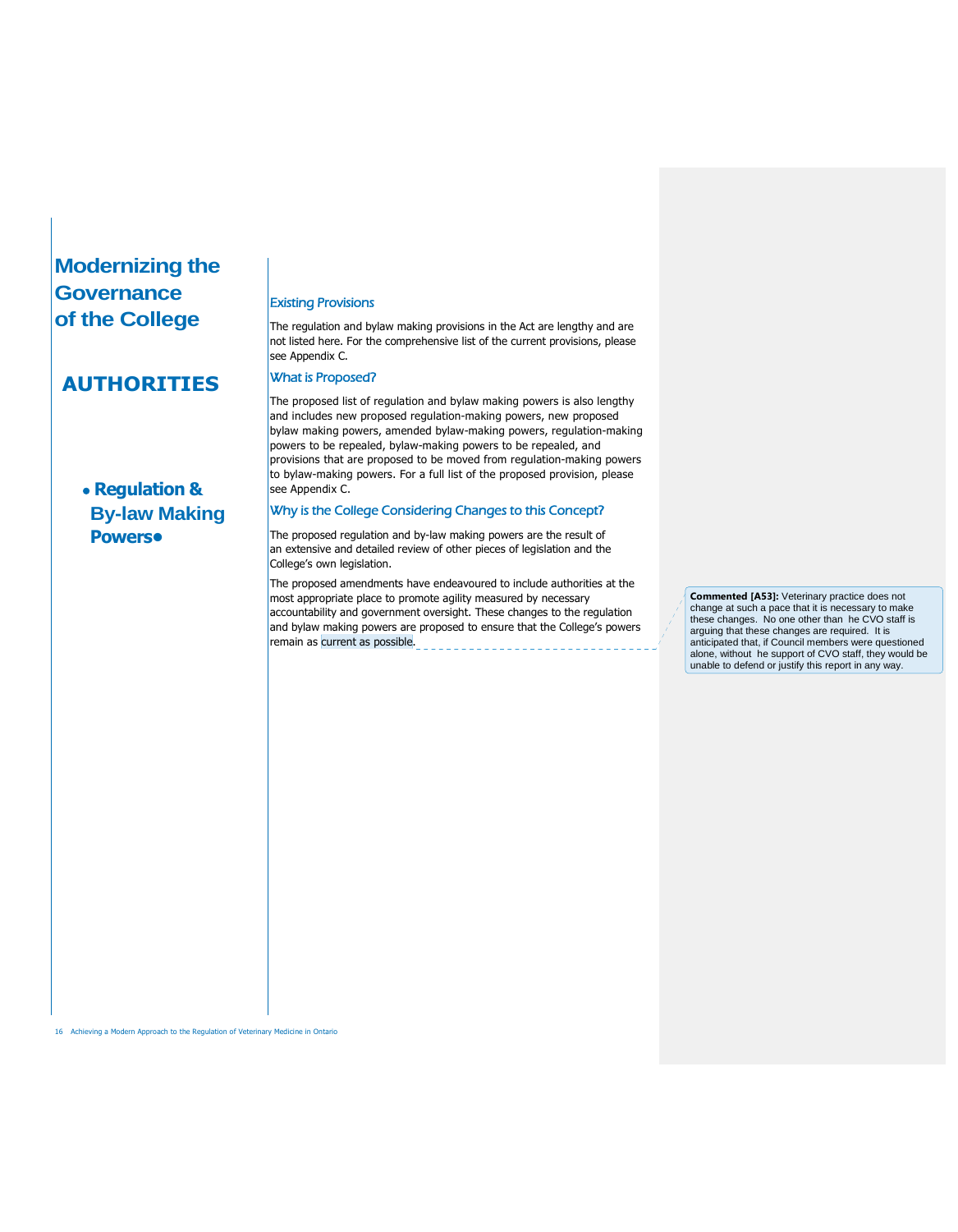# **Modernizing the Governance of the College**

# **AUTHORITIES**

# **Regulation & By-law Making Powers•**

#### Existing Provisions

The regulation and bylaw making provisions in the Act are lengthy and are not listed here. For the comprehensive list of the current provisions, please see Appendix C.

#### What is Proposed?

The proposed list of regulation and bylaw making powers is also lengthy and includes new proposed regulation-making powers, new proposed bylaw making powers, amended bylaw-making powers, regulation-making powers to be repealed, bylaw-making powers to be repealed, and provisions that are proposed to be moved from regulation-making powers to bylaw-making powers. For a full list of the proposed provision, please see Appendix C.

### Why is the College Considering Changes to this Concept?

The proposed regulation and by-law making powers are the result of an extensive and detailed review of other pieces of legislation and the College's own legislation.

The proposed amendments have endeavoured to include authorities at the most appropriate place to promote agility measured by necessary accountability and government oversight. These changes to the regulation and bylaw making powers are proposed to ensure that the College's powers remain as current as possible.

**Commented [A53]:** Veterinary practice does not change at such a pace that it is necessary to make these changes. No one other than he CVO staff is arguing that these changes are required. It is anticipated that, if Council members were questioned alone, without he support of CVO staff, they would be unable to defend or justify this report in any way.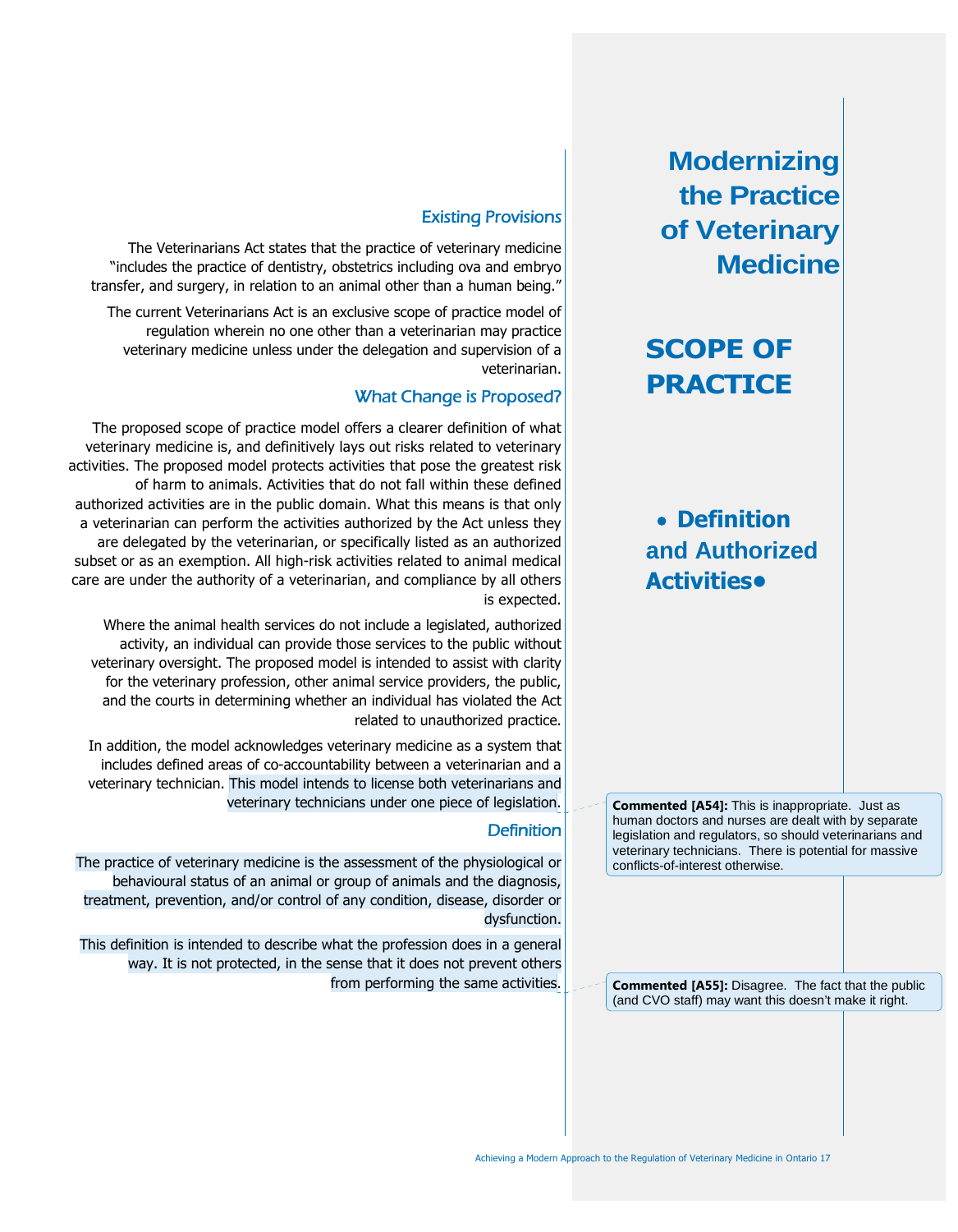# **SCOPE OF PRACTICE**

# **Definition and Authorized Activities•**

**Commented [A54]:** This is inappropriate. Just as human doctors and nurses are dealt with by separate legislation and regulators, so should veterinarians and veterinary technicians. There is potential for massive conflicts-of-interest otherwise.

**Commented [A55]:** Disagree. The fact that the public (and CVO staff) may want this doesn't make it right.

### Existing Provisions

The Veterinarians Act states that the practice of veterinary medicine "includes the practice of dentistry, obstetrics including ova and embryo transfer, and surgery, in relation to an animal other than a human being."

The current Veterinarians Act is an exclusive scope of practice model of regulation wherein no one other than a veterinarian may practice veterinary medicine unless under the delegation and supervision of a veterinarian.

### What Change is Proposed?

The proposed scope of practice model offers a clearer definition of what veterinary medicine is, and definitively lays out risks related to veterinary activities. The proposed model protects activities that pose the greatest risk of harm to animals. Activities that do not fall within these defined authorized activities are in the public domain. What this means is that only a veterinarian can perform the activities authorized by the Act unless they are delegated by the veterinarian, or specifically listed as an authorized subset or as an exemption. All high-risk activities related to animal medical care are under the authority of a veterinarian, and compliance by all others is expected.

Where the animal health services do not include a legislated, authorized activity, an individual can provide those services to the public without veterinary oversight. The proposed model is intended to assist with clarity for the veterinary profession, other animal service providers, the public, and the courts in determining whether an individual has violated the Act related to unauthorized practice.

In addition, the model acknowledges veterinary medicine as a system that includes defined areas of co-accountability between a veterinarian and a veterinary technician. This model intends to license both veterinarians and veterinary technicians under one piece of legislation.

### **Definition**

The practice of veterinary medicine is the assessment of the physiological or behavioural status of an animal or group of animals and the diagnosis, treatment, prevention, and/or control of any condition, disease, disorder or dysfunction.

This definition is intended to describe what the profession does in a general way. It is not protected, in the sense that it does not prevent others from performing the same activities.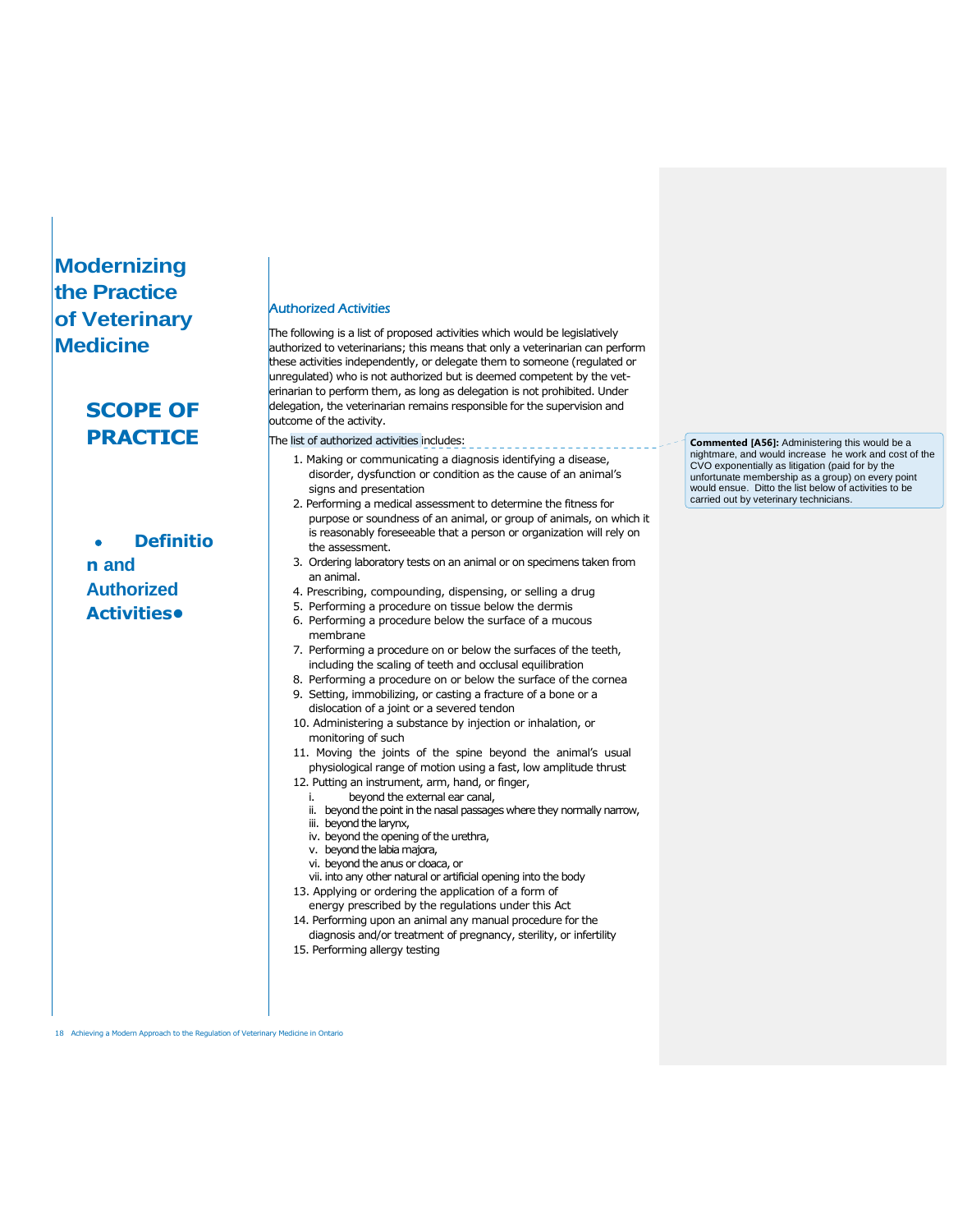# **SCOPE OF PRACTICE**

 **Definitio n and Authorized Activities•**

#### Authorized Activities

The following is a list of proposed activities which would be legislatively authorized to veterinarians; this means that only a veterinarian can perform these activities independently, or delegate them to someone (regulated or unregulated) who is not authorized but is deemed competent by the veterinarian to perform them, as long as delegation is not prohibited. Under delegation, the veterinarian remains responsible for the supervision and outcome of the activity.

The list of authorized activities includes:

- 1. Making or communicating a diagnosis identifying a disease, disorder, dysfunction or condition as the cause of an animal's signs and presentation
- 2. Performing a medical assessment to determine the fitness for purpose or soundness of an animal, or group of animals, on which it is reasonably foreseeable that a person or organization will rely on the assessment.
- 3. Ordering laboratory tests on an animal or on specimens taken from an animal.
- 4. Prescribing, compounding, dispensing, or selling a drug
- 5. Performing a procedure on tissue below the dermis
- 6. Performing a procedure below the surface of a mucous membrane
- 7. Performing a procedure on or below the surfaces of the teeth, including the scaling of teeth and occlusal equilibration
- 8. Performing a procedure on or below the surface of the cornea 9. Setting, immobilizing, or casting a fracture of a bone or a
- dislocation of a joint or a severed tendon
- 10. Administering a substance by injection or inhalation, or monitoring of such
- 11. Moving the joints of the spine beyond the animal's usual physiological range of motion using a fast, low amplitude thrust
- 12. Putting an instrument, arm, hand, or finger,
	- beyond the external ear canal,
	- ii. beyond the point in the nasal passages where they normally narrow,
	- iii. beyond the larynx,
	- iv. beyond the opening of the urethra,
	- v. beyond the labiamajora,
	- vi. beyond the anus or cloaca, or
- vii. into any other natural or artificial opening into the body
- 13. Applying or ordering the application of a form of energy prescribed by the regulations under this Act
- 14. Performing upon an animal any manual procedure for the
- diagnosis and/or treatment of pregnancy, sterility, or infertility 15. Performing allergy testing

**Commented [A56]:** Administering this would be a nightmare, and would increase he work and cost of the CVO exponentially as litigation (paid for by the unfortunate membership as a group) on every point would ensue. Ditto the list below of activities to be carried out by veterinary technicians.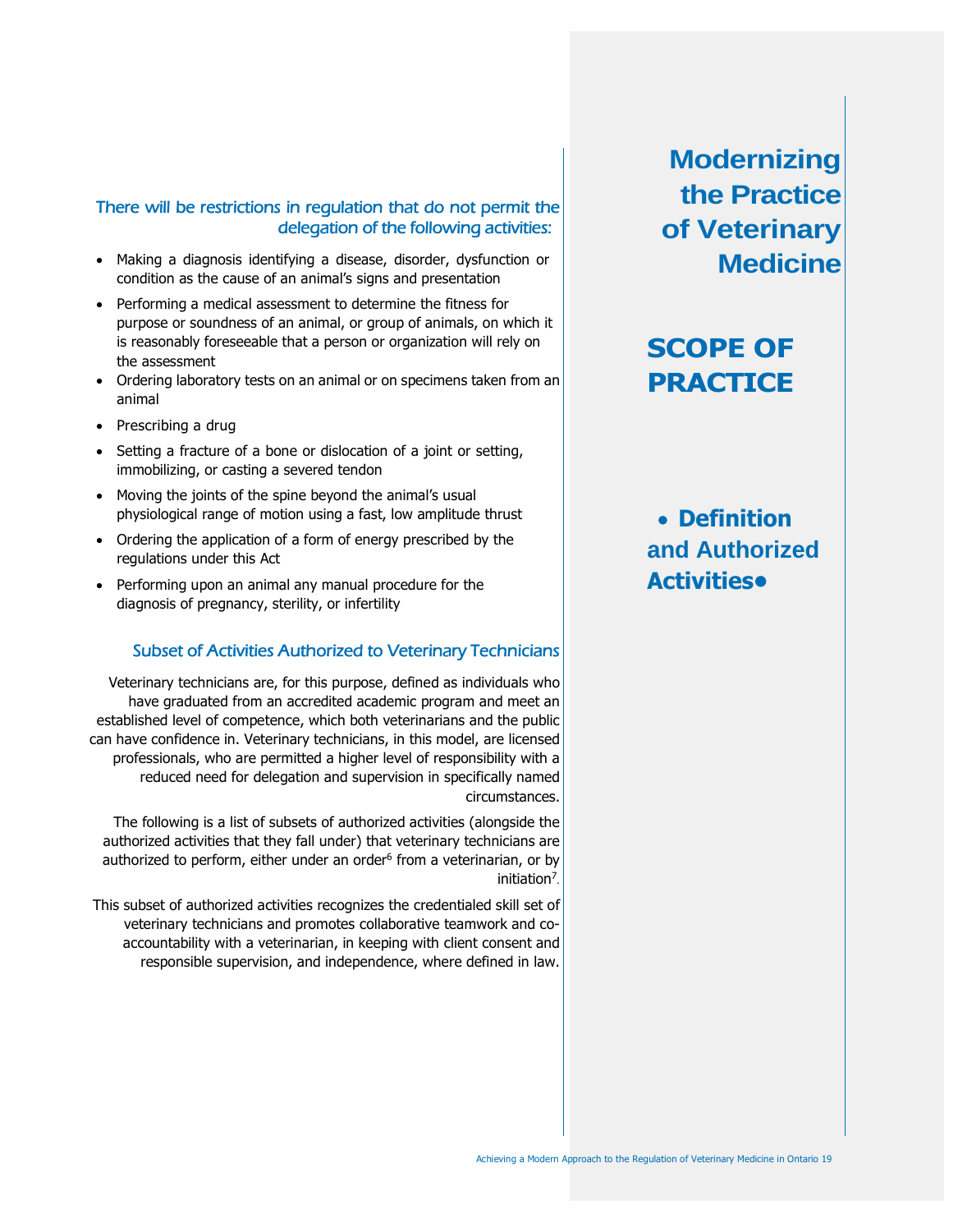### There will be restrictions in regulation that do not permit the delegation of the following activities:

- Making a diagnosis identifying a disease, disorder, dysfunction or condition as the cause of an animal's signs and presentation
- Performing a medical assessment to determine the fitness for purpose or soundness of an animal, or group of animals, on which it is reasonably foreseeable that a person or organization will rely on the assessment
- Ordering laboratory tests on an animal or on specimens taken from an animal
- Prescribing a drug
- Setting a fracture of a bone or dislocation of a joint or setting, immobilizing, or casting a severed tendon
- Moving the joints of the spine beyond the animal's usual physiological range of motion using a fast, low amplitude thrust
- Ordering the application of a form of energy prescribed by the regulations under this Act
- Performing upon an animal any manual procedure for the diagnosis of pregnancy, sterility, or infertility

### Subset of Activities Authorized to Veterinary Technicians

Veterinary technicians are, for this purpose, defined as individuals who have graduated from an accredited academic program and meet an established level of competence, which both veterinarians and the public can have confidence in. Veterinary technicians, in this model, are licensed professionals, who are permitted a higher level of responsibility with a reduced need for delegation and supervision in specifically named circumstances.

The following is a list of subsets of authorized activities (alongside the authorized activities that they fall under) that veterinary technicians are authorized to perform, either under an order<sup>6</sup> from a veterinarian, or by initiation<sup>7</sup>.

This subset of authorized activities recognizes the credentialed skill set of veterinary technicians and promotes collaborative teamwork and coaccountability with a veterinarian, in keeping with client consent and responsible supervision, and independence, where defined in law.

**Modernizing the Practice of Veterinary Medicine**

# **SCOPE OF PRACTICE**

# **Definition and Authorized Activities•**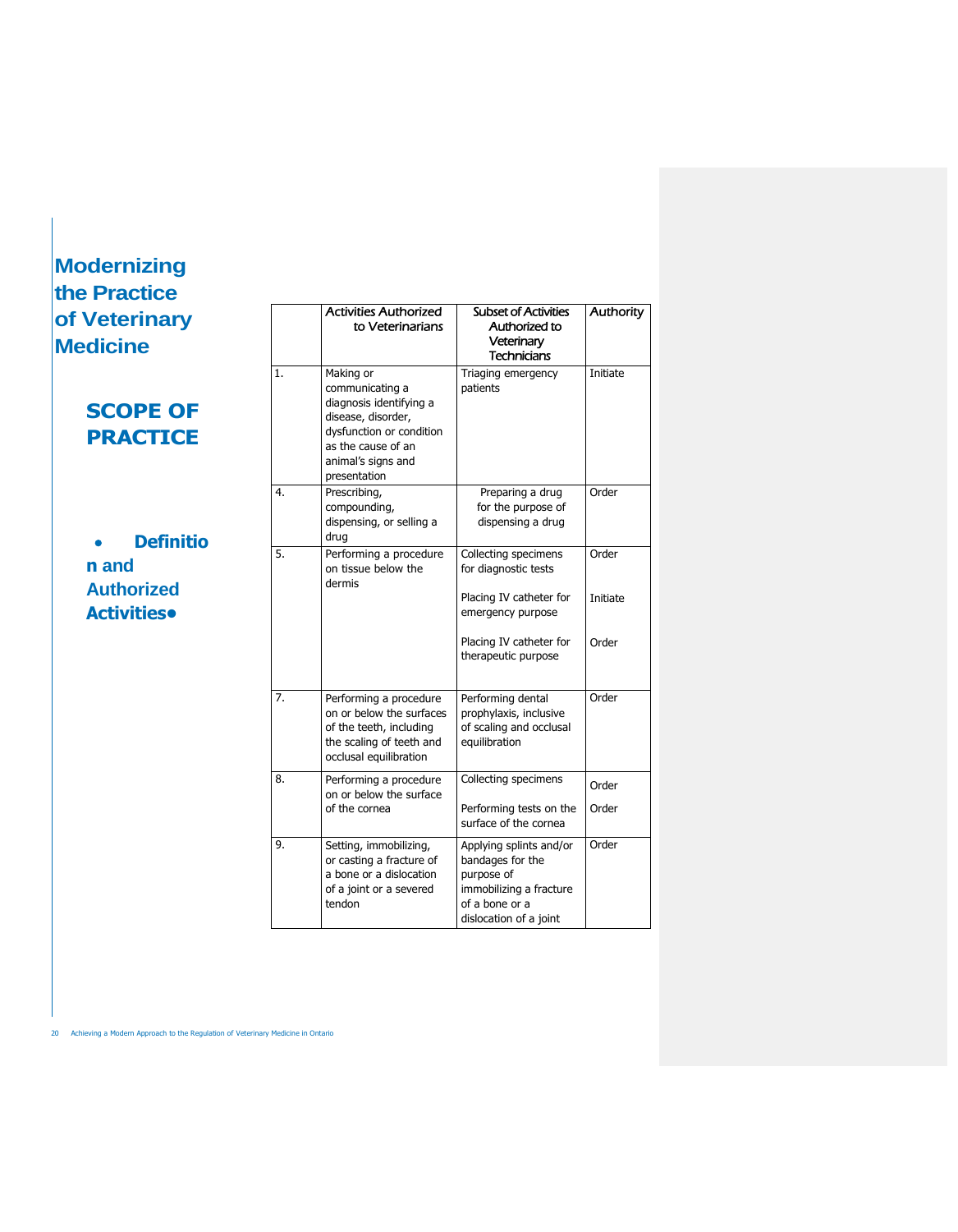$\sqrt{2}$ 

| <b>Veterinary</b><br>dicine                            | <b>Activities Authorized</b><br>to Veterinarians |                                                                                                                                                                       | <b>Subset of Activities</b><br>Authorized to<br>Veterinary<br><b>Technicians</b>                                                               | <b>Authority</b>           |  |
|--------------------------------------------------------|--------------------------------------------------|-----------------------------------------------------------------------------------------------------------------------------------------------------------------------|------------------------------------------------------------------------------------------------------------------------------------------------|----------------------------|--|
| <b>SCOPE OF</b><br><b>PRACTICE</b><br><b>Definitio</b> | 1.                                               | Making or<br>communicating a<br>diagnosis identifying a<br>disease, disorder,<br>dysfunction or condition<br>as the cause of an<br>animal's signs and<br>presentation | Triaging emergency<br>patients                                                                                                                 | Initiate                   |  |
|                                                        | 4.                                               | Prescribing,<br>compounding,<br>dispensing, or selling a<br>drug                                                                                                      | Preparing a drug<br>for the purpose of<br>dispensing a drug                                                                                    | Order                      |  |
| n and<br><b>Authorized</b><br><b>Activities</b>        | 5.                                               | Performing a procedure<br>on tissue below the<br>dermis                                                                                                               | Collecting specimens<br>for diagnostic tests<br>Placing IV catheter for<br>emergency purpose<br>Placing IV catheter for<br>therapeutic purpose | Order<br>Initiate<br>Order |  |
|                                                        | 7.                                               | Performing a procedure<br>on or below the surfaces<br>of the teeth, including<br>the scaling of teeth and<br>occlusal equilibration                                   | Performing dental<br>prophylaxis, inclusive<br>of scaling and occlusal<br>equilibration                                                        | Order                      |  |
|                                                        | 8.                                               | Performing a procedure<br>on or below the surface<br>of the cornea                                                                                                    | Collecting specimens<br>Performing tests on the<br>surface of the cornea                                                                       | Order<br>Order             |  |
|                                                        | 9.                                               | Setting, immobilizing,<br>or casting a fracture of<br>a bone or a dislocation<br>of a joint or a severed<br>tendon                                                    | Applying splints and/or<br>bandages for the<br>purpose of<br>immobilizing a fracture<br>of a bone or a<br>dislocation of a joint               | Order                      |  |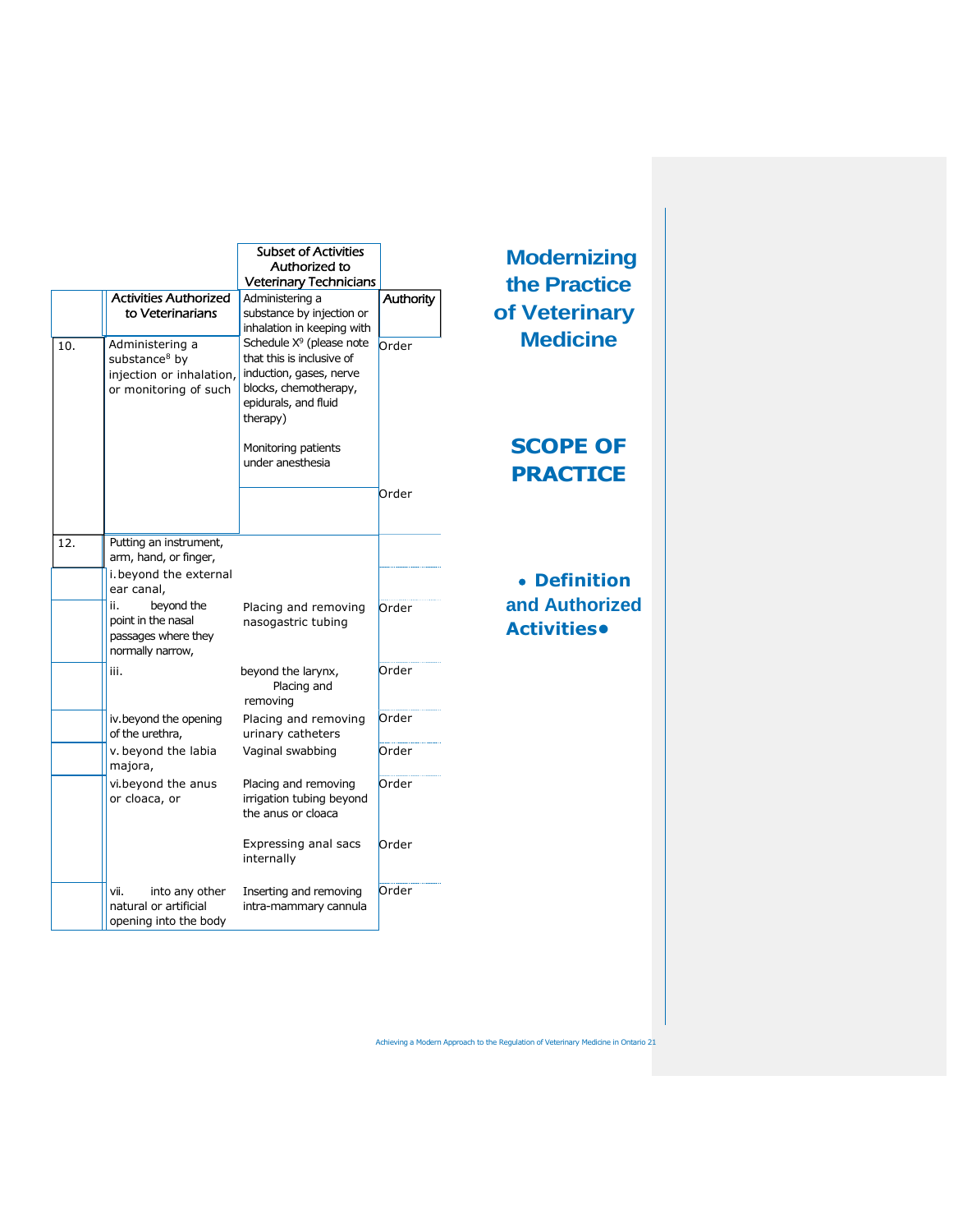|     |                                                                                                   | <b>Subset of Activities</b><br>Authorized to<br><b>Veterinary Technicians</b>                                                                    |           | <b>Mode</b><br>the P     |
|-----|---------------------------------------------------------------------------------------------------|--------------------------------------------------------------------------------------------------------------------------------------------------|-----------|--------------------------|
|     | <b>Activities Authorized</b><br>to Veterinarians                                                  | Administering a<br>substance by injection or<br>inhalation in keeping with                                                                       | Authority | of Vet                   |
| 10. | Administering a<br>substance <sup>8</sup> by<br>injection or inhalation,<br>or monitoring of such | Schedule $X^9$ (please note<br>that this is inclusive of<br>induction, gases, nerve<br>blocks, chemotherapy,<br>epidurals, and fluid<br>therapy) | Order     | <b>Med</b>               |
|     |                                                                                                   | Monitoring patients<br>under anesthesia                                                                                                          |           | <b>SCO</b><br><b>PRA</b> |
|     |                                                                                                   |                                                                                                                                                  | Order     |                          |
| 12. | Putting an instrument,<br>arm, hand, or finger,                                                   |                                                                                                                                                  |           |                          |
|     | i. beyond the external<br>ear canal,                                                              |                                                                                                                                                  |           | De                       |
|     | beyond the<br>ii.<br>point in the nasal<br>passages where they<br>normally narrow,                | Placing and removing<br>nasogastric tubing                                                                                                       | Order     | and A<br><b>Activi</b>   |
|     | iii.                                                                                              | beyond the larynx,<br>Placing and<br>removing                                                                                                    | Order     |                          |
|     | iv.beyond the opening<br>of the urethra,                                                          | Placing and removing<br>urinary catheters                                                                                                        | Order     |                          |
|     | v. beyond the labia<br>majora,                                                                    | Vaginal swabbing                                                                                                                                 | Order     |                          |
|     | vi.beyond the anus<br>or cloaca, or                                                               | Placing and removing<br>irrigation tubing beyond<br>the anus or cloaca                                                                           | Order     |                          |
|     |                                                                                                   | Expressing anal sacs<br>internally                                                                                                               | Order     |                          |
|     | into any other<br>vii.<br>natural or artificial<br>opening into the body                          | Inserting and removing<br>intra-mammary cannula                                                                                                  | Order     |                          |

# **ernizing Practice derinary dicine**

# **PE OF CTICE**

# **Definition a**uthorized *<u>ities•</u>*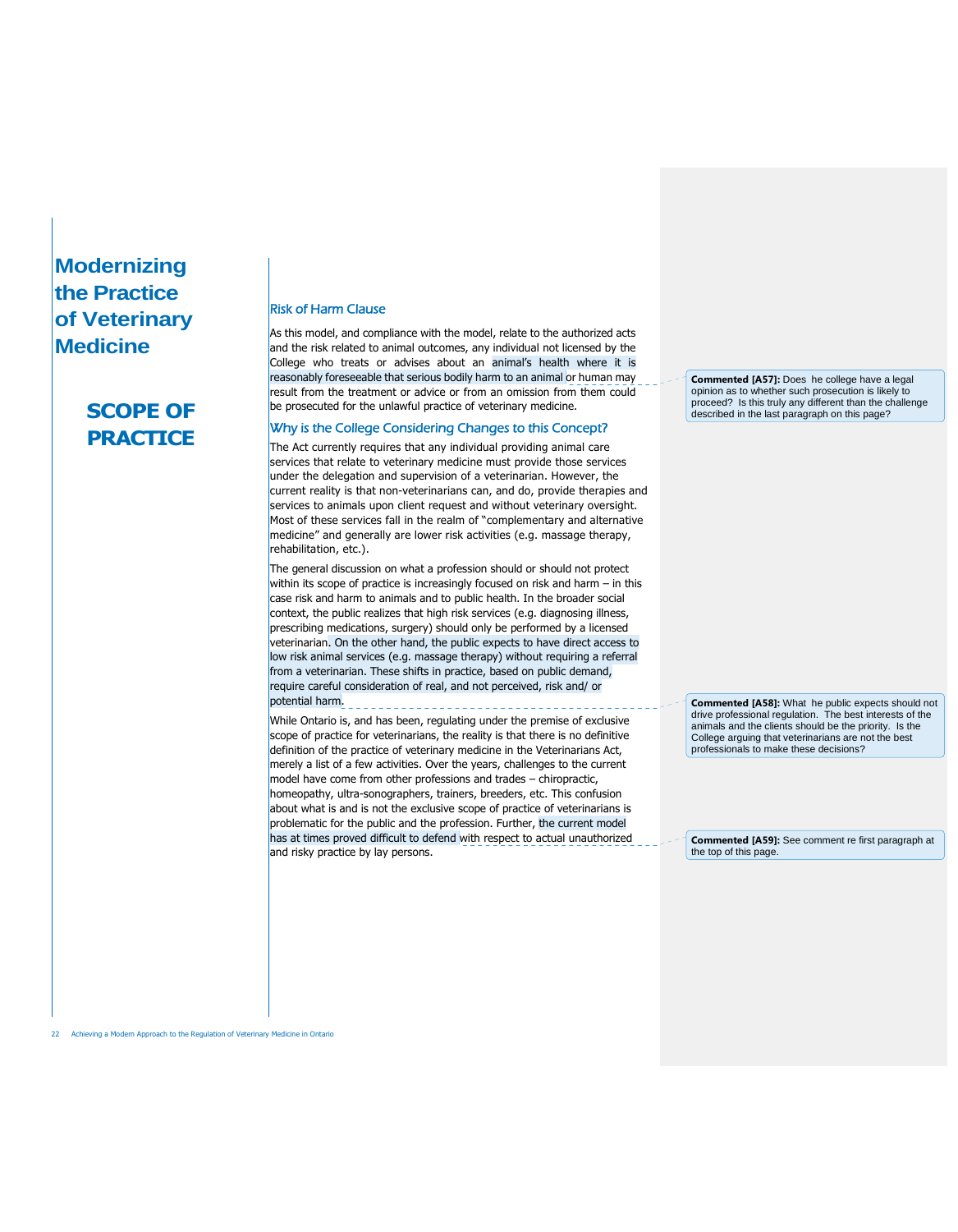# **SCOPE OF PRACTICE**

#### Risk of Harm Clause

As this model, and compliance with the model, relate to the authorized acts and the risk related to animal outcomes, any individual not licensed by the College who treats or advises about an animal's health where it is reasonably foreseeable that serious bodily harm to an animal or human may result from the treatment or advice or from an omission from them could be prosecuted for the unlawful practice of veterinary medicine.

#### Why is the College Considering Changes to this Concept?

The Act currently requires that any individual providing animal care services that relate to veterinary medicine must provide those services under the delegation and supervision of a veterinarian. However, the current reality is that non-veterinarians can, and do, provide therapies and services to animals upon client request and without veterinary oversight. Most of these services fall in the realm of "complementary and alternative medicine" and generally are lower risk activities (e.g. massage therapy, rehabilitation, etc.).

The general discussion on what a profession should or should not protect within its scope of practice is increasingly focused on risk and harm – in this case risk and harm to animals and to public health. In the broader social context, the public realizes that high risk services (e.g. diagnosing illness, prescribing medications, surgery) should only be performed by a licensed veterinarian. On the other hand, the public expects to have direct access to low risk animal services (e.g. massage therapy) without requiring a referral from a veterinarian. These shifts in practice, based on public demand, require careful consideration of real, and not perceived, risk and/ or potential harm.

While Ontario is, and has been, regulating under the premise of exclusive scope of practice for veterinarians, the reality is that there is no definitive definition of the practice of veterinary medicine in the Veterinarians Act, merely a list of a few activities. Over the years, challenges to the current model have come from other professions and trades – chiropractic, homeopathy, ultra-sonographers, trainers, breeders, etc. This confusion about what is and is not the exclusive scope of practice of veterinarians is problematic for the public and the profession. Further, the current model has at times proved difficult to defend with respect to actual unauthorized and risky practice by lay persons.

**Commented [A57]:** Does he college have a legal opinion as to whether such prosecution is likely to proceed? Is this truly any different than the challenge described in the last paragraph on this page?

**Commented [A58]:** What he public expects should not drive professional regulation. The best interests of the animals and the clients should be the priority. Is the College arguing that veterinarians are not the best professionals to make these decisions?

**Commented [A59]:** See comment re first paragraph at the top of this page.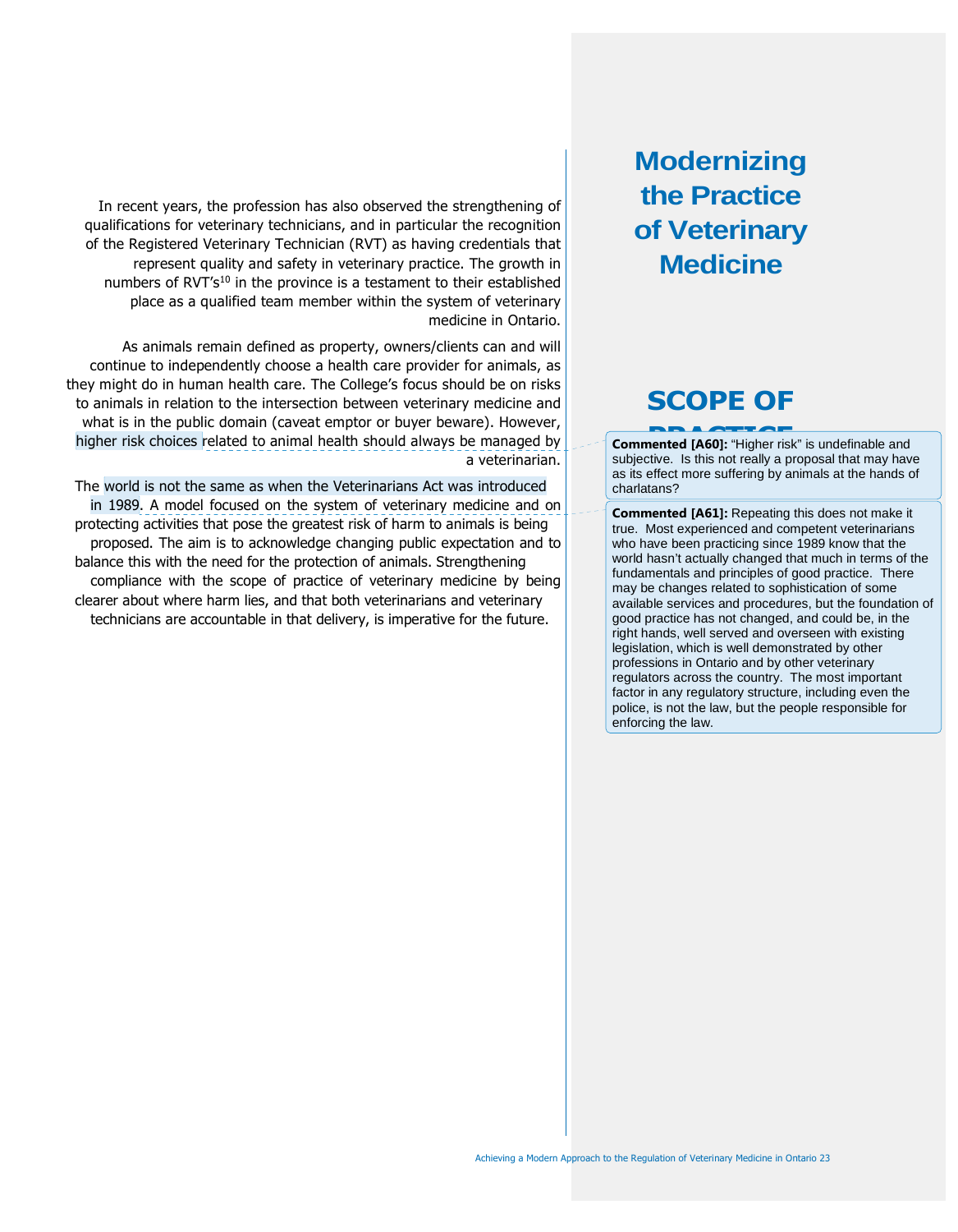# **SCOPE OF**

**PRACTICE**<br> **Commented [A60]:** "Higher risk" is undefinable and subjective. Is this not really a proposal that may have as its effect more suffering by animals at the hands of charlatans?

**Commented [A61]:** Repeating this does not make it true. Most experienced and competent veterinarians who have been practicing since 1989 know that the world hasn't actually changed that much in terms of the fundamentals and principles of good practice. There may be changes related to sophistication of some available services and procedures, but the foundation of good practice has not changed, and could be, in the right hands, well served and overseen with existing legislation, which is well demonstrated by other professions in Ontario and by other veterinary regulators across the country. The most important factor in any regulatory structure, including even the police, is not the law, but the people responsible for enforcing the law.

In recent years, the profession has also observed the strengthening of qualifications for veterinary technicians, and in particular the recognition of the Registered Veterinary Technician (RVT) as having credentials that represent quality and safety in veterinary practice. The growth in numbers of RVT's<sup>10</sup> in the province is a testament to their established place as a qualified team member within the system of veterinary medicine in Ontario.

As animals remain defined as property, owners/clients can and will continue to independently choose a health care provider for animals, as they might do in human health care. The College's focus should be on risks to animals in relation to the intersection between veterinary medicine and what is in the public domain (caveat emptor or buyer beware). However, higher risk choices related to animal health should always be managed by a veterinarian.

The world is not the same as when the Veterinarians Act was introduced in 1989. A model focused on the system of veterinary medicine and on protecting activities that pose the greatest risk of harm to animals is being proposed. The aim is to acknowledge changing public expectation and to balance this with the need for the protection of animals. Strengthening compliance with the scope of practice of veterinary medicine by being clearer about where harm lies, and that both veterinarians and veterinary technicians are accountable in that delivery, is imperative for the future.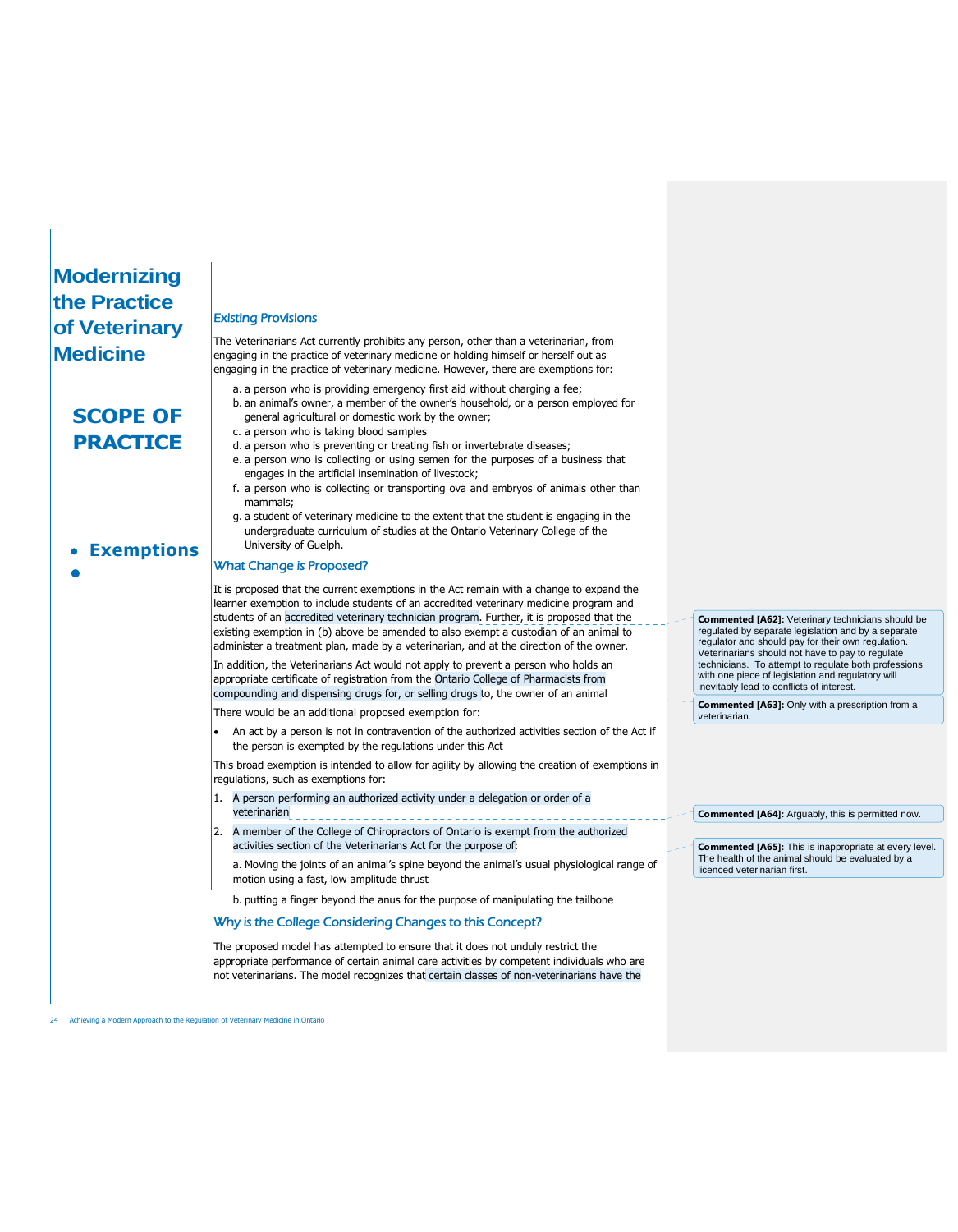# **SCOPE OF PRACTICE**

**Exemptions**

**•**

#### Existing Provisions

The Veterinarians Act currently prohibits any person, other than a veterinarian, from engaging in the practice of veterinary medicine or holding himself or herself out as engaging in the practice of veterinary medicine. However, there are exemptions for:

- a. a person who is providing emergency first aid without charging a fee;
- b. an animal's owner, a member of the owner's household, or a person employed for general agricultural or domestic work by the owner;
- c. a person who is taking blood samples
- d. a person who is preventing or treating fish or invertebrate diseases;
- e. a person who is collecting or using semen for the purposes of a business that engages in the artificial insemination of livestock;
- f. a person who is collecting or transporting ova and embryos of animals other than mammals;
- g. a student of veterinary medicine to the extent that the student is engaging in the undergraduate curriculum of studies at the Ontario Veterinary College of the University of Guelph.

#### What Change is Proposed?

It is proposed that the current exemptions in the Act remain with a change to expand the learner exemption to include students of an accredited veterinary medicine program and students of an accredited veterinary technician program. Further, it is proposed that the existing exemption in (b) above be amended to also exempt a custodian of an animal to administer a treatment plan, made by a veterinarian, and at the direction of the owner.

In addition, the Veterinarians Act would not apply to prevent a person who holds an appropriate certificate of registration from the Ontario College of Pharmacists from compounding and dispensing drugs for, or selling drugs to, the owner of an animal

There would be an additional proposed exemption for:

 An act by a person is not in contravention of the authorized activities section of the Act if the person is exempted by the regulations under this Act

This broad exemption is intended to allow for agility by allowing the creation of exemptions in regulations, such as exemptions for:

- 1. A person performing an authorized activity under a delegation or order of a veterinarian
- 2. A member of the College of Chiropractors of Ontario is exempt from the authorized activities section of the Veterinarians Act for the purpose of:

a. Moving the joints of an animal's spine beyond the animal's usual physiological range of motion using a fast, low amplitude thrust

b. putting a finger beyond the anus for the purpose of manipulating the tailbone

#### Why is the College Considering Changes to this Concept?

The proposed model has attempted to ensure that it does not unduly restrict the appropriate performance of certain animal care activities by competent individuals who are not veterinarians. The model recognizes that certain classes of non-veterinarians have the

**Commented [A62]:** Veterinary technicians should be regulated by separate legislation and by a separate regulator and should pay for their own regulation. Veterinarians should not have to pay to regulate technicians. To attempt to regulate both professions with one piece of legislation and regulatory will inevitably lead to conflicts of interest.

**Commented [A63]:** Only with a prescription from a veterinarian.

**Commented [A64]:** Arguably, this is permitted now.

**Commented [A65]:** This is inappropriate at every level. The health of the animal should be evaluated by a licenced veterinarian first.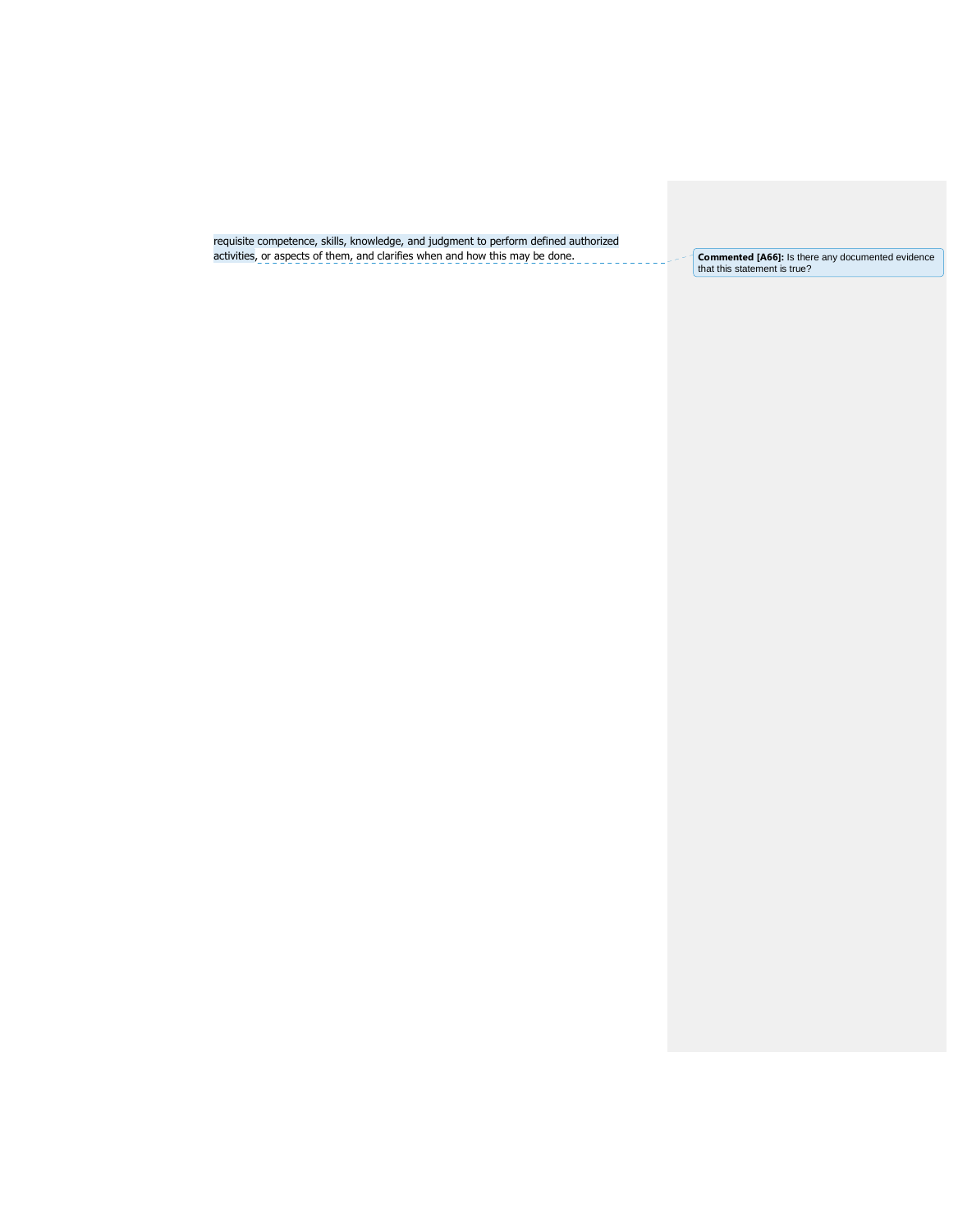requisite competence, skills, knowledge, and judgment to perform defined authorized activities, or aspects of them, and clarifies when and how this may be done. **Commented LA66]:** Is there any documented evidence

Commented [A66]: Is there any documented evidence<br>that this statement is true?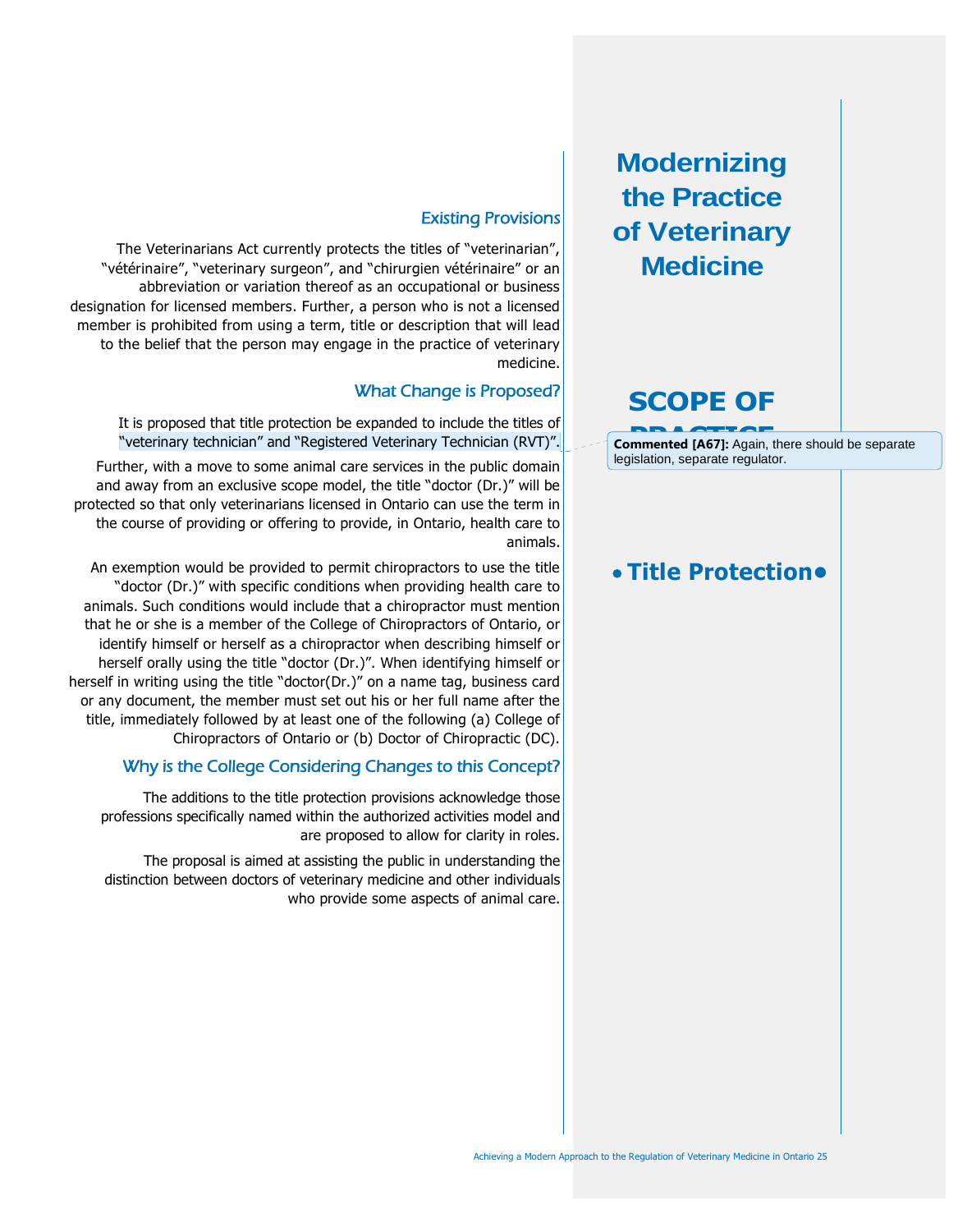# **SCOPE OF**

**Commented [A67]:** Again, there should be separate legislation, separate regulator.

# **Title Protection•**

### Existing Provisions

The Veterinarians Act currently protects the titles of "veterinarian", "vétérinaire", "veterinary surgeon", and "chirurgien vétérinaire" or an abbreviation or variation thereof as an occupational or business designation for licensed members. Further, a person who is not a licensed member is prohibited from using a term, title or description that will lead to the belief that the person may engage in the practice of veterinary medicine.

### What Change is Proposed?

It is proposed that title protection be expanded to include the titles of "veterinary technician" and "Registered Veterinary Technician (RVT)".

Further, with a move to some animal care services in the public domain and away from an exclusive scope model, the title "doctor (Dr.)" will be protected so that only veterinarians licensed in Ontario can use the term in the course of providing or offering to provide, in Ontario, health care to animals.

An exemption would be provided to permit chiropractors to use the title "doctor (Dr.)" with specific conditions when providing health care to animals. Such conditions would include that a chiropractor must mention that he or she is a member of the College of Chiropractors of Ontario, or identify himself or herself as a chiropractor when describing himself or herself orally using the title "doctor (Dr.)". When identifying himself or herself in writing using the title "doctor(Dr.)" on a name tag, business card or any document, the member must set out his or her full name after the title, immediately followed by at least one of the following (a) College of Chiropractors of Ontario or (b) Doctor of Chiropractic (DC).

### Why is the College Considering Changes to this Concept?

The additions to the title protection provisions acknowledge those professions specifically named within the authorized activities model and are proposed to allow for clarity in roles.

The proposal is aimed at assisting the public in understanding the distinction between doctors of veterinary medicine and other individuals who provide some aspects of animal care.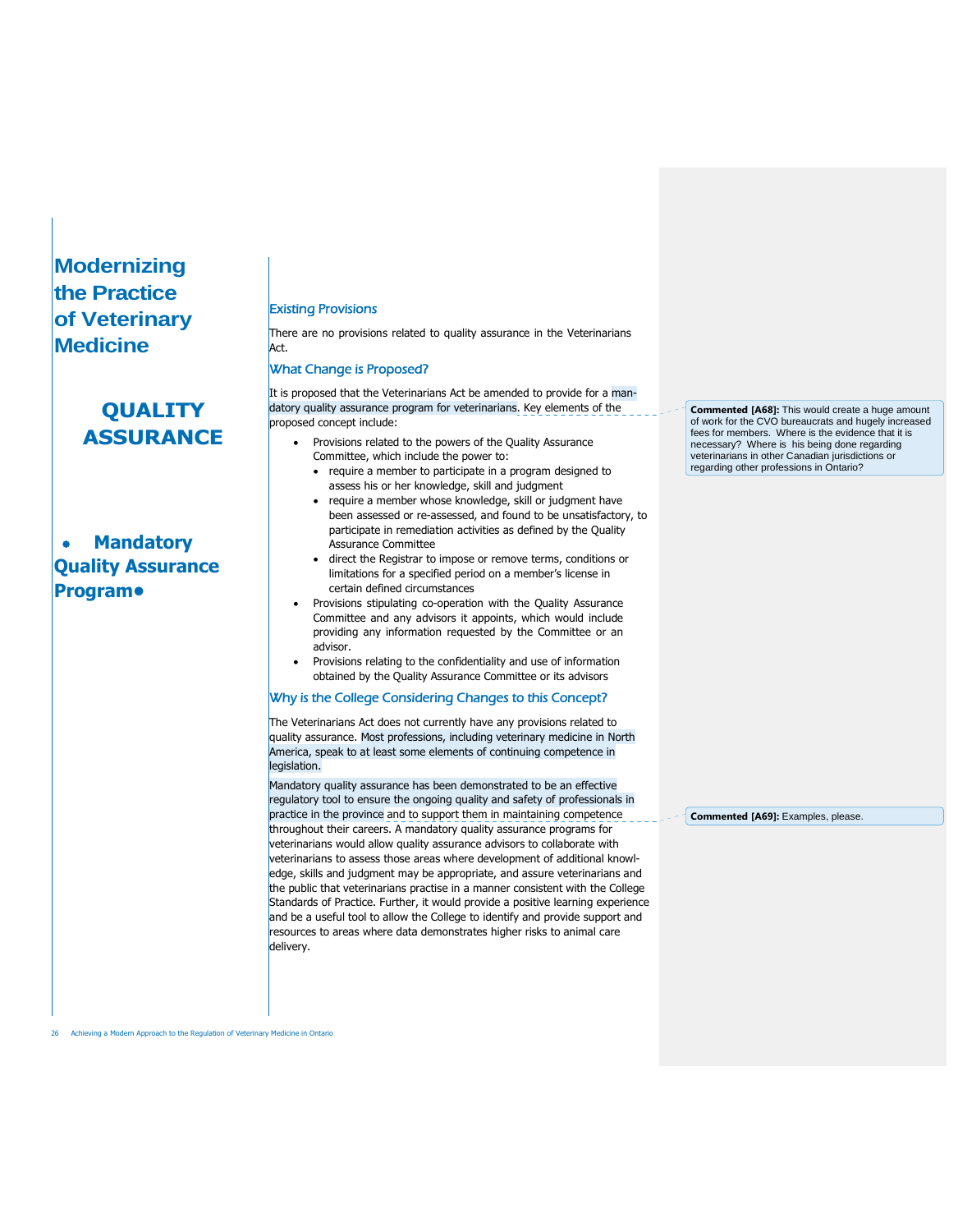# **QUALITY ASSURANCE**

 **Mandatory Quality Assurance Program•**

#### Existing Provisions

There are no provisions related to quality assurance in the Veterinarians Act.

#### What Change is Proposed?

It is proposed that the Veterinarians Act be amended to provide for a mandatory quality assurance program for veterinarians. Key elements of the proposed concept include:

- Provisions related to the powers of the Quality Assurance Committee, which include the power to:
	- require a member to participate in a program designed to assess his or her knowledge, skill and judgment
	- require a member whose knowledge, skill or judgment have been assessed or re-assessed, and found to be unsatisfactory, to participate in remediation activities as defined by the Quality Assurance Committee
	- direct the Registrar to impose or remove terms, conditions or limitations for a specified period on a member's license in certain defined circumstances
- Provisions stipulating co-operation with the Quality Assurance Committee and any advisors it appoints, which would include providing any information requested by the Committee or an advisor.
- Provisions relating to the confidentiality and use of information obtained by the Quality Assurance Committee or its advisors

#### Why is the College Considering Changes to this Concept?

The Veterinarians Act does not currently have any provisions related to quality assurance. Most professions, including veterinary medicine in North America, speak to at least some elements of continuing competence in legislation.

Mandatory quality assurance has been demonstrated to be an effective regulatory tool to ensure the ongoing quality and safety of professionals in practice in the province and to support them in maintaining competence throughout their careers. A mandatory quality assurance programs for veterinarians would allow quality assurance advisors to collaborate with veterinarians to assess those areas where development of additional knowledge, skills and judgment may be appropriate, and assure veterinarians and the public that veterinarians practise in a manner consistent with the College Standards of Practice. Further, it would provide a positive learning experience and be a useful tool to allow the College to identify and provide support and resources to areas where data demonstrates higher risks to animal care delivery.

**Commented [A68]:** This would create a huge amount of work for the CVO bureaucrats and hugely increased fees for members. Where is the evidence that it is necessary? Where is his being done regarding veterinarians in other Canadian jurisdictions or regarding other professions in Ontario?

**Commented [A69]:** Examples, please.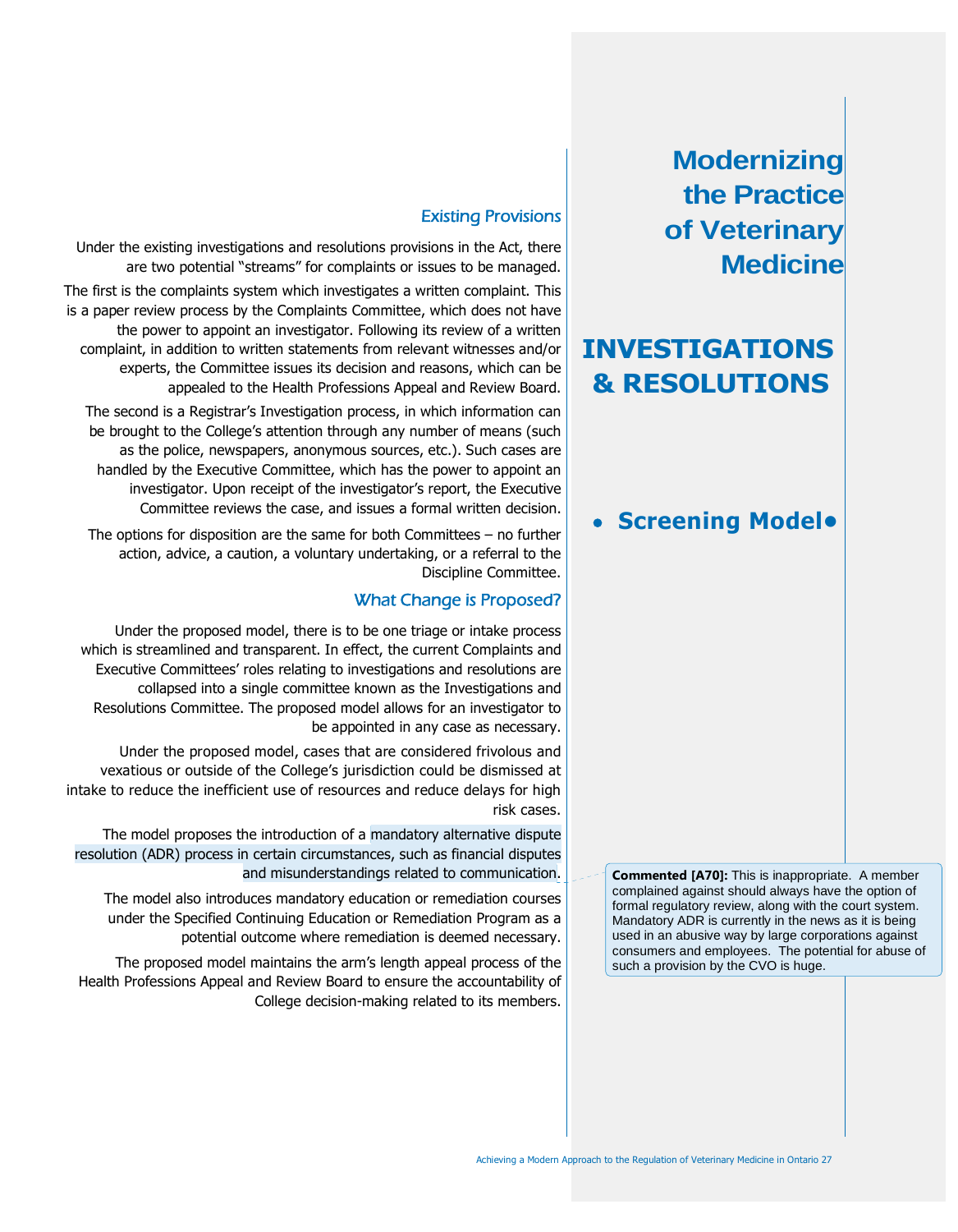# **INVESTIGATIONS & RESOLUTIONS**

# **Screening Model•**

**Commented [A70]:** This is inappropriate. A member complained against should always have the option of formal regulatory review, along with the court system. Mandatory ADR is currently in the news as it is being used in an abusive way by large corporations against consumers and employees. The potential for abuse of such a provision by the CVO is huge.

### Existing Provisions

Under the existing investigations and resolutions provisions in the Act, there are two potential "streams" for complaints or issues to be managed.

The first is the complaints system which investigates a written complaint. This is a paper review process by the Complaints Committee, which does not have the power to appoint an investigator. Following its review of a written complaint, in addition to written statements from relevant witnesses and/or experts, the Committee issues its decision and reasons, which can be appealed to the Health Professions Appeal and Review Board.

The second is a Registrar's Investigation process, in which information can be brought to the College's attention through any number of means (such as the police, newspapers, anonymous sources, etc.). Such cases are handled by the Executive Committee, which has the power to appoint an investigator. Upon receipt of the investigator's report, the Executive Committee reviews the case, and issues a formal written decision.

The options for disposition are the same for both Committees – no further action, advice, a caution, a voluntary undertaking, or a referral to the Discipline Committee.

### What Change is Proposed?

Under the proposed model, there is to be one triage or intake process which is streamlined and transparent. In effect, the current Complaints and Executive Committees' roles relating to investigations and resolutions are collapsed into a single committee known as the Investigations and Resolutions Committee. The proposed model allows for an investigator to be appointed in any case as necessary.

Under the proposed model, cases that are considered frivolous and vexatious or outside of the College's jurisdiction could be dismissed at intake to reduce the inefficient use of resources and reduce delays for high risk cases.

The model proposes the introduction of a mandatory alternative dispute resolution (ADR) process in certain circumstances, such as financial disputes and misunderstandings related to communication.

The model also introduces mandatory education or remediation courses under the Specified Continuing Education or Remediation Program as a potential outcome where remediation is deemed necessary.

The proposed model maintains the arm's length appeal process of the Health Professions Appeal and Review Board to ensure the accountability of College decision-making related to its members.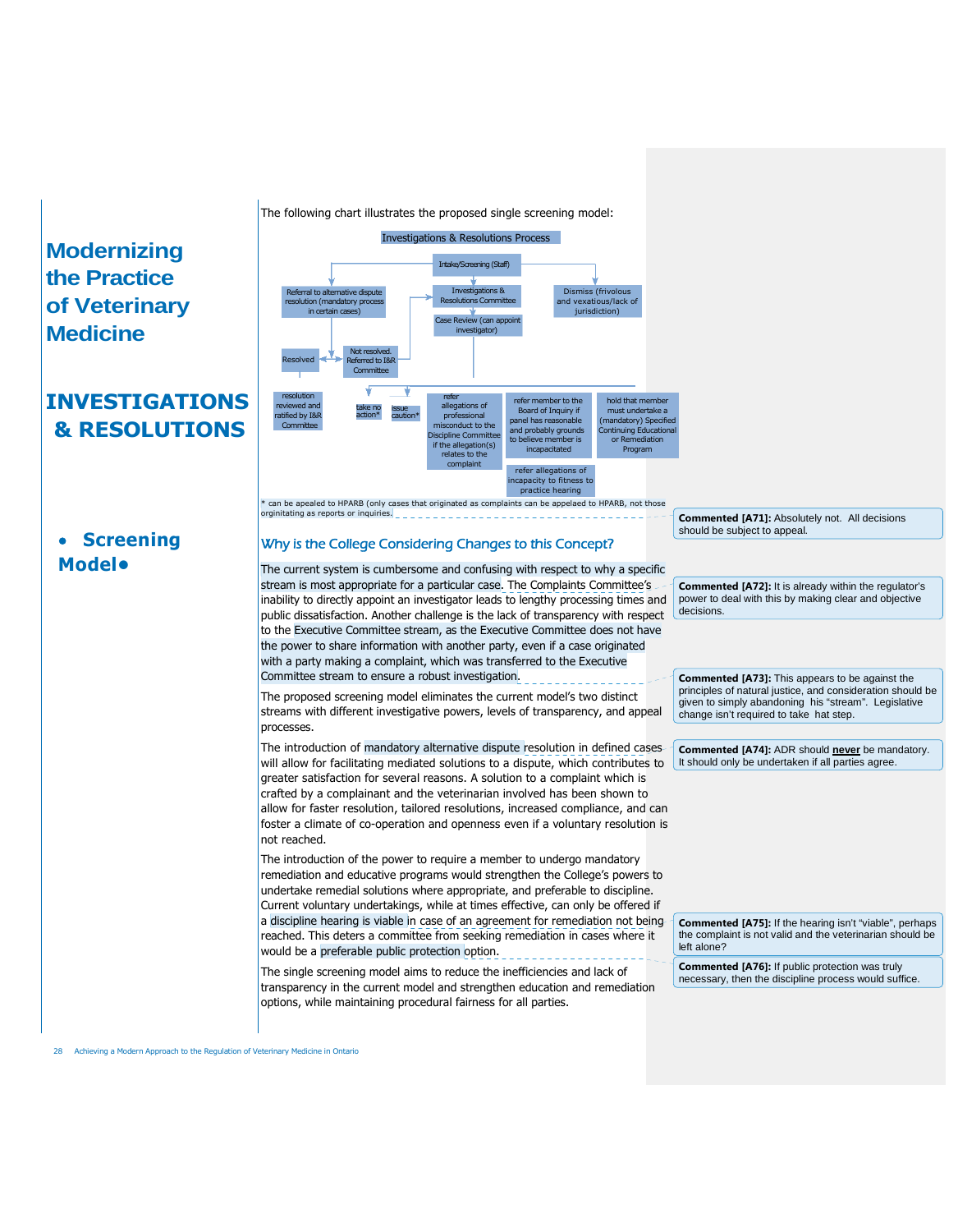**Screening**

**Model•**

# **INVESTIGATIONS & RESOLUTIONS**

The following chart illustrates the proposed single screening model:



Why is the College Considering Changes to this Concept?

The current system is cumbersome and confusing with respect to why a specific stream is most appropriate for a particular case. The Complaints Committee's inability to directly appoint an investigator leads to lengthy processing times and public dissatisfaction. Another challenge is the lack of transparency with respect to the Executive Committee stream, as the Executive Committee does not have the power to share information with another party, even if a case originated with a party making a complaint, which was transferred to the Executive Committee stream to ensure a robust investigation.

The proposed screening model eliminates the current model's two distinct streams with different investigative powers, levels of transparency, and appeal processes.

The introduction of mandatory alternative dispute resolution in defined cases will allow for facilitating mediated solutions to a dispute, which contributes to greater satisfaction for several reasons. A solution to a complaint which is crafted by a complainant and the veterinarian involved has been shown to allow for faster resolution, tailored resolutions, increased compliance, and can foster a climate of co-operation and openness even if a voluntary resolution is not reached.

The introduction of the power to require a member to undergo mandatory remediation and educative programs would strengthen the College's powers to undertake remedial solutions where appropriate, and preferable to discipline. Current voluntary undertakings, while at times effective, can only be offered if a discipline hearing is viable in case of an agreement for remediation not being reached. This deters a committee from seeking remediation in cases where it would be a preferable public protection option.

The single screening model aims to reduce the inefficiencies and lack of transparency in the current model and strengthen education and remediation options, while maintaining procedural fairness for all parties.

**Commented [A71]:** Absolutely not. All decisions should be subject to appeal.

**Commented [A72]:** It is already within the regulator's power to deal with this by making clear and objective decisions.

**Commented [A73]:** This appears to be against the principles of natural justice, and consideration should be given to simply abandoning his "stream". Legislative change isn't required to take hat step.

**Commented [A74]:** ADR should **never** be mandatory. It should only be undertaken if all parties agree.

**Commented [A75]:** If the hearing isn't "viable", perhaps the complaint is not valid and the veterinarian should be left alone?

**Commented [A76]:** If public protection was truly necessary, then the discipline process would suffice.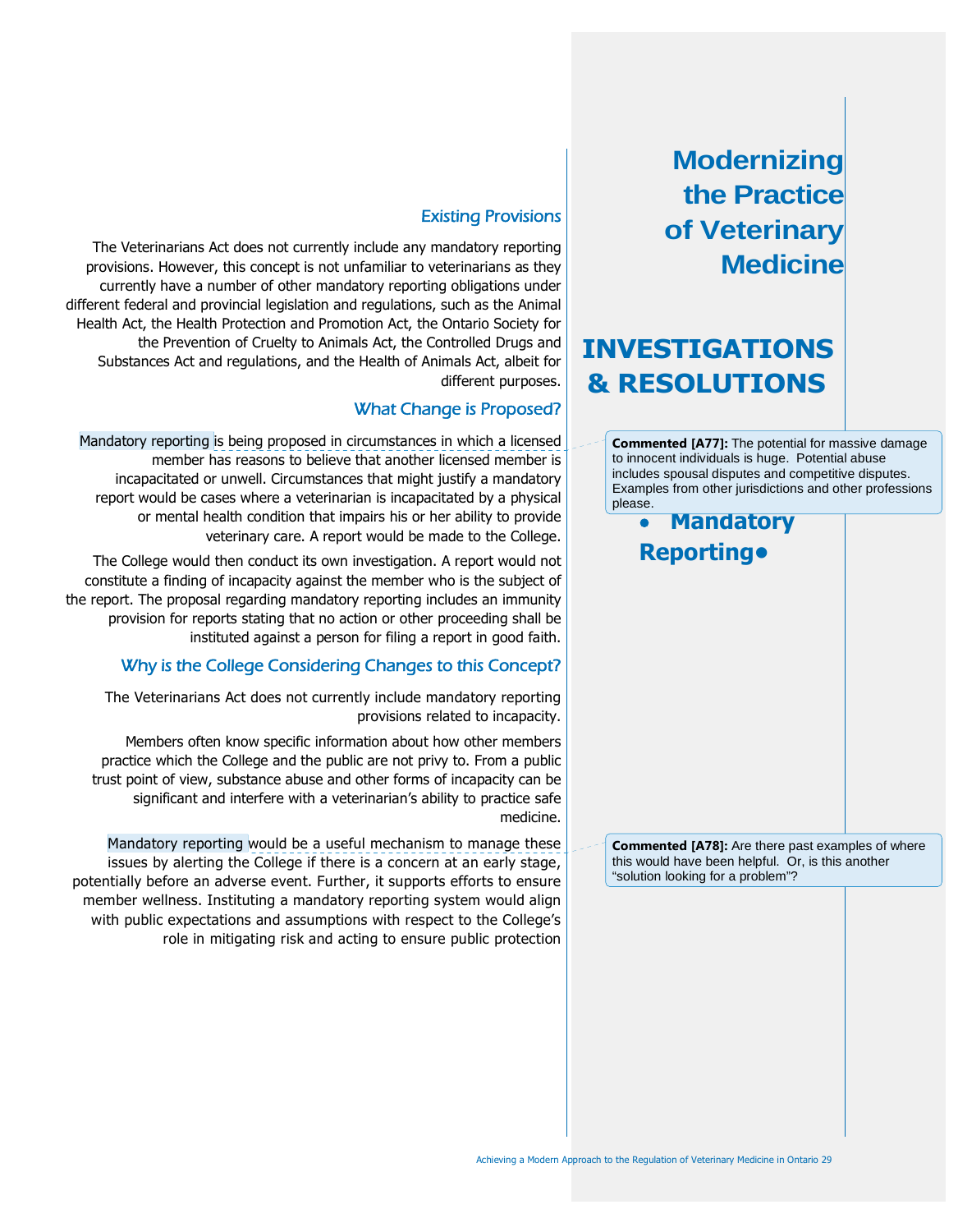# **INVESTIGATIONS & RESOLUTIONS**

**Commented [A77]:** The potential for massive damage to innocent individuals is huge. Potential abuse includes spousal disputes and competitive disputes. Examples from other jurisdictions and other professions please.

 **Mandatory Reporting•**

**Commented [A78]:** Are there past examples of where this would have been helpful. Or, is this another "solution looking for a problem"?

## Existing Provisions

The Veterinarians Act does not currently include any mandatory reporting provisions. However, this concept is not unfamiliar to veterinarians as they currently have a number of other mandatory reporting obligations under different federal and provincial legislation and regulations, such as the Animal Health Act, the Health Protection and Promotion Act, the Ontario Society for the Prevention of Cruelty to Animals Act, the Controlled Drugs and Substances Act and regulations, and the Health of Animals Act, albeit for different purposes.

### What Change is Proposed?

Mandatory reporting is being proposed in circumstances in which a licensed member has reasons to believe that another licensed member is incapacitated or unwell. Circumstances that might justify a mandatory report would be cases where a veterinarian is incapacitated by a physical or mental health condition that impairs his or her ability to provide veterinary care. A report would be made to the College.

The College would then conduct its own investigation. A report would not constitute a finding of incapacity against the member who is the subject of the report. The proposal regarding mandatory reporting includes an immunity provision for reports stating that no action or other proceeding shall be instituted against a person for filing a report in good faith.

### Why is the College Considering Changes to this Concept?

The Veterinarians Act does not currently include mandatory reporting provisions related to incapacity.

Members often know specific information about how other members practice which the College and the public are not privy to. From a public trust point of view, substance abuse and other forms of incapacity can be significant and interfere with a veterinarian's ability to practice safe medicine.

Mandatory reporting would be a useful mechanism to manage these issues by alerting the College if there is a concern at an early stage, potentially before an adverse event. Further, it supports efforts to ensure member wellness. Instituting a mandatory reporting system would align with public expectations and assumptions with respect to the College's role in mitigating risk and acting to ensure public protection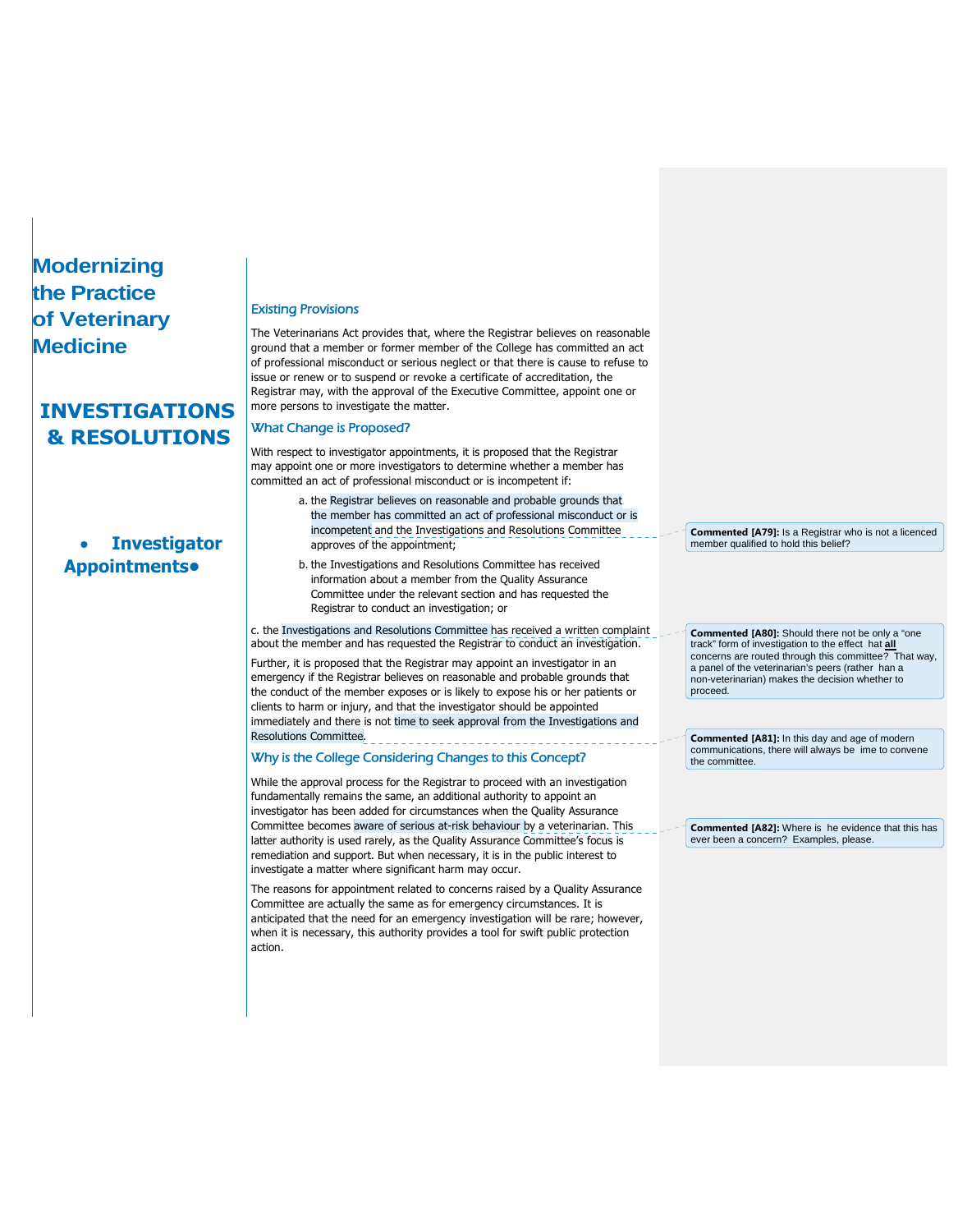# **INVESTIGATIONS & RESOLUTIONS**

# **Investigator Appointments•**

#### Existing Provisions

The Veterinarians Act provides that, where the Registrar believes on reasonable ground that a member or former member of the College has committed an act of professional misconduct or serious neglect or that there is cause to refuse to issue or renew or to suspend or revoke a certificate of accreditation, the Registrar may, with the approval of the Executive Committee, appoint one or more persons to investigate the matter.

### What Change is Proposed?

With respect to investigator appointments, it is proposed that the Registrar may appoint one or more investigators to determine whether a member has committed an act of professional misconduct or is incompetent if:

- a. the Registrar believes on reasonable and probable grounds that the member has committed an act of professional misconduct or is incompetent and the Investigations and Resolutions Committee approves of the appointment;
- b. the Investigations and Resolutions Committee has received information about a member from the Quality Assurance Committee under the relevant section and has requested the Registrar to conduct an investigation; or

c. the Investigations and Resolutions Committee has received a written complaint about the member and has requested the Registrar to conduct an investigation.

Further, it is proposed that the Registrar may appoint an investigator in an emergency if the Registrar believes on reasonable and probable grounds that the conduct of the member exposes or is likely to expose his or her patients or clients to harm or injury, and that the investigator should be appointed immediately and there is not time to seek approval from the Investigations and Resolutions Committee.

### Why is the College Considering Changes to this Concept?

While the approval process for the Registrar to proceed with an investigation fundamentally remains the same, an additional authority to appoint an investigator has been added for circumstances when the Quality Assurance Committee becomes aware of serious at-risk behaviour by a veterinarian. This latter authority is used rarely, as the Quality Assurance Committee's focus is remediation and support. But when necessary, it is in the public interest to investigate a matter where significant harm may occur.

The reasons for appointment related to concerns raised by a Quality Assurance Committee are actually the same as for emergency circumstances. It is anticipated that the need for an emergency investigation will be rare; however, when it is necessary, this authority provides a tool for swift public protection action.

**Commented [A79]:** Is a Registrar who is not a licenced member qualified to hold this belief?

**Commented [A80]:** Should there not be only a "one track" form of investigation to the effect hat **all** concerns are routed through this committee? That way, a panel of the veterinarian's peers (rather han a non-veterinarian) makes the decision whether to proceed.

**Commented [A81]:** In this day and age of modern communications, there will always be ime to convene the committee.

**Commented [A82]:** Where is he evidence that this has ever been a concern? Examples, please.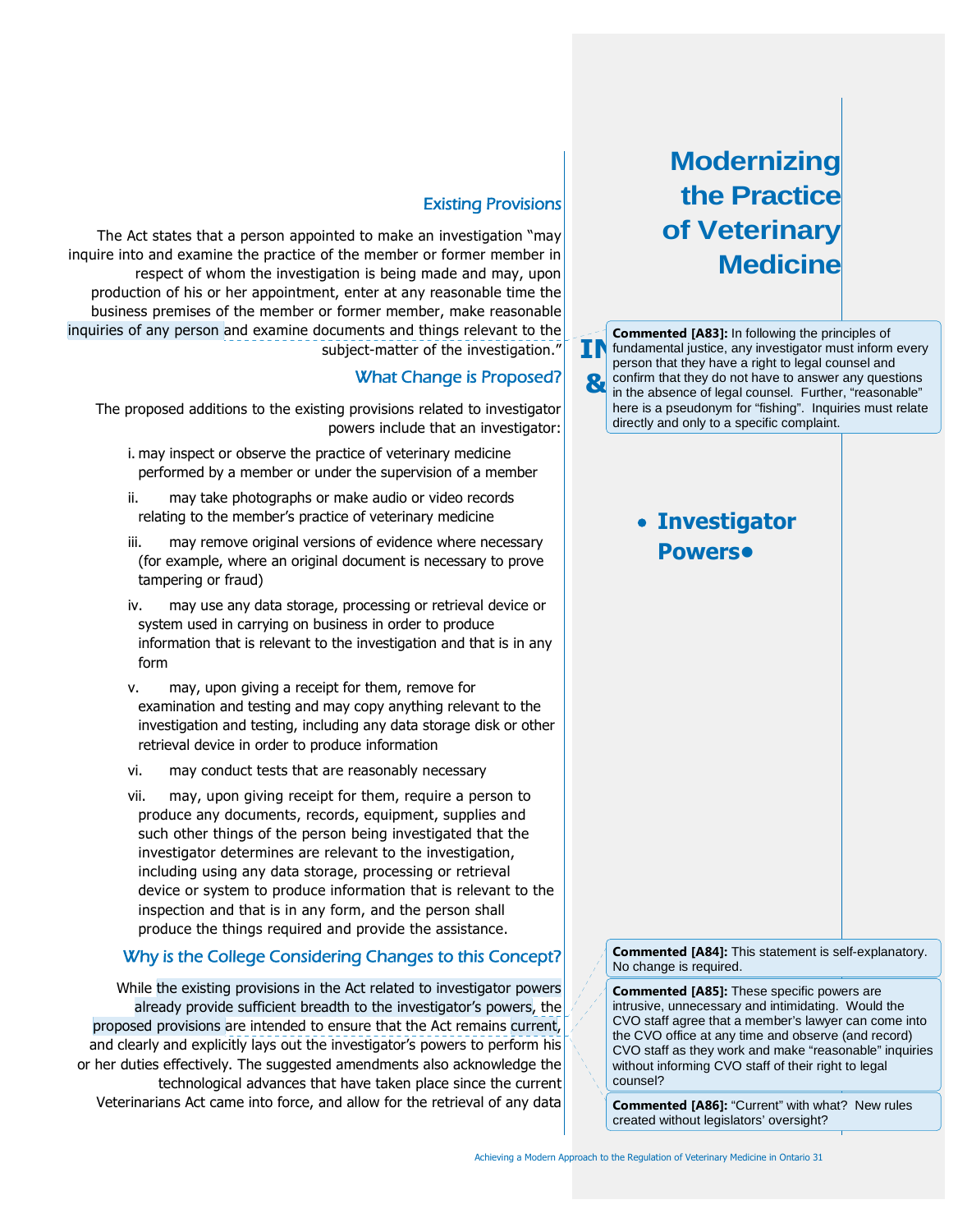**IN 8** confirm that they do not have to answer any questions in the absence of legal counsel. Further, "reasonable" **Commented [A83]:** In following the principles of fundamental justice, any investigator must inform every person that they have a right to legal counsel and in the absence of legal counsel. Further, "reasonable" here is a pseudonym for "fishing". Inquiries must relate directly and only to a specific complaint.

# **Investigator Powers•**

**Commented [A84]:** This statement is self-explanatory. No change is required.

**Commented [A85]:** These specific powers are intrusive, unnecessary and intimidating. Would the CVO staff agree that a member's lawyer can come into the CVO office at any time and observe (and record) CVO staff as they work and make "reasonable" inquiries without informing CVO staff of their right to legal counsel?

**Commented [A86]:** "Current" with what? New rules created without legislators' oversight?

### Existing Provisions

The Act states that a person appointed to make an investigation "may inquire into and examine the practice of the member or former member in respect of whom the investigation is being made and may, upon production of his or her appointment, enter at any reasonable time the business premises of the member or former member, make reasonable inquiries of any person and examine documents and things relevant to the subject-matter of the investigation."

### What Change is Proposed?

The proposed additions to the existing provisions related to investigator powers include that an investigator:

- i. may inspect or observe the practice of veterinary medicine performed by a member or under the supervision of a member
- ii. may take photographs or make audio or video records relating to the member's practice of veterinary medicine
- iii. may remove original versions of evidence where necessary (for example, where an original document is necessary to prove tampering or fraud)
- iv. may use any data storage, processing or retrieval device or system used in carrying on business in order to produce information that is relevant to the investigation and that is in any form
- v. may, upon giving a receipt for them, remove for examination and testing and may copy anything relevant to the investigation and testing, including any data storage disk or other retrieval device in order to produce information
- vi. may conduct tests that are reasonably necessary
- vii. may, upon giving receipt for them, require a person to produce any documents, records, equipment, supplies and such other things of the person being investigated that the investigator determines are relevant to the investigation, including using any data storage, processing or retrieval device or system to produce information that is relevant to the inspection and that is in any form, and the person shall produce the things required and provide the assistance.

### Why is the College Considering Changes to this Concept?

While the existing provisions in the Act related to investigator powers already provide sufficient breadth to the investigator's powers, the proposed provisions are intended to ensure that the Act remains current, and clearly and explicitly lays out the investigator's powers to perform his or her duties effectively. The suggested amendments also acknowledge the technological advances that have taken place since the current Veterinarians Act came into force, and allow for the retrieval of any data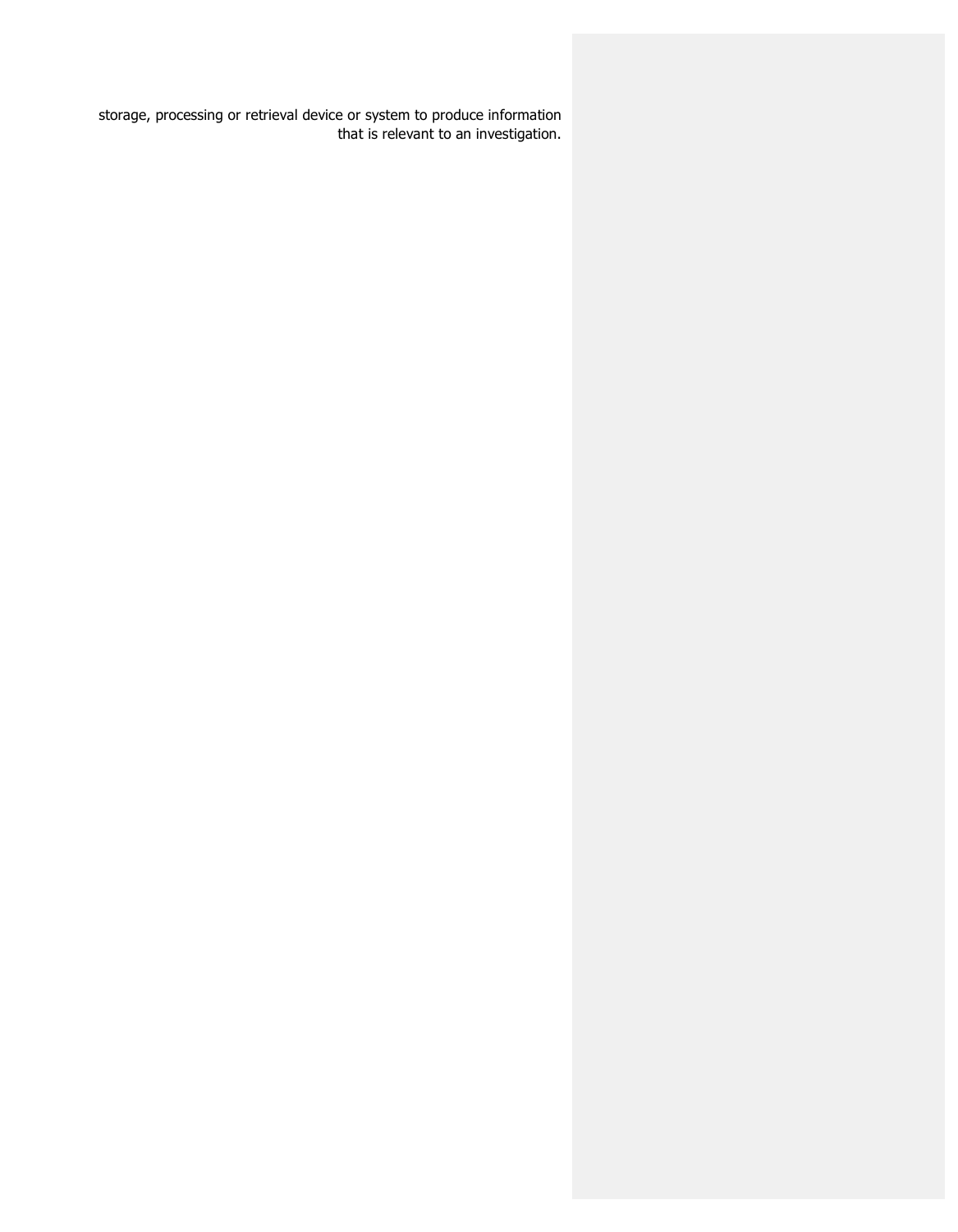storage, processing or retrieval device or system to produce information that is relevant to an investigation.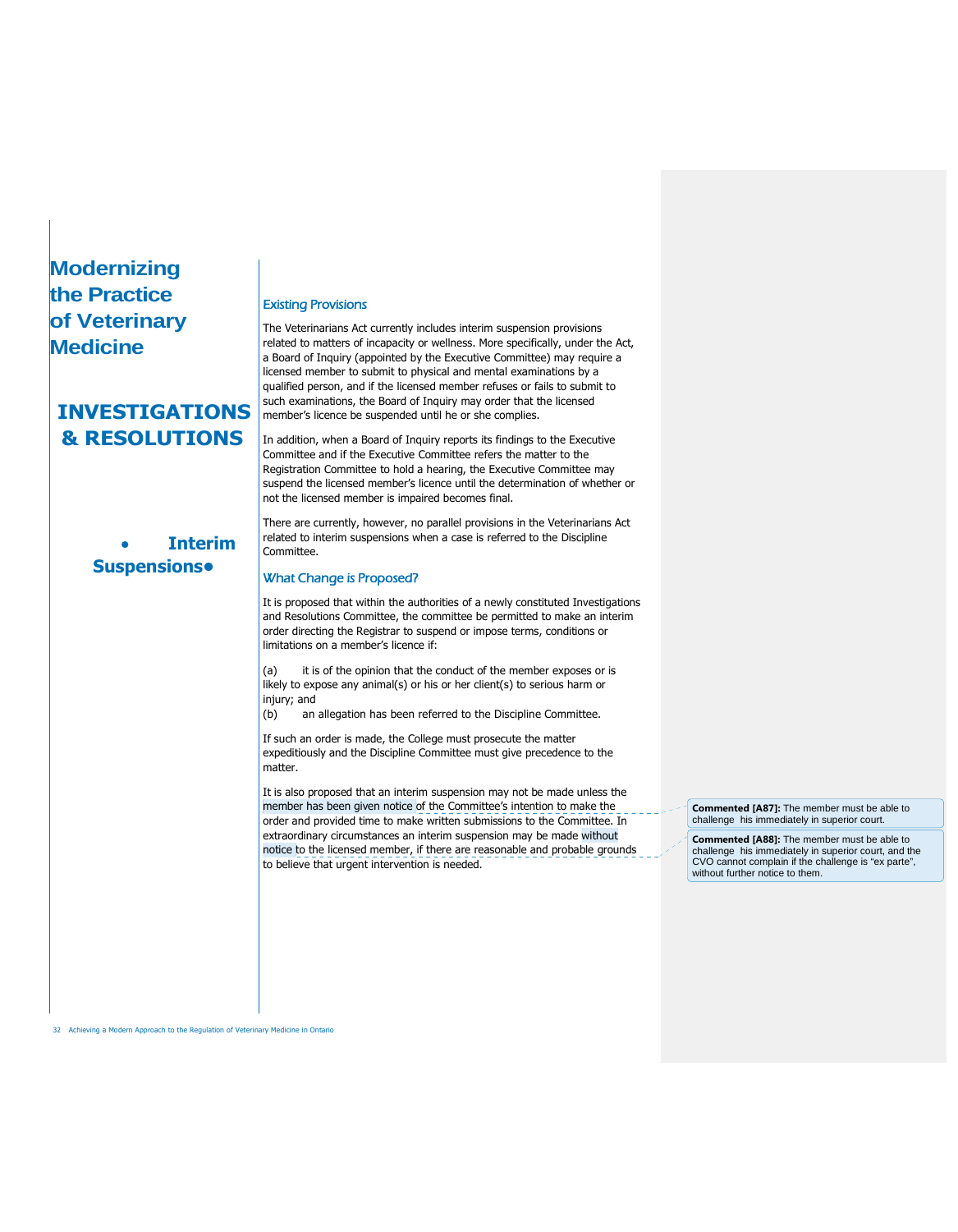## **INVESTIGATIONS & RESOLUTIONS**

## **Interim Suspensions•**

#### Existing Provisions

The Veterinarians Act currently includes interim suspension provisions related to matters of incapacity or wellness. More specifically, under the Act, a Board of Inquiry (appointed by the Executive Committee) may require a licensed member to submit to physical and mental examinations by a qualified person, and if the licensed member refuses or fails to submit to such examinations, the Board of Inquiry may order that the licensed member's licence be suspended until he or she complies.

In addition, when a Board of Inquiry reports its findings to the Executive Committee and if the Executive Committee refers the matter to the Registration Committee to hold a hearing, the Executive Committee may suspend the licensed member's licence until the determination of whether or not the licensed member is impaired becomes final.

There are currently, however, no parallel provisions in the Veterinarians Act related to interim suspensions when a case is referred to the Discipline Committee.

#### What Change is Proposed?

It is proposed that within the authorities of a newly constituted Investigations and Resolutions Committee, the committee be permitted to make an interim order directing the Registrar to suspend or impose terms, conditions or limitations on a member's licence if:

(a) it is of the opinion that the conduct of the member exposes or is likely to expose any animal(s) or his or her client(s) to serious harm or injury; and

(b) an allegation has been referred to the Discipline Committee.

If such an order is made, the College must prosecute the matter expeditiously and the Discipline Committee must give precedence to the matter.

It is also proposed that an interim suspension may not be made unless the member has been given notice of the Committee's intention to make the order and provided time to make written submissions to the Committee. In extraordinary circumstances an interim suspension may be made without notice to the licensed member, if there are reasonable and probable grounds to believe that urgent intervention is needed.

**Commented [A87]:** The member must be able to challenge his immediately in superior court.

**Commented [A88]:** The member must be able to challenge his immediately in superior court, and the CVO cannot complain if the challenge is "ex parte", without further notice to them.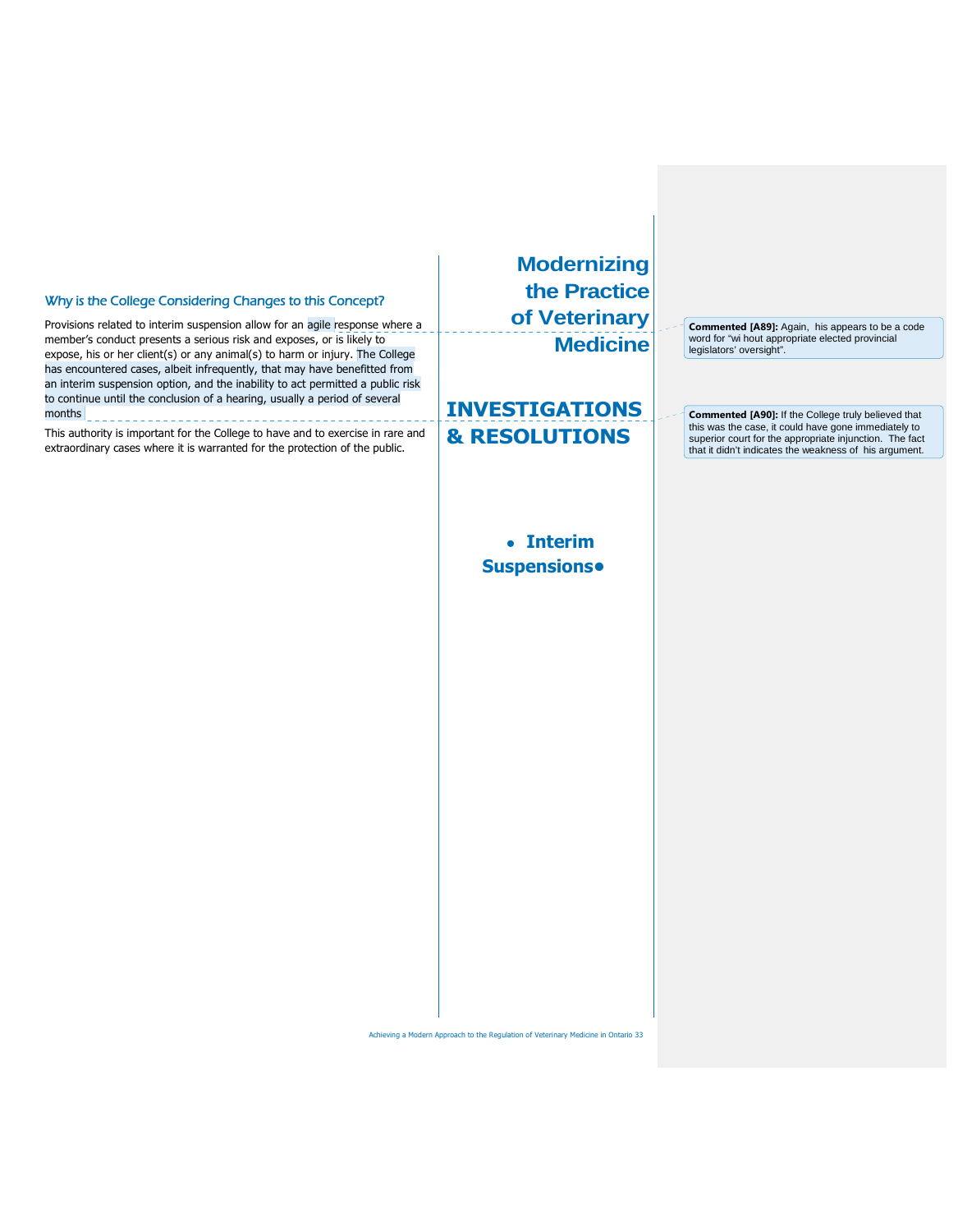#### Why is the College Considering Changes to this Concept?

Provisions related to interim suspension allow for an agile response where a member's conduct presents a serious risk and exposes, or is likely to expose, his or her client(s) or any animal(s) to harm or injury. The College has encountered cases, albeit infrequently, that may have benefitted from an interim suspension option, and the inability to act permitted a public risk to continue until the conclusion of a hearing, usually a period of several months \_\_\_\_\_\_\_\_\_\_\_\_\_\_\_\_\_\_\_\_\_\_\_\_\_\_\_\_\_\_\_\_\_

This authority is important for the College to have and to exercise in rare and extraordinary cases where it is warranted for the protection of the public.

**Modernizing the Practice of Veterinary Medicine**

**INVESTIGATIONS & RESOLUTIONS**

> **Interim Suspensions•**

**Commented [A89]:** Again, his appears to be a code word for "wi hout appropriate elected provincial legislators' oversight".

**Commented [A90]:** If the College truly believed that this was the case, it could have gone immediately to superior court for the appropriate injunction. The fact that it didn't indicates the weakness of his argument.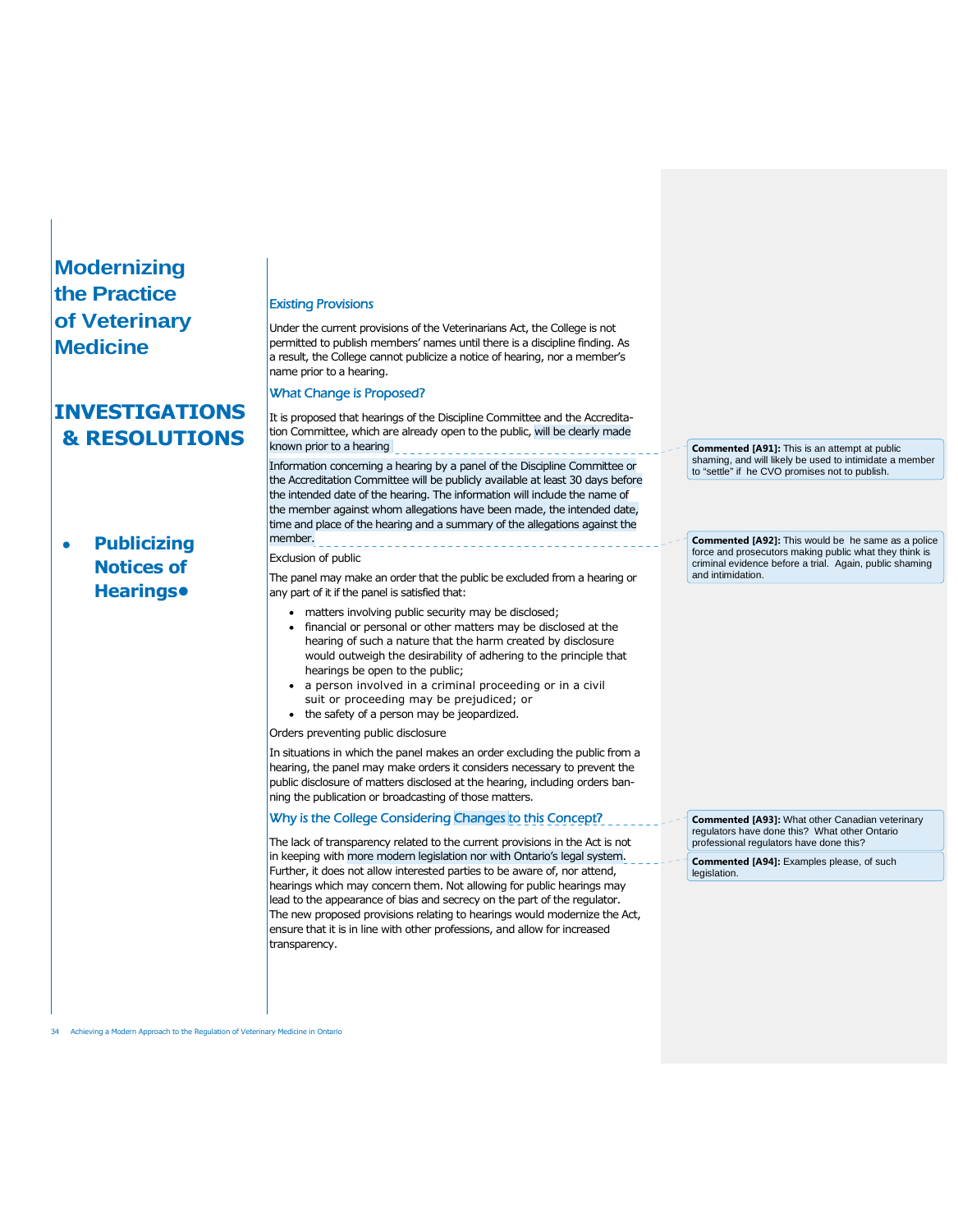## **INVESTIGATIONS & RESOLUTIONS**

## **Publicizing Notices of Hearings•**

#### Existing Provisions

Under the current provisions of the Veterinarians Act, the College is not permitted to publish members' names until there is a discipline finding. As a result, the College cannot publicize a notice of hearing, nor a member's name prior to a hearing.

### What Change is Proposed?

It is proposed that hearings of the Discipline Committee and the Accreditation Committee, which are already open to the public, will be clearly made known prior to a hearing

Information concerning a hearing by a panel of the Discipline Committee or the Accreditation Committee will be publicly available at least 30 days before the intended date of the hearing. The information will include the name of the member against whom allegations have been made, the intended date, time and place of the hearing and a summary of the allegations against the member.

### Exclusion of public

The panel may make an order that the public be excluded from a hearing or any part of it if the panel is satisfied that:

- matters involving public security may be disclosed;
- financial or personal or other matters may be disclosed at the hearing of such a nature that the harm created by disclosure would outweigh the desirability of adhering to the principle that hearings be open to the public;
- a person involved in a criminal proceeding or in a civil
- suit or proceeding may be prejudiced; or • the safety of a person may be jeopardized.
- Orders preventing public disclosure

In situations in which the panel makes an order excluding the public from a hearing, the panel may make orders it considers necessary to prevent the public disclosure of matters disclosed at the hearing, including orders banning the publication or broadcasting of those matters.

### Why is the College Considering Changes to this Concept?

The lack of transparency related to the current provisions in the Act is not in keeping with more modern legislation nor with Ontario's legal system. Further, it does not allow interested parties to be aware of, nor attend, hearings which may concern them. Not allowing for public hearings may lead to the appearance of bias and secrecy on the part of the regulator. The new proposed provisions relating to hearings would modernize the Act, ensure that it is in line with other professions, and allow for increased transparency.

**Commented [A91]:** This is an attempt at public shaming, and will likely be used to intimidate a member to "settle" if he CVO promises not to publish.

**Commented [A92]:** This would be he same as a police force and prosecutors making public what they think is criminal evidence before a trial. Again, public shaming and intimidation.

**Commented [A93]:** What other Canadian veterinary regulators have done this? What other Ontario professional regulators have done this?

**Commented [A94]:** Examples please, of such legislation.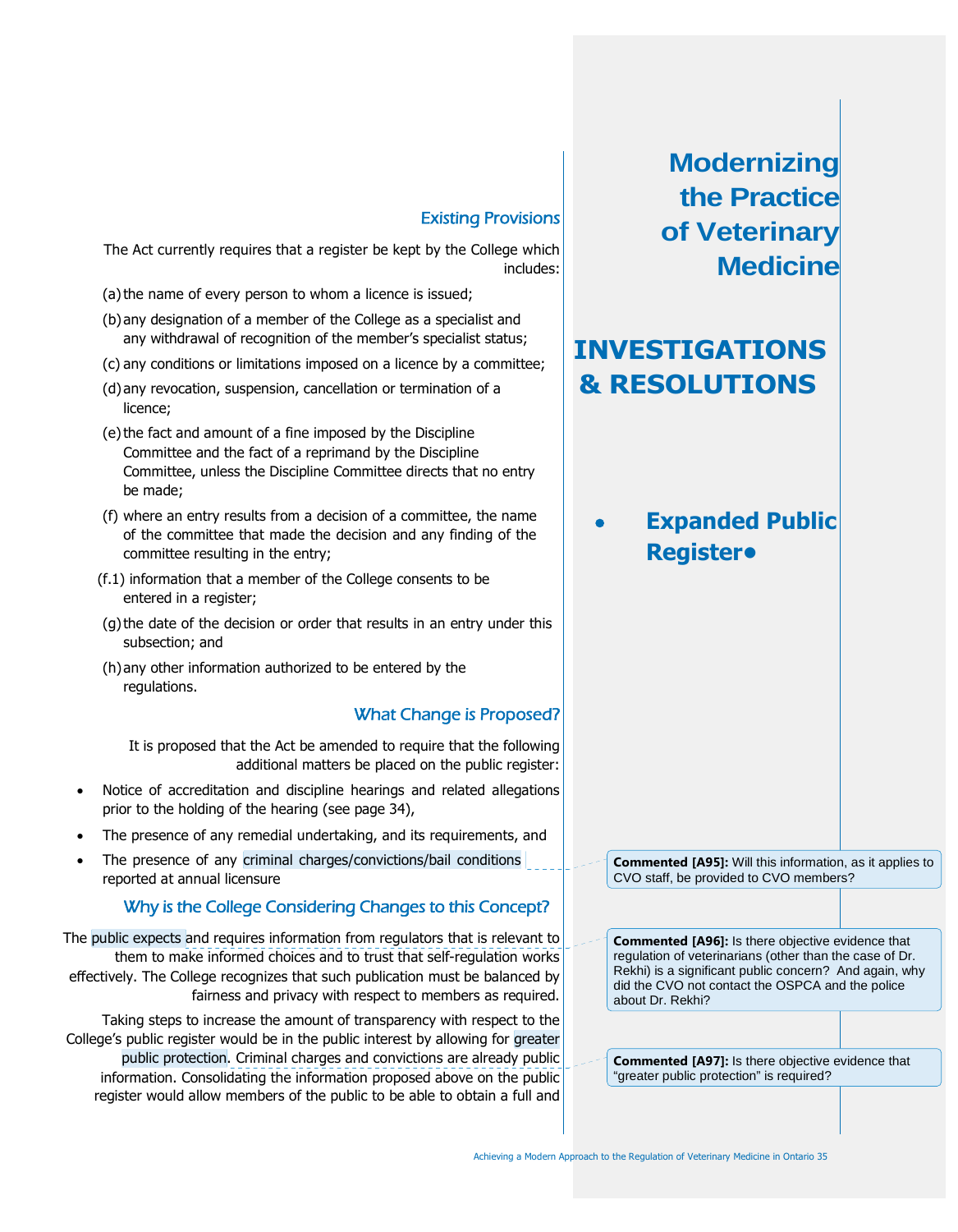# **INVESTIGATIONS & RESOLUTIONS**

 **Expanded Public Register•**

**Commented [A95]:** Will this information, as it applies to CVO staff, be provided to CVO members?

**Commented [A96]:** Is there objective evidence that regulation of veterinarians (other than the case of Dr. Rekhi) is a significant public concern? And again, why did the CVO not contact the OSPCA and the police about Dr. Rekhi?

**Commented [A97]:** Is there objective evidence that "greater public protection" is required?

### Existing Provisions

The Act currently requires that a register be kept by the College which includes:

- (a) the name of every person to whom a licence is issued;
- (b)any designation of a member of the College as a specialist and any withdrawal of recognition of the member's specialist status;
- (c) any conditions or limitations imposed on a licence by a committee;
- (d)any revocation, suspension, cancellation or termination of a licence;
- (e)the fact and amount of a fine imposed by the Discipline Committee and the fact of a reprimand by the Discipline Committee, unless the Discipline Committee directs that no entry be made;
- (f) where an entry results from a decision of a committee, the name of the committee that made the decision and any finding of the committee resulting in the entry;
- (f.1) information that a member of the College consents to be entered in a register;
- (g)the date of the decision or order that results in an entry under this subsection; and
- (h)any other information authorized to be entered by the regulations.

## What Change is Proposed?

It is proposed that the Act be amended to require that the following additional matters be placed on the public register:

- Notice of accreditation and discipline hearings and related allegations prior to the holding of the hearing (see page 34),
- The presence of any remedial undertaking, and its requirements, and
- The presence of any criminal charges/convictions/bail conditions reported at annual licensure

## Why is the College Considering Changes to this Concept?

The public expects and requires information from regulators that is relevant to them to make informed choices and to trust that self-regulation works effectively. The College recognizes that such publication must be balanced by fairness and privacy with respect to members as required.

Taking steps to increase the amount of transparency with respect to the College's public register would be in the public interest by allowing for greater public protection. Criminal charges and convictions are already public information. Consolidating the information proposed above on the public register would allow members of the public to be able to obtain a full and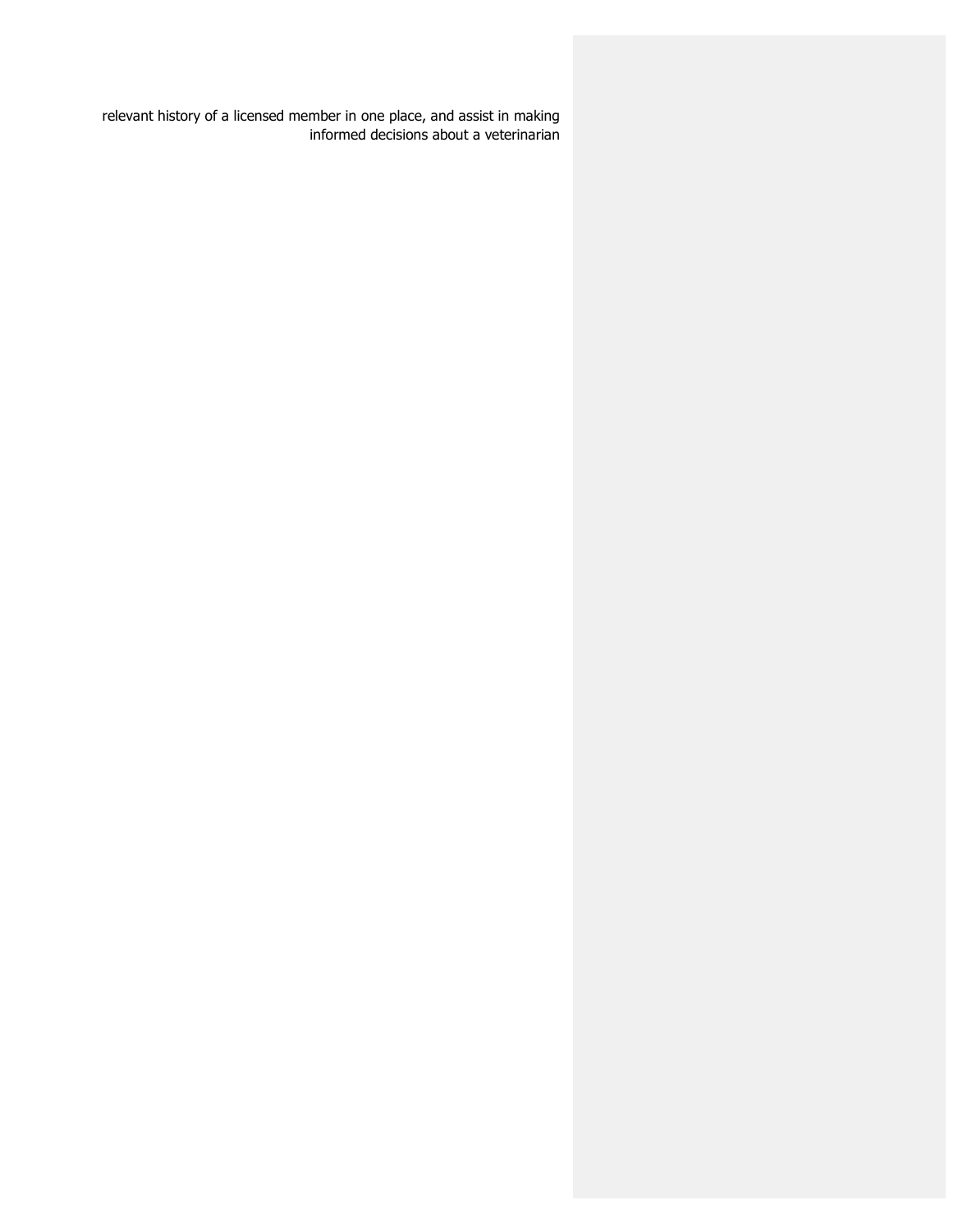relevant history of a licensed member in one place, and assist in making informed decisions about a veterinarian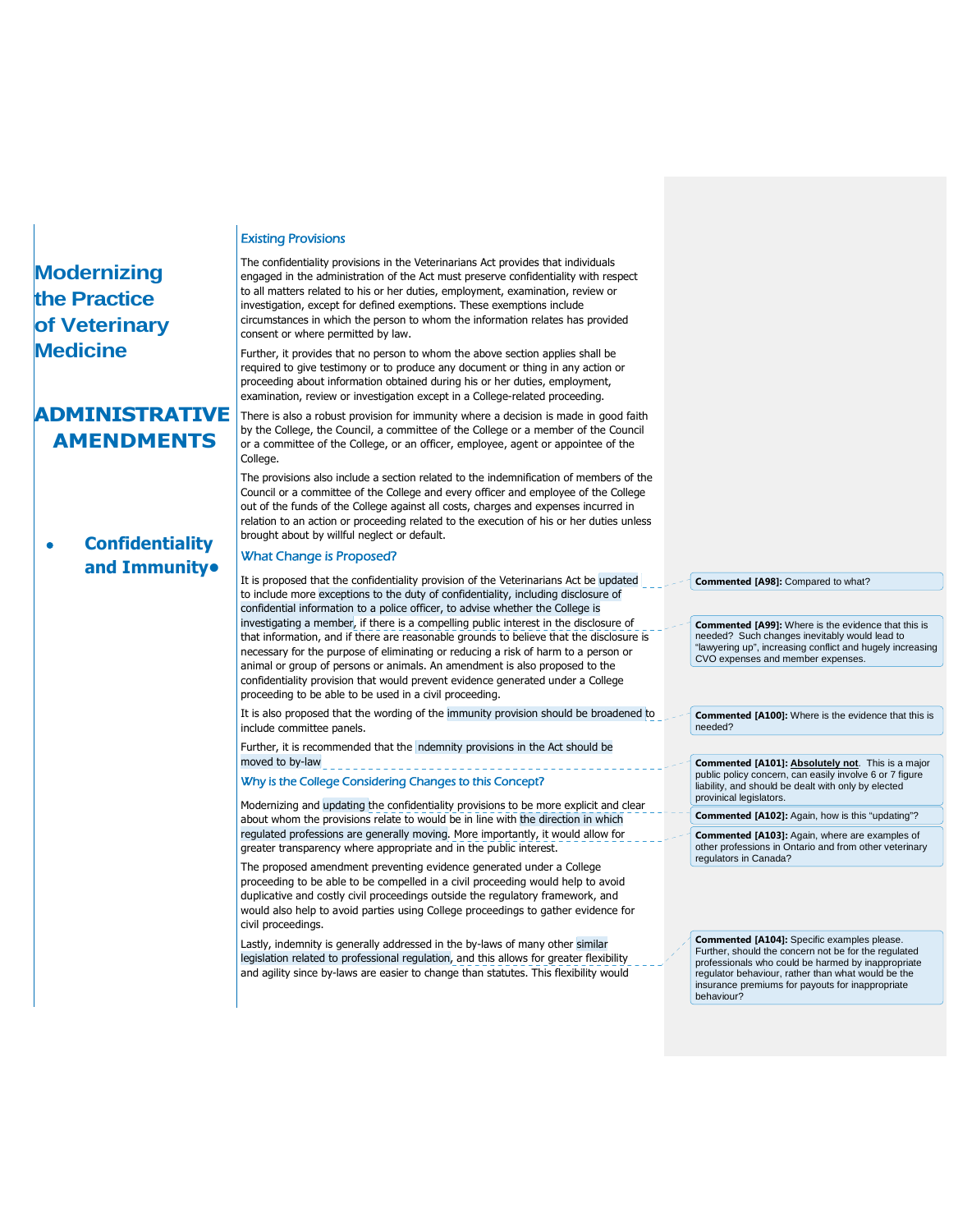## **ADMINISTRATIVE AMENDMENTS**

### **Confidentiality and Immunity•**

#### Existing Provisions

The confidentiality provisions in the Veterinarians Act provides that individuals engaged in the administration of the Act must preserve confidentiality with respect to all matters related to his or her duties, employment, examination, review or investigation, except for defined exemptions. These exemptions include circumstances in which the person to whom the information relates has provided consent or where permitted by law.

Further, it provides that no person to whom the above section applies shall be required to give testimony or to produce any document or thing in any action or proceeding about information obtained during his or her duties, employment, examination, review or investigation except in a College-related proceeding.

There is also a robust provision for immunity where a decision is made in good faith by the College, the Council, a committee of the College or a member of the Council or a committee of the College, or an officer, employee, agent or appointee of the College.

The provisions also include a section related to the indemnification of members of the Council or a committee of the College and every officer and employee of the College out of the funds of the College against all costs, charges and expenses incurred in relation to an action or proceeding related to the execution of his or her duties unless brought about by willful neglect or default.

### What Change is Proposed?

It is proposed that the confidentiality provision of the Veterinarians Act be updated to include more exceptions to the duty of confidentiality, including disclosure of confidential information to a police officer, to advise whether the College is investigating a member, if there is a compelling public interest in the disclosure of that information, and if there are reasonable grounds to believe that the disclosure is necessary for the purpose of eliminating or reducing a risk of harm to a person or animal or group of persons or animals. An amendment is also proposed to the confidentiality provision that would prevent evidence generated under a College proceeding to be able to be used in a civil proceeding.

It is also proposed that the wording of the immunity provision should be broadened to include committee panels.

Further, it is recommended that the ndemnity provisions in the Act should be moved to by-law

Why is the College Considering Changes to this Concept?

Modernizing and updating the confidentiality provisions to be more explicit and clear about whom the provisions relate to would be in line with the direction in which regulated professions are generally moving. More importantly, it would allow for greater transparency where appropriate and in the public interest.

The proposed amendment preventing evidence generated under a College proceeding to be able to be compelled in a civil proceeding would help to avoid duplicative and costly civil proceedings outside the regulatory framework, and would also help to avoid parties using College proceedings to gather evidence for civil proceedings.

Lastly, indemnity is generally addressed in the by-laws of many other similar legislation related to professional regulation, and this allows for greater flexibility and agility since by-laws are easier to change than statutes. This flexibility would **Commented [A98]:** Compared to what?

**Commented [A99]:** Where is the evidence that this is needed? Such changes inevitably would lead to "lawyering up", increasing conflict and hugely increasing CVO expenses and member expenses.

**Commented [A100]:** Where is the evidence that this is needed?

**Commented [A101]: Absolutely not**. This is a major public policy concern, can easily involve 6 or 7 figure liability, and should be dealt with only by elected provinical legislators.

**Commented [A102]:** Again, how is this "updating"?

**Commented [A103]:** Again, where are examples of other professions in Ontario and from other veterinary regulators in Canada?

**Commented [A104]:** Specific examples please. Further, should the concern not be for the regulated professionals who could be harmed by inappropriate regulator behaviour, rather than what would be the insurance premiums for payouts for inappropriate behaviour?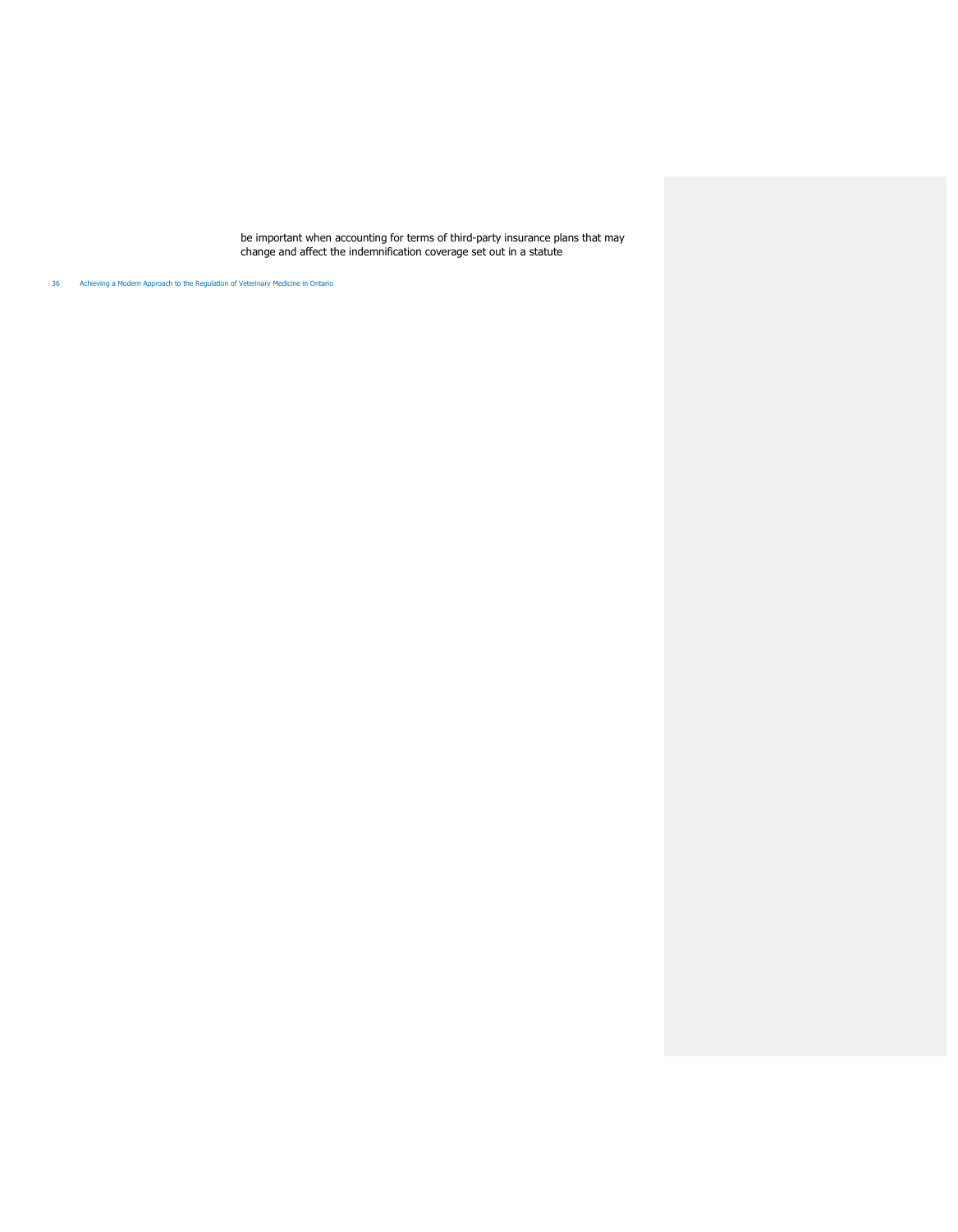be important when accounting for terms of third-party insurance plans that may change and affect the indemnification coverage set out in a statute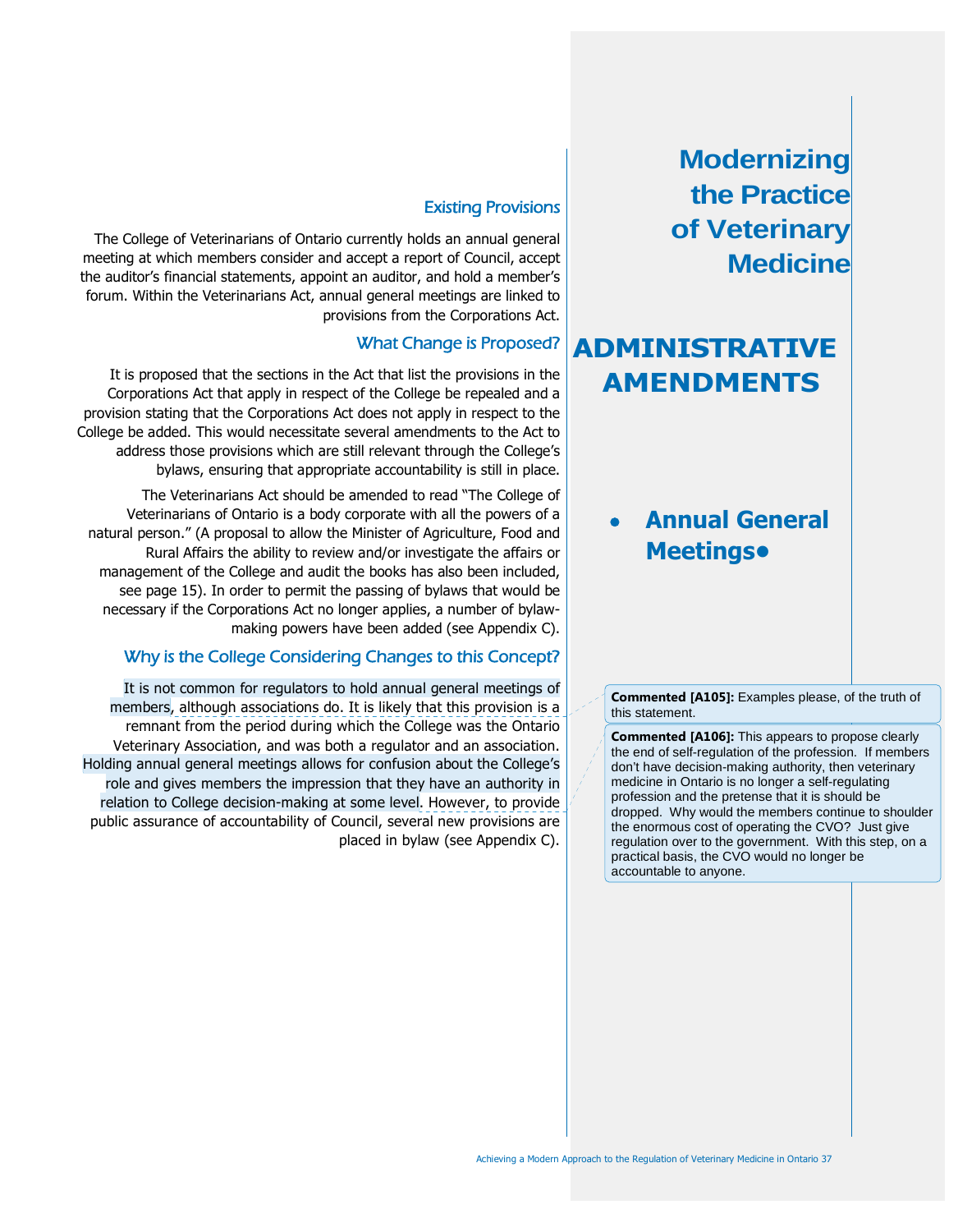# **ADMINISTRATIVE AMENDMENTS**

## **Annual General Meetings•**

**Commented [A105]:** Examples please, of the truth of this statement.

**Commented [A106]:** This appears to propose clearly the end of self-regulation of the profession. If members don't have decision-making authority, then veterinary medicine in Ontario is no longer a self-regulating profession and the pretense that it is should be dropped. Why would the members continue to shoulder the enormous cost of operating the CVO? Just give regulation over to the government. With this step, on a practical basis, the CVO would no longer be accountable to anyone.

### Existing Provisions

The College of Veterinarians of Ontario currently holds an annual general meeting at which members consider and accept a report of Council, accept the auditor's financial statements, appoint an auditor, and hold a member's forum. Within the Veterinarians Act, annual general meetings are linked to provisions from the Corporations Act.

### What Change is Proposed?

It is proposed that the sections in the Act that list the provisions in the Corporations Act that apply in respect of the College be repealed and a provision stating that the Corporations Act does not apply in respect to the College be added. This would necessitate several amendments to the Act to address those provisions which are still relevant through the College's bylaws, ensuring that appropriate accountability is still in place.

The Veterinarians Act should be amended to read "The College of Veterinarians of Ontario is a body corporate with all the powers of a natural person." (A proposal to allow the Minister of Agriculture, Food and Rural Affairs the ability to review and/or investigate the affairs or management of the College and audit the books has also been included, see page 15). In order to permit the passing of bylaws that would be necessary if the Corporations Act no longer applies, a number of bylawmaking powers have been added (see Appendix C).

### Why is the College Considering Changes to this Concept?

It is not common for regulators to hold annual general meetings of members, although associations do. It is likely that this provision is a remnant from the period during which the College was the Ontario Veterinary Association, and was both a regulator and an association. Holding annual general meetings allows for confusion about the College's role and gives members the impression that they have an authority in relation to College decision-making at some level. However, to provide public assurance of accountability of Council, several new provisions are placed in bylaw (see Appendix C).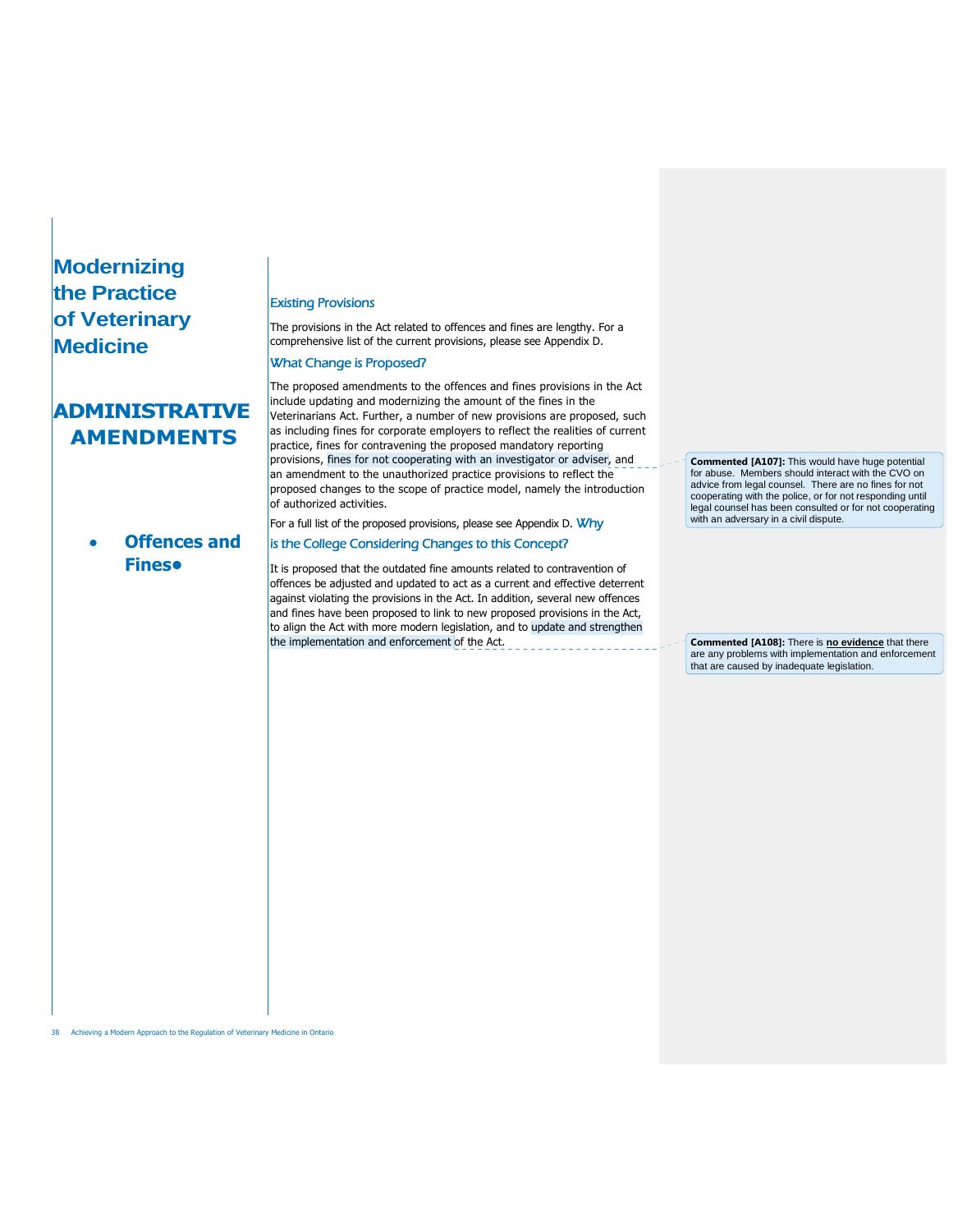## **ADMINISTRATIVE AMENDMENTS**

## **Offences and Fines•**

#### Existing Provisions

The provisions in the Act related to offences and fines are lengthy. For a comprehensive list of the current provisions, please see Appendix D.

#### What Change is Proposed?

The proposed amendments to the offences and fines provisions in the Act include updating and modernizing the amount of the fines in the Veterinarians Act. Further, a number of new provisions are proposed, such as including fines for corporate employers to reflect the realities of current practice, fines for contravening the proposed mandatory reporting provisions, fines for not cooperating with an investigator or adviser, and an amendment to the unauthorized practice provisions to reflect the proposed changes to the scope of practice model, namely the introduction of authorized activities. For a full list of the proposed provisions, please see Appendix D. Why

### is the College Considering Changes to this Concept?

It is proposed that the outdated fine amounts related to contravention of offences be adjusted and updated to act as a current and effective deterrent against violating the provisions in the Act. In addition, several new offences and fines have been proposed to link to new proposed provisions in the Act, to align the Act with more modern legislation, and to update and strengthen the implementation and enforcement of the Act.

**Commented [A107]:** This would have huge potential for abuse. Members should interact with the CVO on advice from legal counsel. There are no fines for not cooperating with the police, or for not responding until legal counsel has been consulted or for not cooperating with an adversary in a civil dispute.

**Commented [A108]:** There is **no evidence** that there are any problems with implementation and enforcement that are caused by inadequate legislation.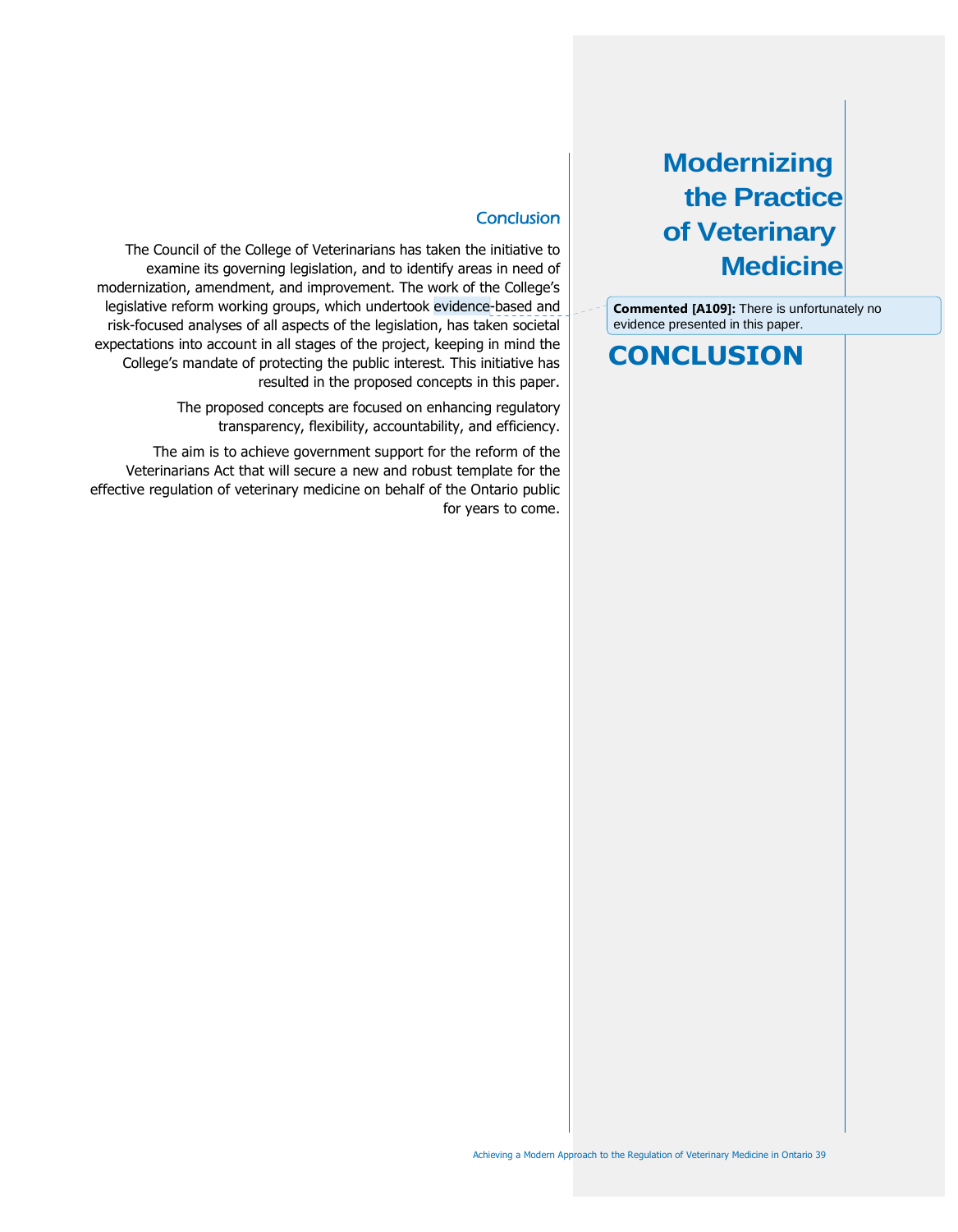**Commented [A109]:** There is unfortunately no evidence presented in this paper.

## **CONCLUSION**

### **Conclusion**

The Council of the College of Veterinarians has taken the initiative to examine its governing legislation, and to identify areas in need of modernization, amendment, and improvement. The work of the College's legislative reform working groups, which undertook evidence-based and risk-focused analyses of all aspects of the legislation, has taken societal expectations into account in all stages of the project, keeping in mind the College's mandate of protecting the public interest. This initiative has resulted in the proposed concepts in this paper.

> The proposed concepts are focused on enhancing regulatory transparency, flexibility, accountability, and efficiency.

The aim is to achieve government support for the reform of the Veterinarians Act that will secure a new and robust template for the effective regulation of veterinary medicine on behalf of the Ontario public for years to come.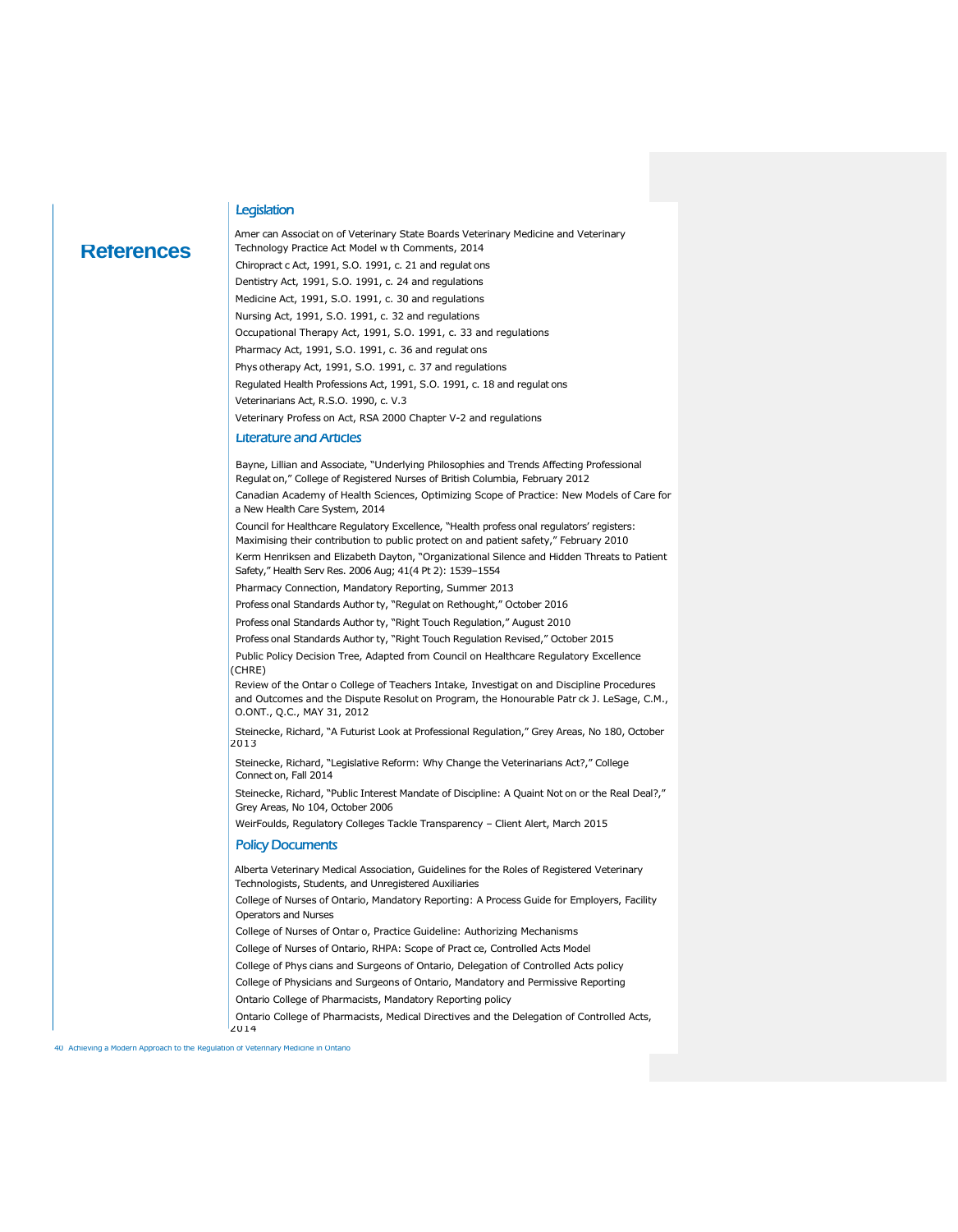#### **Legislation**

### **References**

Amer can Associat on of Veterinary State Boards Veterinary Medicine and Veterinary Technology Practice Act Model w th Comments, 2014 Chiropract c Act, 1991, S.O. 1991, c. 21 and regulat ons Dentistry Act, 1991, S.O. 1991, c. 24 and regulations Medicine Act, 1991, S.O. 1991, c. 30 and regulations Nursing Act, 1991, S.O. 1991, c. 32 and regulations Occupational Therapy Act, 1991, S.O. 1991, c. 33 and regulations Pharmacy Act, 1991, S.O. 1991, c. 36 and regulat ons Phys otherapy Act, 1991, S.O. 1991, c. 37 and regulations Regulated Health Professions Act, 1991, S.O. 1991, c. 18 and regulat ons Veterinarians Act, R.S.O. 1990, c. V.3 Veterinary Profess on Act, RSA 2000 Chapter V-2 and regulations Literature and Articles Bayne, Lillian and Associate, "Underlying Philosophies and Trends Affecting Professional Regulat on," College of Registered Nurses of British Columbia, February 2012 Canadian Academy of Health Sciences, Optimizing Scope of Practice: New Models of Care for a New Health Care System, 2014 Council for Healthcare Regulatory Excellence, "Health profess onal regulators' registers: Maximising their contribution to public protect on and patient safety," February 2010 Kerm Henriksen and Elizabeth Dayton, "Organizational Silence and Hidden Threats to Patient Safety," Health Serv Res. 2006 Aug; 41(4 Pt 2): 1539–1554 Pharmacy Connection, Mandatory Reporting, Summer 2013 Profess onal Standards Author ty, "Regulat on Rethought," October 2016 Profess onal Standards Author ty, "Right Touch Regulation," August 2010 Profess onal Standards Author ty, "Right Touch Regulation Revised," October 2015 Public Policy Decision Tree, Adapted from Council on Healthcare Regulatory Excellence (CHRE) Review of the Ontar o College of Teachers Intake, Investigat on and Discipline Procedures and Outcomes and the Dispute Resolut on Program, the Honourable Patr ck J. LeSage, C.M., O.ONT., Q.C., MAY 31, 2012 Steinecke, Richard, "A Futurist Look at Professional Regulation," Grey Areas, No 180, October 2013 Steinecke, Richard, "Legislative Reform: Why Change the Veterinarians Act?," College Connect on, Fall 2014 Steinecke, Richard, "Public Interest Mandate of Discipline: A Quaint Not on or the Real Deal?," Grey Areas, No 104, October 2006 WeirFoulds, Regulatory Colleges Tackle Transparency – Client Alert, March 2015 Policy Documents Alberta Veterinary Medical Association, Guidelines for the Roles of Registered Veterinary Technologists, Students, and Unregistered Auxiliaries College of Nurses of Ontario, Mandatory Reporting: A Process Guide for Employers, Facility Operators and Nurses College of Nurses of Ontar o, Practice Guideline: Authorizing Mechanisms College of Nurses of Ontario, RHPA: Scope of Pract ce, Controlled Acts Model College of Phys cians and Surgeons of Ontario, Delegation of Controlled Acts policy College of Physicians and Surgeons of Ontario, Mandatory and Permissive Reporting Ontario College of Pharmacists, Mandatory Reporting policy

Ontario College of Pharmacists, Medical Directives and the Delegation of Controlled Acts,

40 Achieving a Modern Approach to the Regulation of Veterinary Medicine in Ontario

 $12014$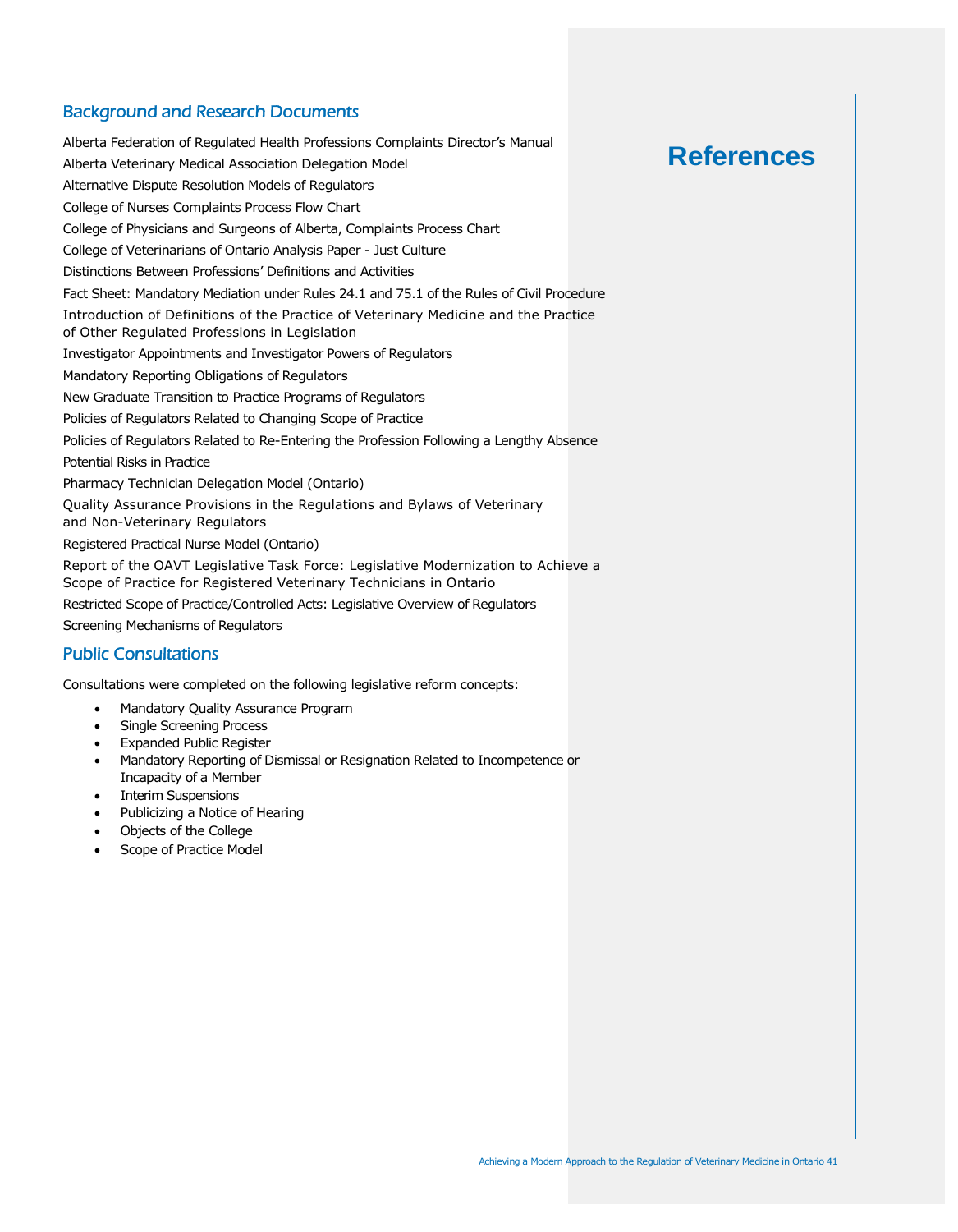### Background and Research Documents

Alberta Federation of Regulated Health Professions Complaints Director's Manual Alberta Veterinary Medical Association Delegation Model Alternative Dispute Resolution Models of Regulators College of Nurses Complaints Process Flow Chart College of Physicians and Surgeons of Alberta, Complaints Process Chart College of Veterinarians of Ontario Analysis Paper - Just Culture Distinctions Between Professions' Definitions and Activities Fact Sheet: Mandatory Mediation under Rules 24.1 and 75.1 of the Rules of Civil Procedure Introduction of Definitions of the Practice of Veterinary Medicine and the Practice of Other Regulated Professions in Legislation Investigator Appointments and Investigator Powers of Regulators Mandatory Reporting Obligations of Regulators New Graduate Transition to Practice Programs of Regulators Policies of Regulators Related to Changing Scope of Practice Policies of Regulators Related to Re-Entering the Profession Following a Lengthy Absence Potential Risks in Practice Pharmacy Technician Delegation Model (Ontario) Quality Assurance Provisions in the Regulations and Bylaws of Veterinary and Non-Veterinary Regulators Registered Practical Nurse Model (Ontario) Report of the OAVT Legislative Task Force: Legislative Modernization to Achieve a Scope of Practice for Registered Veterinary Technicians in Ontario Restricted Scope of Practice/Controlled Acts: Legislative Overview of Regulators Screening Mechanisms of Regulators Public Consultations

Consultations were completed on the following legislative reform concepts:

- Mandatory Quality Assurance Program
- Single Screening Process
- Expanded Public Register
- Mandatory Reporting of Dismissal or Resignation Related to Incompetence or Incapacity of a Member
- Interim Suspensions
- Publicizing a Notice of Hearing
- Objects of the College
- Scope of Practice Model

## **References**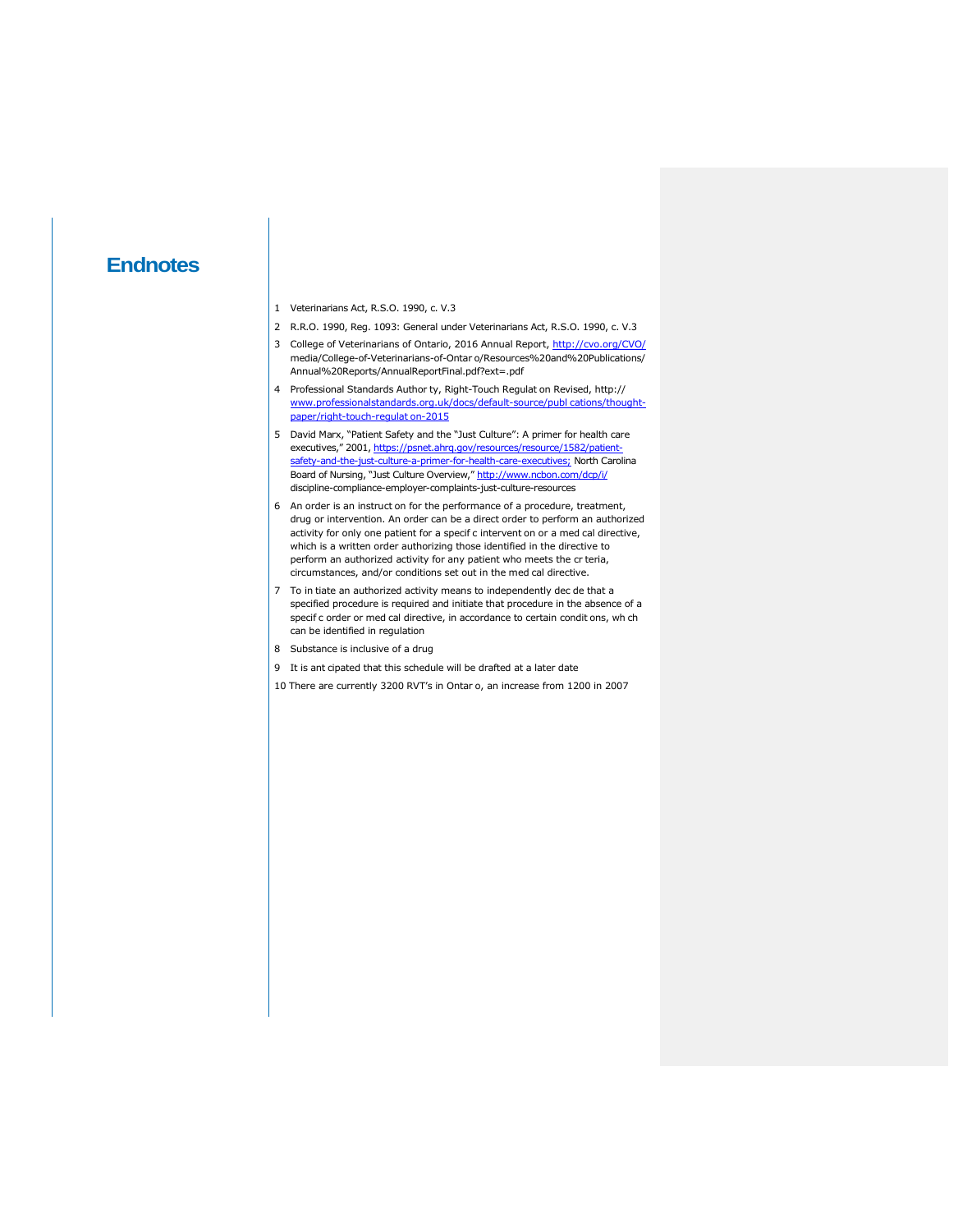### **Endnotes**

- 1 Veterinarians Act, R.S.O. 1990, c. V.3
- 2 R.R.O. 1990, Reg. 1093: General under Veterinarians Act, R.S.O. 1990, c. V.3
- 3 College of Veterinarians of Ontario, 2016 Annual Report, http://cvo.org/CVO/ media/College-of-Veterinarians-of-Ontar o/Resources%20and%20Publications/ Annual%20Reports/AnnualReportFinal.pdf?ext=.pdf
- 4 Professional Standards Author ty, Right-Touch Regulat on Revised, http:// www.professionalstandards.org.uk/docs/default-source/publ cations/thoughtpaper/right-touch-regulat on-2015
- 5 David Marx, "Patient Safety and the "Just Culture": A primer for health care executives," 2001, https://psnet.ahrq.gov/resources/resource/1582/patientsafety-and-the-just-culture-a-primer-for-health-care-executives; North Carolina Board of Nursing, "Just Culture Overview," http://www.ncbon.com/dcp/i/ discipline-compliance-employer-complaints-just-culture-resources
- 6 An order is an instruct on for the performance of a procedure, treatment, drug or intervention. An order can be a direct order to perform an authorized activity for only one patient for a specif c intervent on or a med cal directive, which is a written order authorizing those identified in the directive to perform an authorized activity for any patient who meets the cr teria, circumstances, and/or conditions set out in the med cal directive.
- 7 To in tiate an authorized activity means to independently dec de that a specified procedure is required and initiate that procedure in the absence of a specif c order or med cal directive, in accordance to certain condit ons, wh ch can be identified in regulation
- 8 Substance is inclusive of a drug
- 9 It is ant cipated that this schedule will be drafted at a later date
- 10 There are currently 3200 RVT's in Ontar o, an increase from 1200 in 2007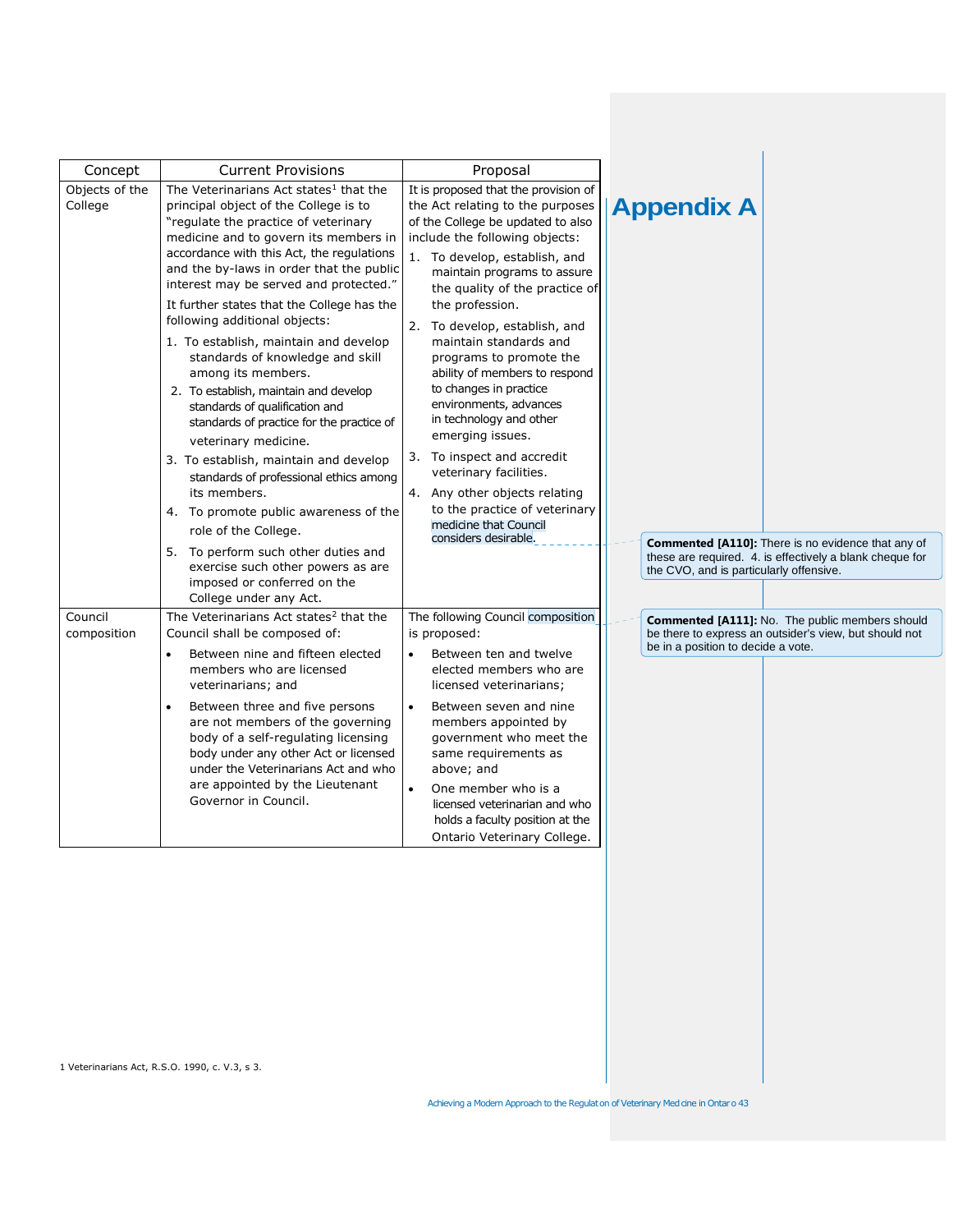| Concept                   | <b>Current Provisions</b>                                                                                                                                                                                                                                                                                                                                                                                                                                                                                                                                                                                                                                                                                                                                                                                                                                                                                                                                  | Proposal                                                                                                                                                                                                                                                                                                                                                                                                                                                                                                                                                                                                                                                                  |                                                              |                                                                                                                       |
|---------------------------|------------------------------------------------------------------------------------------------------------------------------------------------------------------------------------------------------------------------------------------------------------------------------------------------------------------------------------------------------------------------------------------------------------------------------------------------------------------------------------------------------------------------------------------------------------------------------------------------------------------------------------------------------------------------------------------------------------------------------------------------------------------------------------------------------------------------------------------------------------------------------------------------------------------------------------------------------------|---------------------------------------------------------------------------------------------------------------------------------------------------------------------------------------------------------------------------------------------------------------------------------------------------------------------------------------------------------------------------------------------------------------------------------------------------------------------------------------------------------------------------------------------------------------------------------------------------------------------------------------------------------------------------|--------------------------------------------------------------|-----------------------------------------------------------------------------------------------------------------------|
| Objects of the<br>College | The Veterinarians Act states <sup>1</sup> that the<br>principal object of the College is to<br>"regulate the practice of veterinary<br>medicine and to govern its members in<br>accordance with this Act, the regulations<br>and the by-laws in order that the public<br>interest may be served and protected."<br>It further states that the College has the<br>following additional objects:<br>1. To establish, maintain and develop<br>standards of knowledge and skill<br>among its members.<br>2. To establish, maintain and develop<br>standards of qualification and<br>standards of practice for the practice of<br>veterinary medicine.<br>3. To establish, maintain and develop<br>standards of professional ethics among<br>its members.<br>4. To promote public awareness of the<br>role of the College.<br>5. To perform such other duties and<br>exercise such other powers as are<br>imposed or conferred on the<br>College under any Act. | It is proposed that the provision of<br>the Act relating to the purposes<br>of the College be updated to also<br>include the following objects:<br>1. To develop, establish, and<br>maintain programs to assure<br>the quality of the practice of<br>the profession.<br>2. To develop, establish, and<br>maintain standards and<br>programs to promote the<br>ability of members to respond<br>to changes in practice<br>environments, advances<br>in technology and other<br>emerging issues.<br>3. To inspect and accredit<br>veterinary facilities.<br>4. Any other objects relating<br>to the practice of veterinary<br>medicine that Council<br>considers desirable. | <b>Appendix A</b><br>the CVO, and is particularly offensive. | <b>Commented [A110]:</b> There is no evidence that any of<br>these are required. 4. is effectively a blank cheque for |
| Council<br>composition    | The Veterinarians Act states <sup>2</sup> that the<br>Council shall be composed of:<br>Between nine and fifteen elected<br>$\bullet$<br>members who are licensed<br>veterinarians; and<br>Between three and five persons<br>$\bullet$<br>are not members of the governing<br>body of a self-regulating licensing<br>body under any other Act or licensed<br>under the Veterinarians Act and who<br>are appointed by the Lieutenant<br>Governor in Council.                                                                                                                                                                                                                                                                                                                                                                                                                                                                                                 | The following Council composition<br>is proposed:<br>Between ten and twelve<br>$\bullet$<br>elected members who are<br>licensed veterinarians;<br>Between seven and nine<br>$\bullet$<br>members appointed by<br>government who meet the<br>same requirements as<br>above; and<br>$\bullet$<br>One member who is a<br>licensed veterinarian and who<br>holds a faculty position at the<br>Ontario Veterinary College.                                                                                                                                                                                                                                                     | be in a position to decide a vote.                           | Commented [A111]: No. The public members should<br>be there to express an outsider's view, but should not             |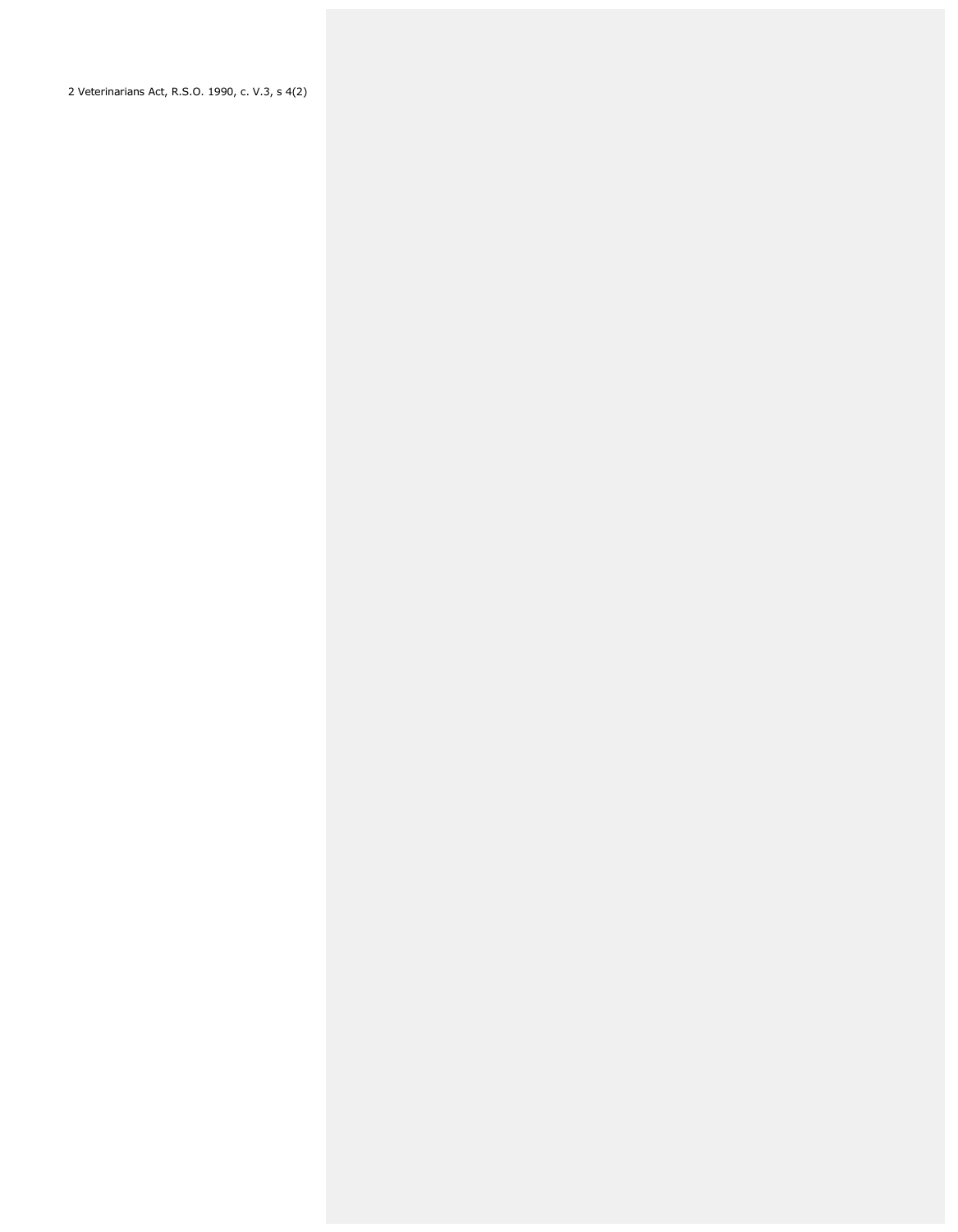2 Veterinarians Act, R.S.O. 1990, c. V.3, s 4(2)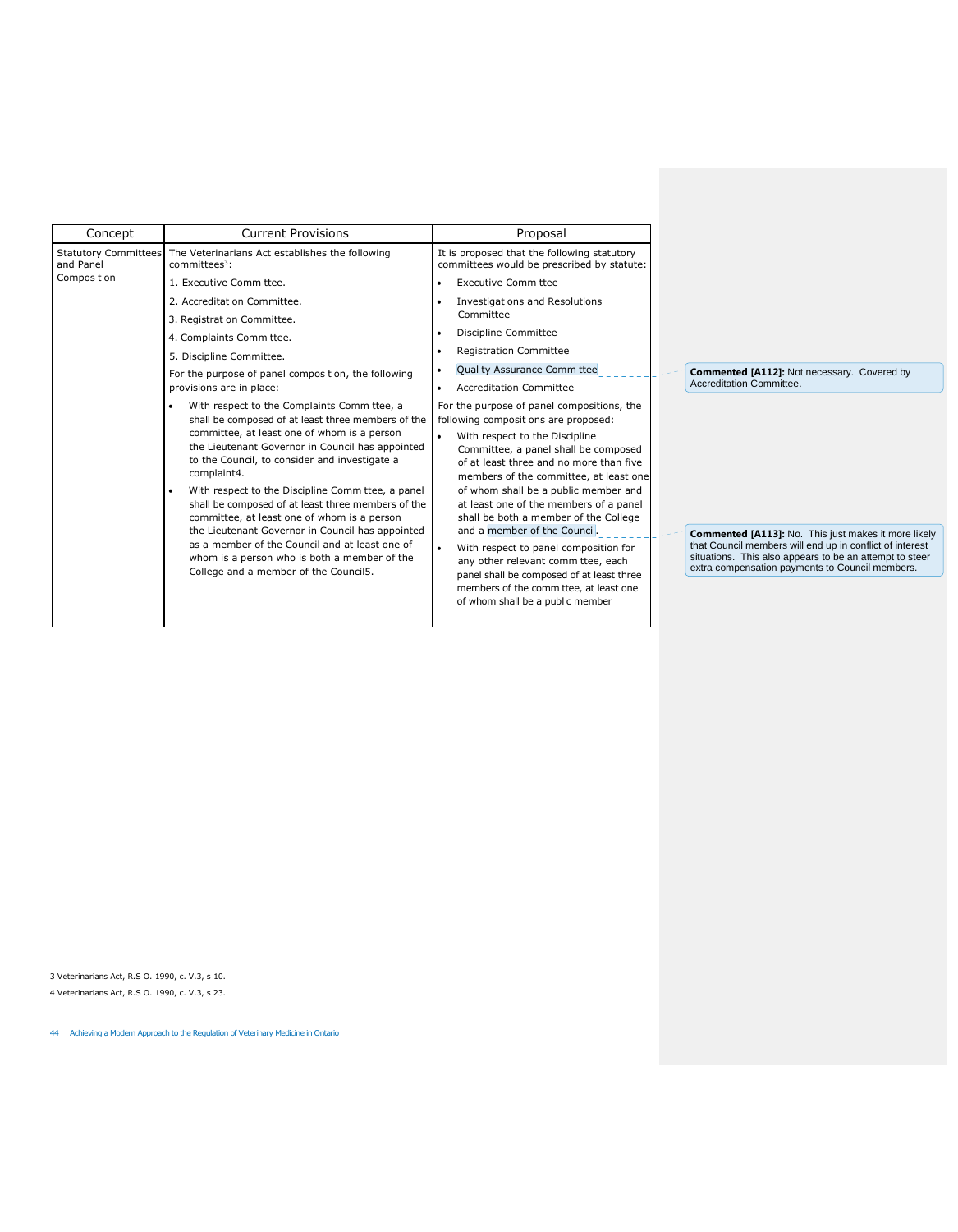| Concept                                  | <b>Current Provisions</b>                                                                                                                                                                                                                                                                                                                                                                                                                                                                                                                                                                                                     | Proposal                                                                                                                                                                                                                                                                                                                                                                                                                                                                                                                                                                                                              |                                                                                                                                                                                                                                |
|------------------------------------------|-------------------------------------------------------------------------------------------------------------------------------------------------------------------------------------------------------------------------------------------------------------------------------------------------------------------------------------------------------------------------------------------------------------------------------------------------------------------------------------------------------------------------------------------------------------------------------------------------------------------------------|-----------------------------------------------------------------------------------------------------------------------------------------------------------------------------------------------------------------------------------------------------------------------------------------------------------------------------------------------------------------------------------------------------------------------------------------------------------------------------------------------------------------------------------------------------------------------------------------------------------------------|--------------------------------------------------------------------------------------------------------------------------------------------------------------------------------------------------------------------------------|
| <b>Statutory Committees</b><br>and Panel | The Veterinarians Act establishes the following<br>committees <sup>3</sup> :                                                                                                                                                                                                                                                                                                                                                                                                                                                                                                                                                  | It is proposed that the following statutory<br>committees would be prescribed by statute:                                                                                                                                                                                                                                                                                                                                                                                                                                                                                                                             |                                                                                                                                                                                                                                |
| Compos t on                              | 1. Executive Comm ttee.                                                                                                                                                                                                                                                                                                                                                                                                                                                                                                                                                                                                       | <b>Executive Comm ttee</b>                                                                                                                                                                                                                                                                                                                                                                                                                                                                                                                                                                                            |                                                                                                                                                                                                                                |
|                                          | 2. Accreditat on Committee.                                                                                                                                                                                                                                                                                                                                                                                                                                                                                                                                                                                                   | Investigat ons and Resolutions                                                                                                                                                                                                                                                                                                                                                                                                                                                                                                                                                                                        |                                                                                                                                                                                                                                |
|                                          | 3. Registrat on Committee.                                                                                                                                                                                                                                                                                                                                                                                                                                                                                                                                                                                                    | Committee                                                                                                                                                                                                                                                                                                                                                                                                                                                                                                                                                                                                             |                                                                                                                                                                                                                                |
|                                          | 4. Complaints Comm ttee.                                                                                                                                                                                                                                                                                                                                                                                                                                                                                                                                                                                                      | Discipline Committee                                                                                                                                                                                                                                                                                                                                                                                                                                                                                                                                                                                                  |                                                                                                                                                                                                                                |
|                                          | 5. Discipline Committee.                                                                                                                                                                                                                                                                                                                                                                                                                                                                                                                                                                                                      | <b>Registration Committee</b>                                                                                                                                                                                                                                                                                                                                                                                                                                                                                                                                                                                         |                                                                                                                                                                                                                                |
|                                          | For the purpose of panel compos t on, the following                                                                                                                                                                                                                                                                                                                                                                                                                                                                                                                                                                           | Qual ty Assurance Comm ttee                                                                                                                                                                                                                                                                                                                                                                                                                                                                                                                                                                                           | Commented [A112]: Not necessary. Covered by                                                                                                                                                                                    |
|                                          | provisions are in place:                                                                                                                                                                                                                                                                                                                                                                                                                                                                                                                                                                                                      | <b>Accreditation Committee</b>                                                                                                                                                                                                                                                                                                                                                                                                                                                                                                                                                                                        | Accreditation Committee.                                                                                                                                                                                                       |
|                                          | With respect to the Complaints Comm ttee, a<br>shall be composed of at least three members of the<br>committee, at least one of whom is a person<br>the Lieutenant Governor in Council has appointed<br>to the Council, to consider and investigate a<br>complaint4.<br>With respect to the Discipline Comm ttee, a panel<br>shall be composed of at least three members of the<br>committee, at least one of whom is a person<br>the Lieutenant Governor in Council has appointed<br>as a member of the Council and at least one of<br>whom is a person who is both a member of the<br>College and a member of the Council5. | For the purpose of panel compositions, the<br>following composit ons are proposed:<br>With respect to the Discipline<br>Committee, a panel shall be composed<br>of at least three and no more than five<br>members of the committee, at least one<br>of whom shall be a public member and<br>at least one of the members of a panel<br>shall be both a member of the College<br>and a member of the Counci.<br>With respect to panel composition for<br>any other relevant comm ttee, each<br>panel shall be composed of at least three<br>members of the comm ttee, at least one<br>of whom shall be a publ c member | Commented [A113]: No. This just makes it more likely<br>that Council members will end up in conflict of interest<br>situations. This also appears to be an attempt to steer<br>extra compensation payments to Council members. |

3 Veterinarians Act, R.S O. 1990, c. V.3, s 10. 4 Veterinarians Act, R.S O. 1990, c. V.3, s 23.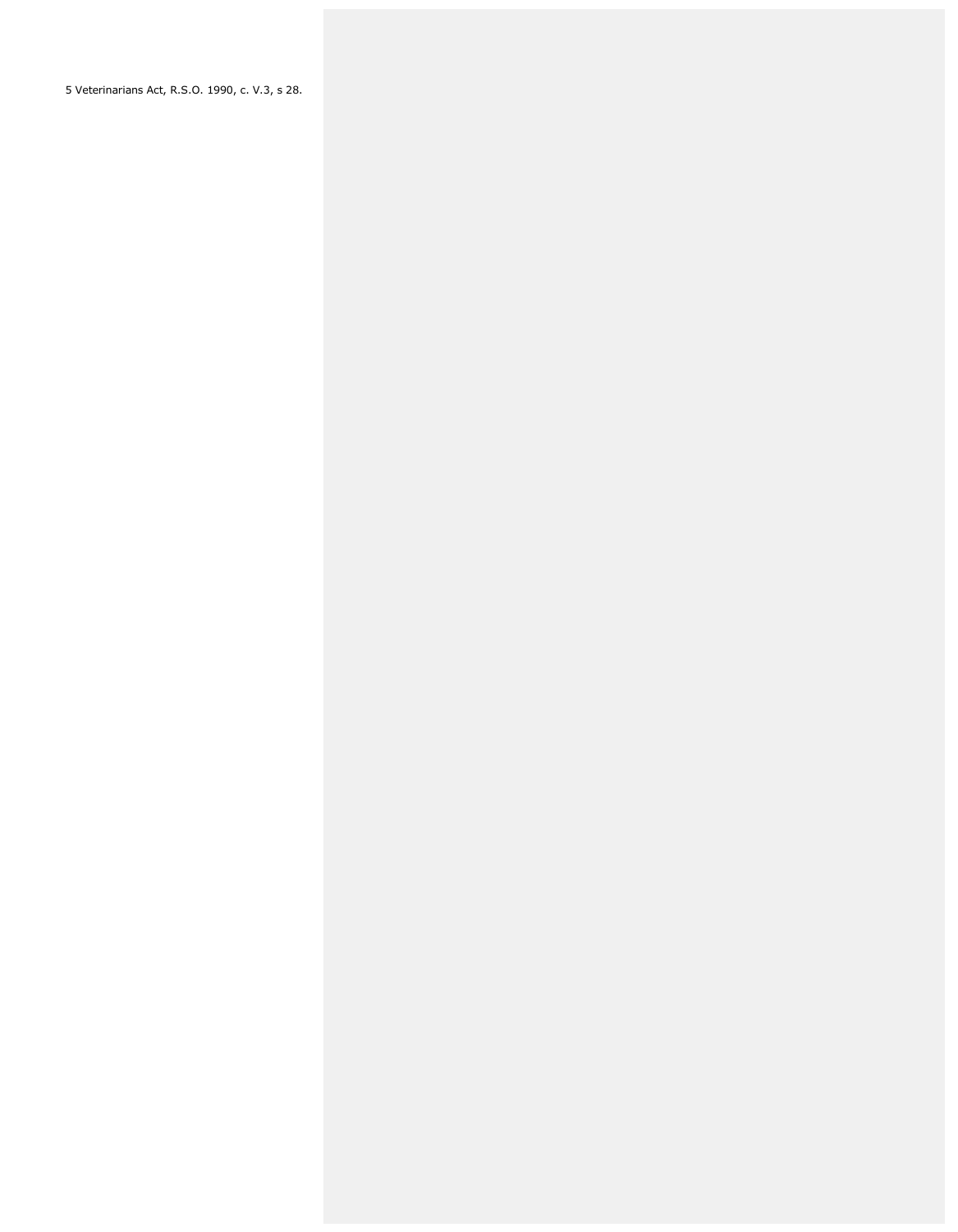5 Veterinarians Act, R.S.O. 1990, c. V.3, s 28.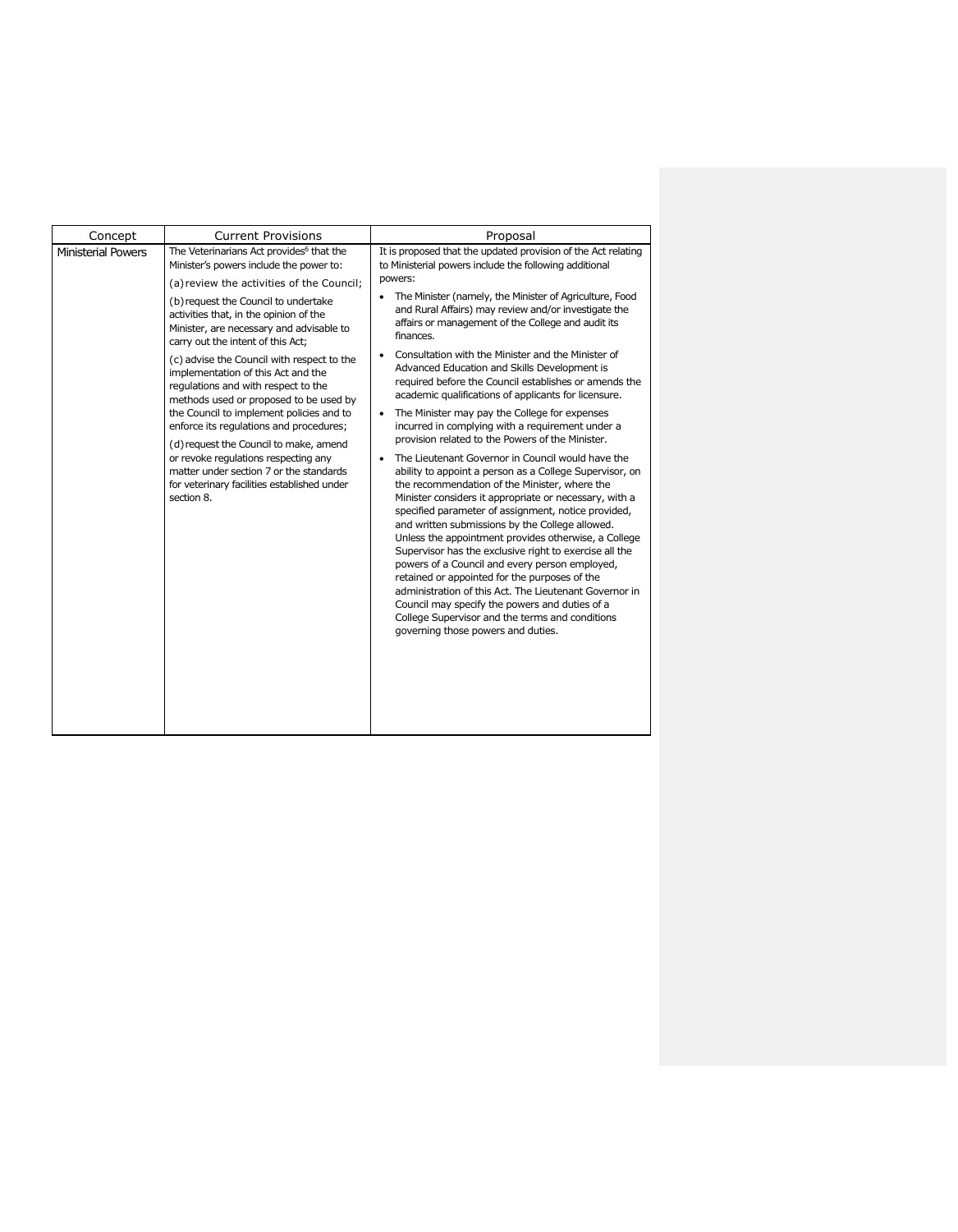| Concept                   | <b>Current Provisions</b>                                                                                                                                                                                                                                                                                                                                                                                                                                                                                                                                                                                                                                                                                                                                             | Proposal                                                                                                                                                                                                                                                                                                                                                                                                                                                                                                                                                                                                                                                                                                                                                                                                                                                                                                                                                                                                                                                                                                                                                                                                                                                                                                                                                                                                                                                                             |
|---------------------------|-----------------------------------------------------------------------------------------------------------------------------------------------------------------------------------------------------------------------------------------------------------------------------------------------------------------------------------------------------------------------------------------------------------------------------------------------------------------------------------------------------------------------------------------------------------------------------------------------------------------------------------------------------------------------------------------------------------------------------------------------------------------------|--------------------------------------------------------------------------------------------------------------------------------------------------------------------------------------------------------------------------------------------------------------------------------------------------------------------------------------------------------------------------------------------------------------------------------------------------------------------------------------------------------------------------------------------------------------------------------------------------------------------------------------------------------------------------------------------------------------------------------------------------------------------------------------------------------------------------------------------------------------------------------------------------------------------------------------------------------------------------------------------------------------------------------------------------------------------------------------------------------------------------------------------------------------------------------------------------------------------------------------------------------------------------------------------------------------------------------------------------------------------------------------------------------------------------------------------------------------------------------------|
| <b>Ministerial Powers</b> | The Veterinarians Act provides <sup>6</sup> that the<br>Minister's powers include the power to:<br>(a) review the activities of the Council;<br>(b) request the Council to undertake<br>activities that, in the opinion of the<br>Minister, are necessary and advisable to<br>carry out the intent of this Act;<br>(c) advise the Council with respect to the<br>implementation of this Act and the<br>regulations and with respect to the<br>methods used or proposed to be used by<br>the Council to implement policies and to<br>enforce its regulations and procedures;<br>(d) request the Council to make, amend<br>or revoke regulations respecting any<br>matter under section 7 or the standards<br>for veterinary facilities established under<br>section 8. | It is proposed that the updated provision of the Act relating<br>to Ministerial powers include the following additional<br>powers:<br>The Minister (namely, the Minister of Agriculture, Food<br>and Rural Affairs) may review and/or investigate the<br>affairs or management of the College and audit its<br>finances.<br>Consultation with the Minister and the Minister of<br>Advanced Education and Skills Development is<br>required before the Council establishes or amends the<br>academic qualifications of applicants for licensure.<br>The Minister may pay the College for expenses<br>$\bullet$<br>incurred in complying with a requirement under a<br>provision related to the Powers of the Minister.<br>The Lieutenant Governor in Council would have the<br>ability to appoint a person as a College Supervisor, on<br>the recommendation of the Minister, where the<br>Minister considers it appropriate or necessary, with a<br>specified parameter of assignment, notice provided,<br>and written submissions by the College allowed.<br>Unless the appointment provides otherwise, a College<br>Supervisor has the exclusive right to exercise all the<br>powers of a Council and every person employed,<br>retained or appointed for the purposes of the<br>administration of this Act. The Lieutenant Governor in<br>Council may specify the powers and duties of a<br>College Supervisor and the terms and conditions<br>governing those powers and duties. |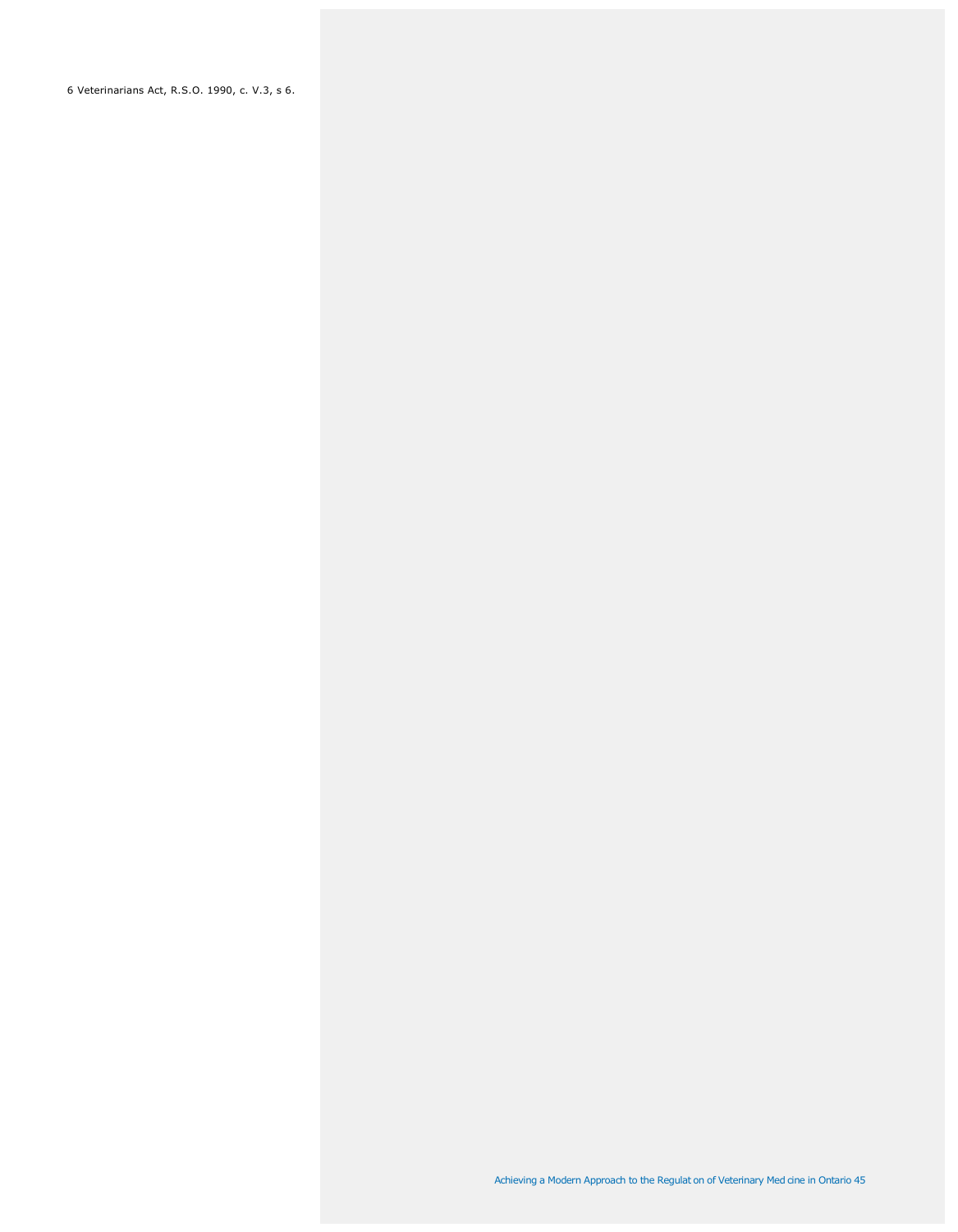6 Veterinarians Act, R.S.O. 1990, c. V.3, s 6.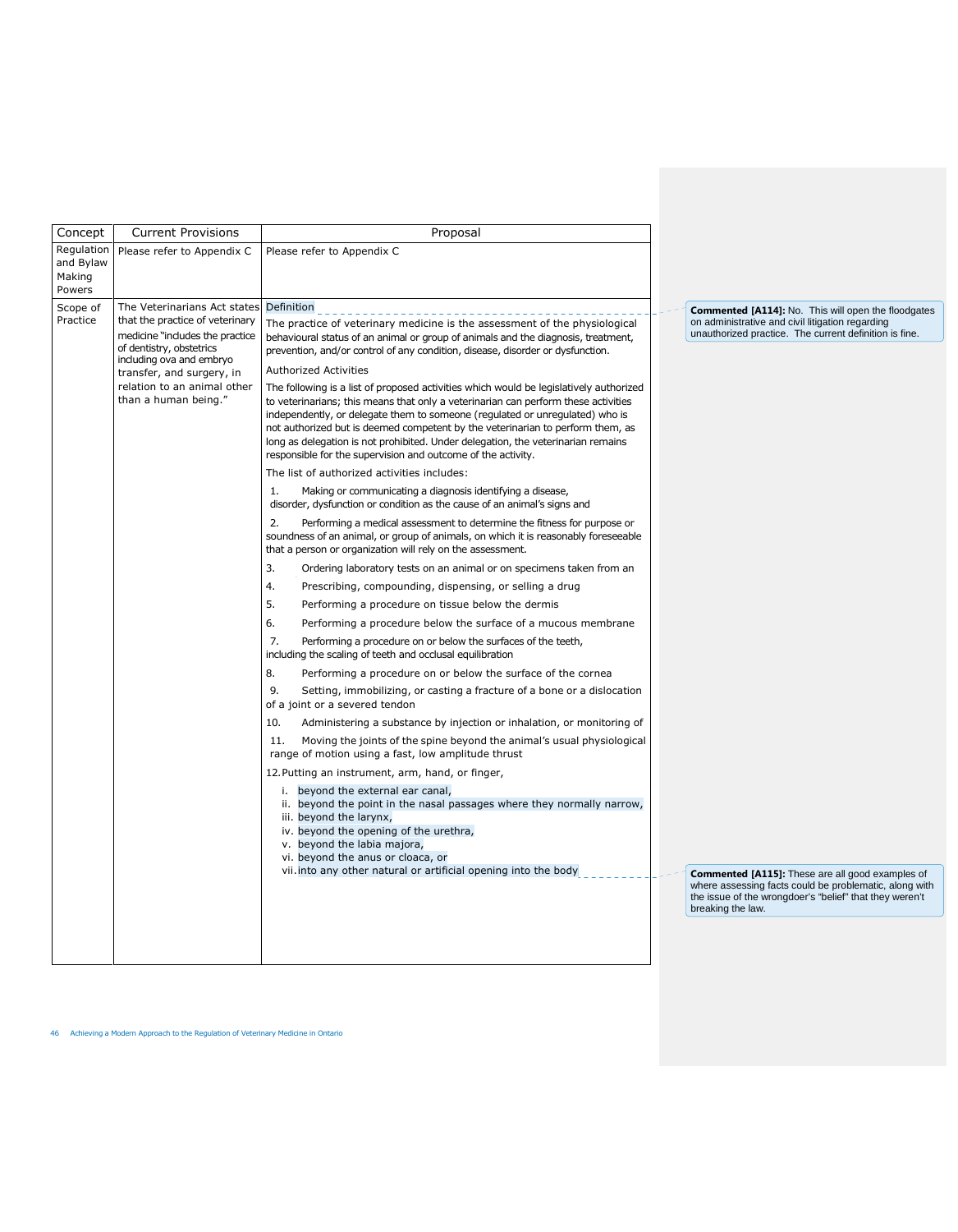| Concept                                     | <b>Current Provisions</b>                                                                                                                                                                                                                      | Proposal                                                                                                                                                                                                                                                                                                                                                                                                                                                                                                                                                                                                                                                                                                                                                                                                                                                                                                                                                                                                                                                                                                                                                                                                                                                                                                                                                                                                                                                                                                                                                                                                                                                                                                                                                                                                                                                                                                                                                                                                                                                                                                                                                                                                                                                                                                                                                                                                                                                |                                                                                                                                                                                                                                                                                                                                                                               |
|---------------------------------------------|------------------------------------------------------------------------------------------------------------------------------------------------------------------------------------------------------------------------------------------------|---------------------------------------------------------------------------------------------------------------------------------------------------------------------------------------------------------------------------------------------------------------------------------------------------------------------------------------------------------------------------------------------------------------------------------------------------------------------------------------------------------------------------------------------------------------------------------------------------------------------------------------------------------------------------------------------------------------------------------------------------------------------------------------------------------------------------------------------------------------------------------------------------------------------------------------------------------------------------------------------------------------------------------------------------------------------------------------------------------------------------------------------------------------------------------------------------------------------------------------------------------------------------------------------------------------------------------------------------------------------------------------------------------------------------------------------------------------------------------------------------------------------------------------------------------------------------------------------------------------------------------------------------------------------------------------------------------------------------------------------------------------------------------------------------------------------------------------------------------------------------------------------------------------------------------------------------------------------------------------------------------------------------------------------------------------------------------------------------------------------------------------------------------------------------------------------------------------------------------------------------------------------------------------------------------------------------------------------------------------------------------------------------------------------------------------------------------|-------------------------------------------------------------------------------------------------------------------------------------------------------------------------------------------------------------------------------------------------------------------------------------------------------------------------------------------------------------------------------|
| Regulation<br>and Bylaw<br>Making<br>Powers | Please refer to Appendix C                                                                                                                                                                                                                     | Please refer to Appendix C                                                                                                                                                                                                                                                                                                                                                                                                                                                                                                                                                                                                                                                                                                                                                                                                                                                                                                                                                                                                                                                                                                                                                                                                                                                                                                                                                                                                                                                                                                                                                                                                                                                                                                                                                                                                                                                                                                                                                                                                                                                                                                                                                                                                                                                                                                                                                                                                                              |                                                                                                                                                                                                                                                                                                                                                                               |
| Scope of<br>Practice                        | The Veterinarians Act states<br>that the practice of veterinary<br>medicine "includes the practice<br>of dentistry, obstetrics<br>including ova and embryo<br>transfer, and surgery, in<br>relation to an animal other<br>than a human being." | Definition<br>The practice of veterinary medicine is the assessment of the physiological<br>behavioural status of an animal or group of animals and the diagnosis, treatment,<br>prevention, and/or control of any condition, disease, disorder or dysfunction.<br>Authorized Activities<br>The following is a list of proposed activities which would be legislatively authorized<br>to veterinarians; this means that only a veterinarian can perform these activities<br>independently, or delegate them to someone (regulated or unregulated) who is<br>not authorized but is deemed competent by the veterinarian to perform them, as<br>long as delegation is not prohibited. Under delegation, the veterinarian remains<br>responsible for the supervision and outcome of the activity.<br>The list of authorized activities includes:<br>Making or communicating a diagnosis identifying a disease,<br>1.<br>disorder, dysfunction or condition as the cause of an animal's signs and<br>2.<br>Performing a medical assessment to determine the fitness for purpose or<br>soundness of an animal, or group of animals, on which it is reasonably foreseeable<br>that a person or organization will rely on the assessment.<br>3.<br>Ordering laboratory tests on an animal or on specimens taken from an<br>4.<br>Prescribing, compounding, dispensing, or selling a drug<br>5.<br>Performing a procedure on tissue below the dermis<br>6.<br>Performing a procedure below the surface of a mucous membrane<br>7.<br>Performing a procedure on or below the surfaces of the teeth,<br>including the scaling of teeth and occlusal equilibration<br>8.<br>Performing a procedure on or below the surface of the cornea<br>9.<br>Setting, immobilizing, or casting a fracture of a bone or a dislocation<br>of a joint or a severed tendon<br>10.<br>Administering a substance by injection or inhalation, or monitoring of<br>Moving the joints of the spine beyond the animal's usual physiological<br>11.<br>range of motion using a fast, low amplitude thrust<br>12. Putting an instrument, arm, hand, or finger,<br>i. beyond the external ear canal,<br>ii. beyond the point in the nasal passages where they normally narrow,<br>iii. beyond the larynx,<br>iv. beyond the opening of the urethra,<br>v. beyond the labia majora,<br>vi. beyond the anus or cloaca, or<br>vii. into any other natural or artificial opening into the body | <b>Commented [A114]:</b> No. This will open the floodgates<br>on administrative and civil litigation regarding<br>unauthorized practice. The current definition is fine.<br><b>Commented [A115]:</b> These are all good examples of<br>where assessing facts could be problematic, along with<br>the issue of the wrongdoer's "belief" that they weren't<br>breaking the law. |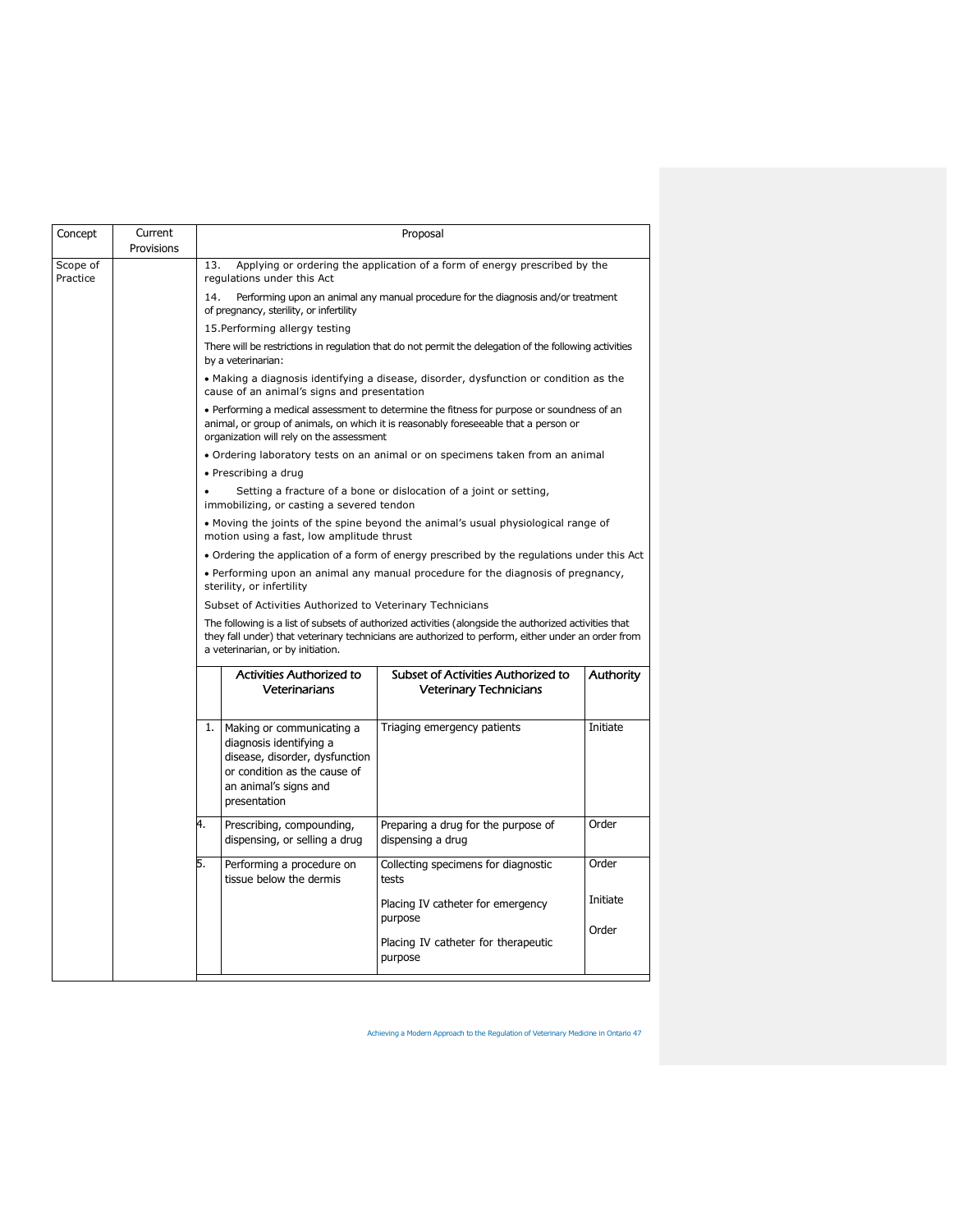| Concept              | Current<br>Provisions | Proposal                                                                                                                                                                                                                                         |                                                                                   |          |  |  |
|----------------------|-----------------------|--------------------------------------------------------------------------------------------------------------------------------------------------------------------------------------------------------------------------------------------------|-----------------------------------------------------------------------------------|----------|--|--|
| Scope of<br>Practice |                       | Applying or ordering the application of a form of energy prescribed by the<br>13.<br>regulations under this Act                                                                                                                                  |                                                                                   |          |  |  |
|                      |                       | Performing upon an animal any manual procedure for the diagnosis and/or treatment<br>14.<br>of pregnancy, sterility, or infertility                                                                                                              |                                                                                   |          |  |  |
|                      |                       | 15. Performing allergy testing                                                                                                                                                                                                                   |                                                                                   |          |  |  |
|                      |                       | There will be restrictions in regulation that do not permit the delegation of the following activities<br>by a veterinarian:                                                                                                                     |                                                                                   |          |  |  |
|                      |                       | • Making a diagnosis identifying a disease, disorder, dysfunction or condition as the<br>cause of an animal's signs and presentation                                                                                                             |                                                                                   |          |  |  |
|                      |                       | • Performing a medical assessment to determine the fitness for purpose or soundness of an<br>animal, or group of animals, on which it is reasonably foreseeable that a person or<br>organization will rely on the assessment                     |                                                                                   |          |  |  |
|                      |                       |                                                                                                                                                                                                                                                  | • Ordering laboratory tests on an animal or on specimens taken from an animal     |          |  |  |
|                      |                       | · Prescribing a drug                                                                                                                                                                                                                             |                                                                                   |          |  |  |
|                      |                       | $\bullet$<br>immobilizing, or casting a severed tendon                                                                                                                                                                                           | Setting a fracture of a bone or dislocation of a joint or setting,                |          |  |  |
|                      |                       | motion using a fast, low amplitude thrust                                                                                                                                                                                                        | • Moving the joints of the spine beyond the animal's usual physiological range of |          |  |  |
|                      |                       | • Ordering the application of a form of energy prescribed by the regulations under this Act<br>• Performing upon an animal any manual procedure for the diagnosis of pregnancy,<br>sterility, or infertility                                     |                                                                                   |          |  |  |
|                      |                       |                                                                                                                                                                                                                                                  |                                                                                   |          |  |  |
|                      |                       | Subset of Activities Authorized to Veterinary Technicians                                                                                                                                                                                        |                                                                                   |          |  |  |
|                      |                       | The following is a list of subsets of authorized activities (alongside the authorized activities that<br>they fall under) that veterinary technicians are authorized to perform, either under an order from<br>a veterinarian, or by initiation. |                                                                                   |          |  |  |
|                      |                       | <b>Activities Authorized to</b><br>Subset of Activities Authorized to<br><b>Authority</b><br>Veterinarians<br><b>Veterinary Technicians</b>                                                                                                      |                                                                                   |          |  |  |
|                      |                       | 1.<br>Making or communicating a<br>diagnosis identifying a<br>disease, disorder, dysfunction<br>or condition as the cause of<br>an animal's signs and<br>presentation                                                                            | Triaging emergency patients                                                       | Initiate |  |  |
|                      |                       | 4.<br>Prescribing, compounding,<br>dispensing, or selling a drug                                                                                                                                                                                 | Preparing a drug for the purpose of<br>dispensing a drug                          | Order    |  |  |
|                      |                       | 5.<br>Performing a procedure on<br>tissue below the dermis                                                                                                                                                                                       | Collecting specimens for diagnostic<br>tests                                      | Order    |  |  |
|                      |                       |                                                                                                                                                                                                                                                  | Placing IV catheter for emergency<br>purpose                                      | Initiate |  |  |
|                      |                       |                                                                                                                                                                                                                                                  | Placing IV catheter for therapeutic<br>purpose                                    | Order    |  |  |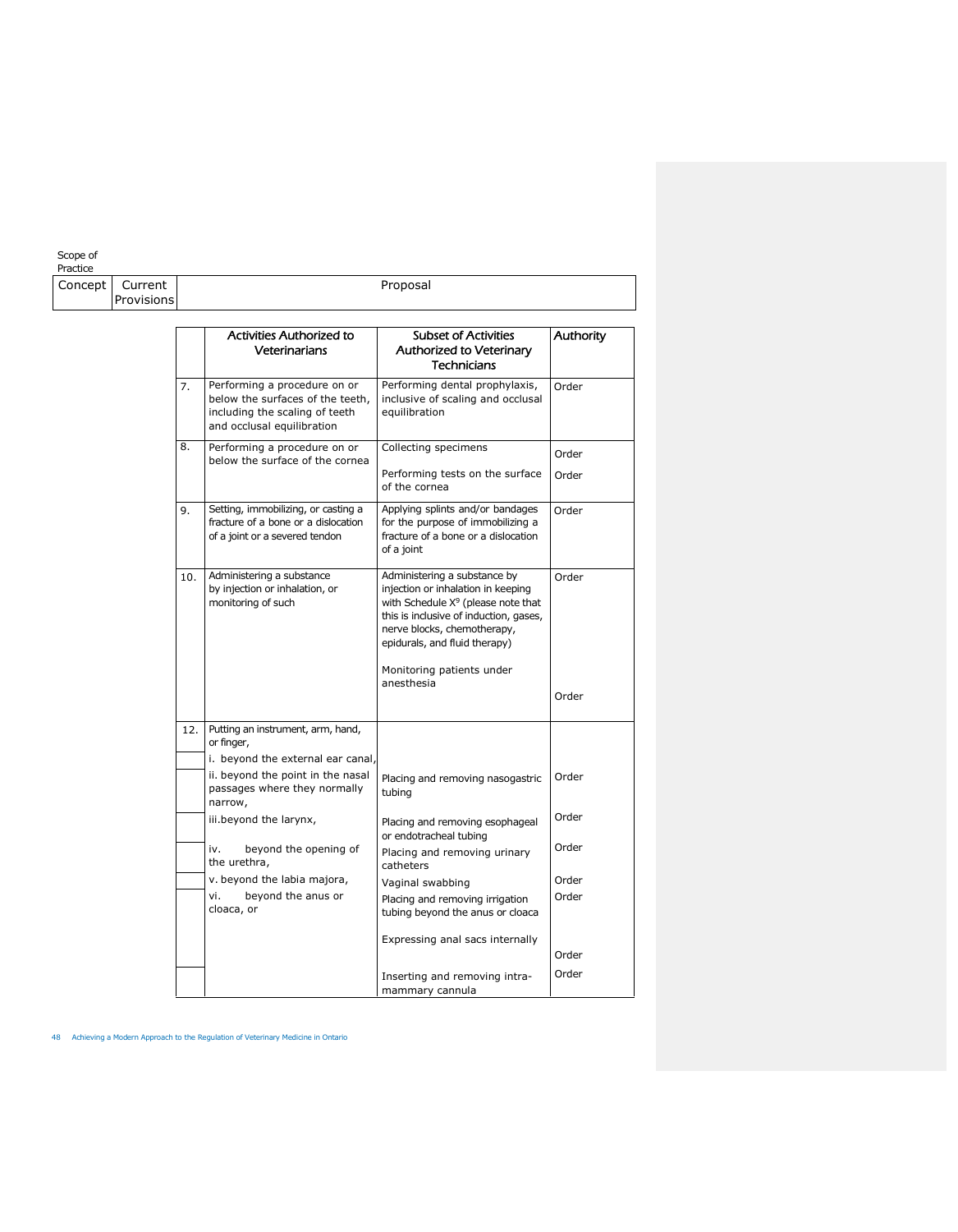#### Scope of

| Concept | Current    |     |                                                                                                                                  | Proposal                                                                                                                                                                                                              |                |
|---------|------------|-----|----------------------------------------------------------------------------------------------------------------------------------|-----------------------------------------------------------------------------------------------------------------------------------------------------------------------------------------------------------------------|----------------|
|         | Provisions |     |                                                                                                                                  |                                                                                                                                                                                                                       |                |
|         |            |     | <b>Activities Authorized to</b><br>Veterinarians                                                                                 | <b>Subset of Activities</b><br><b>Authorized to Veterinary</b><br><b>Technicians</b>                                                                                                                                  | Authority      |
|         |            | 7.  | Performing a procedure on or<br>below the surfaces of the teeth,<br>including the scaling of teeth<br>and occlusal equilibration | Performing dental prophylaxis,<br>inclusive of scaling and occlusal<br>equilibration                                                                                                                                  | Order          |
|         |            | 8.  | Performing a procedure on or<br>below the surface of the cornea                                                                  | Collecting specimens<br>Performing tests on the surface<br>of the cornea                                                                                                                                              | Order<br>Order |
|         |            | 9.  | Setting, immobilizing, or casting a<br>fracture of a bone or a dislocation<br>of a joint or a severed tendon                     | Applying splints and/or bandages<br>for the purpose of immobilizing a<br>fracture of a bone or a dislocation<br>of a joint                                                                                            | Order          |
|         |            | 10. | Administering a substance<br>by injection or inhalation, or<br>monitoring of such                                                | Administering a substance by<br>injection or inhalation in keeping<br>with Schedule $X^9$ (please note that<br>this is inclusive of induction, gases,<br>nerve blocks, chemotherapy,<br>epidurals, and fluid therapy) | Order          |
|         |            |     |                                                                                                                                  | Monitoring patients under<br>anesthesia                                                                                                                                                                               | Order          |
|         |            | 12. | Putting an instrument, arm, hand,<br>or finger,<br>i. beyond the external ear canal,                                             |                                                                                                                                                                                                                       |                |
|         |            |     | ii. beyond the point in the nasal<br>passages where they normally<br>narrow,                                                     | Placing and removing nasogastric<br>tubing                                                                                                                                                                            | Order          |
|         |            |     | iii.beyond the larynx,                                                                                                           | Placing and removing esophageal<br>or endotracheal tubing                                                                                                                                                             | Order          |
|         |            |     | beyond the opening of<br>iv.<br>the urethra,                                                                                     | Placing and removing urinary<br>catheters                                                                                                                                                                             | Order          |
|         |            |     | v. beyond the labia majora,                                                                                                      | Vaginal swabbing                                                                                                                                                                                                      | Order          |
|         |            |     | vi.<br>beyond the anus or<br>cloaca, or                                                                                          | Placing and removing irrigation<br>tubing beyond the anus or cloaca                                                                                                                                                   | Order          |
|         |            |     |                                                                                                                                  | Expressing anal sacs internally                                                                                                                                                                                       | Order          |
|         |            |     |                                                                                                                                  | Inserting and removing intra-                                                                                                                                                                                         | Order          |

mammary cannula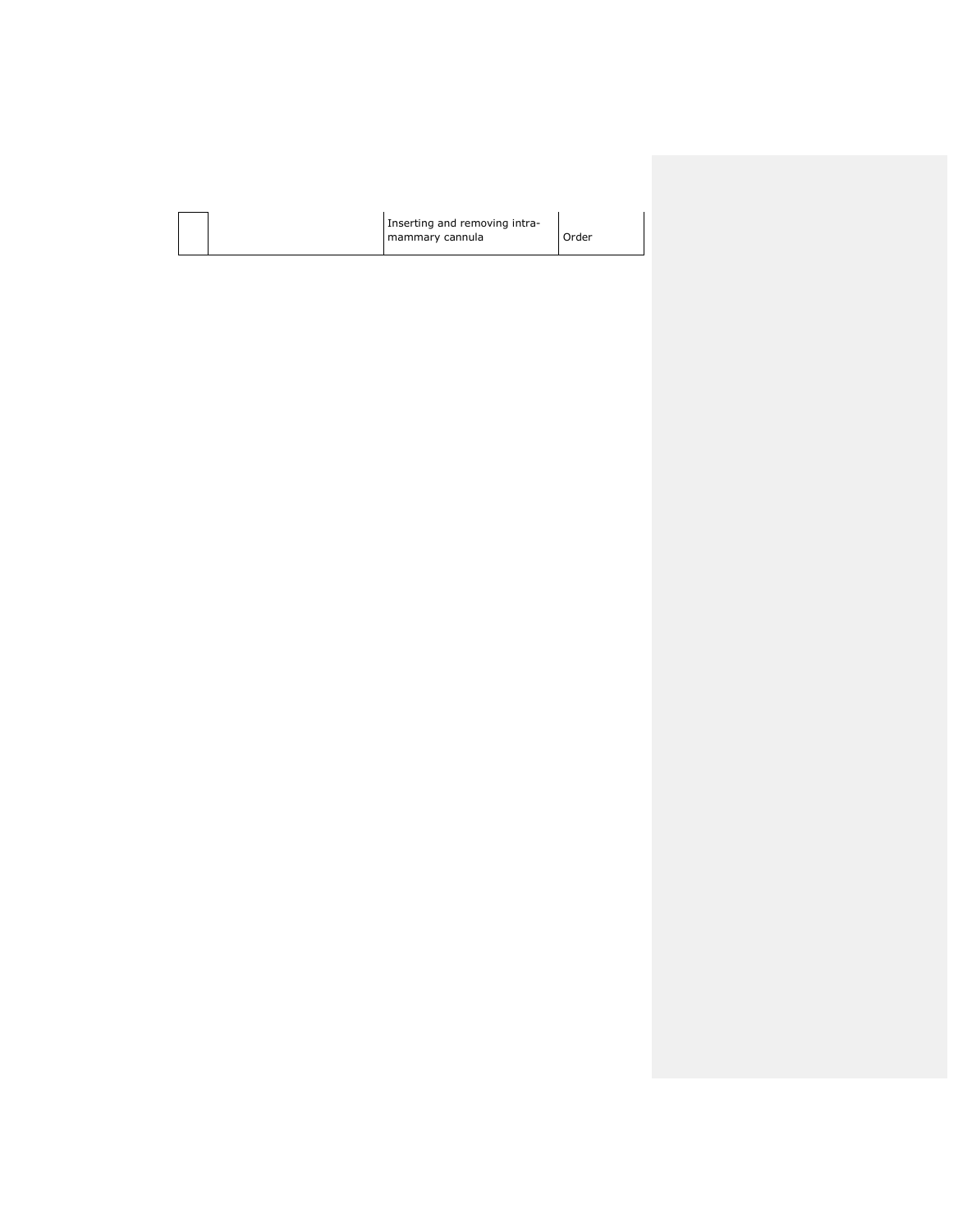| Inserting and removing intra-<br>mammary cannula | Order |  |
|--------------------------------------------------|-------|--|
|                                                  |       |  |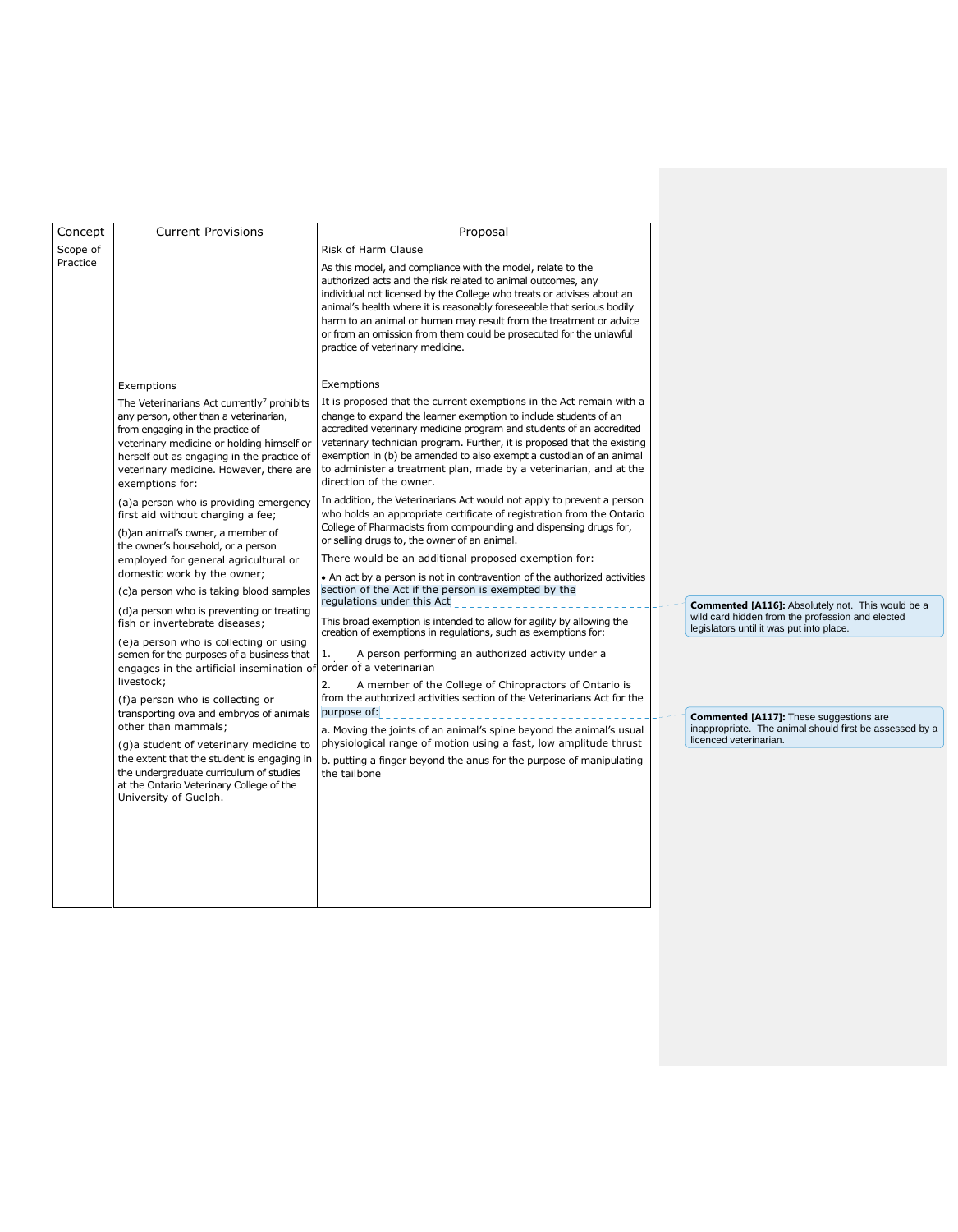| Concept  | <b>Current Provisions</b>                                                                                                                                                                                                                                                                                                                                                                                                | Proposal                                                                                                                                                                                                                                                                                                                                                                                                                                                            |                                                                                                                                                          |                                                                                                                                                        |                                         |
|----------|--------------------------------------------------------------------------------------------------------------------------------------------------------------------------------------------------------------------------------------------------------------------------------------------------------------------------------------------------------------------------------------------------------------------------|---------------------------------------------------------------------------------------------------------------------------------------------------------------------------------------------------------------------------------------------------------------------------------------------------------------------------------------------------------------------------------------------------------------------------------------------------------------------|----------------------------------------------------------------------------------------------------------------------------------------------------------|--------------------------------------------------------------------------------------------------------------------------------------------------------|-----------------------------------------|
| Scope of |                                                                                                                                                                                                                                                                                                                                                                                                                          | Risk of Harm Clause                                                                                                                                                                                                                                                                                                                                                                                                                                                 |                                                                                                                                                          |                                                                                                                                                        |                                         |
| Practice |                                                                                                                                                                                                                                                                                                                                                                                                                          | As this model, and compliance with the model, relate to the<br>authorized acts and the risk related to animal outcomes, any<br>individual not licensed by the College who treats or advises about an<br>animal's health where it is reasonably foreseeable that serious bodily<br>harm to an animal or human may result from the treatment or advice<br>or from an omission from them could be prosecuted for the unlawful<br>practice of veterinary medicine.      |                                                                                                                                                          |                                                                                                                                                        |                                         |
|          | Exemptions                                                                                                                                                                                                                                                                                                                                                                                                               | Exemptions                                                                                                                                                                                                                                                                                                                                                                                                                                                          |                                                                                                                                                          |                                                                                                                                                        |                                         |
|          | The Veterinarians Act currently <sup>7</sup> prohibits<br>any person, other than a veterinarian,<br>from engaging in the practice of<br>veterinary medicine or holding himself or<br>herself out as engaging in the practice of<br>veterinary medicine. However, there are<br>exemptions for:                                                                                                                            | It is proposed that the current exemptions in the Act remain with a<br>change to expand the learner exemption to include students of an<br>accredited veterinary medicine program and students of an accredited<br>veterinary technician program. Further, it is proposed that the existing<br>exemption in (b) be amended to also exempt a custodian of an animal<br>to administer a treatment plan, made by a veterinarian, and at the<br>direction of the owner. |                                                                                                                                                          |                                                                                                                                                        |                                         |
|          | (a) a person who is providing emergency<br>first aid without charging a fee;                                                                                                                                                                                                                                                                                                                                             | In addition, the Veterinarians Act would not apply to prevent a person<br>who holds an appropriate certificate of registration from the Ontario<br>College of Pharmacists from compounding and dispensing drugs for,                                                                                                                                                                                                                                                |                                                                                                                                                          |                                                                                                                                                        |                                         |
|          | (b)an animal's owner, a member of<br>the owner's household, or a person                                                                                                                                                                                                                                                                                                                                                  | or selling drugs to, the owner of an animal.                                                                                                                                                                                                                                                                                                                                                                                                                        |                                                                                                                                                          |                                                                                                                                                        |                                         |
|          | employed for general agricultural or<br>domestic work by the owner;                                                                                                                                                                                                                                                                                                                                                      | There would be an additional proposed exemption for:<br>• An act by a person is not in contravention of the authorized activities                                                                                                                                                                                                                                                                                                                                   |                                                                                                                                                          |                                                                                                                                                        |                                         |
|          | (c)a person who is taking blood samples<br>(d)a person who is preventing or treating<br>fish or invertebrate diseases;<br>(e)a person who is collecting or using<br>semen for the purposes of a business that<br>engages in the artificial insemination of<br>livestock;<br>(f)a person who is collecting or<br>transporting ova and embryos of animals<br>other than mammals;<br>(g)a student of veterinary medicine to | section of the Act if the person is exempted by the                                                                                                                                                                                                                                                                                                                                                                                                                 |                                                                                                                                                          |                                                                                                                                                        |                                         |
|          |                                                                                                                                                                                                                                                                                                                                                                                                                          | regulations under this Act<br>This broad exemption is intended to allow for agility by allowing the<br>creation of exemptions in regulations, such as exemptions for:                                                                                                                                                                                                                                                                                               | <b>Commented [A116]:</b> Absolutely not. This would be a<br>wild card hidden from the profession and elected<br>legislators until it was put into place. |                                                                                                                                                        |                                         |
|          |                                                                                                                                                                                                                                                                                                                                                                                                                          | 1.<br>A person performing an authorized activity under a<br>order of a veterinarian                                                                                                                                                                                                                                                                                                                                                                                 |                                                                                                                                                          |                                                                                                                                                        |                                         |
|          |                                                                                                                                                                                                                                                                                                                                                                                                                          |                                                                                                                                                                                                                                                                                                                                                                                                                                                                     |                                                                                                                                                          | A member of the College of Chiropractors of Ontario is<br>2.<br>from the authorized activities section of the Veterinarians Act for the<br>purpose of: | Commented [A117]: These suggestions are |
|          |                                                                                                                                                                                                                                                                                                                                                                                                                          | a. Moving the joints of an animal's spine beyond the animal's usual<br>physiological range of motion using a fast, low amplitude thrust                                                                                                                                                                                                                                                                                                                             | inappropriate. The animal should first be assessed by a<br>licenced veterinarian.                                                                        |                                                                                                                                                        |                                         |
|          | the extent that the student is engaging in<br>the undergraduate curriculum of studies<br>at the Ontario Veterinary College of the<br>University of Guelph.                                                                                                                                                                                                                                                               | b. putting a finger beyond the anus for the purpose of manipulating<br>the tailbone                                                                                                                                                                                                                                                                                                                                                                                 |                                                                                                                                                          |                                                                                                                                                        |                                         |
|          |                                                                                                                                                                                                                                                                                                                                                                                                                          |                                                                                                                                                                                                                                                                                                                                                                                                                                                                     |                                                                                                                                                          |                                                                                                                                                        |                                         |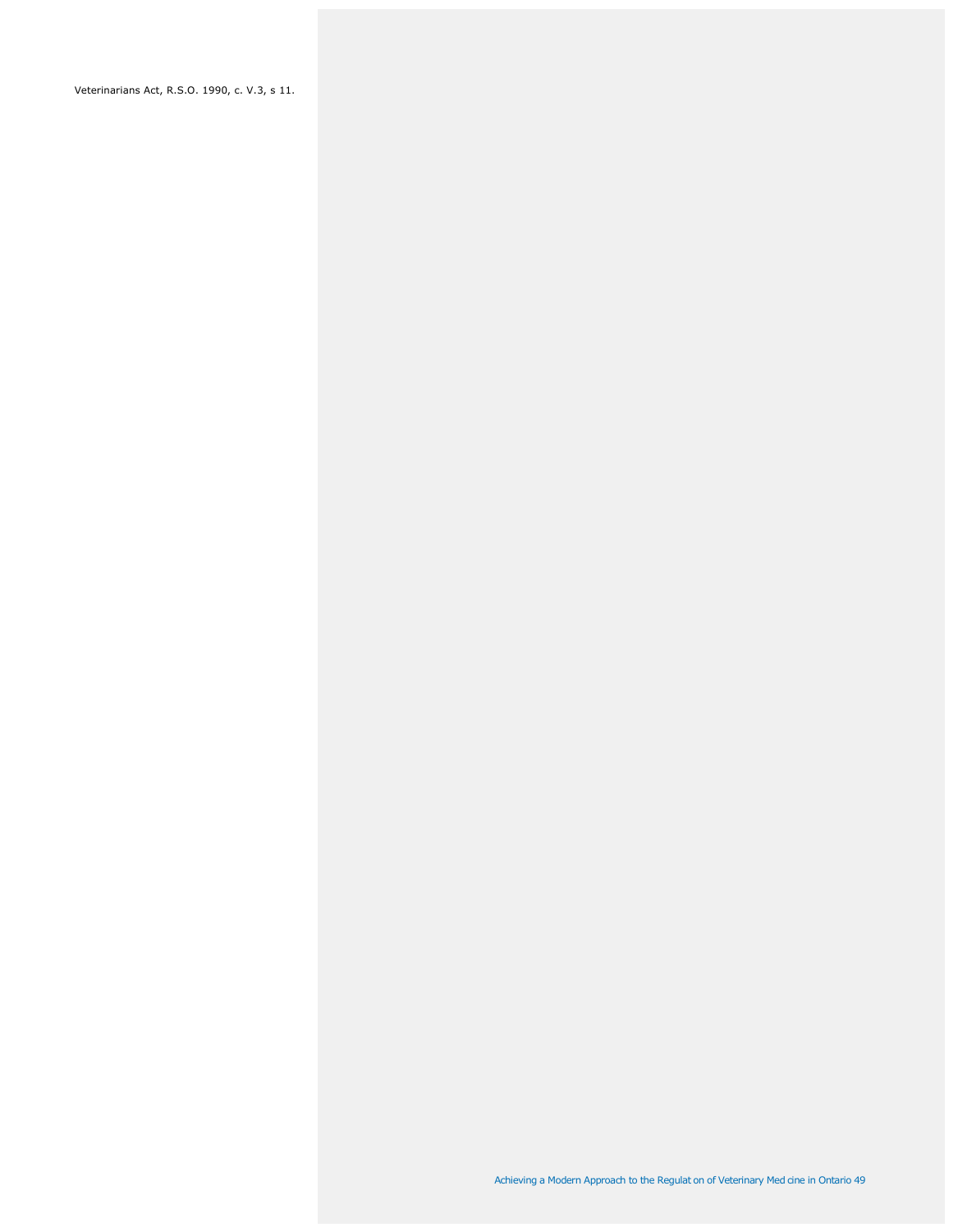Veterinarians Act, R.S.O. 1990, c. V.3, s 11.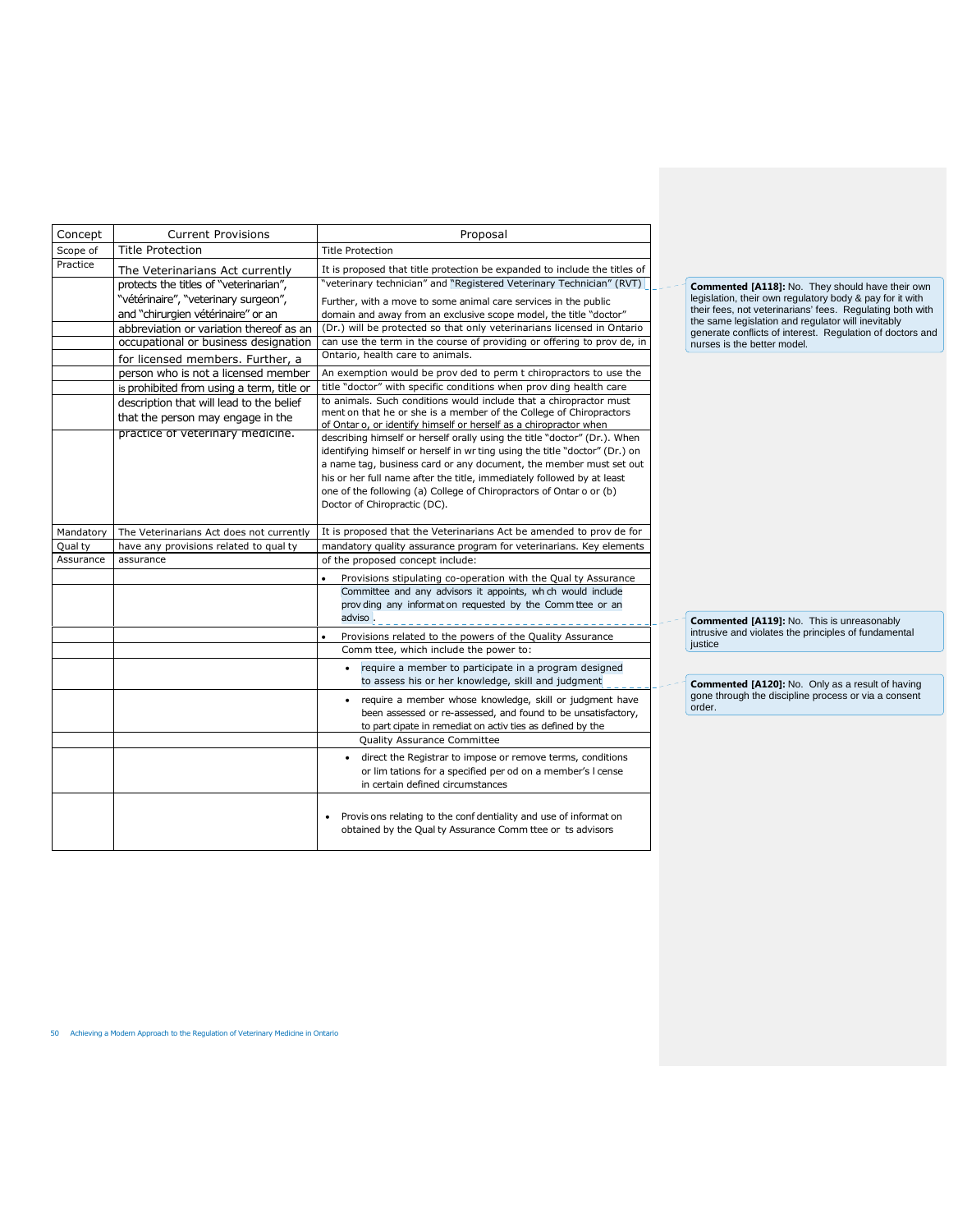| Concept   | <b>Current Provisions</b>                                                     | Proposal                                                                                                                                                                                                      |
|-----------|-------------------------------------------------------------------------------|---------------------------------------------------------------------------------------------------------------------------------------------------------------------------------------------------------------|
| Scope of  | <b>Title Protection</b>                                                       | <b>Title Protection</b>                                                                                                                                                                                       |
| Practice  | The Veterinarians Act currently                                               | It is proposed that title protection be expanded to include the titles of                                                                                                                                     |
|           | protects the titles of "veterinarian",                                        | "veterinary technician" and "Registered Veterinary Technician" (RVT)                                                                                                                                          |
|           | "vétérinaire", "veterinary surgeon",                                          | Further, with a move to some animal care services in the public                                                                                                                                               |
|           | and "chirurgien vétérinaire" or an                                            | domain and away from an exclusive scope model, the title "doctor"                                                                                                                                             |
|           | abbreviation or variation thereof as an                                       | (Dr.) will be protected so that only veterinarians licensed in Ontario                                                                                                                                        |
|           | occupational or business designation                                          | can use the term in the course of providing or offering to prov de, in                                                                                                                                        |
|           | for licensed members. Further, a                                              | Ontario, health care to animals.                                                                                                                                                                              |
|           | person who is not a licensed member                                           | An exemption would be prov ded to perm t chiropractors to use the                                                                                                                                             |
|           | is prohibited from using a term, title or                                     | title "doctor" with specific conditions when prov ding health care                                                                                                                                            |
|           | description that will lead to the belief<br>that the person may engage in the | to animals. Such conditions would include that a chiropractor must<br>ment on that he or she is a member of the College of Chiropractors<br>of Ontar o, or identify himself or herself as a chiropractor when |
|           | practice of veterinary medicine.                                              | describing himself or herself orally using the title "doctor" (Dr.). When                                                                                                                                     |
|           |                                                                               | identifying himself or herself in wr ting using the title "doctor" (Dr.) on                                                                                                                                   |
|           |                                                                               | a name tag, business card or any document, the member must set out                                                                                                                                            |
|           |                                                                               | his or her full name after the title, immediately followed by at least                                                                                                                                        |
|           |                                                                               | one of the following (a) College of Chiropractors of Ontar o or (b)<br>Doctor of Chiropractic (DC).                                                                                                           |
|           |                                                                               |                                                                                                                                                                                                               |
| Mandatory | The Veterinarians Act does not currently                                      | It is proposed that the Veterinarians Act be amended to prov de for                                                                                                                                           |
| Qual ty   | have any provisions related to qual ty                                        | mandatory quality assurance program for veterinarians. Key elements                                                                                                                                           |
| Assurance | assurance                                                                     | of the proposed concept include:                                                                                                                                                                              |
|           |                                                                               | Provisions stipulating co-operation with the Qual ty Assurance                                                                                                                                                |
|           |                                                                               | Committee and any advisors it appoints, wh ch would include<br>prov ding any information requested by the Committee or an<br>adviso                                                                           |
|           |                                                                               | Provisions related to the powers of the Quality Assurance                                                                                                                                                     |
|           |                                                                               | Comm ttee, which include the power to:                                                                                                                                                                        |
|           |                                                                               | require a member to participate in a program designed<br>$\bullet$<br>to assess his or her knowledge, skill and judgment                                                                                      |
|           |                                                                               | require a member whose knowledge, skill or judgment have<br>$\bullet$<br>been assessed or re-assessed, and found to be unsatisfactory,<br>to part cipate in remediat on activ ties as defined by the          |
|           |                                                                               | <b>Quality Assurance Committee</b>                                                                                                                                                                            |
|           |                                                                               | direct the Registrar to impose or remove terms, conditions<br>٠<br>or lim tations for a specified per od on a member's I cense<br>in certain defined circumstances                                            |
|           |                                                                               | Provisions relating to the confidentiality and use of information<br>obtained by the Qual ty Assurance Comm ttee or ts advisors                                                                               |

**Commented [A118]:** No. They should have their own<br>legislation, their own regulatory body & pay for it with<br>their fees, not veterinarians' fees. Regulating both with<br>the same legislation and regulator will inevitably<br>gener nurses is the better model.

**Commented [A119]:** No. This is unreasonably<br>intrusive and violates the principles of fundamental<br>justice

**Commented [A120]:** No. Only as a result of having<br>gone through the discipline process or via a consent<br>order.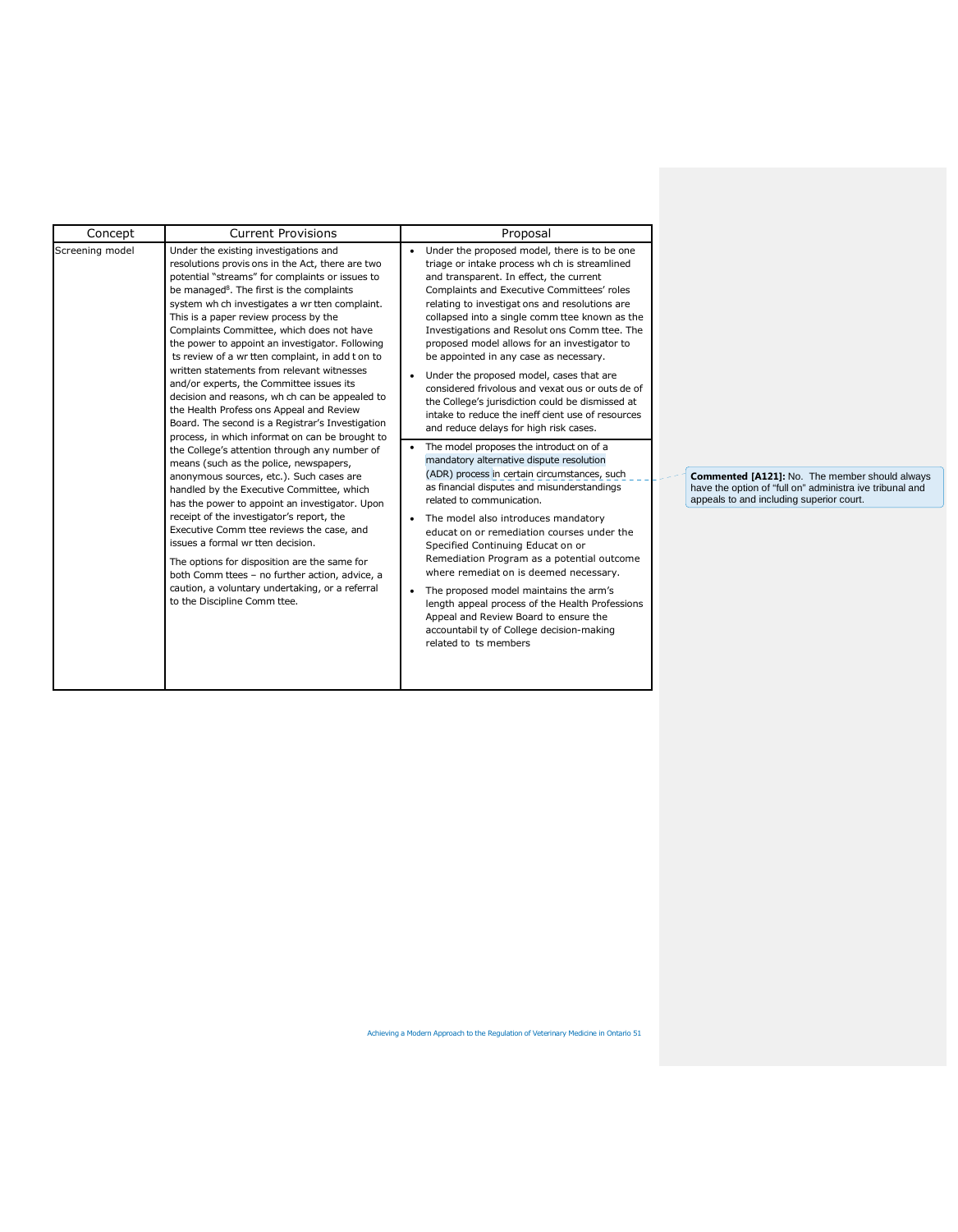| Concept         | <b>Current Provisions</b>                                                                                                                                                                                                                                                                                                                                                                                                                                                                                                                                                                                                                                                                                                                                                                                                                                                                                                                                                                                                                                                                                                                                                                                                                                                                                     | Proposal                                                                                                                                                                                                                                                                                                                                                                                                                                                                                                                                                                                                                                                                                                                                                                                                                                                                                                                                                                                                                                                                                                                                                                                                                                                                                                                                       |                                                                                                                                                               |
|-----------------|---------------------------------------------------------------------------------------------------------------------------------------------------------------------------------------------------------------------------------------------------------------------------------------------------------------------------------------------------------------------------------------------------------------------------------------------------------------------------------------------------------------------------------------------------------------------------------------------------------------------------------------------------------------------------------------------------------------------------------------------------------------------------------------------------------------------------------------------------------------------------------------------------------------------------------------------------------------------------------------------------------------------------------------------------------------------------------------------------------------------------------------------------------------------------------------------------------------------------------------------------------------------------------------------------------------|------------------------------------------------------------------------------------------------------------------------------------------------------------------------------------------------------------------------------------------------------------------------------------------------------------------------------------------------------------------------------------------------------------------------------------------------------------------------------------------------------------------------------------------------------------------------------------------------------------------------------------------------------------------------------------------------------------------------------------------------------------------------------------------------------------------------------------------------------------------------------------------------------------------------------------------------------------------------------------------------------------------------------------------------------------------------------------------------------------------------------------------------------------------------------------------------------------------------------------------------------------------------------------------------------------------------------------------------|---------------------------------------------------------------------------------------------------------------------------------------------------------------|
| Screening model | Under the existing investigations and<br>resolutions provis ons in the Act, there are two<br>potential "streams" for complaints or issues to<br>be managed <sup>8</sup> . The first is the complaints<br>system wh ch investigates a wr tten complaint.<br>This is a paper review process by the<br>Complaints Committee, which does not have<br>the power to appoint an investigator. Following<br>ts review of a wr tten complaint, in add t on to<br>written statements from relevant witnesses<br>and/or experts, the Committee issues its<br>decision and reasons, wh ch can be appealed to<br>the Health Profess ons Appeal and Review<br>Board. The second is a Registrar's Investigation<br>process, in which informat on can be brought to<br>the College's attention through any number of<br>means (such as the police, newspapers,<br>anonymous sources, etc.). Such cases are<br>handled by the Executive Committee, which<br>has the power to appoint an investigator. Upon<br>receipt of the investigator's report, the<br>Executive Comm ttee reviews the case, and<br>issues a formal wr tten decision.<br>The options for disposition are the same for<br>both Comm ttees - no further action, advice, a<br>caution, a voluntary undertaking, or a referral<br>to the Discipline Comm ttee. | Under the proposed model, there is to be one<br>triage or intake process wh ch is streamlined<br>and transparent. In effect, the current<br>Complaints and Executive Committees' roles<br>relating to investigat ons and resolutions are<br>collapsed into a single comm ttee known as the<br>Investigations and Resolut ons Comm ttee. The<br>proposed model allows for an investigator to<br>be appointed in any case as necessary.<br>• Under the proposed model, cases that are<br>considered frivolous and vexat ous or outs de of<br>the College's jurisdiction could be dismissed at<br>intake to reduce the ineff cient use of resources<br>and reduce delays for high risk cases.<br>The model proposes the introduct on of a<br>mandatory alternative dispute resolution<br>(ADR) process in certain circumstances, such<br>as financial disputes and misunderstandings<br>related to communication.<br>• The model also introduces mandatory<br>educat on or remediation courses under the<br>Specified Continuing Educat on or<br>Remediation Program as a potential outcome<br>where remediat on is deemed necessary.<br>The proposed model maintains the arm's<br>length appeal process of the Health Professions<br>Appeal and Review Board to ensure the<br>accountabil ty of College decision-making<br>related to ts members | <b>Commented [A121]:</b> No. The member should always<br>have the option of "full on" administra ive tribunal and<br>appeals to and including superior court. |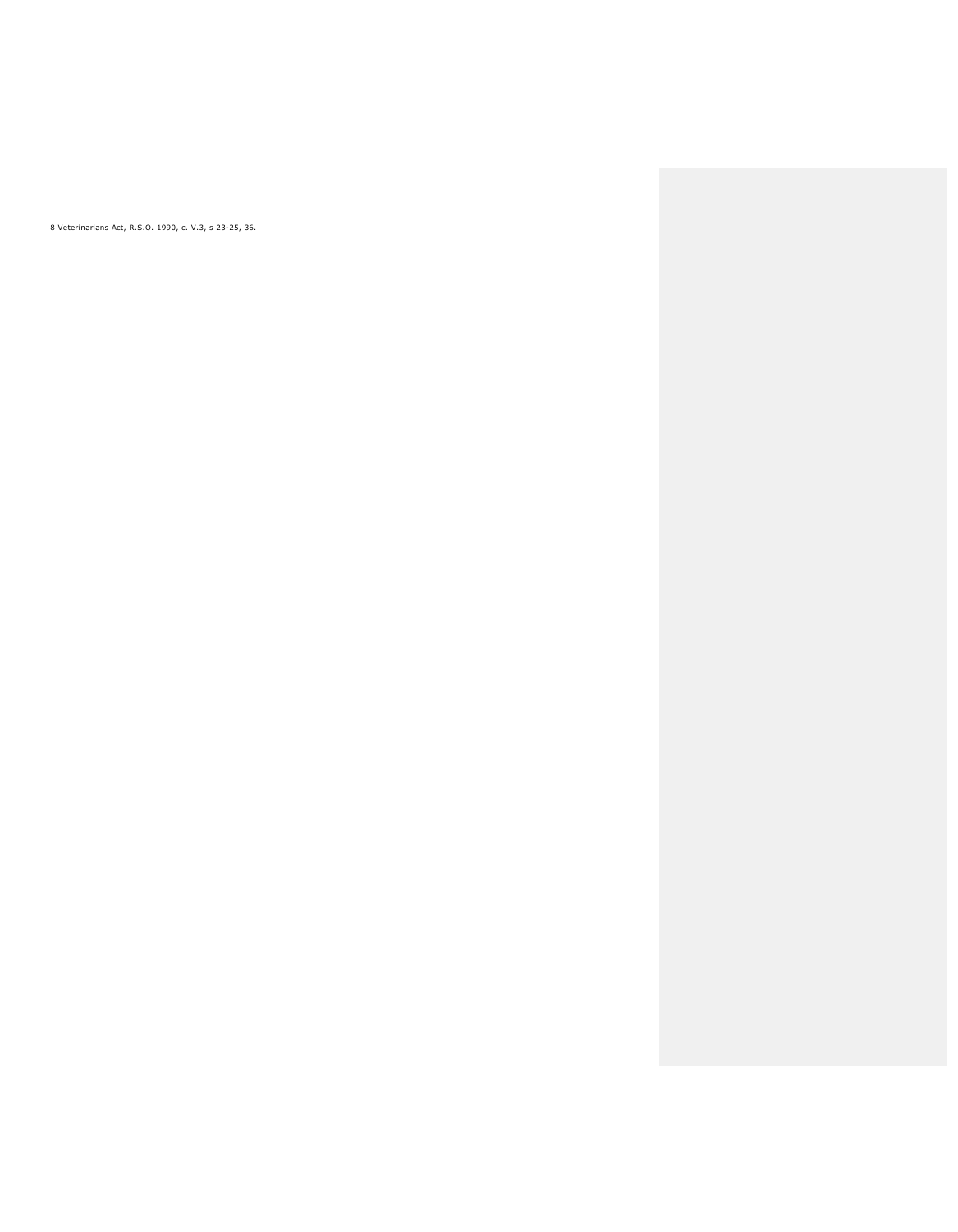8 Veterinarians Act, R.S.O. 1990, c. V.3, s 23-25, 36.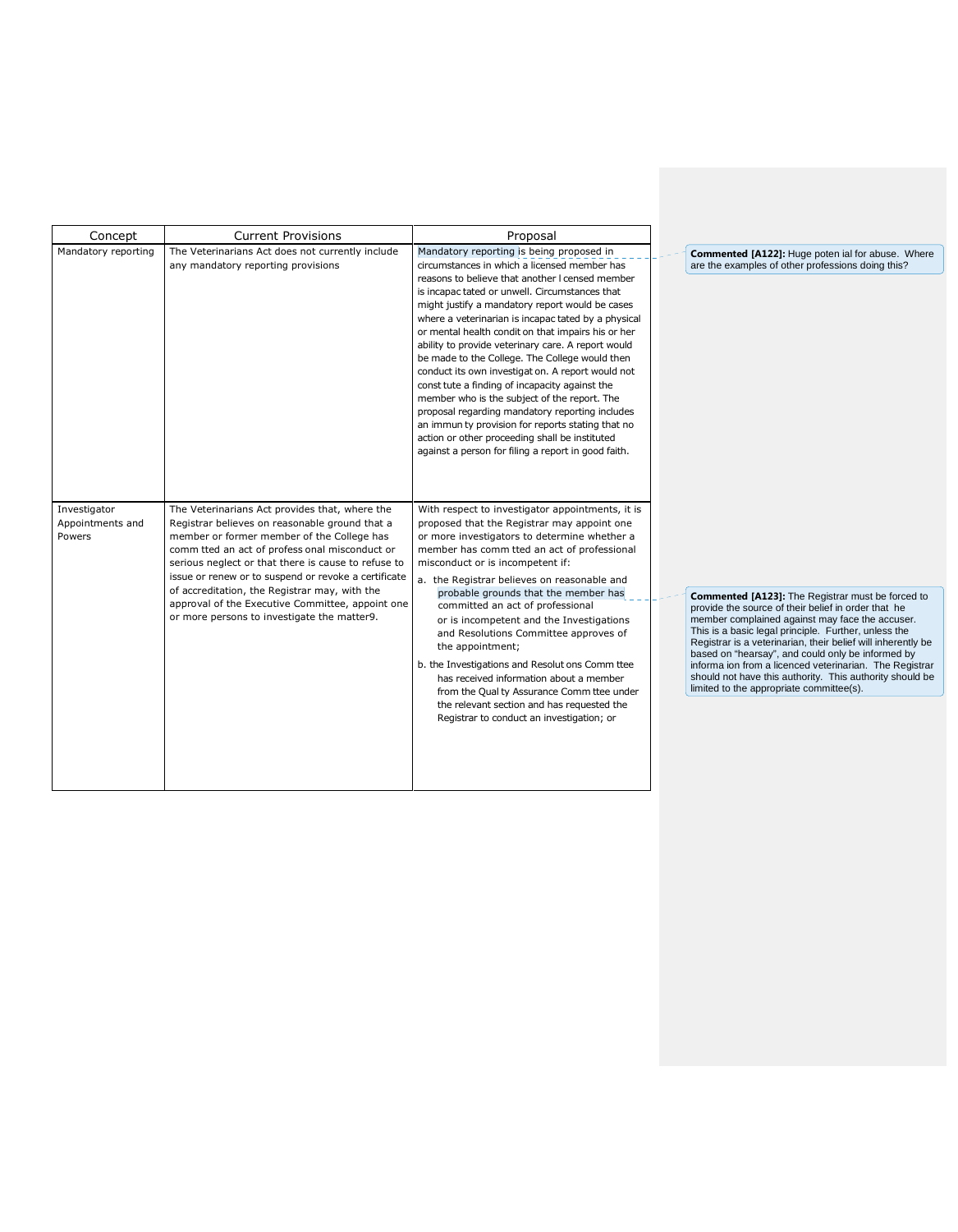| Concept                                    | <b>Current Provisions</b>                                                                                                                                                                                                                                                                                                                                                                                                                                           | Proposal                                                                                                                                                                                                                                                                                                                                                                                                                                                                                                                                                                                                                                                                                                                                                                                                                                      |                                                                                                                                   |
|--------------------------------------------|---------------------------------------------------------------------------------------------------------------------------------------------------------------------------------------------------------------------------------------------------------------------------------------------------------------------------------------------------------------------------------------------------------------------------------------------------------------------|-----------------------------------------------------------------------------------------------------------------------------------------------------------------------------------------------------------------------------------------------------------------------------------------------------------------------------------------------------------------------------------------------------------------------------------------------------------------------------------------------------------------------------------------------------------------------------------------------------------------------------------------------------------------------------------------------------------------------------------------------------------------------------------------------------------------------------------------------|-----------------------------------------------------------------------------------------------------------------------------------|
| Mandatory reporting                        | The Veterinarians Act does not currently include<br>any mandatory reporting provisions                                                                                                                                                                                                                                                                                                                                                                              | Mandatory reporting is being proposed in<br>circumstances in which a licensed member has<br>reasons to believe that another I censed member<br>is incapac tated or unwell. Circumstances that<br>might justify a mandatory report would be cases<br>where a veterinarian is incapac tated by a physical<br>or mental health condit on that impairs his or her<br>ability to provide veterinary care. A report would<br>be made to the College. The College would then<br>conduct its own investigat on. A report would not<br>const tute a finding of incapacity against the<br>member who is the subject of the report. The<br>proposal regarding mandatory reporting includes<br>an immun ty provision for reports stating that no<br>action or other proceeding shall be instituted<br>against a person for filing a report in good faith. | Commente<br>are the exa                                                                                                           |
| Investigator<br>Appointments and<br>Powers | The Veterinarians Act provides that, where the<br>Registrar believes on reasonable ground that a<br>member or former member of the College has<br>comm tted an act of profess onal misconduct or<br>serious neglect or that there is cause to refuse to<br>issue or renew or to suspend or revoke a certificate<br>of accreditation, the Registrar may, with the<br>approval of the Executive Committee, appoint one<br>or more persons to investigate the matter9. | With respect to investigator appointments, it is<br>proposed that the Registrar may appoint one<br>or more investigators to determine whether a<br>member has comm tted an act of professional<br>misconduct or is incompetent if:<br>a. the Registrar believes on reasonable and<br>probable grounds that the member has<br>committed an act of professional<br>or is incompetent and the Investigations<br>and Resolutions Committee approves of<br>the appointment;<br>b. the Investigations and Resolut ons Comm ttee<br>has received information about a member<br>from the Qual ty Assurance Comm ttee under<br>the relevant section and has requested the<br>Registrar to conduct an investigation; or                                                                                                                                 | Commente<br>provide the<br>member co<br>This is a ba<br>Registrar is<br>based on "I<br>informa ion<br>should not<br>limited to th |

**Commented [A122]:** Huge poten ial for abuse. Where are the examples of other professions doing this?

**Commented [A123]:** The Registrar must be forced to<br>provide the source of their belief in order that he<br>member complained against may face the accuser.<br>This is a basic legal principle. Further, unless the<br>Registrar is a ve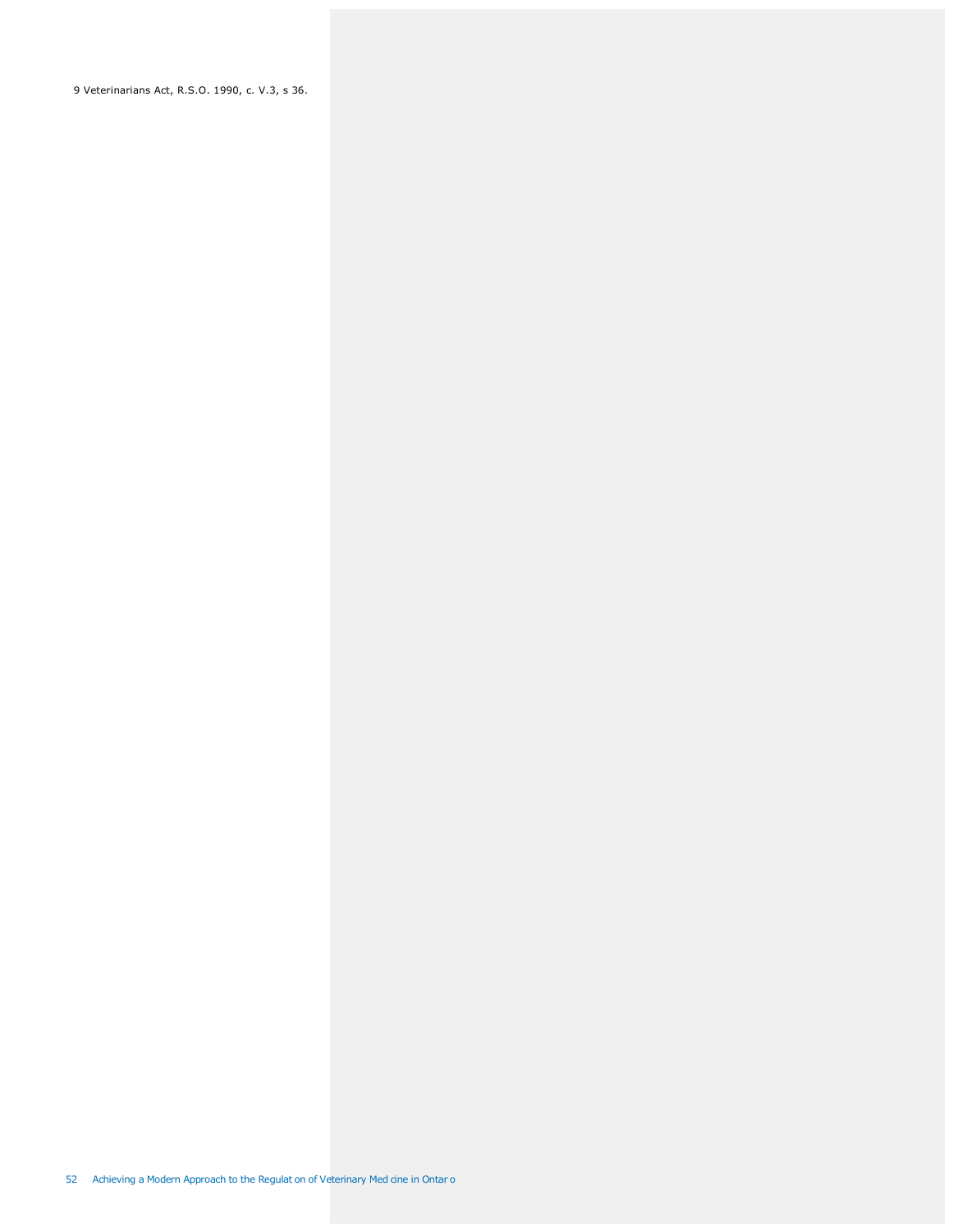9 Veterinarians Act, R.S.O. 1990, c. V.3, s 36.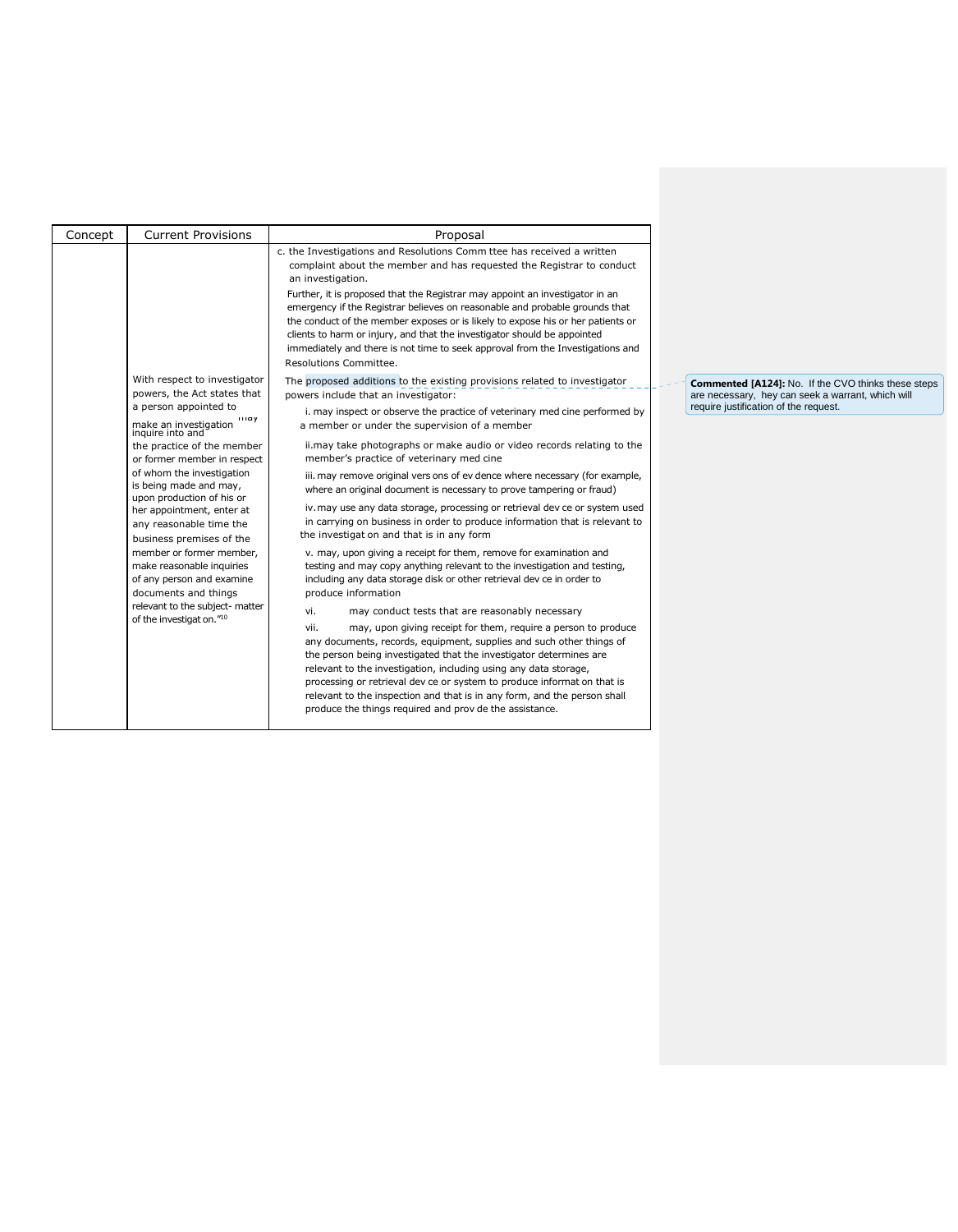| Concept | <b>Current Provisions</b>                                                                                  | Proposal                                                                                                                                                                                                                                                                                                                                                                                                                                                                                                                                                                                                       |  |                                                                                                                                                                                                                                                |
|---------|------------------------------------------------------------------------------------------------------------|----------------------------------------------------------------------------------------------------------------------------------------------------------------------------------------------------------------------------------------------------------------------------------------------------------------------------------------------------------------------------------------------------------------------------------------------------------------------------------------------------------------------------------------------------------------------------------------------------------------|--|------------------------------------------------------------------------------------------------------------------------------------------------------------------------------------------------------------------------------------------------|
|         |                                                                                                            | c. the Investigations and Resolutions Comm ttee has received a written<br>complaint about the member and has requested the Registrar to conduct<br>an investigation.<br>Further, it is proposed that the Registrar may appoint an investigator in an<br>emergency if the Registrar believes on reasonable and probable grounds that<br>the conduct of the member exposes or is likely to expose his or her patients or<br>clients to harm or injury, and that the investigator should be appointed<br>immediately and there is not time to seek approval from the Investigations and<br>Resolutions Committee. |  |                                                                                                                                                                                                                                                |
|         | With respect to investigator<br>powers, the Act states that                                                | The proposed additions to the existing provisions related to investigator<br>powers include that an investigator:                                                                                                                                                                                                                                                                                                                                                                                                                                                                                              |  |                                                                                                                                                                                                                                                |
|         | a person appointed to<br>шау<br>make an investigation<br>inquire into and                                  | i. may inspect or observe the practice of veterinary med cine performed by<br>a member or under the supervision of a member                                                                                                                                                                                                                                                                                                                                                                                                                                                                                    |  |                                                                                                                                                                                                                                                |
|         | the practice of the member<br>or former member in respect                                                  | ii.may take photographs or make audio or video records relating to the<br>member's practice of veterinary med cine                                                                                                                                                                                                                                                                                                                                                                                                                                                                                             |  |                                                                                                                                                                                                                                                |
|         | of whom the investigation<br>is being made and may,<br>upon production of his or                           | iii. may remove original vers ons of ev dence where necessary (for example,<br>where an original document is necessary to prove tampering or fraud)                                                                                                                                                                                                                                                                                                                                                                                                                                                            |  |                                                                                                                                                                                                                                                |
|         | her appointment, enter at<br>any reasonable time the<br>business premises of the                           | iv. may use any data storage, processing or retrieval dev ce or system used<br>in carrying on business in order to produce information that is relevant to<br>the investigat on and that is in any form                                                                                                                                                                                                                                                                                                                                                                                                        |  |                                                                                                                                                                                                                                                |
|         | member or former member,<br>make reasonable inquiries<br>of any person and examine<br>documents and things |                                                                                                                                                                                                                                                                                                                                                                                                                                                                                                                                                                                                                |  | v. may, upon giving a receipt for them, remove for examination and<br>testing and may copy anything relevant to the investigation and testing,<br>including any data storage disk or other retrieval dev ce in order to<br>produce information |
|         | relevant to the subject- matter                                                                            | vi.<br>may conduct tests that are reasonably necessary                                                                                                                                                                                                                                                                                                                                                                                                                                                                                                                                                         |  |                                                                                                                                                                                                                                                |
|         | of the investigat on."10                                                                                   | vii.<br>may, upon giving receipt for them, require a person to produce<br>any documents, records, equipment, supplies and such other things of<br>the person being investigated that the investigator determines are<br>relevant to the investigation, including using any data storage,<br>processing or retrieval dev ce or system to produce informat on that is<br>relevant to the inspection and that is in any form, and the person shall<br>produce the things required and prov de the assistance.                                                                                                     |  |                                                                                                                                                                                                                                                |

**Commented [A124]:** No. If the CVO thinks these steps are necessary, hey can seek a warrant, which will require justification of the request.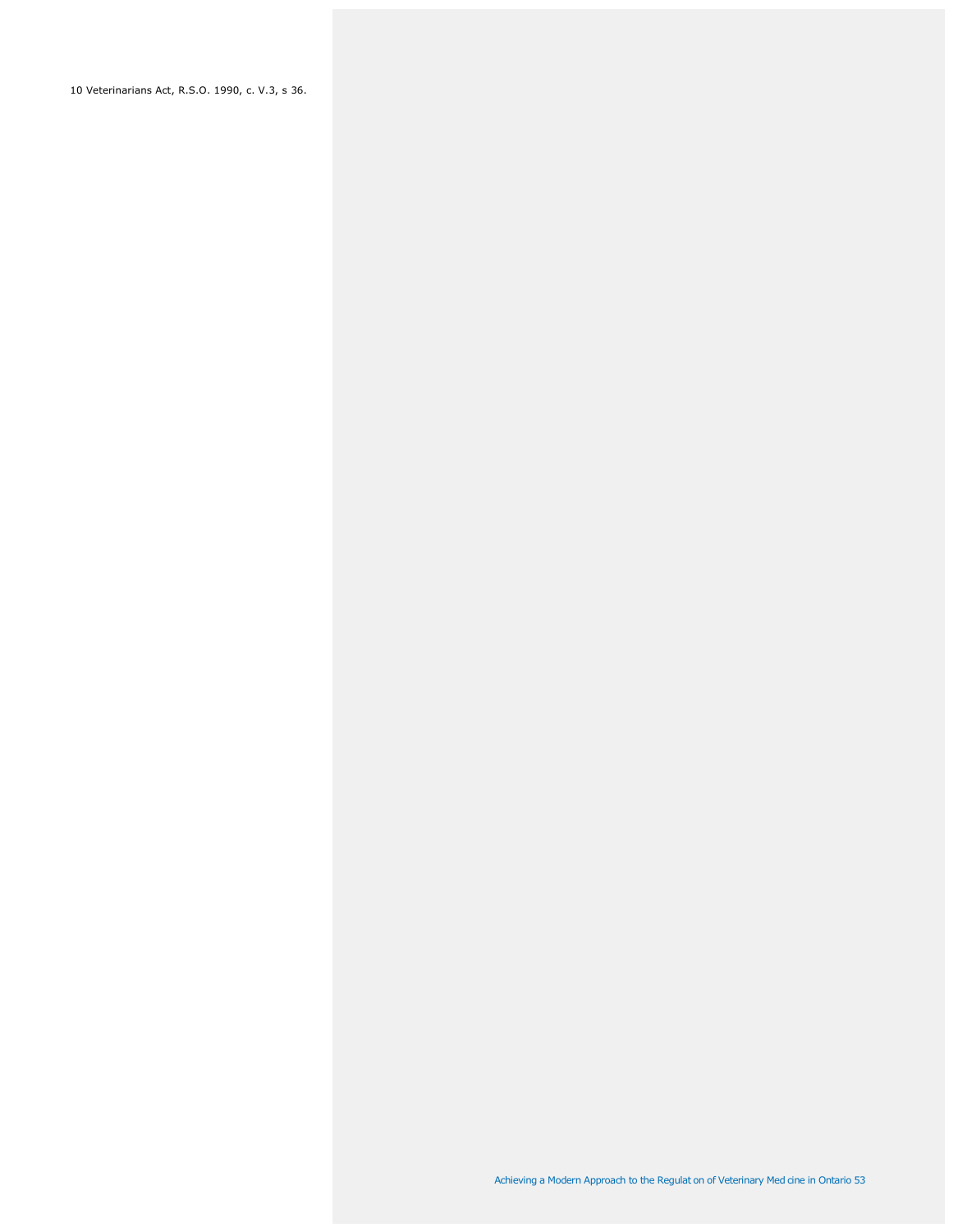10 Veterinarians Act, R.S.O. 1990, c. V.3, s 36.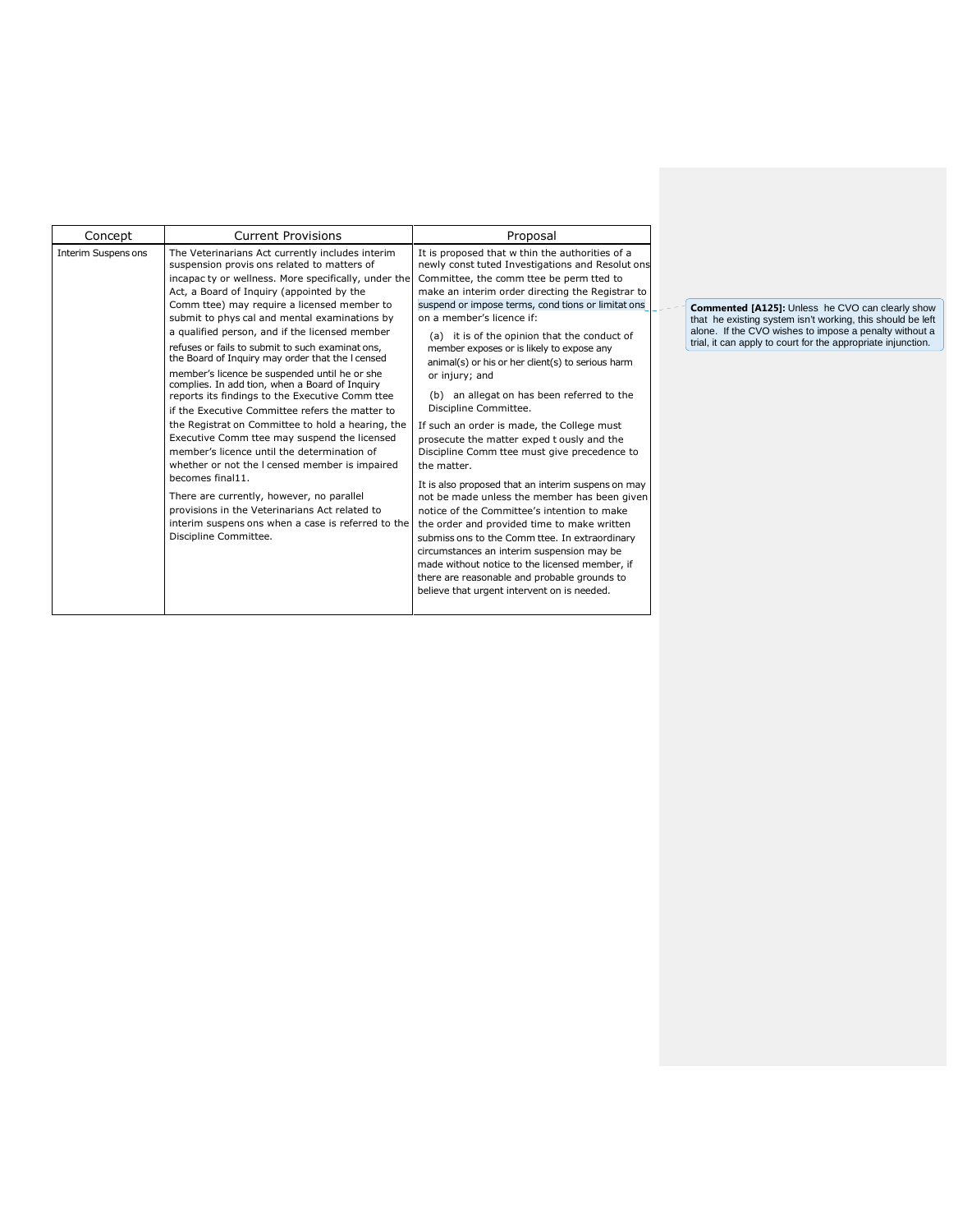| <b>Current Provisions</b><br>Concept<br>Interim Suspens ons<br>The Veterinarians Act currently includes interim                                                                                                                                                                                                                                                                                                                                                                                                                                                                                                                                                                                                                                                                                                                                                                                                                                                                                                             | Proposal                                                                                                                                                                                                                                                                                                                                                                                                                                                                                                                                                                                                                                                                                                                                                                                                                                                                                                                                                                                                                                                                                                                                          |
|-----------------------------------------------------------------------------------------------------------------------------------------------------------------------------------------------------------------------------------------------------------------------------------------------------------------------------------------------------------------------------------------------------------------------------------------------------------------------------------------------------------------------------------------------------------------------------------------------------------------------------------------------------------------------------------------------------------------------------------------------------------------------------------------------------------------------------------------------------------------------------------------------------------------------------------------------------------------------------------------------------------------------------|---------------------------------------------------------------------------------------------------------------------------------------------------------------------------------------------------------------------------------------------------------------------------------------------------------------------------------------------------------------------------------------------------------------------------------------------------------------------------------------------------------------------------------------------------------------------------------------------------------------------------------------------------------------------------------------------------------------------------------------------------------------------------------------------------------------------------------------------------------------------------------------------------------------------------------------------------------------------------------------------------------------------------------------------------------------------------------------------------------------------------------------------------|
|                                                                                                                                                                                                                                                                                                                                                                                                                                                                                                                                                                                                                                                                                                                                                                                                                                                                                                                                                                                                                             |                                                                                                                                                                                                                                                                                                                                                                                                                                                                                                                                                                                                                                                                                                                                                                                                                                                                                                                                                                                                                                                                                                                                                   |
| suspension provis ons related to matters of<br>incapac ty or wellness. More specifically, under the<br>Act, a Board of Inquiry (appointed by the<br>Comm ttee) may require a licensed member to<br>submit to phys cal and mental examinations by<br>a qualified person, and if the licensed member<br>refuses or fails to submit to such examinations,<br>the Board of Inquiry may order that the I censed<br>member's licence be suspended until he or she<br>complies. In add tion, when a Board of Inquiry<br>reports its findings to the Executive Comm ttee<br>if the Executive Committee refers the matter to<br>the Registrat on Committee to hold a hearing, the<br>Executive Comm ttee may suspend the licensed<br>member's licence until the determination of<br>whether or not the I censed member is impaired<br>becomes final11.<br>There are currently, however, no parallel<br>provisions in the Veterinarians Act related to<br>interim suspens ons when a case is referred to the<br>Discipline Committee. | It is proposed that w thin the authorities of a<br>newly const tuted Investigations and Resolut ons<br>Committee, the comm ttee be perm tted to<br>make an interim order directing the Registrar to<br>suspend or impose terms, cond tions or limitat ons<br>on a member's licence if:<br>(a) it is of the opinion that the conduct of<br>member exposes or is likely to expose any<br>animal(s) or his or her client(s) to serious harm<br>or injury; and<br>(b) an allegat on has been referred to the<br>Discipline Committee.<br>If such an order is made, the College must<br>prosecute the matter exped t ously and the<br>Discipline Comm ttee must give precedence to<br>the matter.<br>It is also proposed that an interim suspens on may<br>not be made unless the member has been given<br>notice of the Committee's intention to make<br>the order and provided time to make written<br>submiss ons to the Comm ttee. In extraordinary<br>circumstances an interim suspension may be<br>made without notice to the licensed member, if<br>there are reasonable and probable grounds to<br>believe that urgent intervent on is needed. |

**Commented [A125]:** Unless he CVO can clearly show<br>that he existing system isn't working, this should be left<br>alone. If the CVO wishes to impose a penalty without a<br>trial, it can apply to court for the appropriate injuncti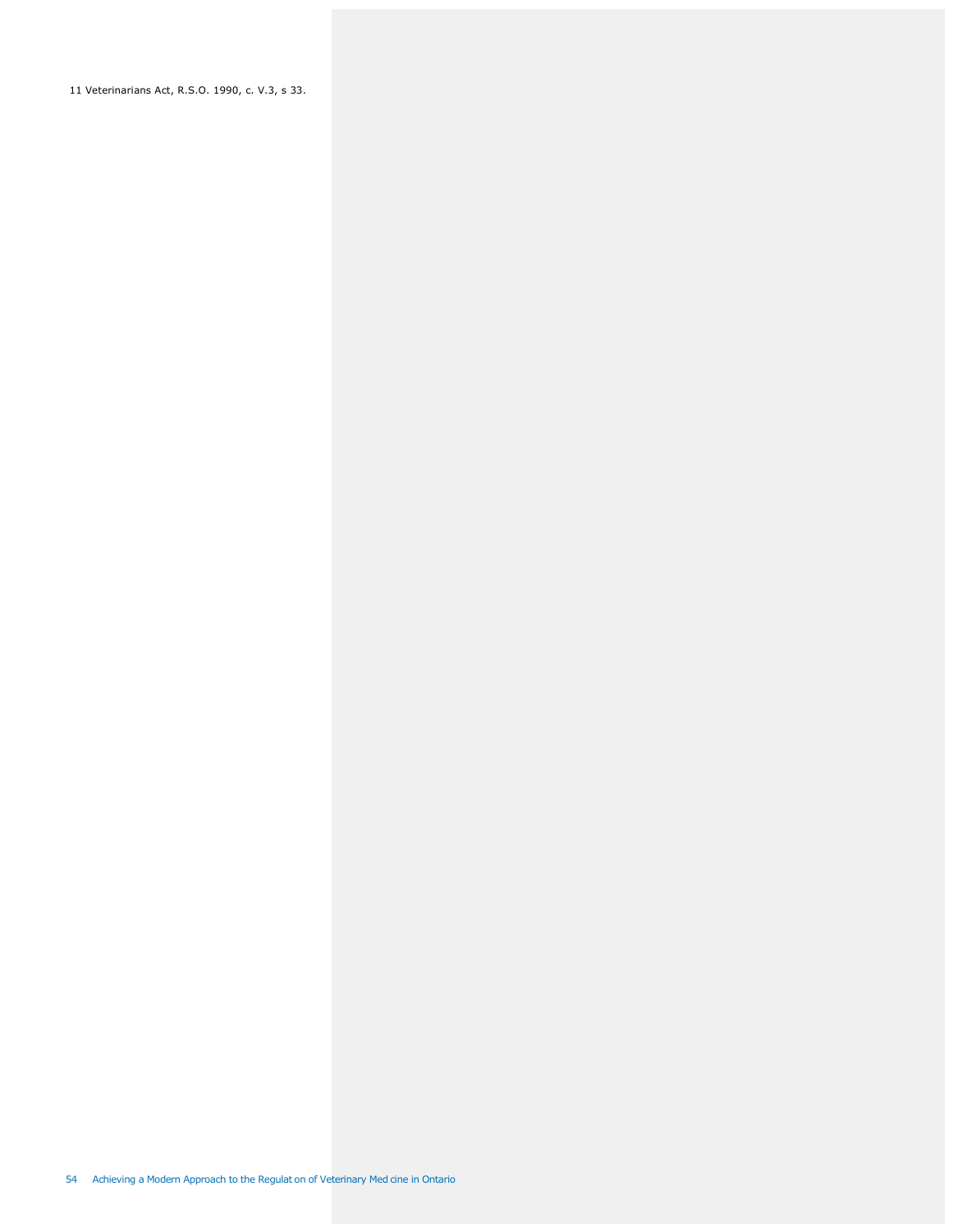11 Veterinarians Act, R.S.O. 1990, c. V.3, s 33.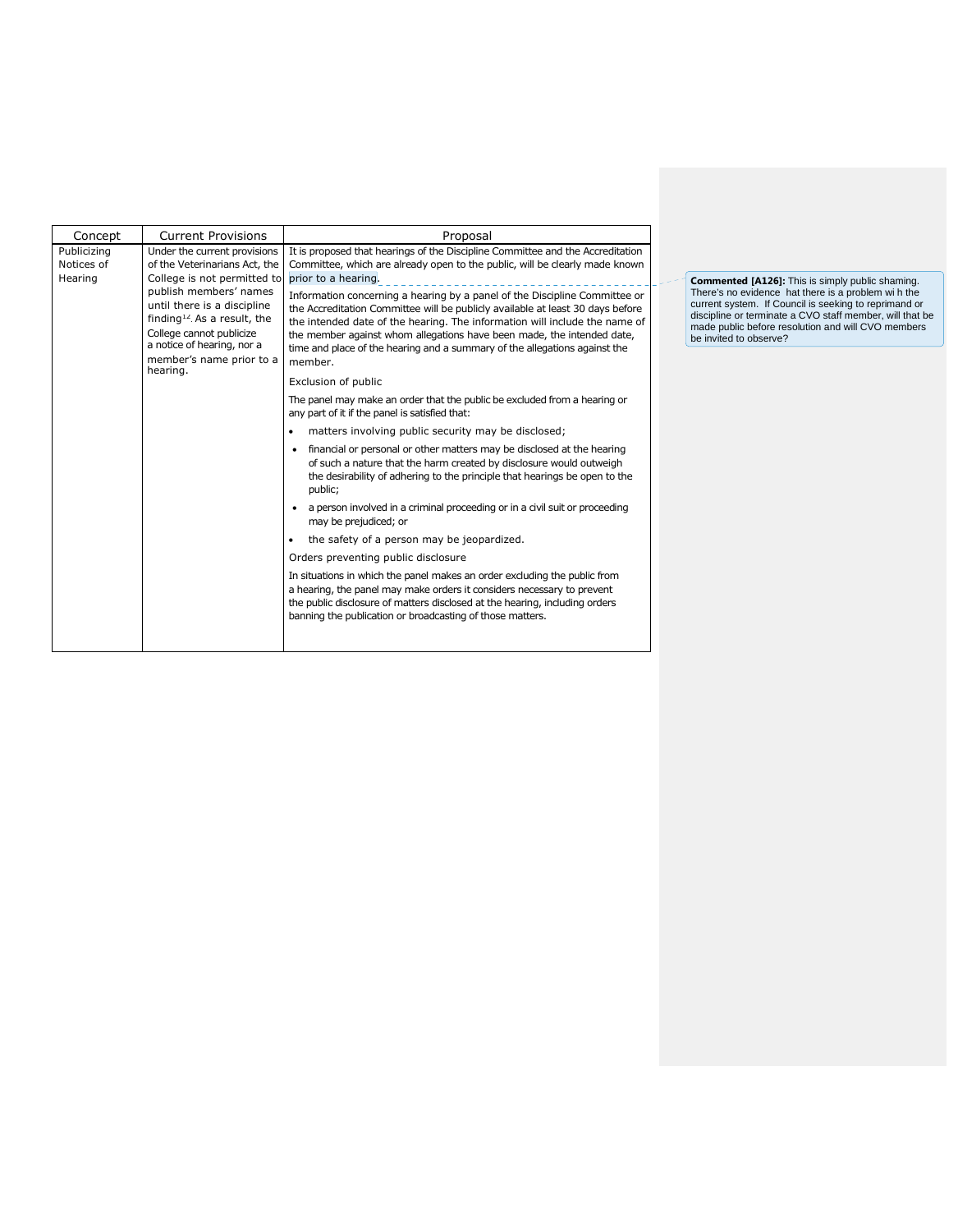| Concept                              | <b>Current Provisions</b>                                                                                                                                                                                                                                                                           | Proposal                                                                                                                                                                                                                                                                                                                                             |  |  |
|--------------------------------------|-----------------------------------------------------------------------------------------------------------------------------------------------------------------------------------------------------------------------------------------------------------------------------------------------------|------------------------------------------------------------------------------------------------------------------------------------------------------------------------------------------------------------------------------------------------------------------------------------------------------------------------------------------------------|--|--|
| Publicizing<br>Notices of<br>Hearing | Under the current provisions<br>of the Veterinarians Act, the<br>College is not permitted to<br>publish members' names<br>until there is a discipline<br>finding <sup>12</sup> . As a result, the<br>College cannot publicize<br>a notice of hearing, nor a<br>member's name prior to a<br>hearing. | It is proposed that hearings of the Discipline Committee and the Accreditation<br>Committee, which are already open to the public, will be clearly made known<br>prior to a hearing.<br>Information concerning a hearing by a panel of the Discipline Committee or<br>the Accreditation Committee will be publicly available at least 30 days before |  |  |
|                                      |                                                                                                                                                                                                                                                                                                     | the intended date of the hearing. The information will include the name of<br>the member against whom allegations have been made, the intended date,<br>time and place of the hearing and a summary of the allegations against the<br>member.                                                                                                        |  |  |
|                                      |                                                                                                                                                                                                                                                                                                     | Exclusion of public                                                                                                                                                                                                                                                                                                                                  |  |  |
|                                      |                                                                                                                                                                                                                                                                                                     | The panel may make an order that the public be excluded from a hearing or<br>any part of it if the panel is satisfied that:                                                                                                                                                                                                                          |  |  |
|                                      |                                                                                                                                                                                                                                                                                                     | matters involving public security may be disclosed;                                                                                                                                                                                                                                                                                                  |  |  |
|                                      |                                                                                                                                                                                                                                                                                                     | financial or personal or other matters may be disclosed at the hearing<br>$\bullet$<br>of such a nature that the harm created by disclosure would outweigh<br>the desirability of adhering to the principle that hearings be open to the<br>public;                                                                                                  |  |  |
|                                      |                                                                                                                                                                                                                                                                                                     | a person involved in a criminal proceeding or in a civil suit or proceeding<br>may be prejudiced; or                                                                                                                                                                                                                                                 |  |  |
|                                      |                                                                                                                                                                                                                                                                                                     | the safety of a person may be jeopardized.                                                                                                                                                                                                                                                                                                           |  |  |
|                                      |                                                                                                                                                                                                                                                                                                     | Orders preventing public disclosure                                                                                                                                                                                                                                                                                                                  |  |  |
|                                      |                                                                                                                                                                                                                                                                                                     | In situations in which the panel makes an order excluding the public from                                                                                                                                                                                                                                                                            |  |  |
|                                      |                                                                                                                                                                                                                                                                                                     | a hearing, the panel may make orders it considers necessary to prevent<br>the public disclosure of matters disclosed at the hearing, including orders<br>banning the publication or broadcasting of those matters.                                                                                                                                   |  |  |
|                                      |                                                                                                                                                                                                                                                                                                     |                                                                                                                                                                                                                                                                                                                                                      |  |  |

**Commented [A126]:** This is simply public shaming.<br>There's no evidence hat there is a problem wi h the<br>current system. If Council is seeking to reprimand or<br>discipline or terminate a CVO staff member, will that be<br>made pub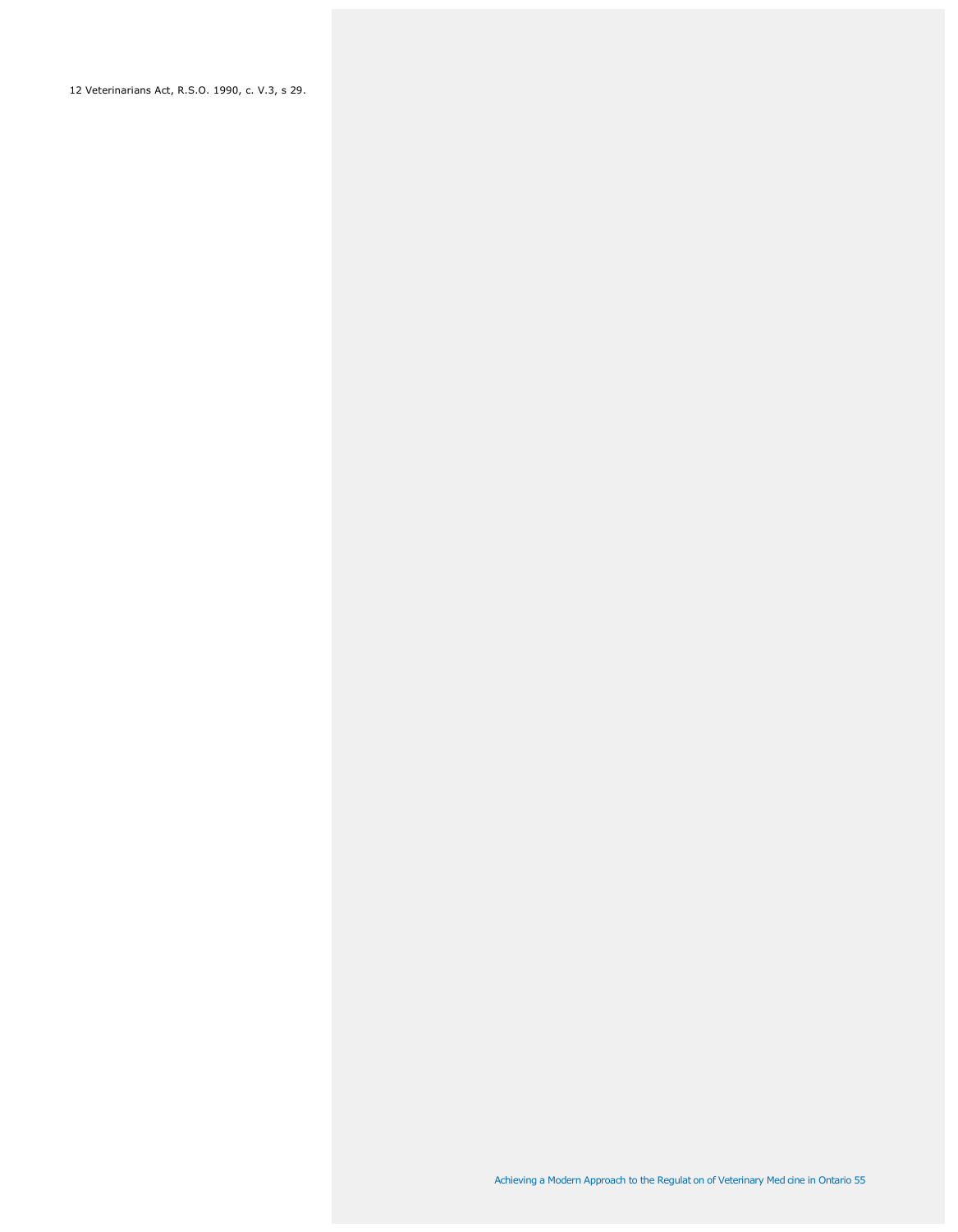12 Veterinarians Act, R.S.O. 1990, c. V.3, s 29.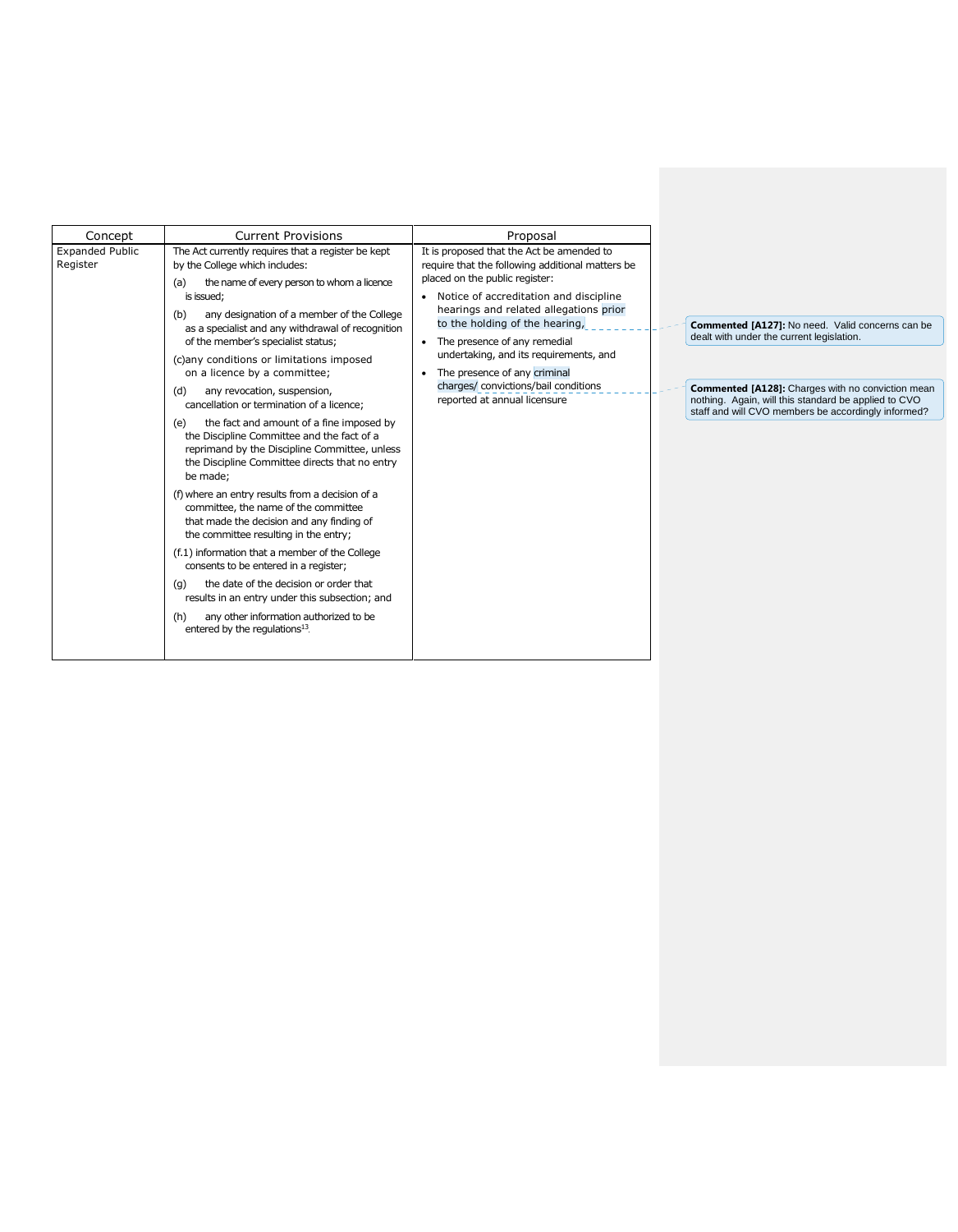| Concept                            | <b>Current Provisions</b>                                                                                                                                                                                                                                                                                                                                                                                                                                                                                                                                                                                                                                                                                                                                                                                                                                                                                                                                                                                                                                                                                                                                            | Proposal                                                                                                                                                                                                                                                                                                                                                                                                                                  |                                                                                                                                                                                                                                                                                 |
|------------------------------------|----------------------------------------------------------------------------------------------------------------------------------------------------------------------------------------------------------------------------------------------------------------------------------------------------------------------------------------------------------------------------------------------------------------------------------------------------------------------------------------------------------------------------------------------------------------------------------------------------------------------------------------------------------------------------------------------------------------------------------------------------------------------------------------------------------------------------------------------------------------------------------------------------------------------------------------------------------------------------------------------------------------------------------------------------------------------------------------------------------------------------------------------------------------------|-------------------------------------------------------------------------------------------------------------------------------------------------------------------------------------------------------------------------------------------------------------------------------------------------------------------------------------------------------------------------------------------------------------------------------------------|---------------------------------------------------------------------------------------------------------------------------------------------------------------------------------------------------------------------------------------------------------------------------------|
| <b>Expanded Public</b><br>Register | The Act currently requires that a register be kept<br>by the College which includes:<br>the name of every person to whom a licence<br>(a)<br>is issued;<br>any designation of a member of the College<br>(b)<br>as a specialist and any withdrawal of recognition<br>of the member's specialist status;<br>(c)any conditions or limitations imposed<br>on a licence by a committee;<br>any revocation, suspension,<br>(d)<br>cancellation or termination of a licence;<br>the fact and amount of a fine imposed by<br>(e)<br>the Discipline Committee and the fact of a<br>reprimand by the Discipline Committee, unless<br>the Discipline Committee directs that no entry<br>be made;<br>(f) where an entry results from a decision of a<br>committee, the name of the committee<br>that made the decision and any finding of<br>the committee resulting in the entry;<br>(f.1) information that a member of the College<br>consents to be entered in a register;<br>the date of the decision or order that<br>(q)<br>results in an entry under this subsection; and<br>any other information authorized to be<br>(h)<br>entered by the regulations <sup>13</sup> . | It is proposed that the Act be amended to<br>require that the following additional matters be<br>placed on the public register:<br>Notice of accreditation and discipline<br>hearings and related allegations prior<br>to the holding of the hearing,<br>• The presence of any remedial<br>undertaking, and its requirements, and<br>The presence of any criminal<br>charges/ convictions/bail conditions<br>reported at annual licensure | <b>Commented [A127]:</b> No need. Valid concerns can be<br>dealt with under the current legislation.<br><b>Commented [A128]:</b> Charges with no conviction mean<br>nothing. Again, will this standard be applied to CVO<br>staff and will CVO members be accordingly informed? |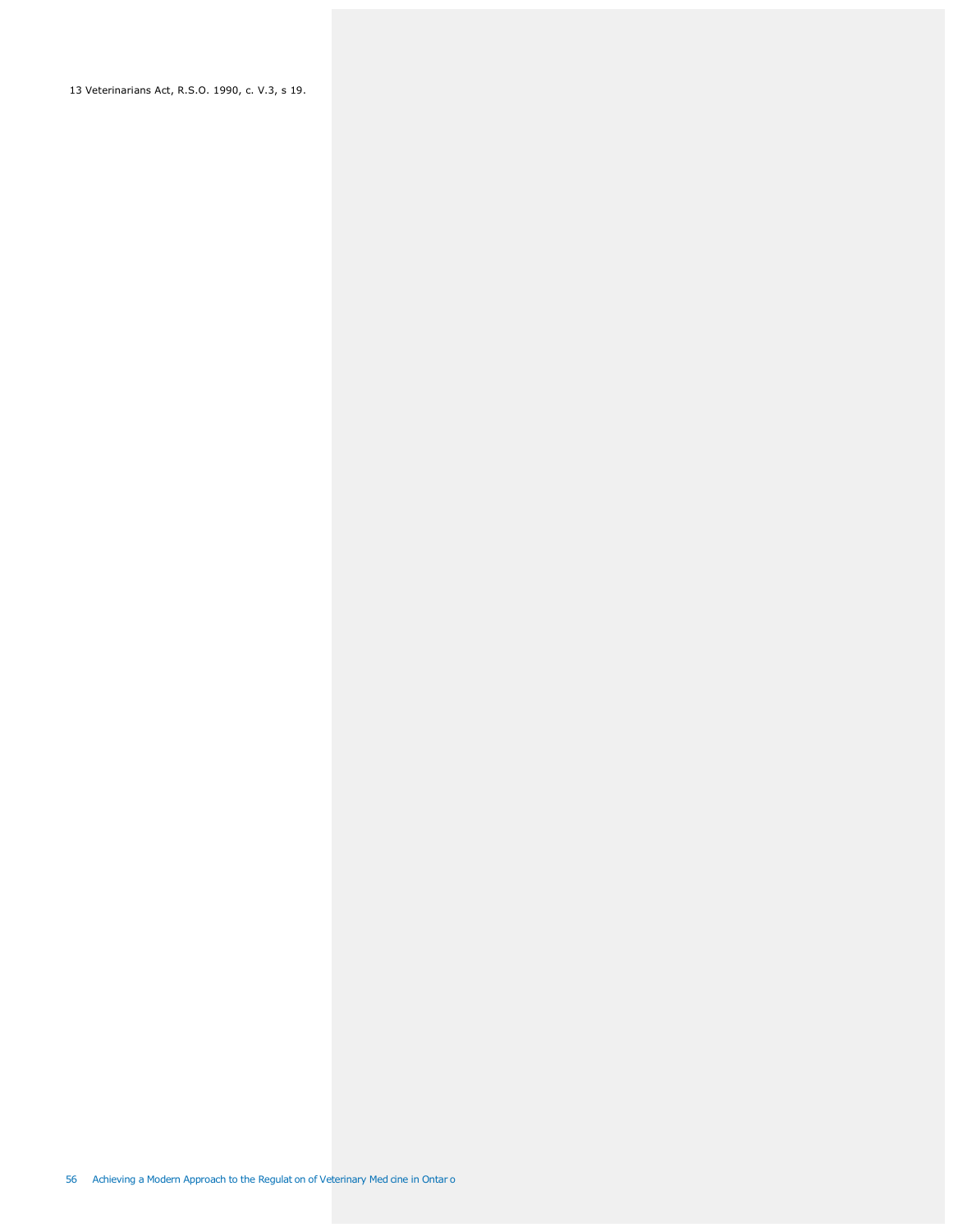13 Veterinarians Act, R.S.O. 1990, c. V.3, s 19.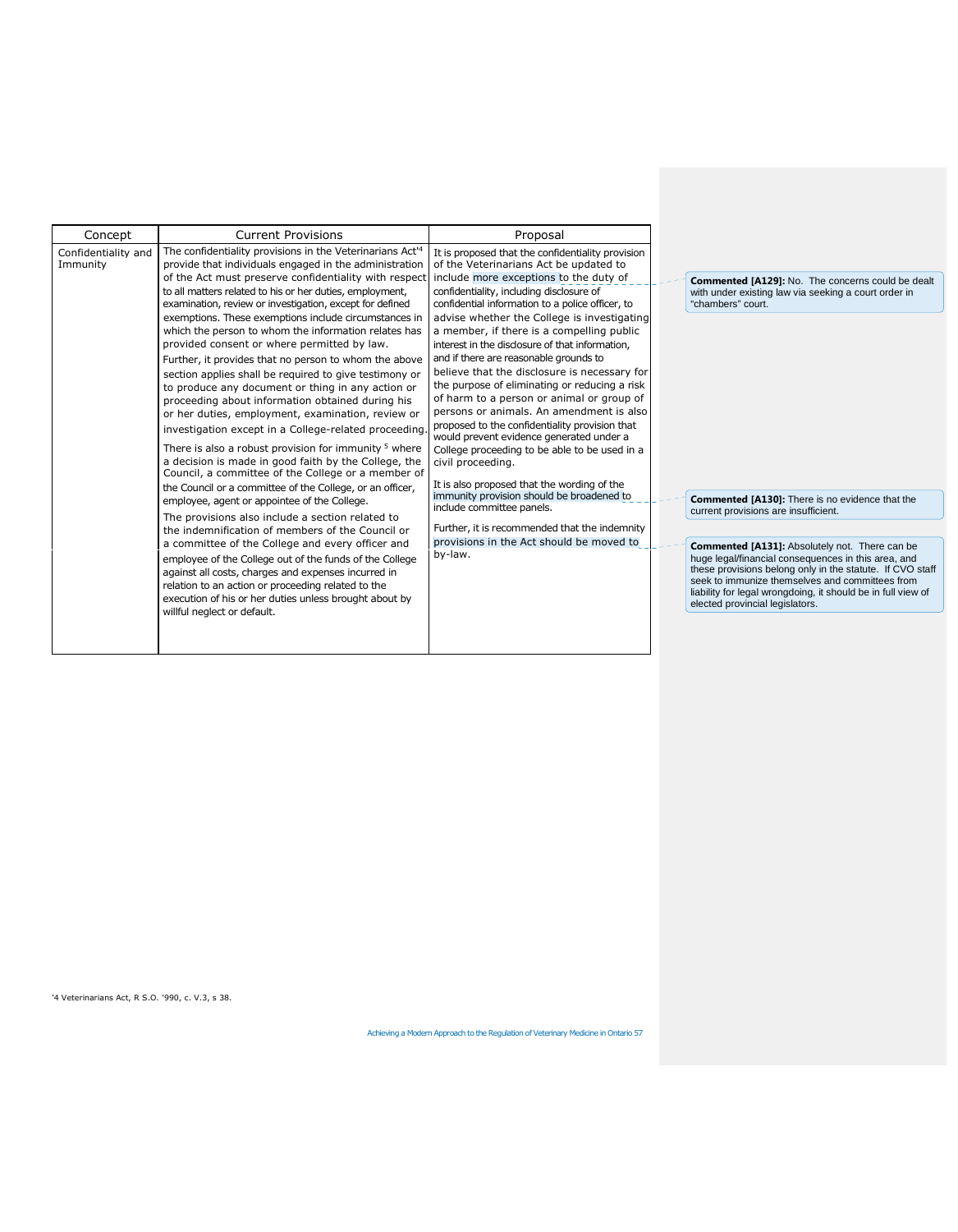| Concept                         | <b>Current Provisions</b>                                                                                                                                                                                                                                                                                                                                                                                                                                                                                                                                                                                                                                                                                                                                                                                                                                                                                                                                                                                                                                                                                                                                                                                                                                                                                                                                                                                                                                                                                                                              | Proposal                                                                                                                                                                                                                                                                                                                                                                                                                                                                                                                                                                                                                                                                                                                                                                                                                                                                                                                                                                                                                      |                                                                                                                                                                                                                                                                    |
|---------------------------------|--------------------------------------------------------------------------------------------------------------------------------------------------------------------------------------------------------------------------------------------------------------------------------------------------------------------------------------------------------------------------------------------------------------------------------------------------------------------------------------------------------------------------------------------------------------------------------------------------------------------------------------------------------------------------------------------------------------------------------------------------------------------------------------------------------------------------------------------------------------------------------------------------------------------------------------------------------------------------------------------------------------------------------------------------------------------------------------------------------------------------------------------------------------------------------------------------------------------------------------------------------------------------------------------------------------------------------------------------------------------------------------------------------------------------------------------------------------------------------------------------------------------------------------------------------|-------------------------------------------------------------------------------------------------------------------------------------------------------------------------------------------------------------------------------------------------------------------------------------------------------------------------------------------------------------------------------------------------------------------------------------------------------------------------------------------------------------------------------------------------------------------------------------------------------------------------------------------------------------------------------------------------------------------------------------------------------------------------------------------------------------------------------------------------------------------------------------------------------------------------------------------------------------------------------------------------------------------------------|--------------------------------------------------------------------------------------------------------------------------------------------------------------------------------------------------------------------------------------------------------------------|
| Confidentiality and<br>Immunity | The confidentiality provisions in the Veterinarians Act <sup>14</sup><br>provide that individuals engaged in the administration<br>of the Act must preserve confidentiality with respect<br>to all matters related to his or her duties, employment,<br>examination, review or investigation, except for defined<br>exemptions. These exemptions include circumstances in<br>which the person to whom the information relates has<br>provided consent or where permitted by law.<br>Further, it provides that no person to whom the above<br>section applies shall be required to give testimony or<br>to produce any document or thing in any action or<br>proceeding about information obtained during his<br>or her duties, employment, examination, review or<br>investigation except in a College-related proceeding.<br>There is also a robust provision for immunity <sup>5</sup> where<br>a decision is made in good faith by the College, the<br>Council, a committee of the College or a member of<br>the Council or a committee of the College, or an officer,<br>employee, agent or appointee of the College.<br>The provisions also include a section related to<br>the indemnification of members of the Council or<br>a committee of the College and every officer and<br>employee of the College out of the funds of the College<br>against all costs, charges and expenses incurred in<br>relation to an action or proceeding related to the<br>execution of his or her duties unless brought about by<br>willful neglect or default. | It is proposed that the confidentiality provision<br>of the Veterinarians Act be updated to<br>include more exceptions to the duty of<br>confidentiality, including disclosure of<br>confidential information to a police officer, to<br>advise whether the College is investigating<br>a member, if there is a compelling public<br>interest in the disclosure of that information,<br>and if there are reasonable grounds to<br>believe that the disclosure is necessary for<br>the purpose of eliminating or reducing a risk<br>of harm to a person or animal or group of<br>persons or animals. An amendment is also<br>proposed to the confidentiality provision that<br>would prevent evidence generated under a<br>College proceeding to be able to be used in a<br>civil proceeding.<br>It is also proposed that the wording of the<br>immunity provision should be broadened to<br>include committee panels.<br>Further, it is recommended that the indemnity<br>provisions in the Act should be moved to<br>by-law. | Commented [A129]<br>with under existing la<br>"chambers" court.<br>Commented [A130]<br>current provisions are<br>Commented [A131]<br>huge legal/financial c<br>these provisions belo<br>seek to immunize the<br>liability for legal wron<br>elected provincial leg |
|                                 |                                                                                                                                                                                                                                                                                                                                                                                                                                                                                                                                                                                                                                                                                                                                                                                                                                                                                                                                                                                                                                                                                                                                                                                                                                                                                                                                                                                                                                                                                                                                                        |                                                                                                                                                                                                                                                                                                                                                                                                                                                                                                                                                                                                                                                                                                                                                                                                                                                                                                                                                                                                                               |                                                                                                                                                                                                                                                                    |

**Commented [A129]:** No. The concerns could be dealt with under existing law via seeking a court order in

**Commented [A130]:** There is no evidence that the current provisions are insufficient.

**Commented [A131]:** Absolutely not. There can be<br>huge legal/financial consequences in this area, and<br>these provisions belong only in the statute. If CVO staff<br>seek to immunize themselves and committees from<br>liability for l

'4 Veterinarians Act, R S.O. '990, c. V.3, s 38.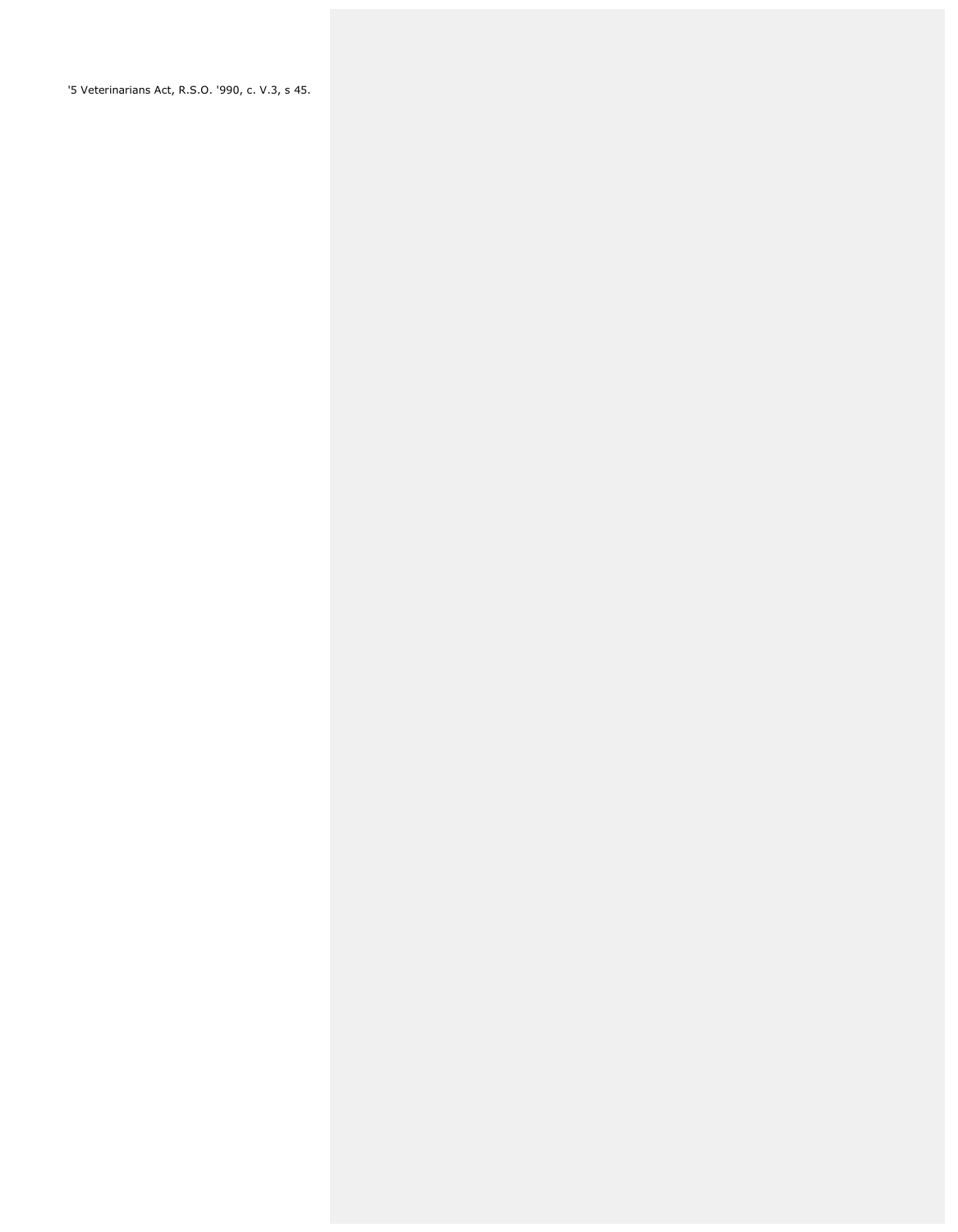'5 Veterinarians Act, R.S.O. '990, c. V.3, s 45.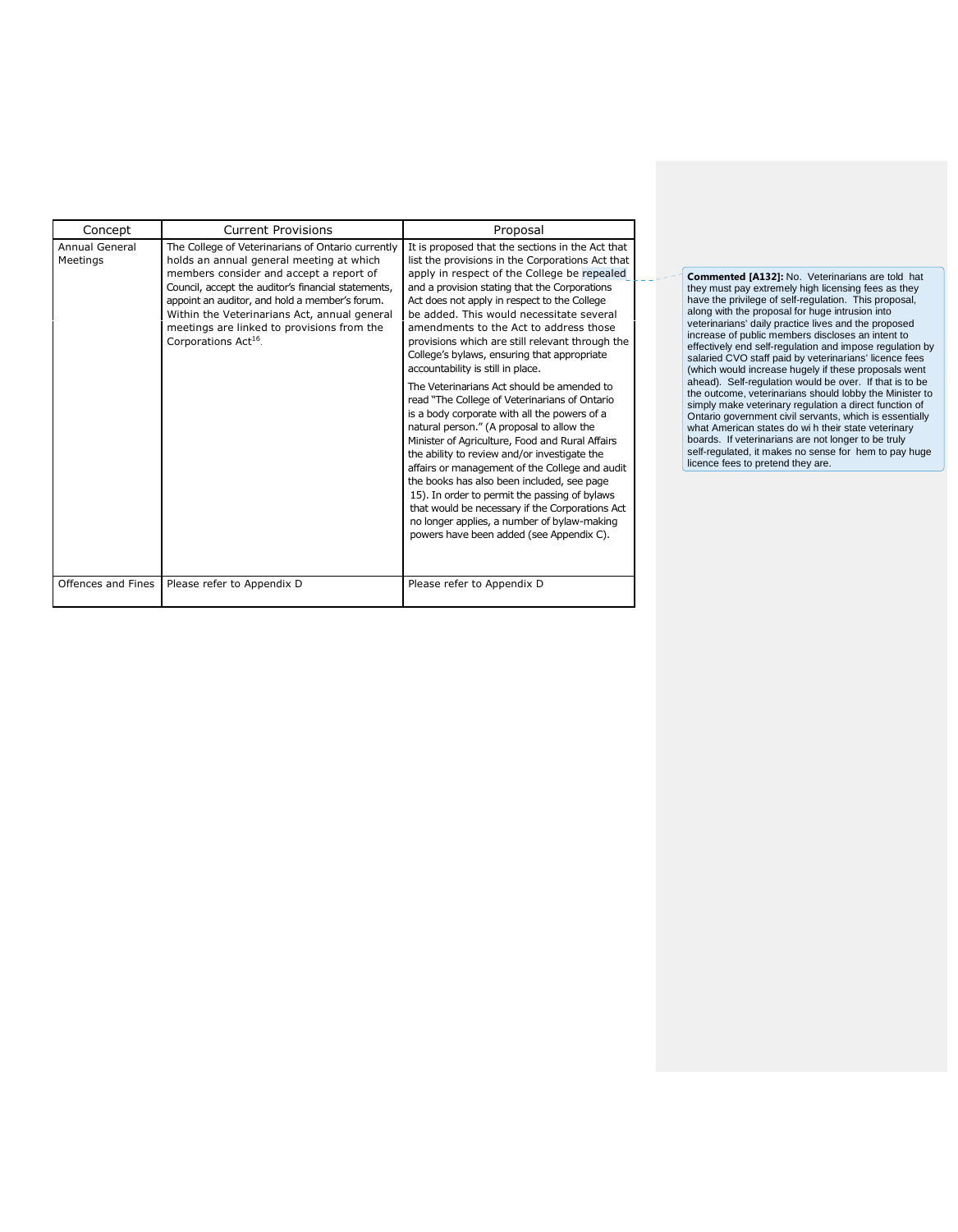| Concept                    | <b>Current Provisions</b>                                                                                                                                                                                                                                                                                                                                                           | Proposal                                                                                                                                                                                                                                                                                                                                                                                                                                                                                                                                                                                                                                                                                                                                                                                                                                                                                                                                                                                                                                                                        |
|----------------------------|-------------------------------------------------------------------------------------------------------------------------------------------------------------------------------------------------------------------------------------------------------------------------------------------------------------------------------------------------------------------------------------|---------------------------------------------------------------------------------------------------------------------------------------------------------------------------------------------------------------------------------------------------------------------------------------------------------------------------------------------------------------------------------------------------------------------------------------------------------------------------------------------------------------------------------------------------------------------------------------------------------------------------------------------------------------------------------------------------------------------------------------------------------------------------------------------------------------------------------------------------------------------------------------------------------------------------------------------------------------------------------------------------------------------------------------------------------------------------------|
| Annual General<br>Meetings | The College of Veterinarians of Ontario currently<br>holds an annual general meeting at which<br>members consider and accept a report of<br>Council, accept the auditor's financial statements,<br>appoint an auditor, and hold a member's forum.<br>Within the Veterinarians Act, annual general<br>meetings are linked to provisions from the<br>Corporations Act <sup>16</sup> . | It is proposed that the sections in the Act that<br>list the provisions in the Corporations Act that<br>apply in respect of the College be repealed<br>and a provision stating that the Corporations<br>Act does not apply in respect to the College<br>be added. This would necessitate several<br>amendments to the Act to address those<br>provisions which are still relevant through the<br>College's bylaws, ensuring that appropriate<br>accountability is still in place.<br>The Veterinarians Act should be amended to<br>read "The College of Veterinarians of Ontario<br>is a body corporate with all the powers of a<br>natural person." (A proposal to allow the<br>Minister of Agriculture, Food and Rural Affairs<br>the ability to review and/or investigate the<br>affairs or management of the College and audit<br>the books has also been included, see page<br>15). In order to permit the passing of bylaws<br>that would be necessary if the Corporations Act<br>no longer applies, a number of bylaw-making<br>powers have been added (see Appendix C). |
| Offences and Fines         | Please refer to Appendix D                                                                                                                                                                                                                                                                                                                                                          | Please refer to Appendix D                                                                                                                                                                                                                                                                                                                                                                                                                                                                                                                                                                                                                                                                                                                                                                                                                                                                                                                                                                                                                                                      |

**Commented [A132]:** No. Veterinarians are told hat they must pay extremely high licensing fees as they have the privilege of self-regulation. This proposal, along with the proposal for huge intrusion into veterinarians' daily practice lives and the proposed increase of public members discloses an intent to effectively end self-regulation and impose regulation by salaried CVO staff paid by veterinarians' licence fees (which would increase hugely if these proposals went ahead). Self-regulation would be over. If that is to be the outcome, veterinarians should lobby the Minister to simply make veterinary regulation a direct function of Ontario government civil servants, which is essentially what American states do wi h their state veterinary boards. If veterinarians are not longer to be truly self-regulated, it makes no sense for hem to pay huge licence fees to pretend they are.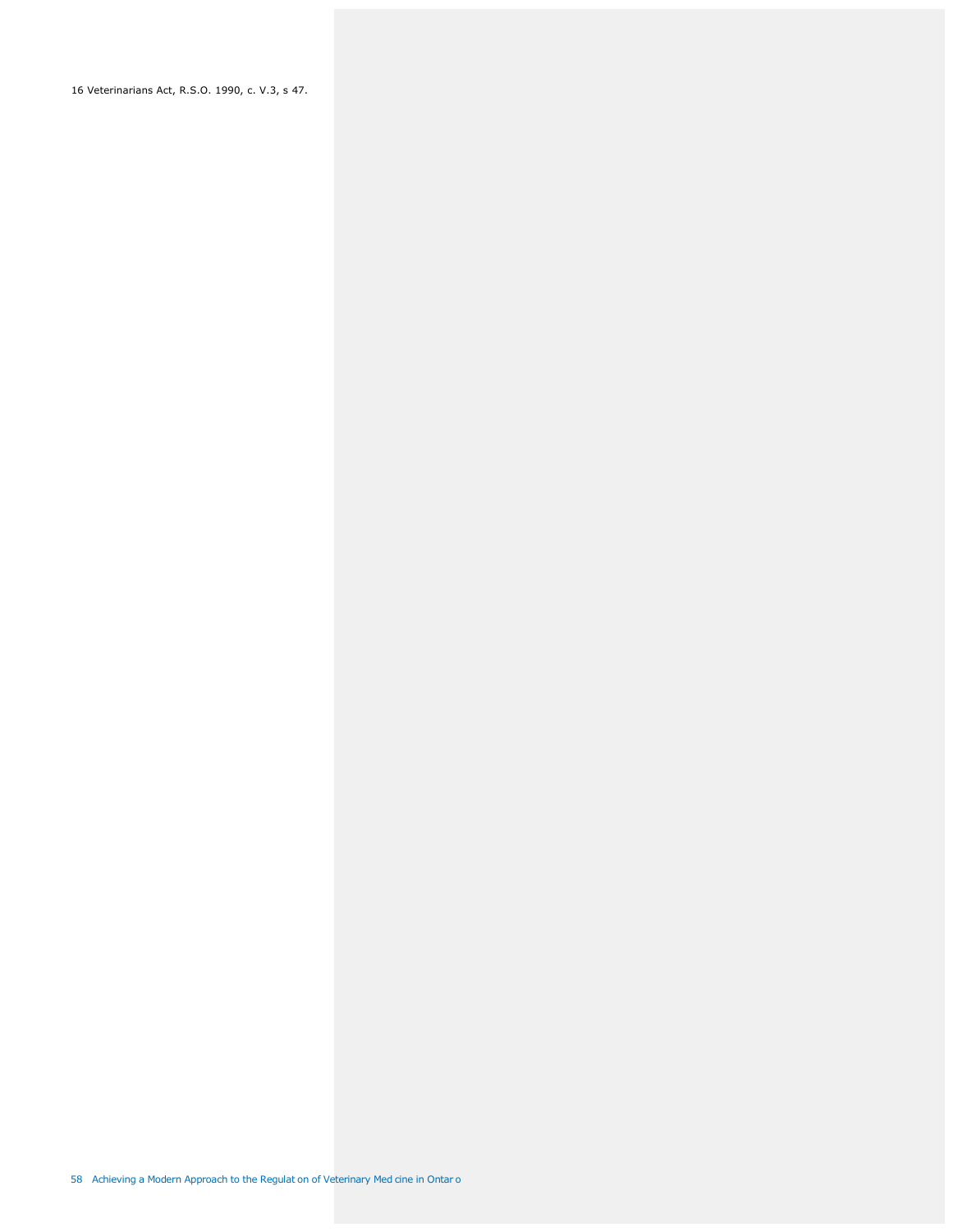16 Veterinarians Act, R.S.O. 1990, c. V.3, s 47.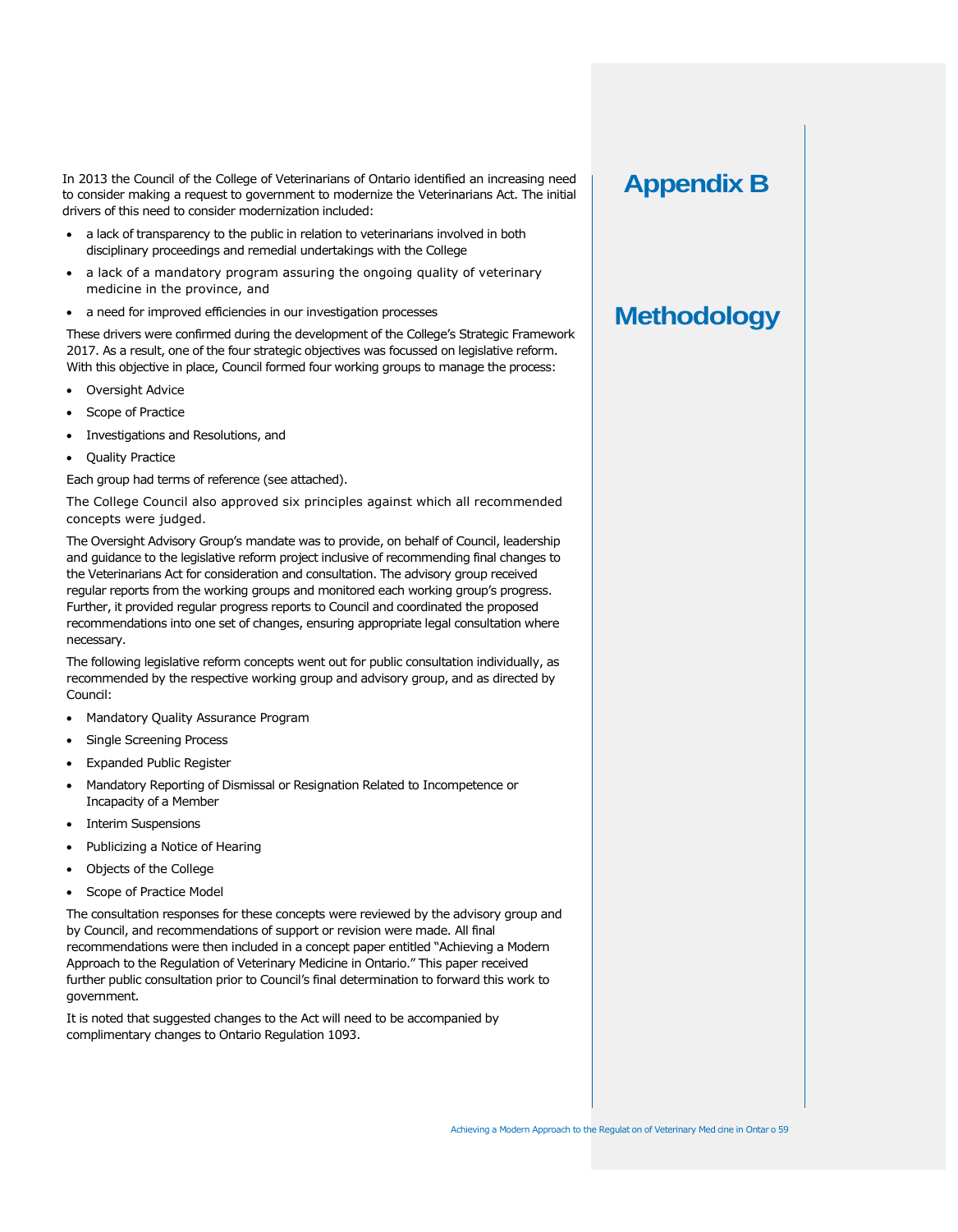In 2013 the Council of the College of Veterinarians of Ontario identified an increasing need to consider making a request to government to modernize the Veterinarians Act. The initial drivers of this need to consider modernization included:

- a lack of transparency to the public in relation to veterinarians involved in both disciplinary proceedings and remedial undertakings with the College
- a lack of a mandatory program assuring the ongoing quality of veterinary medicine in the province, and
- a need for improved efficiencies in our investigation processes

These drivers were confirmed during the development of the College's Strategic Framework 2017. As a result, one of the four strategic objectives was focussed on legislative reform. With this objective in place, Council formed four working groups to manage the process:

- Oversight Advice
- Scope of Practice
- Investigations and Resolutions, and
- Quality Practice

Each group had terms of reference (see attached).

The College Council also approved six principles against which all recommended concepts were judged.

The Oversight Advisory Group's mandate was to provide, on behalf of Council, leadership and guidance to the legislative reform project inclusive of recommending final changes to the Veterinarians Act for consideration and consultation. The advisory group received regular reports from the working groups and monitored each working group's progress. Further, it provided regular progress reports to Council and coordinated the proposed recommendations into one set of changes, ensuring appropriate legal consultation where necessary.

The following legislative reform concepts went out for public consultation individually, as recommended by the respective working group and advisory group, and as directed by Council:

- Mandatory Quality Assurance Program
- Single Screening Process
- Expanded Public Register
- Mandatory Reporting of Dismissal or Resignation Related to Incompetence or Incapacity of a Member
- Interim Suspensions
- Publicizing a Notice of Hearing
- Objects of the College
- Scope of Practice Model

The consultation responses for these concepts were reviewed by the advisory group and by Council, and recommendations of support or revision were made. All final recommendations were then included in a concept paper entitled "Achieving a Modern Approach to the Regulation of Veterinary Medicine in Ontario." This paper received further public consultation prior to Council's final determination to forward this work to government.

It is noted that suggested changes to the Act will need to be accompanied by complimentary changes to Ontario Regulation 1093.

## **Appendix B**

# **Methodology**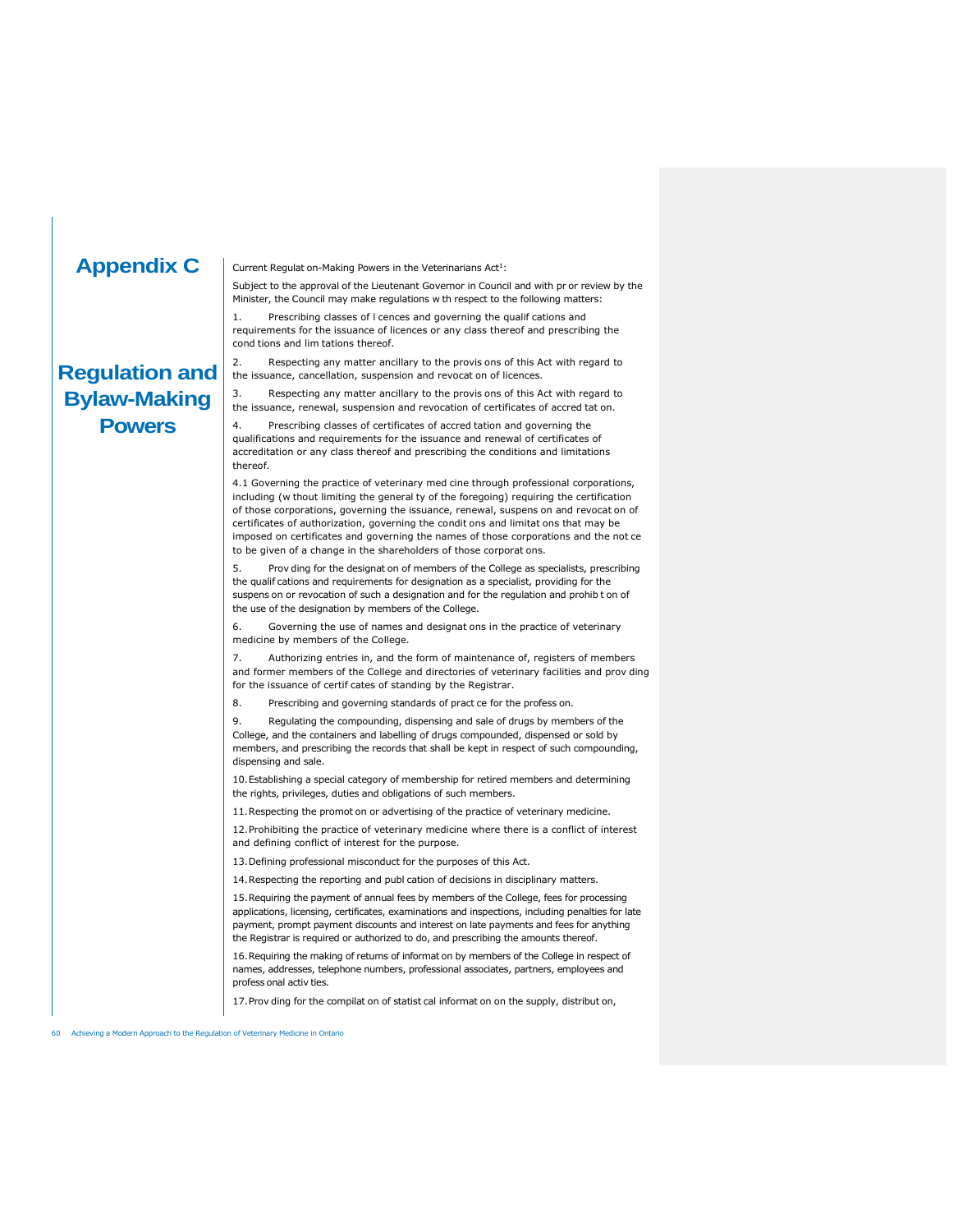## **Appendix C**

**Regulation and Bylaw-Making Powers**

Current Regulat on-Making Powers in the Veterinarians  $Act<sup>1</sup>$ :

Subject to the approval of the Lieutenant Governor in Council and with pr or review by the Minister, the Council may make regulations w th respect to the following matters:

1. Prescribing classes of l cences and governing the qualif cations and requirements for the issuance of licences or any class thereof and prescribing the cond tions and lim tations thereof.

2. Respecting any matter ancillary to the provis ons of this Act with regard to the issuance, cancellation, suspension and revocat on of licences.

3. Respecting any matter ancillary to the provis ons of this Act with regard to the issuance, renewal, suspension and revocation of certificates of accred tat on.

4. Prescribing classes of certificates of accred tation and governing the qualifications and requirements for the issuance and renewal of certificates of accreditation or any class thereof and prescribing the conditions and limitations thereof.

4.1 Governing the practice of veterinary med cine through professional corporations, including (w thout limiting the general ty of the foregoing) requiring the certification of those corporations, governing the issuance, renewal, suspens on and revocat on of certificates of authorization, governing the condit ons and limitat ons that may be imposed on certificates and governing the names of those corporations and the not ce to be given of a change in the shareholders of those corporat ons.

5. Prov ding for the designat on of members of the College as specialists, prescribing the qualif cations and requirements for designation as a specialist, providing for the suspens on or revocation of such a designation and for the regulation and prohib t on of the use of the designation by members of the College.

6. Governing the use of names and designat ons in the practice of veterinary medicine by members of the College.

7. Authorizing entries in, and the form of maintenance of, registers of members and former members of the College and directories of veterinary facilities and prov ding for the issuance of certif cates of standing by the Registrar.

8. Prescribing and governing standards of pract ce for the profess on.

9. Regulating the compounding, dispensing and sale of drugs by members of the College, and the containers and labelling of drugs compounded, dispensed or sold by members, and prescribing the records that shall be kept in respect of such compounding, dispensing and sale.

10.Establishing a special category of membership for retired members and determining the rights, privileges, duties and obligations of such members.

11.Respecting the promot on or advertising of the practice of veterinary medicine.

12.Prohibiting the practice of veterinary medicine where there is a conflict of interest and defining conflict of interest for the purpose.

13.Defining professional misconduct for the purposes of this Act.

14.Respecting the reporting and publ cation of decisions in disciplinary matters.

15.Requiring the payment of annual fees by members of the College, fees for processing applications, licensing, certificates, examinations and inspections, including penalties for late payment, prompt payment discounts and interest on late payments and fees for anything the Registrar is required or authorized to do, and prescribing the amounts thereof.

16.Requiring the making of returns of informat on by members of the College in respect of names, addresses, telephone numbers, professional associates, partners, employees and profess onal activ ties.

17.Prov ding for the compilat on of statist cal informat on on the supply, distribut on,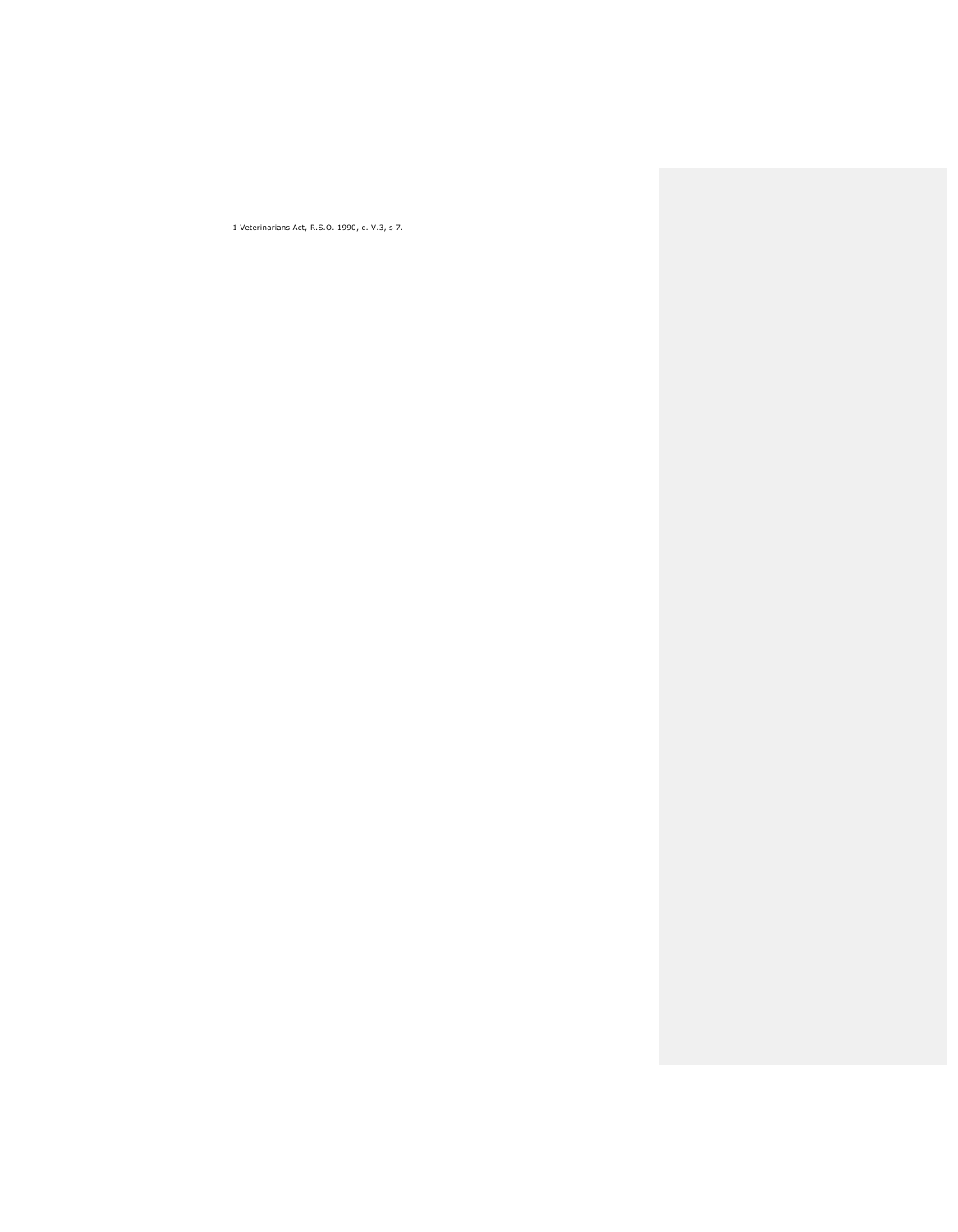1 Veterinarians Act, R.S.O. 1990, c. V.3, s 7.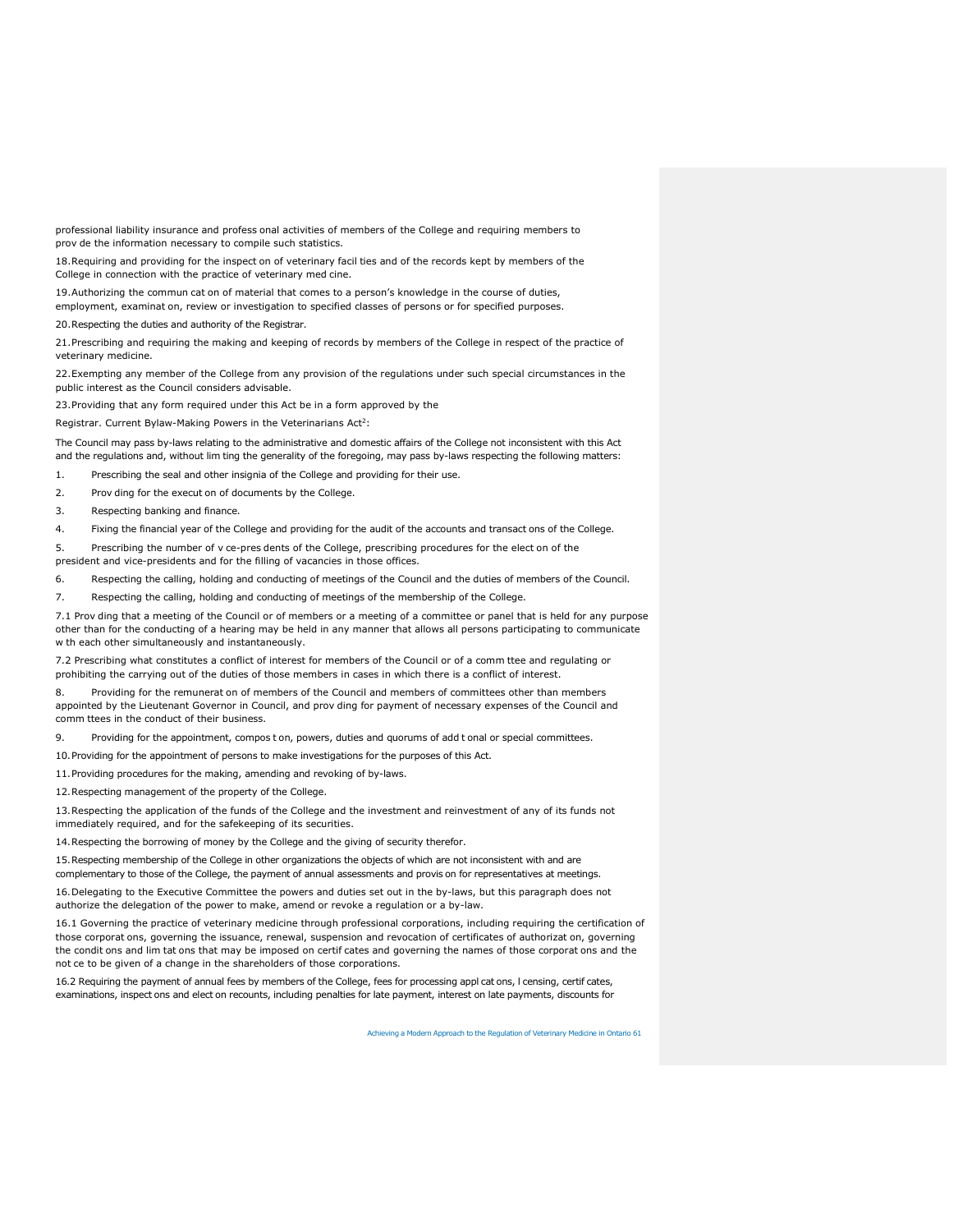professional liability insurance and profess onal activities of members of the College and requiring members to prov de the information necessary to compile such statistics.

18.Requiring and providing for the inspect on of veterinary facil ties and of the records kept by members of the College in connection with the practice of veterinary med cine.

19.Authorizing the commun cat on of material that comes to a person's knowledge in the course of duties, employment, examinat on, review or investigation to specified classes of persons or for specified purposes.

20.Respecting the duties and authority of the Registrar.

21.Prescribing and requiring the making and keeping of records by members of the College in respect of the practice of veterinary medicine.

22.Exempting any member of the College from any provision of the regulations under such special circumstances in the public interest as the Council considers advisable.

23.Providing that any form required under this Act be in a form approved by the

Registrar. Current Bylaw-Making Powers in the Veterinarians  $Act^2$ :

The Council may pass by-laws relating to the administrative and domestic affairs of the College not inconsistent with this Act and the regulations and, without lim ting the generality of the foregoing, may pass by-laws respecting the following matters:

1. Prescribing the seal and other insignia of the College and providing for their use.

2. Prov ding for the execut on of documents by the College.

3. Respecting banking and finance.

4. Fixing the financial year of the College and providing for the audit of the accounts and transact ons of the College.

5. Prescribing the number of v ce-pres dents of the College, prescribing procedures for the elect on of the president and vice-presidents and for the filling of vacancies in those offices.

6. Respecting the calling, holding and conducting of meetings of the Council and the duties of members of the Council.

7. Respecting the calling, holding and conducting of meetings of the membership of the College.

7.1 Prov ding that a meeting of the Council or of members or a meeting of a committee or panel that is held for any purpose other than for the conducting of a hearing may be held in any manner that allows all persons participating to communicate w th each other simultaneously and instantaneously.

7.2 Prescribing what constitutes a conflict of interest for members of the Council or of a comm ttee and regulating or prohibiting the carrying out of the duties of those members in cases in which there is a conflict of interest.

8. Providing for the remunerat on of members of the Council and members of committees other than members appointed by the Lieutenant Governor in Council, and prov ding for payment of necessary expenses of the Council and comm ttees in the conduct of their business.

9. Providing for the appointment, compos t on, powers, duties and quorums of add t onal or special committees.

10.Providing for the appointment of persons to make investigations for the purposes of this Act.

11.Providing procedures for the making, amending and revoking of by-laws.

12.Respecting management of the property of the College.

13.Respecting the application of the funds of the College and the investment and reinvestment of any of its funds not immediately required, and for the safekeeping of its securities.

14.Respecting the borrowing of money by the College and the giving of security therefor.

15.Respecting membership of the College in other organizations the objects of which are not inconsistent with and are complementary to those of the College, the payment of annual assessments and provis on for representatives at meetings.

16.Delegating to the Executive Committee the powers and duties set out in the by-laws, but this paragraph does not authorize the delegation of the power to make, amend or revoke a regulation or a by-law.

16.1 Governing the practice of veterinary medicine through professional corporations, including requiring the certification of those corporat ons, governing the issuance, renewal, suspension and revocation of certificates of authorizat on, governing the condit ons and lim tat ons that may be imposed on certif cates and governing the names of those corporat ons and the not ce to be given of a change in the shareholders of those corporations.

16.2 Requiring the payment of annual fees by members of the College, fees for processing appl cat ons, l censing, certif cates, examinations, inspect ons and elect on recounts, including penalties for late payment, interest on late payments, discounts for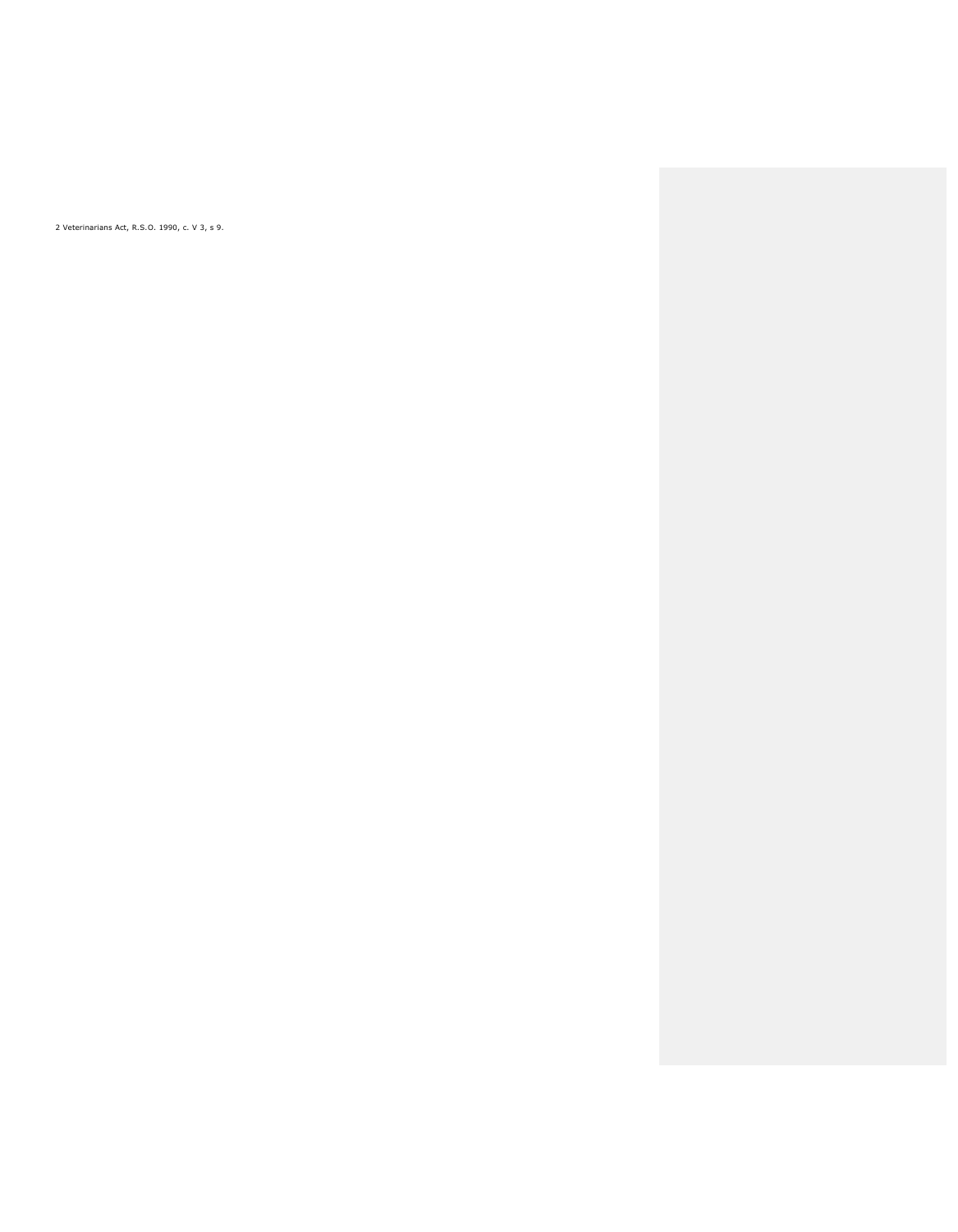2 Veterinarians Act, R.S.O. 1990, c. V 3, s 9.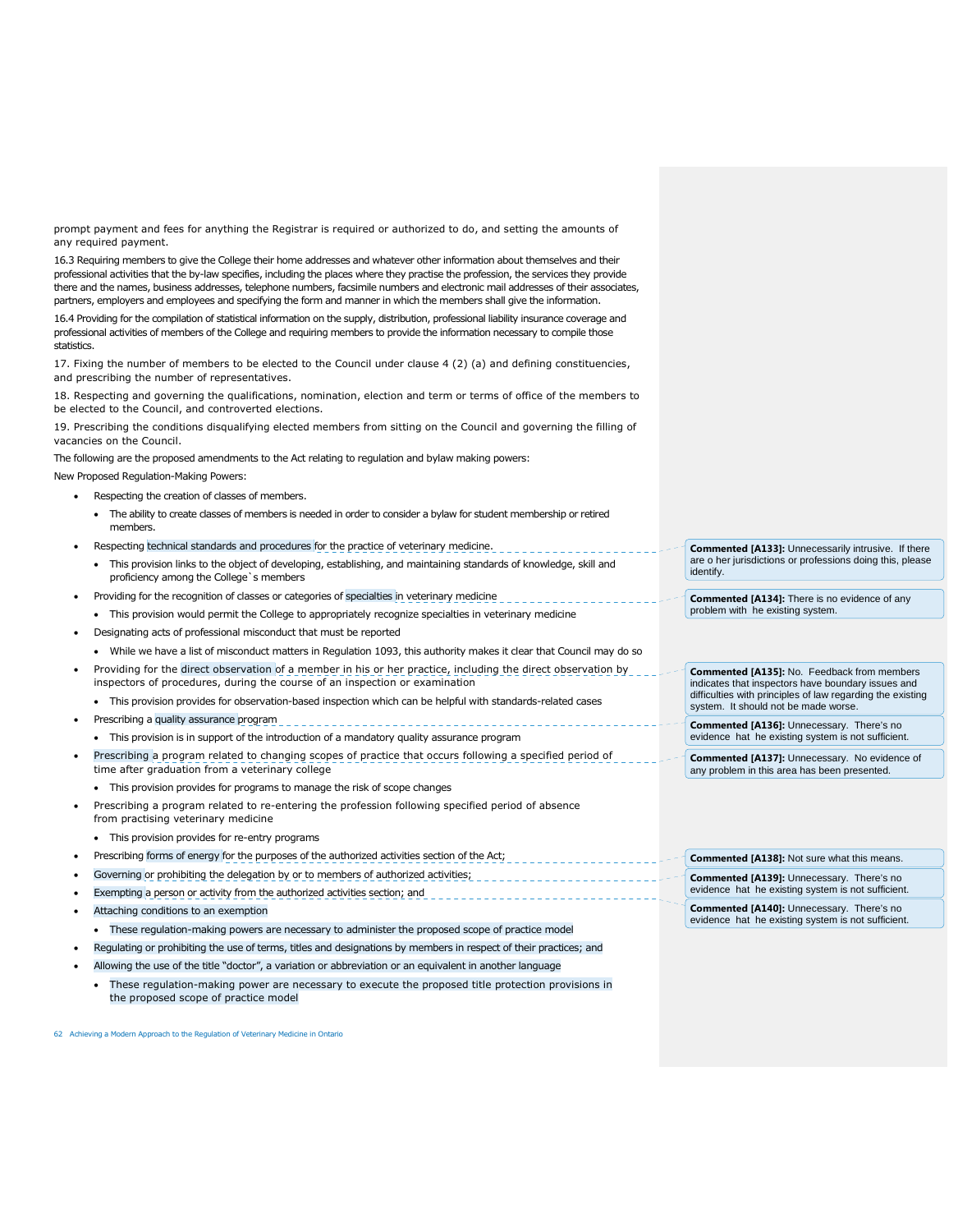prompt payment and fees for anything the Registrar is required or authorized to do, and setting the amounts of any required payment.

16.3 Requiring members to give the College their home addresses and whatever other information about themselves and their professional activities that the by-law specifies, including the places where they practise the profession, the services they provide there and the names, business addresses, telephone numbers, facsimile numbers and electronic mail addresses of their associates, partners, employers and employees and specifying the form and manner in which the members shall give the information.

16.4 Providing for the compilation of statistical information on the supply, distribution, professional liability insurance coverage and professional activities of members of the College and requiring members to provide the information necessary to compile those statistics.

17. Fixing the number of members to be elected to the Council under clause 4 (2) (a) and defining constituencies, and prescribing the number of representatives.

18. Respecting and governing the qualifications, nomination, election and term or terms of office of the members to be elected to the Council, and controverted elections.

19. Prescribing the conditions disqualifying elected members from sitting on the Council and governing the filling of vacancies on the Council.

The following are the proposed amendments to the Act relating to regulation and bylaw making powers:

New Proposed Regulation-Making Powers:

- Respecting the creation of classes of members.
	- The ability to create classes of members is needed in order to consider a bylaw for student membership or retired members.
- Respecting technical standards and procedures for the practice of veterinary medicine.
	- This provision links to the object of developing, establishing, and maintaining standards of knowledge, skill and proficiency among the College's members
- Providing for the recognition of classes or categories of specialties in veterinary medicine
- This provision would permit the College to appropriately recognize specialties in veterinary medicine
- Designating acts of professional misconduct that must be reported
	- While we have a list of misconduct matters in Regulation 1093, this authority makes it clear that Council may do so
- Providing for the direct observation of a member in his or her practice, including the direct observation by inspectors of procedures, during the course of an inspection or examination
	- This provision provides for observation-based inspection which can be helpful with standards-related cases
- Prescribing a quality assurance program
- This provision is in support of the introduction of a mandatory quality assurance program
- Prescribing a program related to changing scopes of practice that occurs following a specified period of time after graduation from a veterinary college
	- This provision provides for programs to manage the risk of scope changes
- Prescribing a program related to re-entering the profession following specified period of absence from practising veterinary medicine
	- This provision provides for re-entry programs
- Prescribing forms of energy for the purposes of the authorized activities section of the Act; Governing or prohibiting the delegation by or to members of authorized activities;
- Exempting a person or activity from the authorized activities section; and
- Attaching conditions to an exemption
	- These regulation-making powers are necessary to administer the proposed scope of practice model
- Regulating or prohibiting the use of terms, titles and designations by members in respect of their practices; and
- Allowing the use of the title "doctor", a variation or abbreviation or an equivalent in another language
	- These regulation-making power are necessary to execute the proposed title protection provisions in the proposed scope of practice model

62 Achieving a Modern Approach to the Regulation of Veterinary Medicine in Ontario

**Commented [A133]:** Unnecessarily intrusive. If there are o her jurisdictions or professions doing this, please identify.

**Commented [A134]:** There is no evidence of any problem with he existing system.

**Commented [A135]:** No. Feedback from members indicates that inspectors have boundary issues and difficulties with principles of law regarding the existing system. It should not be made worse.

**Commented [A136]:** Unnecessary. There's no evidence hat he existing system is not sufficient.

**Commented [A137]:** Unnecessary. No evidence of any problem in this area has been presented.

|  |  |  |  | <b>Commented [A138]:</b> Not sure what this means. |
|--|--|--|--|----------------------------------------------------|
|--|--|--|--|----------------------------------------------------|

**Commented [A139]:** Unnecessary. There's no evidence hat he existing system is not sufficient.

**Commented [A140]:** Unnecessary. There's no evidence hat he existing system is not sufficient.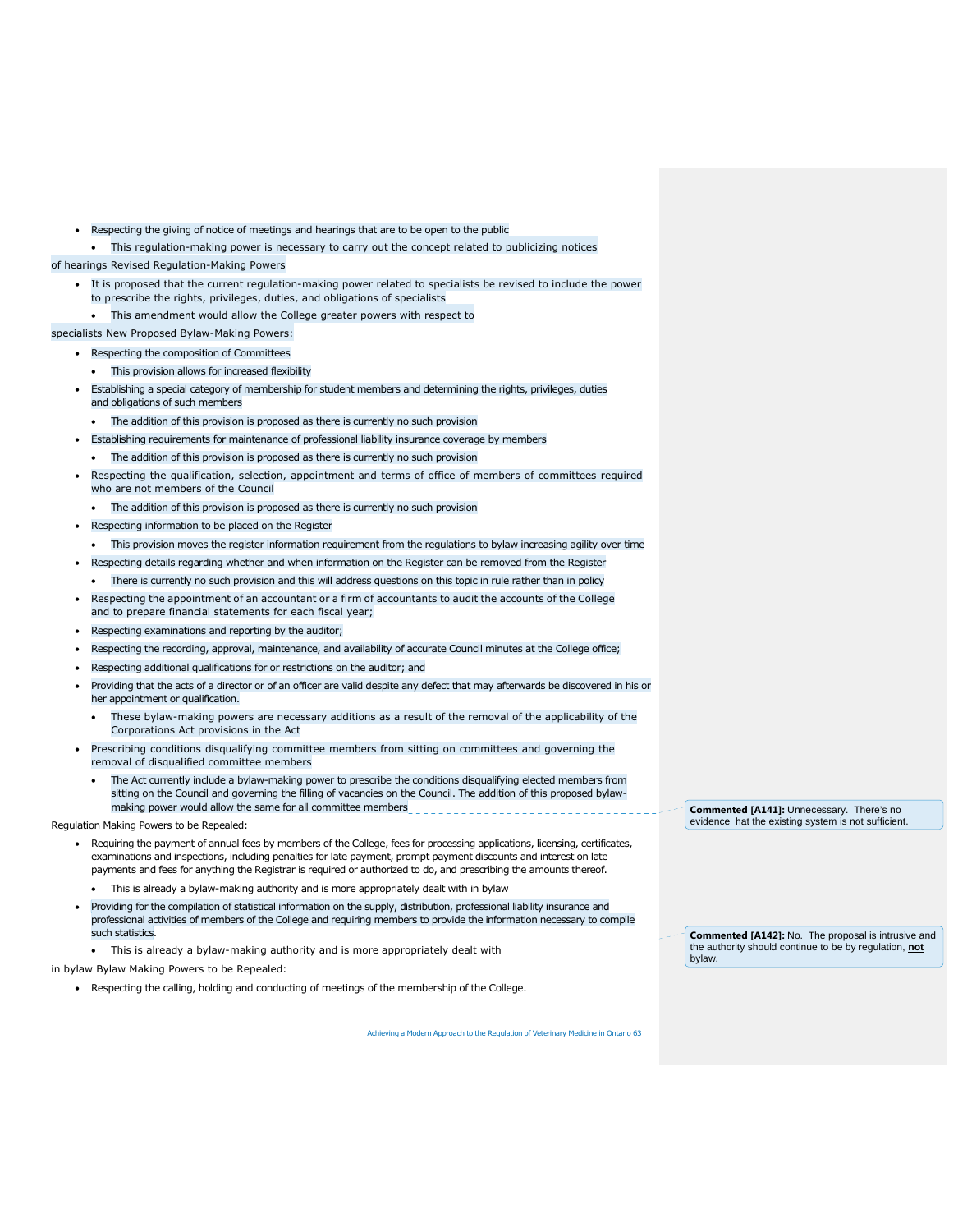- Respecting the giving of notice of meetings and hearings that are to be open to the public
- This regulation-making power is necessary to carry out the concept related to publicizing notices

## of hearings Revised Regulation-Making Powers

- It is proposed that the current regulation-making power related to specialists be revised to include the power to prescribe the rights, privileges, duties, and obligations of specialists
	- This amendment would allow the College greater powers with respect to

## specialists New Proposed Bylaw-Making Powers:

- Respecting the composition of Committees
	- This provision allows for increased flexibility
	- Establishing a special category of membership for student members and determining the rights, privileges, duties and obligations of such members
	- The addition of this provision is proposed as there is currently no such provision
	- Establishing requirements for maintenance of professional liability insurance coverage by members
	- The addition of this provision is proposed as there is currently no such provision
	- Respecting the qualification, selection, appointment and terms of office of members of committees required who are not members of the Council
	- The addition of this provision is proposed as there is currently no such provision
- Respecting information to be placed on the Register
	- This provision moves the register information requirement from the regulations to bylaw increasing agility over time
- Respecting details regarding whether and when information on the Register can be removed from the Register
- There is currently no such provision and this will address questions on this topic in rule rather than in policy
- Respecting the appointment of an accountant or a firm of accountants to audit the accounts of the College and to prepare financial statements for each fiscal year;
- Respecting examinations and reporting by the auditor;
- Respecting the recording, approval, maintenance, and availability of accurate Council minutes at the College office;
- Respecting additional qualifications for or restrictions on the auditor; and
- Providing that the acts of a director or of an officer are valid despite any defect that may afterwards be discovered in his or her appointment or qualification.
- These bylaw-making powers are necessary additions as a result of the removal of the applicability of the Corporations Act provisions in the Act
- Prescribing conditions disqualifying committee members from sitting on committees and governing the removal of disqualified committee members
	- The Act currently include a bylaw-making power to prescribe the conditions disqualifying elected members from sitting on the Council and governing the filling of vacancies on the Council. The addition of this proposed bylawmaking power would allow the same for all committee members

#### Regulation Making Powers to be Repealed:

- Requiring the payment of annual fees by members of the College, fees for processing applications, licensing, certificates, examinations and inspections, including penalties for late payment, prompt payment discounts and interest on late payments and fees for anything the Registrar is required or authorized to do, and prescribing the amounts thereof.
	- This is already a bylaw-making authority and is more appropriately dealt with in bylaw
- Providing for the compilation of statistical information on the supply, distribution, professional liability insurance and professional activities of members of the College and requiring members to provide the information necessary to compile such statistics.
- This is already a bylaw-making authority and is more appropriately dealt with

#### in bylaw Bylaw Making Powers to be Repealed:

Respecting the calling, holding and conducting of meetings of the membership of the College.

Achieving a Modern Approach to the Regulation of Veterinary Medicine in Ontario 63

**Commented [A141]:** Unnecessary. There's no evidence hat the existing system is not sufficient.

**Commented [A142]:** No. The proposal is intrusive and the authority should continue to be by regulation, **not** bylaw.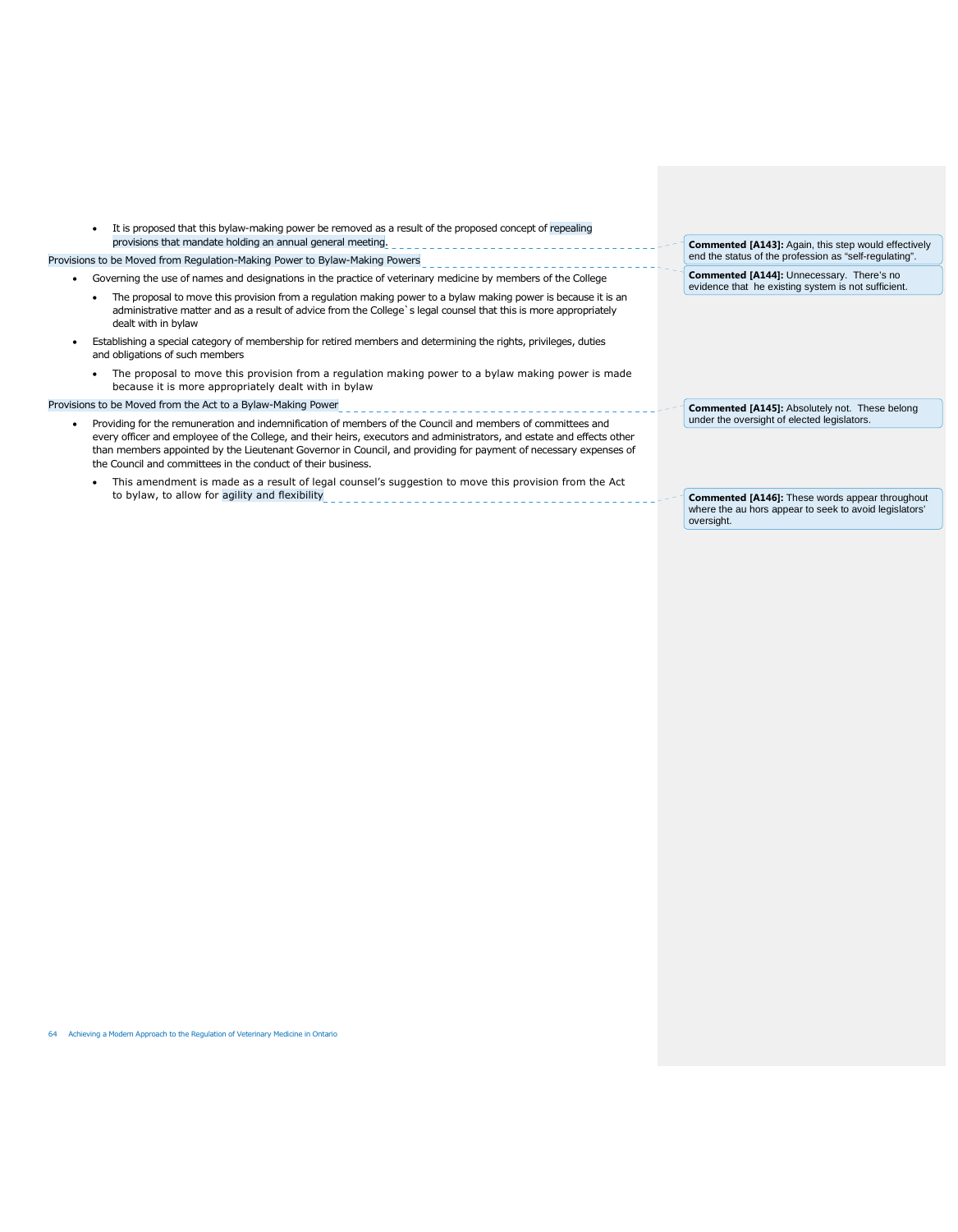| It is proposed that this bylaw-making power be removed as a result of the proposed concept of repealing<br>provisions that mandate holding an annual general meeting.                                                                                                                                                                                                                                                    |  | <b>Commented [A143]:</b> Again, this step would effectively                                                                    |
|--------------------------------------------------------------------------------------------------------------------------------------------------------------------------------------------------------------------------------------------------------------------------------------------------------------------------------------------------------------------------------------------------------------------------|--|--------------------------------------------------------------------------------------------------------------------------------|
| Provisions to be Moved from Regulation-Making Power to Bylaw-Making Powers                                                                                                                                                                                                                                                                                                                                               |  | end the status of the profession as "self-regulating".                                                                         |
| Governing the use of names and designations in the practice of veterinary medicine by members of the College                                                                                                                                                                                                                                                                                                             |  | Commented [A144]: Unnecessary. There's no<br>evidence that he existing system is not sufficient.                               |
| The proposal to move this provision from a regulation making power to a bylaw making power is because it is an<br>administrative matter and as a result of advice from the College's legal counsel that this is more appropriately<br>dealt with in bylaw                                                                                                                                                                |  |                                                                                                                                |
| Establishing a special category of membership for retired members and determining the rights, privileges, duties<br>and obligations of such members                                                                                                                                                                                                                                                                      |  |                                                                                                                                |
| The proposal to move this provision from a regulation making power to a bylaw making power is made<br>because it is more appropriately dealt with in bylaw                                                                                                                                                                                                                                                               |  |                                                                                                                                |
| Provisions to be Moved from the Act to a Bylaw-Making Power                                                                                                                                                                                                                                                                                                                                                              |  | <b>Commented [A145]:</b> Absolutely not. These belong<br>under the oversight of elected legislators.                           |
| Providing for the remuneration and indemnification of members of the Council and members of committees and<br>every officer and employee of the College, and their heirs, executors and administrators, and estate and effects other<br>than members appointed by the Lieutenant Governor in Council, and providing for payment of necessary expenses of<br>the Council and committees in the conduct of their business. |  |                                                                                                                                |
| This amendment is made as a result of legal counsel's suggestion to move this provision from the Act<br>to bylaw, to allow for agility and flexibility                                                                                                                                                                                                                                                                   |  | <b>Commented [A146]:</b> These words appear throughout<br>where the au hors appear to seek to avoid legislators'<br>oversight. |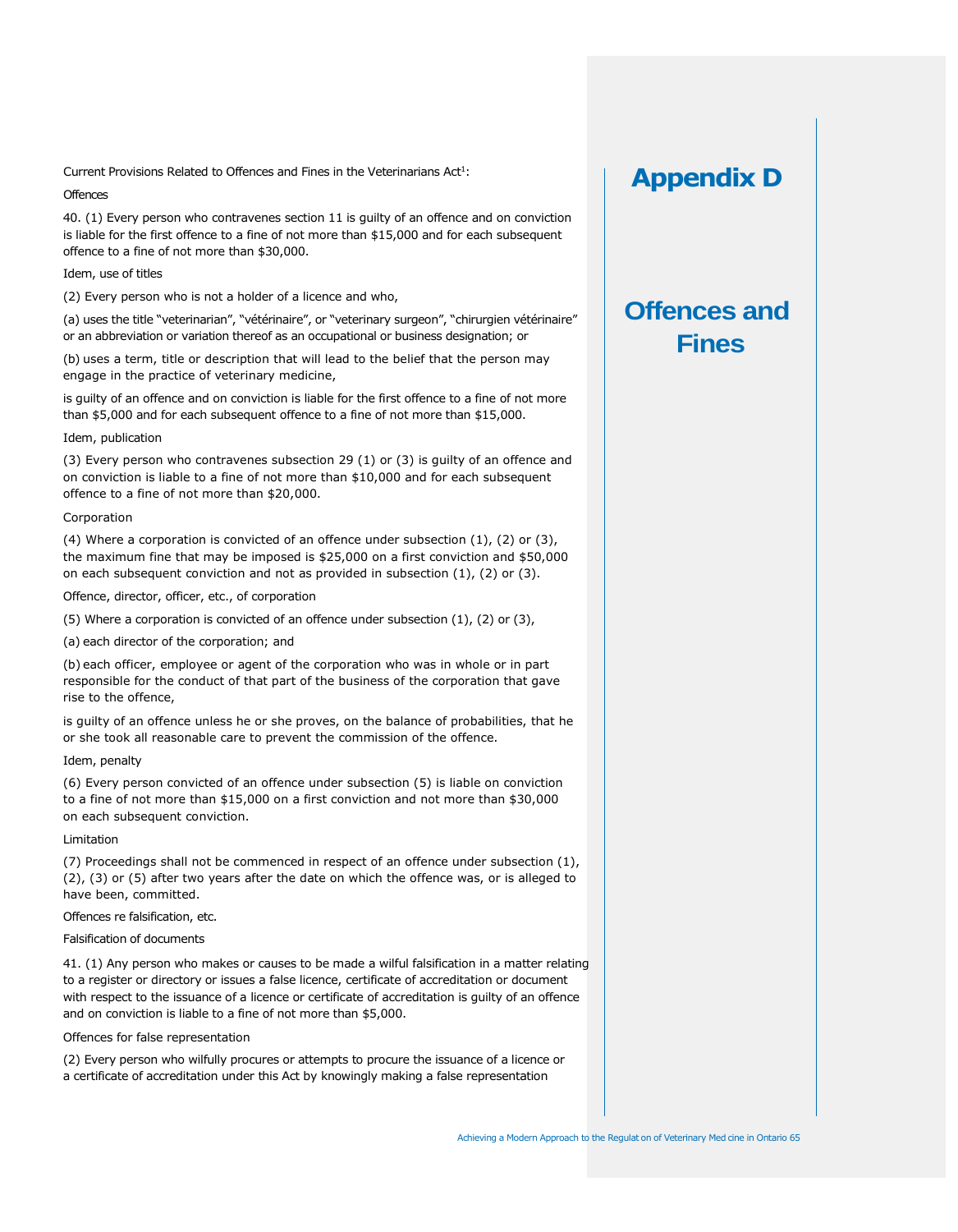Current Provisions Related to Offences and Fines in the Veterinarians  $Act<sup>1</sup>$ :

## **Offences**

40. (1) Every person who contravenes section 11 is guilty of an offence and on conviction is liable for the first offence to a fine of not more than \$15,000 and for each subsequent offence to a fine of not more than \$30,000.

## Idem, use of titles

(2) Every person who is not a holder of a licence and who,

(a) uses the title "veterinarian", "vétérinaire", or "veterinary surgeon", "chirurgien vétérinaire" or an abbreviation or variation thereof as an occupational or business designation; or

(b) uses a term, title or description that will lead to the belief that the person may engage in the practice of veterinary medicine,

is guilty of an offence and on conviction is liable for the first offence to a fine of not more than \$5,000 and for each subsequent offence to a fine of not more than \$15,000.

## Idem, publication

(3) Every person who contravenes subsection 29 (1) or (3) is guilty of an offence and on conviction is liable to a fine of not more than \$10,000 and for each subsequent offence to a fine of not more than \$20,000.

### Corporation

(4) Where a corporation is convicted of an offence under subsection  $(1)$ ,  $(2)$  or  $(3)$ , the maximum fine that may be imposed is \$25,000 on a first conviction and \$50,000 on each subsequent conviction and not as provided in subsection (1), (2) or (3).

Offence, director, officer, etc., of corporation

(5) Where a corporation is convicted of an offence under subsection (1), (2) or (3),

(a) each director of the corporation; and

(b) each officer, employee or agent of the corporation who was in whole or in part responsible for the conduct of that part of the business of the corporation that gave rise to the offence,

is guilty of an offence unless he or she proves, on the balance of probabilities, that he or she took all reasonable care to prevent the commission of the offence.

## Idem, penalty

(6) Every person convicted of an offence under subsection (5) is liable on conviction to a fine of not more than \$15,000 on a first conviction and not more than \$30,000 on each subsequent conviction.

#### Limitation

(7) Proceedings shall not be commenced in respect of an offence under subsection (1), (2), (3) or (5) after two years after the date on which the offence was, or is alleged to have been, committed.

Offences re falsification, etc.

## Falsification of documents

41. (1) Any person who makes or causes to be made a wilful falsification in a matter relating to a register or directory or issues a false licence, certificate of accreditation or document with respect to the issuance of a licence or certificate of accreditation is guilty of an offence and on conviction is liable to a fine of not more than \$5,000.

## Offences for false representation

(2) Every person who wilfully procures or attempts to procure the issuance of a licence or a certificate of accreditation under this Act by knowingly making a false representation

## **Appendix D**

# **Offences and Fines**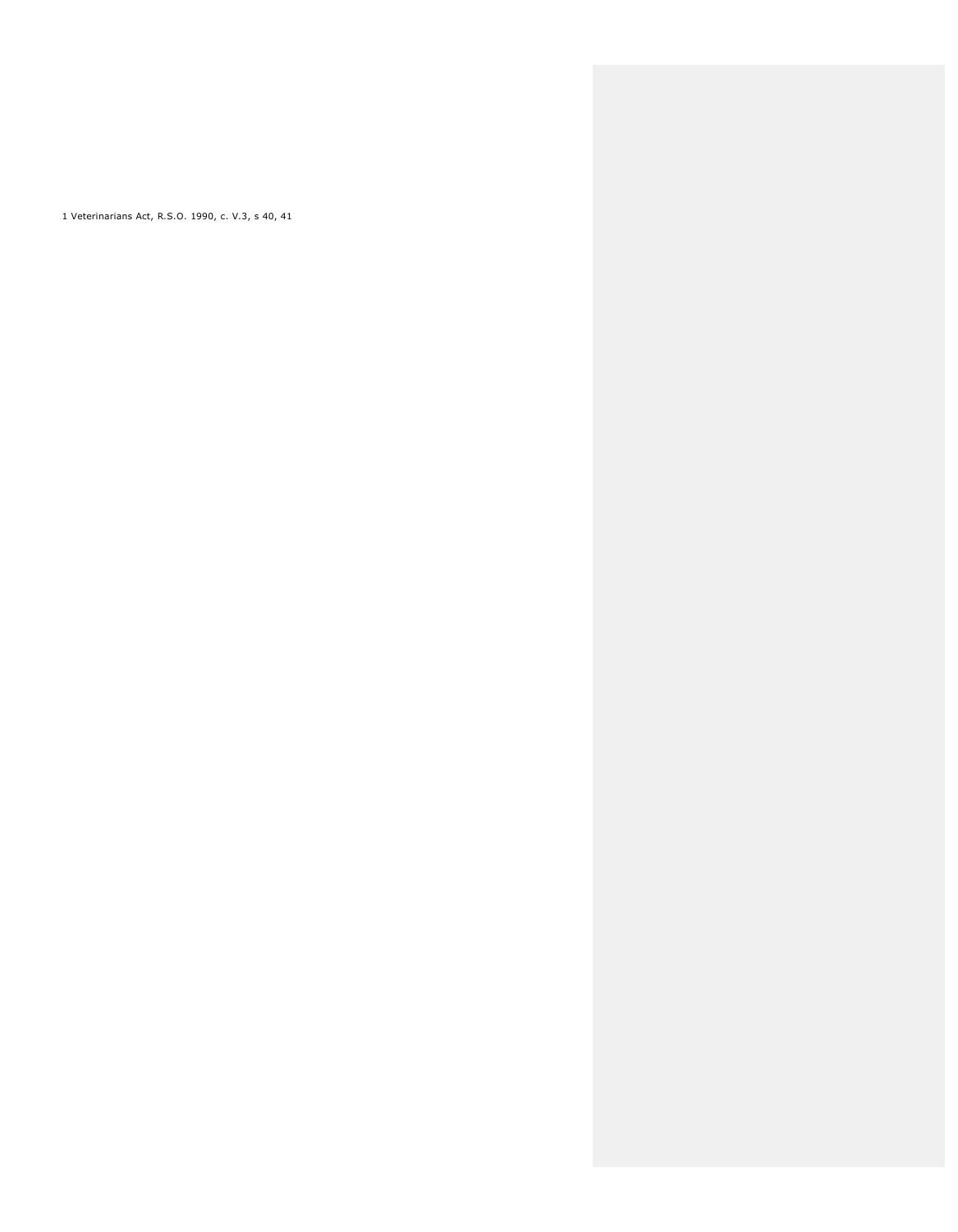1 Veterinarians Act, R.S.O. 1990, c. V.3, s 40, 41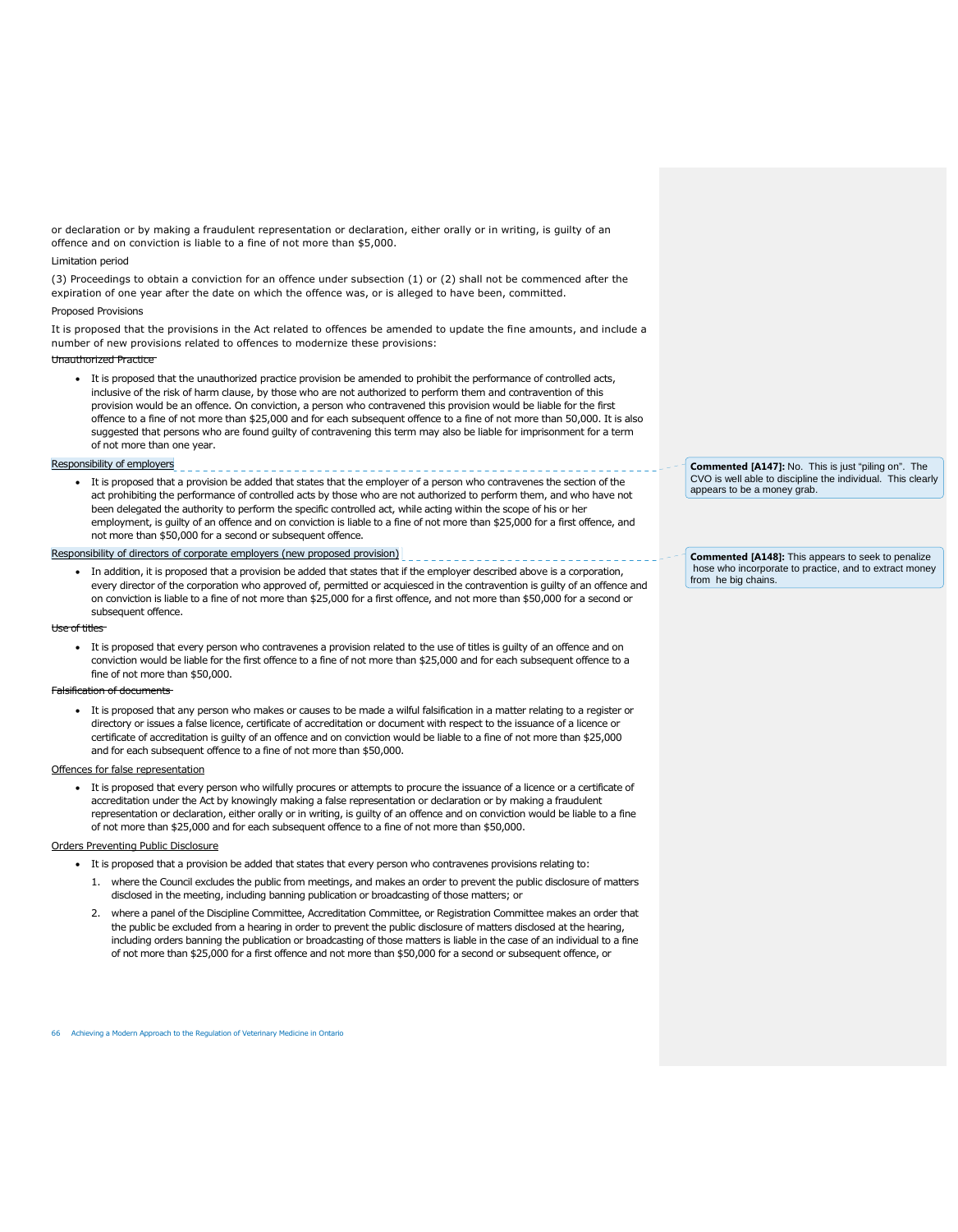or declaration or by making a fraudulent representation or declaration, either orally or in writing, is guilty of an offence and on conviction is liable to a fine of not more than \$5,000.

#### Limitation period

(3) Proceedings to obtain a conviction for an offence under subsection (1) or (2) shall not be commenced after the expiration of one year after the date on which the offence was, or is alleged to have been, committed.

### Proposed Provisions

It is proposed that the provisions in the Act related to offences be amended to update the fine amounts, and include a number of new provisions related to offences to modernize these provisions:

#### Unauthorized Practice

 It is proposed that the unauthorized practice provision be amended to prohibit the performance of controlled acts, inclusive of the risk of harm clause, by those who are not authorized to perform them and contravention of this provision would be an offence. On conviction, a person who contravened this provision would be liable for the first offence to a fine of not more than \$25,000 and for each subsequent offence to a fine of not more than 50,000. It is also suggested that persons who are found guilty of contravening this term may also be liable for imprisonment for a term of not more than one year.

#### Responsibility of employers

 It is proposed that a provision be added that states that the employer of a person who contravenes the section of the act prohibiting the performance of controlled acts by those who are not authorized to perform them, and who have not been delegated the authority to perform the specific controlled act, while acting within the scope of his or her employment, is guilty of an offence and on conviction is liable to a fine of not more than \$25,000 for a first offence, and not more than \$50,000 for a second or subsequent offence.

#### Responsibility of directors of corporate employers (new proposed provision)

 In addition, it is proposed that a provision be added that states that if the employer described above is a corporation, every director of the corporation who approved of, permitted or acquiesced in the contravention is guilty of an offence and on conviction is liable to a fine of not more than \$25,000 for a first offence, and not more than \$50,000 for a second or subsequent offence.

#### Use of titles

 It is proposed that every person who contravenes a provision related to the use of titles is guilty of an offence and on conviction would be liable for the first offence to a fine of not more than \$25,000 and for each subsequent offence to a fine of not more than \$50,000.

#### Falsification of documents

 It is proposed that any person who makes or causes to be made a wilful falsification in a matter relating to a register or directory or issues a false licence, certificate of accreditation or document with respect to the issuance of a licence or certificate of accreditation is guilty of an offence and on conviction would be liable to a fine of not more than \$25,000 and for each subsequent offence to a fine of not more than \$50,000.

## Offences for false representation

 It is proposed that every person who wilfully procures or attempts to procure the issuance of a licence or a certificate of accreditation under the Act by knowingly making a false representation or declaration or by making a fraudulent representation or declaration, either orally or in writing, is guilty of an offence and on conviction would be liable to a fine of not more than \$25,000 and for each subsequent offence to a fine of not more than \$50,000.

#### Orders Preventing Public Disclosure

- It is proposed that a provision be added that states that every person who contravenes provisions relating to:
	- 1. where the Council excludes the public from meetings, and makes an order to prevent the public disclosure of matters disclosed in the meeting, including banning publication or broadcasting of those matters; or
	- 2. where a panel of the Discipline Committee, Accreditation Committee, or Registration Committee makes an order that the public be excluded from a hearing in order to prevent the public disclosure of matters disclosed at the hearing, including orders banning the publication or broadcasting of those matters is liable in the case of an individual to a fine of not more than \$25,000 for a first offence and not more than \$50,000 for a second or subsequent offence, or

66 Achieving a Modern Approach to the Regulation of Veterinary Medicine in Ontario

**Commented [A147]:** No. This is just "piling on". The CVO is well able to discipline the individual. This clearly appears to be a money grab.

**Commented [A148]:** This appears to seek to penalize hose who incorporate to practice, and to extract money from he big chains.